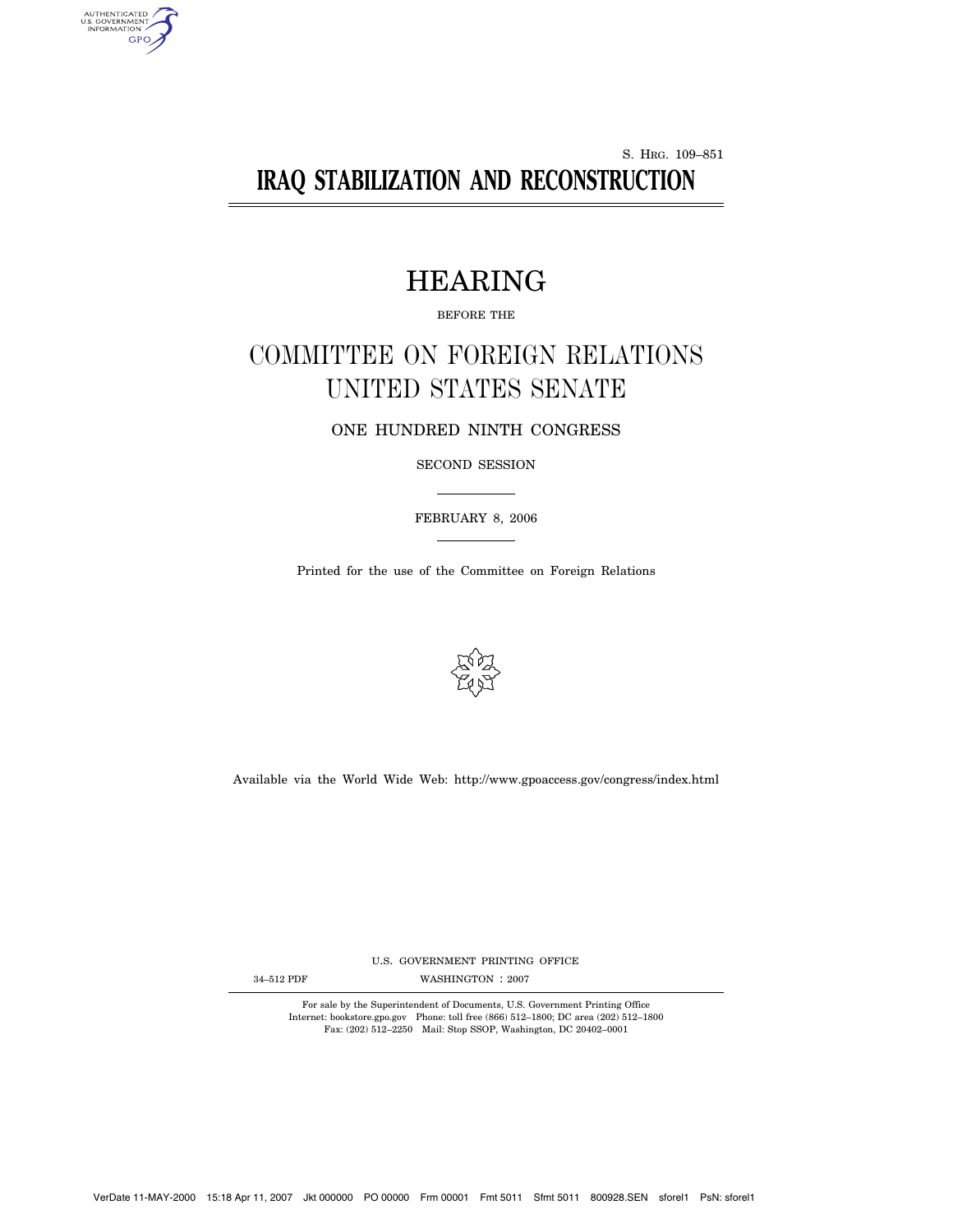S. HRG. 109–851 **IRAQ STABILIZATION AND RECONSTRUCTION**

# HEARING

BEFORE THE

# COMMITTEE ON FOREIGN RELATIONS UNITED STATES SENATE

ONE HUNDRED NINTH CONGRESS

SECOND SESSION

FEBRUARY 8, 2006

Printed for the use of the Committee on Foreign Relations



Available via the World Wide Web: http://www.gpoaccess.gov/congress/index.html

U.S. GOVERNMENT PRINTING OFFICE

AUTHENTICATED<br>U.S. GOVERNMENT<br>INFORMATION **GPO** 

34-512 PDF WASHINGTON : 2007

For sale by the Superintendent of Documents, U.S. Government Printing Office Internet: bookstore.gpo.gov Phone: toll free (866) 512–1800; DC area (202) 512–1800 Fax: (202) 512–2250 Mail: Stop SSOP, Washington, DC 20402–0001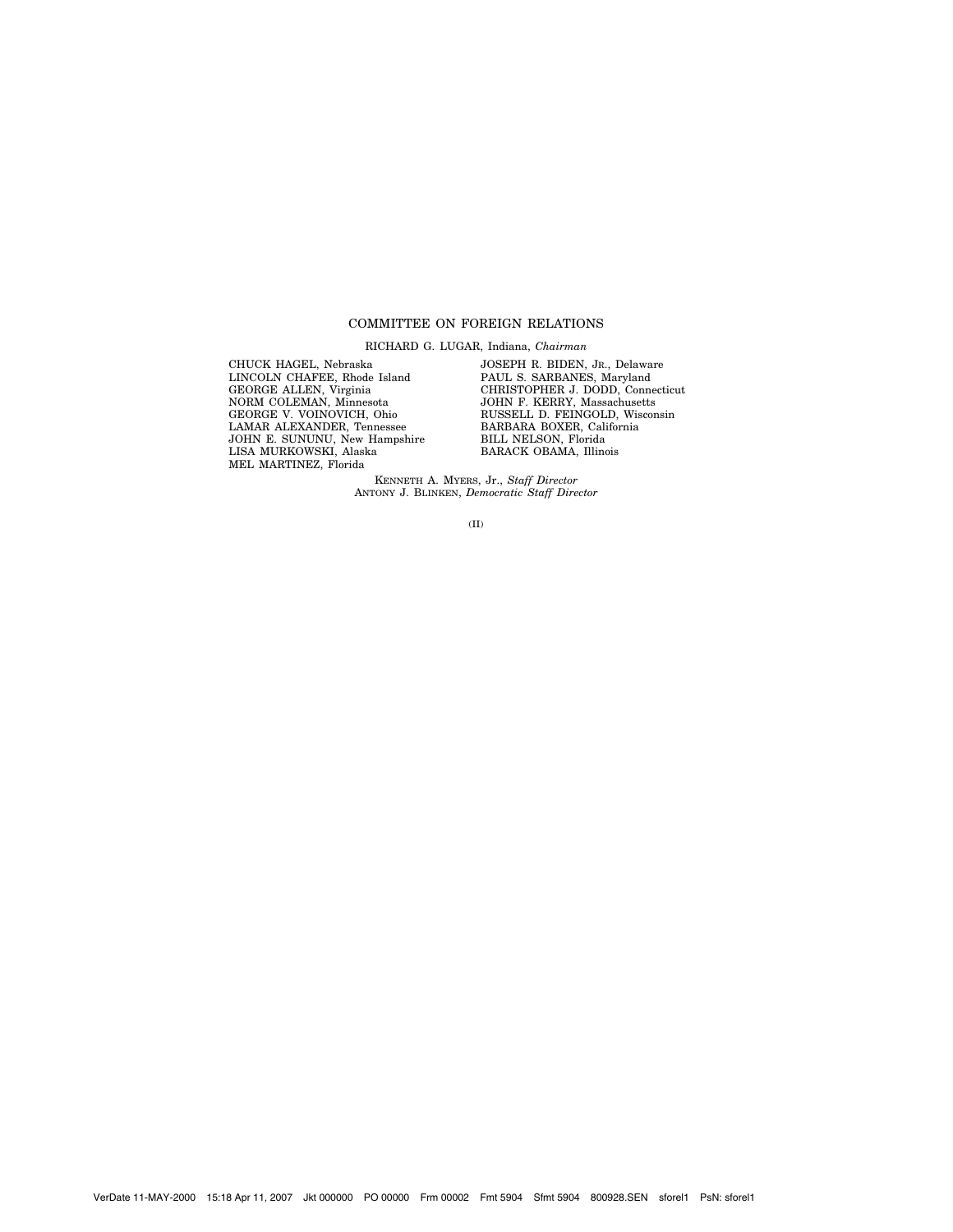# COMMITTEE ON FOREIGN RELATIONS

RICHARD G. LUGAR, Indiana, *Chairman*

CHUCK HAGEL, Nebraska LINCOLN CHAFEE, Rhode Island GEORGE ALLEN, Virginia NORM COLEMAN, Minnesota GEORGE V. VOINOVICH, Ohio LAMAR ALEXANDER, Tennessee JOHN E. SUNUNU, New Hampshire LISA MURKOWSKI, Alaska MEL MARTINEZ, Florida

JOSEPH R. BIDEN, JR., Delaware PAUL S. SARBANES, Maryland CHRISTOPHER J. DODD, Connecticut JOHN F. KERRY, Massachusetts RUSSELL D. FEINGOLD, Wisconsin BARBARA BOXER, California BILL NELSON, Florida BARACK OBAMA, Illinois

KENNETH A. MYERS, Jr., *Staff Director* ANTONY J. BLINKEN, *Democratic Staff Director*

(II)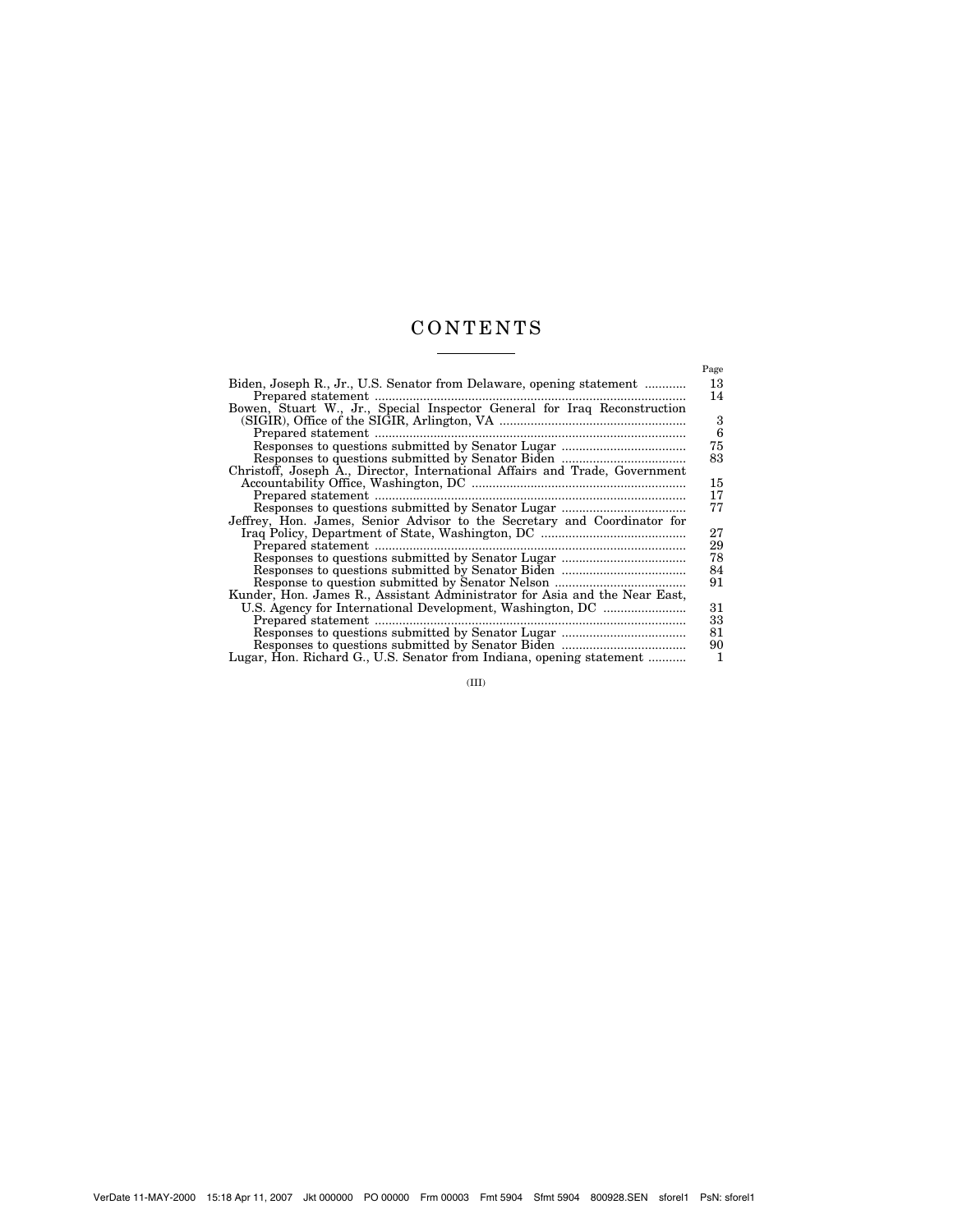# CONTENTS

|                                                                             | Page         |
|-----------------------------------------------------------------------------|--------------|
| Biden, Joseph R., Jr., U.S. Senator from Delaware, opening statement        | 13           |
| Bowen, Stuart W., Jr., Special Inspector General for Iraq Reconstruction    | 14           |
|                                                                             | 3            |
|                                                                             | 6            |
|                                                                             | 75           |
|                                                                             | 83           |
| Christoff, Joseph A., Director, International Affairs and Trade, Government |              |
|                                                                             | 15<br>17     |
|                                                                             | 77           |
| Jeffrey, Hon. James, Senior Advisor to the Secretary and Coordinator for    |              |
|                                                                             | 27           |
|                                                                             | 29           |
|                                                                             | 78           |
|                                                                             | 84<br>91     |
| Kunder, Hon. James R., Assistant Administrator for Asia and the Near East,  |              |
| U.S. Agency for International Development, Washington, DC                   | 31           |
|                                                                             | 33           |
|                                                                             | 81           |
|                                                                             | 90           |
| Lugar, Hon. Richard G., U.S. Senator from Indiana, opening statement        | $\mathbf{1}$ |

(III)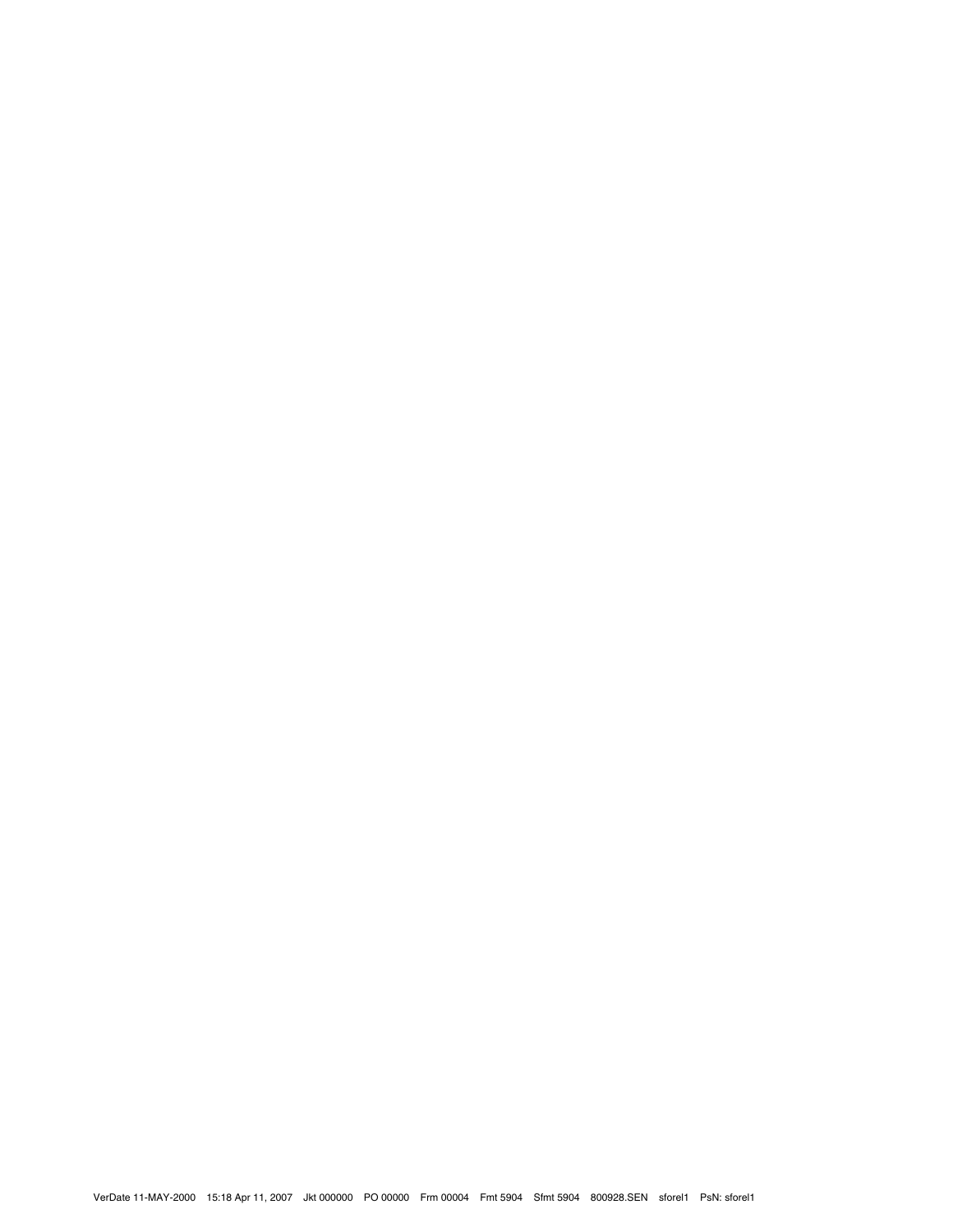VerDate 11-MAY-2000 15:18 Apr 11, 2007 Jkt 000000 PO 00000 Frm 00004 Fmt 5904 Sfmt 5904 800928.SEN sforel1 PsN: sforel1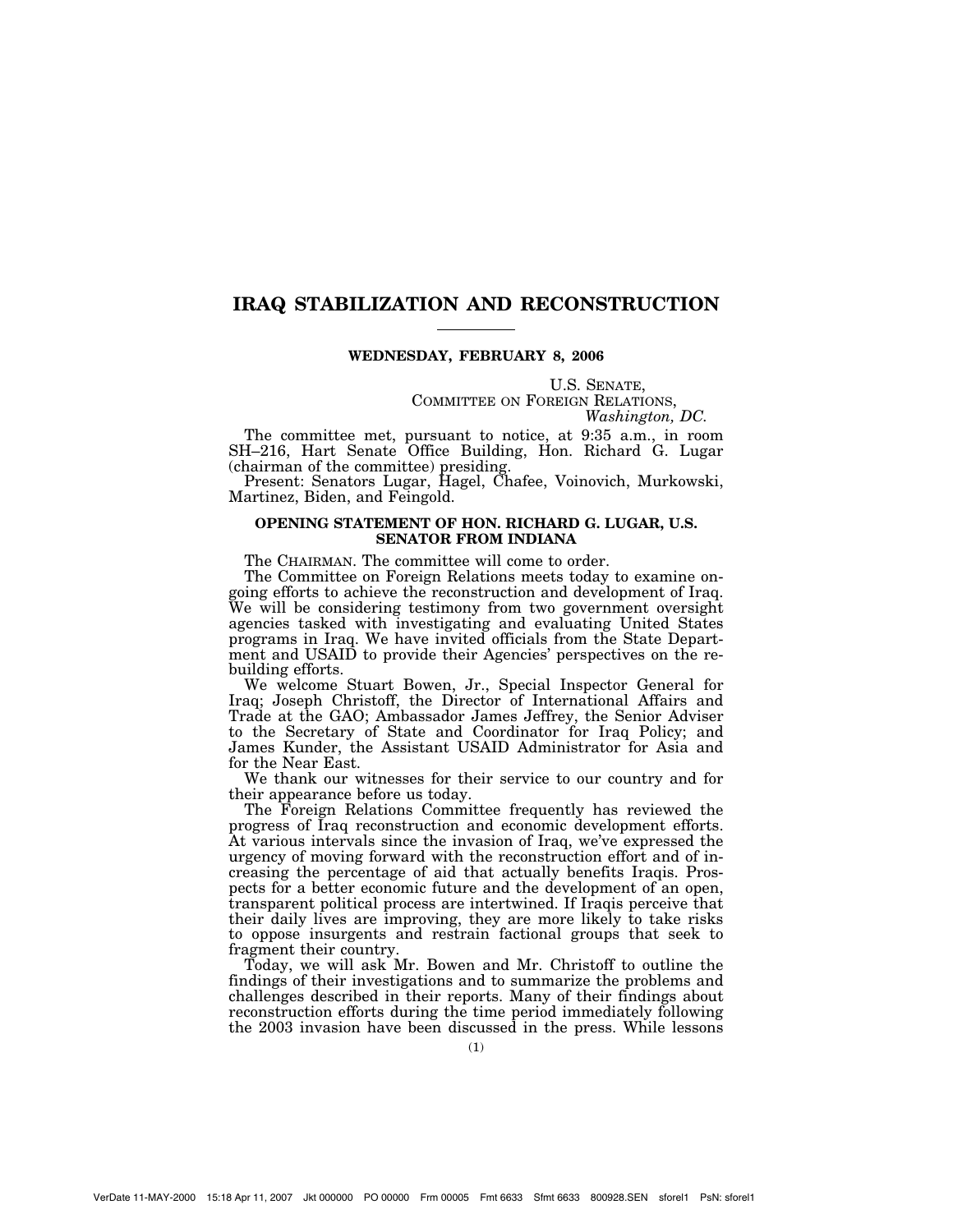# **IRAQ STABILIZATION AND RECONSTRUCTION**

#### **WEDNESDAY, FEBRUARY 8, 2006**

# U.S. SENATE,<br>COMMITTEE ON FOREIGN RELATIONS,<br>*Washington, DC.*

The committee met, pursuant to notice, at 9:35 a.m., in room SH–216, Hart Senate Office Building, Hon. Richard G. Lugar (chairman of the committee) presiding.

Present: Senators Lugar, Hagel, Chafee, Voinovich, Murkowski, Martinez, Biden, and Feingold.

# **OPENING STATEMENT OF HON. RICHARD G. LUGAR, U.S. SENATOR FROM INDIANA**

The CHAIRMAN. The committee will come to order.

The Committee on Foreign Relations meets today to examine ongoing efforts to achieve the reconstruction and development of Iraq. We will be considering testimony from two government oversight agencies tasked with investigating and evaluating United States programs in Iraq. We have invited officials from the State Department and USAID to provide their Agencies' perspectives on the rebuilding efforts.

We welcome Stuart Bowen, Jr., Special Inspector General for Iraq; Joseph Christoff, the Director of International Affairs and Trade at the GAO; Ambassador James Jeffrey, the Senior Adviser to the Secretary of State and Coordinator for Iraq Policy; and James Kunder, the Assistant USAID Administrator for Asia and for the Near East.

We thank our witnesses for their service to our country and for their appearance before us today.

The Foreign Relations Committee frequently has reviewed the progress of Iraq reconstruction and economic development efforts. At various intervals since the invasion of Iraq, we've expressed the urgency of moving forward with the reconstruction effort and of increasing the percentage of aid that actually benefits Iraqis. Prospects for a better economic future and the development of an open, transparent political process are intertwined. If Iraqis perceive that their daily lives are improving, they are more likely to take risks to oppose insurgents and restrain factional groups that seek to fragment their country.

Today, we will ask Mr. Bowen and Mr. Christoff to outline the findings of their investigations and to summarize the problems and challenges described in their reports. Many of their findings about reconstruction efforts during the time period immediately following the 2003 invasion have been discussed in the press. While lessons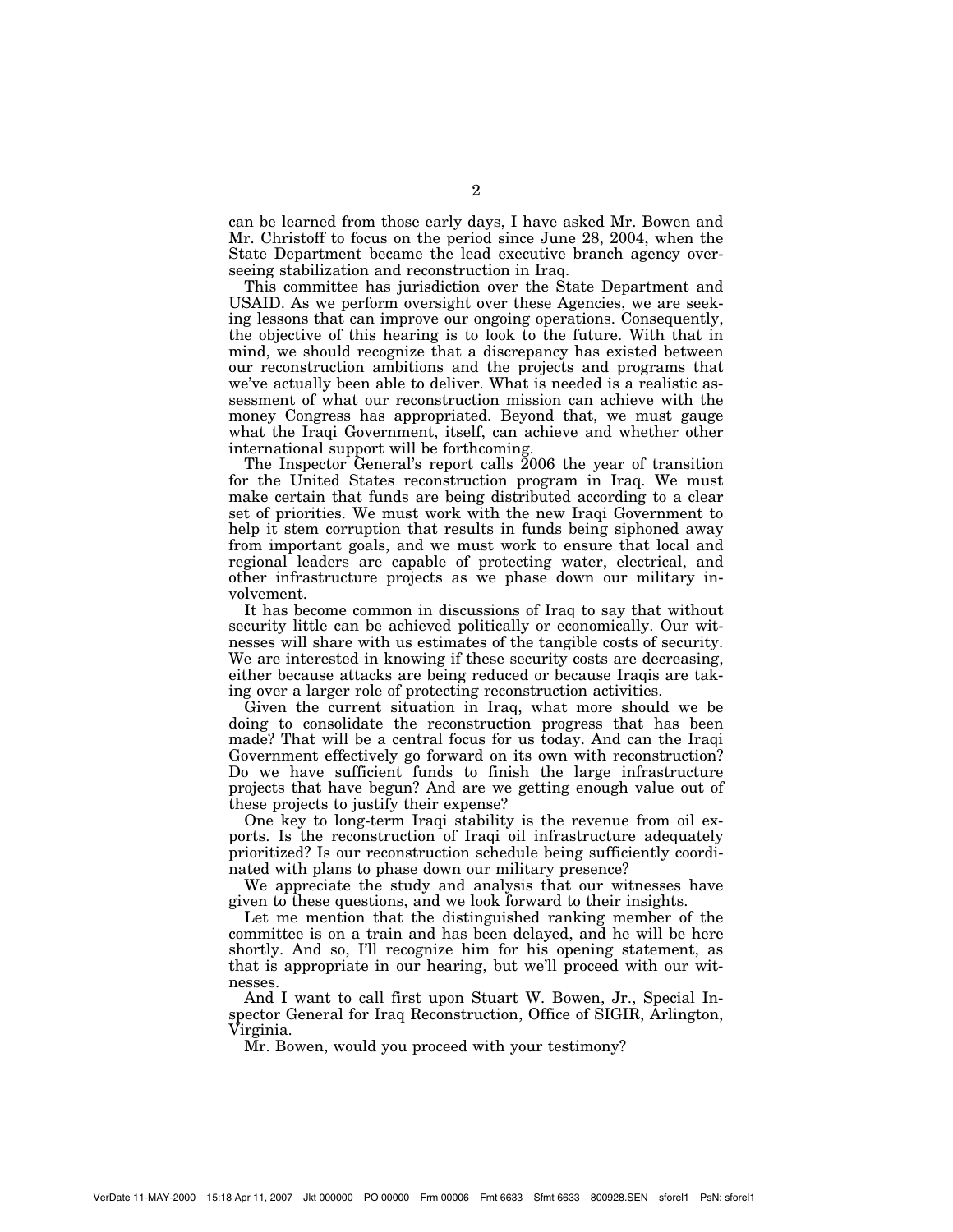can be learned from those early days, I have asked Mr. Bowen and Mr. Christoff to focus on the period since June 28, 2004, when the State Department became the lead executive branch agency overseeing stabilization and reconstruction in Iraq.

This committee has jurisdiction over the State Department and USAID. As we perform oversight over these Agencies, we are seeking lessons that can improve our ongoing operations. Consequently, the objective of this hearing is to look to the future. With that in mind, we should recognize that a discrepancy has existed between our reconstruction ambitions and the projects and programs that we've actually been able to deliver. What is needed is a realistic assessment of what our reconstruction mission can achieve with the money Congress has appropriated. Beyond that, we must gauge what the Iraqi Government, itself, can achieve and whether other international support will be forthcoming.

The Inspector General's report calls 2006 the year of transition for the United States reconstruction program in Iraq. We must make certain that funds are being distributed according to a clear set of priorities. We must work with the new Iraqi Government to help it stem corruption that results in funds being siphoned away from important goals, and we must work to ensure that local and regional leaders are capable of protecting water, electrical, and other infrastructure projects as we phase down our military involvement.

It has become common in discussions of Iraq to say that without security little can be achieved politically or economically. Our witnesses will share with us estimates of the tangible costs of security. We are interested in knowing if these security costs are decreasing, either because attacks are being reduced or because Iraqis are taking over a larger role of protecting reconstruction activities.

Given the current situation in Iraq, what more should we be doing to consolidate the reconstruction progress that has been made? That will be a central focus for us today. And can the Iraqi Government effectively go forward on its own with reconstruction? Do we have sufficient funds to finish the large infrastructure projects that have begun? And are we getting enough value out of these projects to justify their expense?

One key to long-term Iraqi stability is the revenue from oil exports. Is the reconstruction of Iraqi oil infrastructure adequately prioritized? Is our reconstruction schedule being sufficiently coordinated with plans to phase down our military presence?

We appreciate the study and analysis that our witnesses have given to these questions, and we look forward to their insights.

Let me mention that the distinguished ranking member of the committee is on a train and has been delayed, and he will be here shortly. And so, I'll recognize him for his opening statement, as that is appropriate in our hearing, but we'll proceed with our witnesses.

And I want to call first upon Stuart W. Bowen, Jr., Special Inspector General for Iraq Reconstruction, Office of SIGIR, Arlington, Virginia.

Mr. Bowen, would you proceed with your testimony?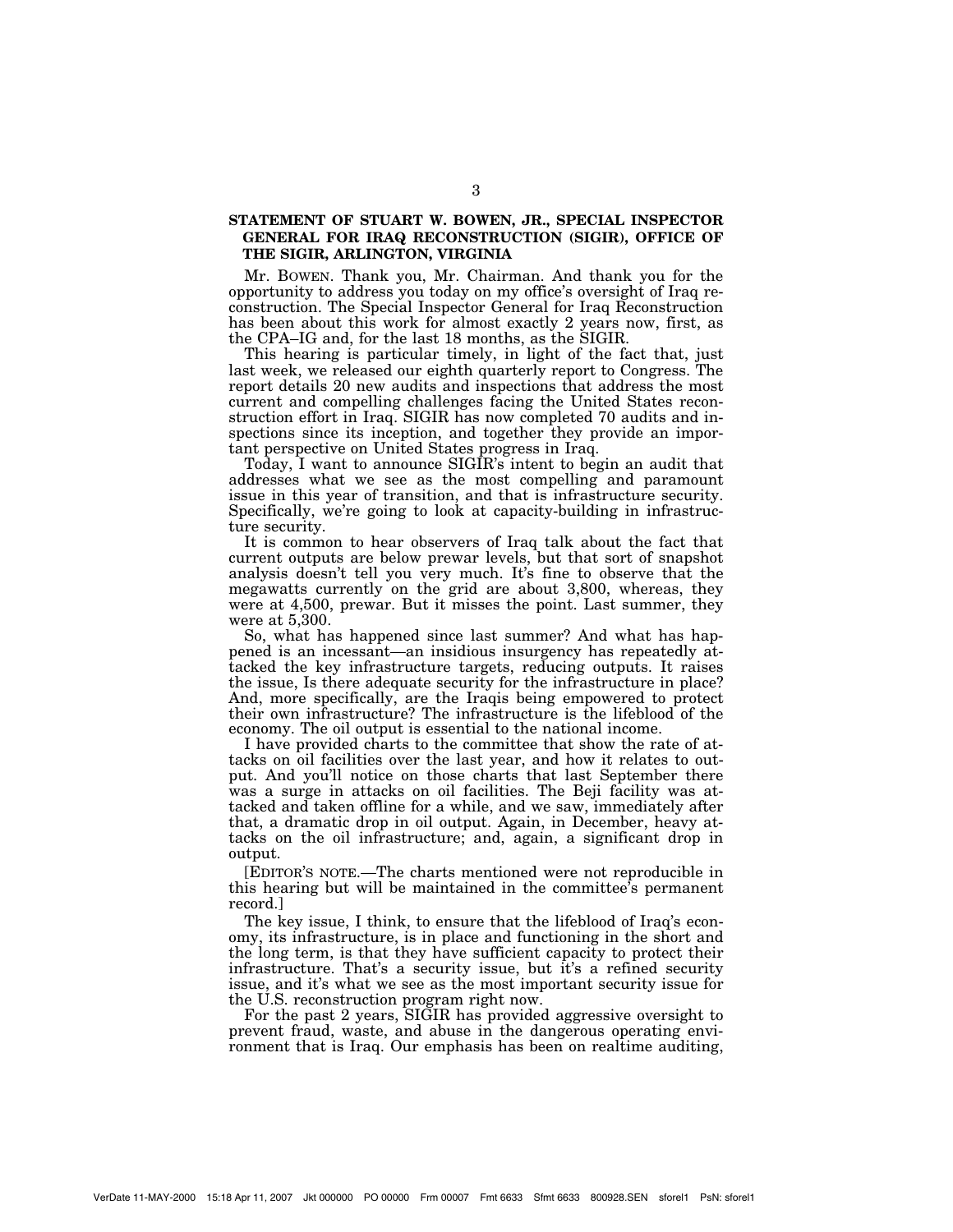# **STATEMENT OF STUART W. BOWEN, JR., SPECIAL INSPECTOR GENERAL FOR IRAQ RECONSTRUCTION (SIGIR), OFFICE OF THE SIGIR, ARLINGTON, VIRGINIA**

Mr. BOWEN. Thank you, Mr. Chairman. And thank you for the opportunity to address you today on my office's oversight of Iraq reconstruction. The Special Inspector General for Iraq Reconstruction has been about this work for almost exactly 2 years now, first, as the CPA–IG and, for the last 18 months, as the SIGIR.

This hearing is particular timely, in light of the fact that, just last week, we released our eighth quarterly report to Congress. The report details 20 new audits and inspections that address the most current and compelling challenges facing the United States reconstruction effort in Iraq. SIGIR has now completed 70 audits and inspections since its inception, and together they provide an important perspective on United States progress in Iraq.

Today, I want to announce SIGIR's intent to begin an audit that addresses what we see as the most compelling and paramount issue in this year of transition, and that is infrastructure security. Specifically, we're going to look at capacity-building in infrastructure security.

It is common to hear observers of Iraq talk about the fact that current outputs are below prewar levels, but that sort of snapshot analysis doesn't tell you very much. It's fine to observe that the megawatts currently on the grid are about 3,800, whereas, they were at 4,500, prewar. But it misses the point. Last summer, they were at 5,300.

So, what has happened since last summer? And what has happened is an incessant—an insidious insurgency has repeatedly attacked the key infrastructure targets, reducing outputs. It raises the issue, Is there adequate security for the infrastructure in place? And, more specifically, are the Iraqis being empowered to protect their own infrastructure? The infrastructure is the lifeblood of the economy. The oil output is essential to the national income.

I have provided charts to the committee that show the rate of attacks on oil facilities over the last year, and how it relates to output. And you'll notice on those charts that last September there was a surge in attacks on oil facilities. The Beji facility was attacked and taken offline for a while, and we saw, immediately after that, a dramatic drop in oil output. Again, in December, heavy attacks on the oil infrastructure; and, again, a significant drop in output.

[EDITOR'S NOTE.—The charts mentioned were not reproducible in this hearing but will be maintained in the committee's permanent record.]

The key issue, I think, to ensure that the lifeblood of Iraq's economy, its infrastructure, is in place and functioning in the short and the long term, is that they have sufficient capacity to protect their infrastructure. That's a security issue, but it's a refined security issue, and it's what we see as the most important security issue for the U.S. reconstruction program right now.

For the past 2 years, SIGIR has provided aggressive oversight to prevent fraud, waste, and abuse in the dangerous operating environment that is Iraq. Our emphasis has been on realtime auditing,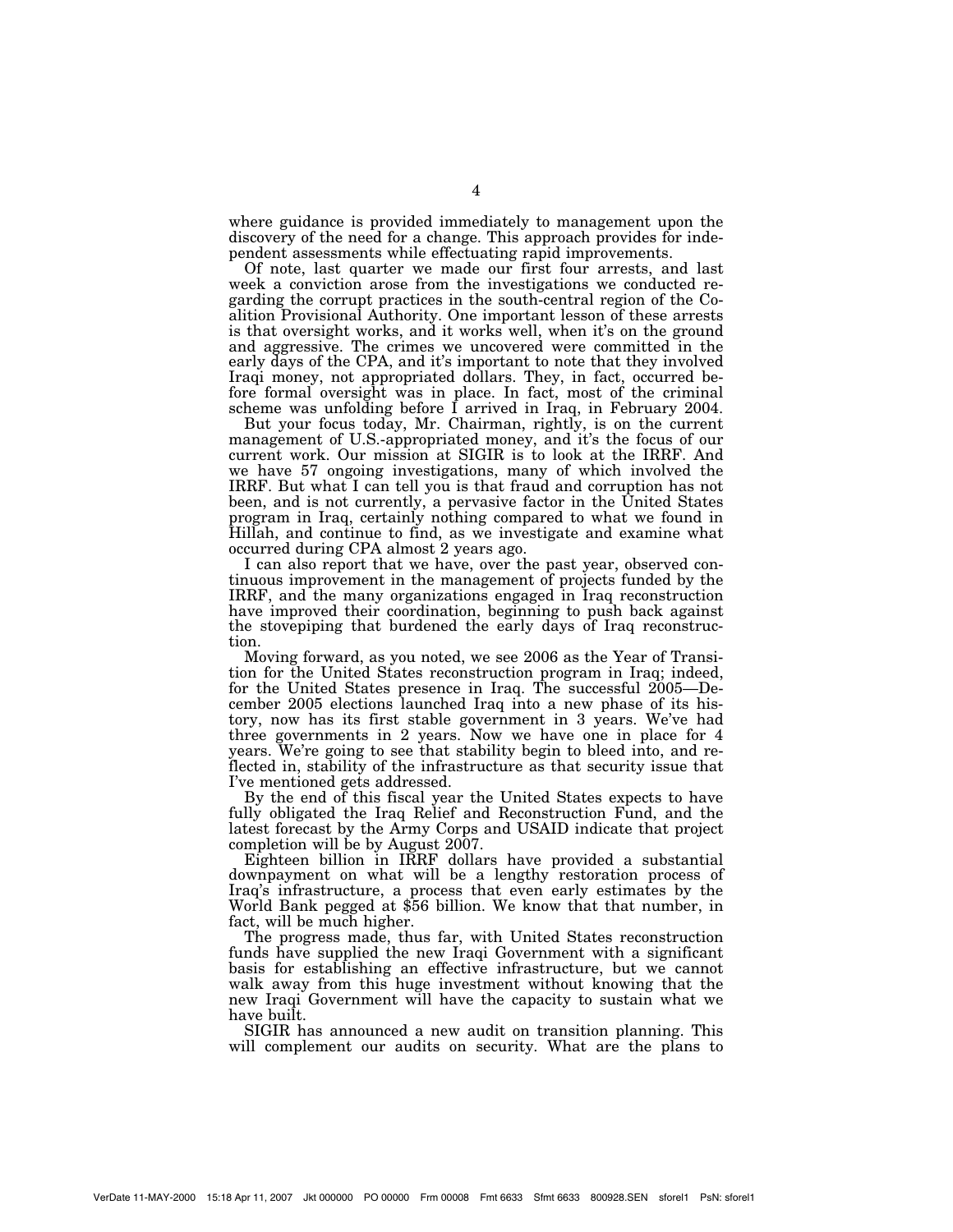where guidance is provided immediately to management upon the discovery of the need for a change. This approach provides for independent assessments while effectuating rapid improvements.

Of note, last quarter we made our first four arrests, and last week a conviction arose from the investigations we conducted regarding the corrupt practices in the south-central region of the Coalition Provisional Authority. One important lesson of these arrests is that oversight works, and it works well, when it's on the ground and aggressive. The crimes we uncovered were committed in the early days of the CPA, and it's important to note that they involved Iraqi money, not appropriated dollars. They, in fact, occurred before formal oversight was in place. In fact, most of the criminal scheme was unfolding before I arrived in Iraq, in February 2004.

But your focus today, Mr. Chairman, rightly, is on the current management of U.S.-appropriated money, and it's the focus of our current work. Our mission at SIGIR is to look at the IRRF. And we have 57 ongoing investigations, many of which involved the IRRF. But what I can tell you is that fraud and corruption has not been, and is not currently, a pervasive factor in the United States program in Iraq, certainly nothing compared to what we found in Hillah, and continue to find, as we investigate and examine what occurred during CPA almost 2 years ago.

I can also report that we have, over the past year, observed continuous improvement in the management of projects funded by the IRRF, and the many organizations engaged in Iraq reconstruction have improved their coordination, beginning to push back against the stovepiping that burdened the early days of Iraq reconstruction.

Moving forward, as you noted, we see 2006 as the Year of Transition for the United States reconstruction program in Iraq; indeed, for the United States presence in Iraq. The successful 2005—December 2005 elections launched Iraq into a new phase of its history, now has its first stable government in 3 years. We've had three governments in 2 years. Now we have one in place for 4 years. We're going to see that stability begin to bleed into, and reflected in, stability of the infrastructure as that security issue that I've mentioned gets addressed.

By the end of this fiscal year the United States expects to have fully obligated the Iraq Relief and Reconstruction Fund, and the latest forecast by the Army Corps and USAID indicate that project completion will be by August 2007.

Eighteen billion in IRRF dollars have provided a substantial downpayment on what will be a lengthy restoration process of Iraq's infrastructure, a process that even early estimates by the World Bank pegged at \$56 billion. We know that that number, in fact, will be much higher.

The progress made, thus far, with United States reconstruction funds have supplied the new Iraqi Government with a significant basis for establishing an effective infrastructure, but we cannot walk away from this huge investment without knowing that the new Iraqi Government will have the capacity to sustain what we have built.

SIGIR has announced a new audit on transition planning. This will complement our audits on security. What are the plans to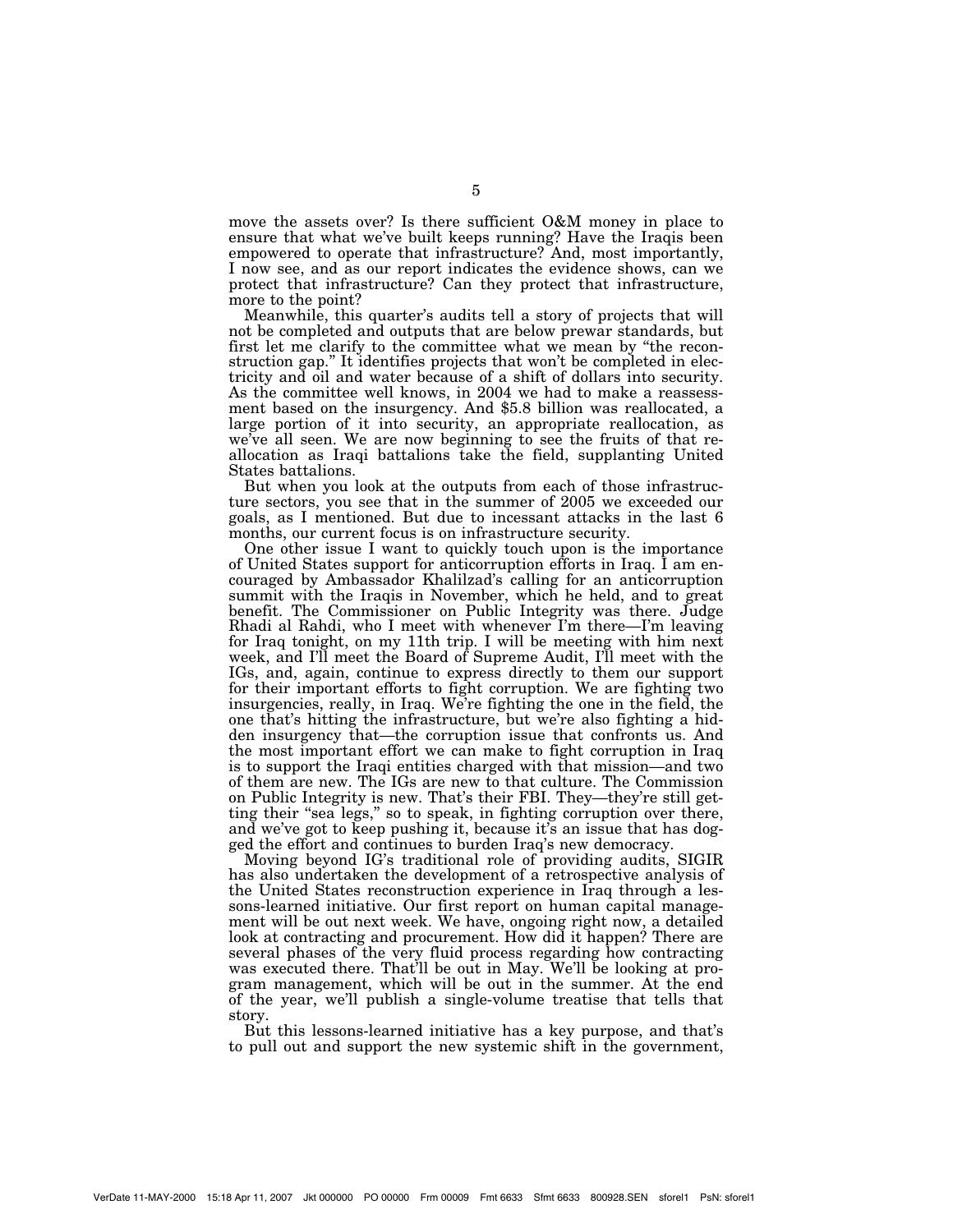move the assets over? Is there sufficient O&M money in place to ensure that what we've built keeps running? Have the Iraqis been empowered to operate that infrastructure? And, most importantly, I now see, and as our report indicates the evidence shows, can we protect that infrastructure? Can they protect that infrastructure, more to the point?

Meanwhile, this quarter's audits tell a story of projects that will not be completed and outputs that are below prewar standards, but first let me clarify to the committee what we mean by ''the reconstruction gap.'' It identifies projects that won't be completed in electricity and oil and water because of a shift of dollars into security. As the committee well knows, in 2004 we had to make a reassessment based on the insurgency. And \$5.8 billion was reallocated, a large portion of it into security, an appropriate reallocation, as we've all seen. We are now beginning to see the fruits of that reallocation as Iraqi battalions take the field, supplanting United States battalions.

But when you look at the outputs from each of those infrastructure sectors, you see that in the summer of 2005 we exceeded our goals, as I mentioned. But due to incessant attacks in the last 6 months, our current focus is on infrastructure security.

One other issue I want to quickly touch upon is the importance of United States support for anticorruption efforts in Iraq. I am encouraged by Ambassador Khalilzad's calling for an anticorruption summit with the Iraqis in November, which he held, and to great benefit. The Commissioner on Public Integrity was there. Judge Rhadi al Rahdi, who I meet with whenever I'm there—I'm leaving for Iraq tonight, on my 11th trip. I will be meeting with him next week, and I'll meet the Board of Supreme Audit, I'll meet with the IGs, and, again, continue to express directly to them our support for their important efforts to fight corruption. We are fighting two insurgencies, really, in Iraq. We're fighting the one in the field, the one that's hitting the infrastructure, but we're also fighting a hidden insurgency that—the corruption issue that confronts us. And the most important effort we can make to fight corruption in Iraq is to support the Iraqi entities charged with that mission—and two of them are new. The IGs are new to that culture. The Commission on Public Integrity is new. That's their FBI. They—they're still getting their "sea legs," so to speak, in fighting corruption over there, and we've got to keep pushing it, because it's an issue that has dogged the effort and continues to burden Iraq's new democracy.

Moving beyond IG's traditional role of providing audits, SIGIR has also undertaken the development of a retrospective analysis of the United States reconstruction experience in Iraq through a lessons-learned initiative. Our first report on human capital management will be out next week. We have, ongoing right now, a detailed look at contracting and procurement. How did it happen? There are several phases of the very fluid process regarding how contracting was executed there. That'll be out in May. We'll be looking at program management, which will be out in the summer. At the end of the year, we'll publish a single-volume treatise that tells that story.

But this lessons-learned initiative has a key purpose, and that's to pull out and support the new systemic shift in the government,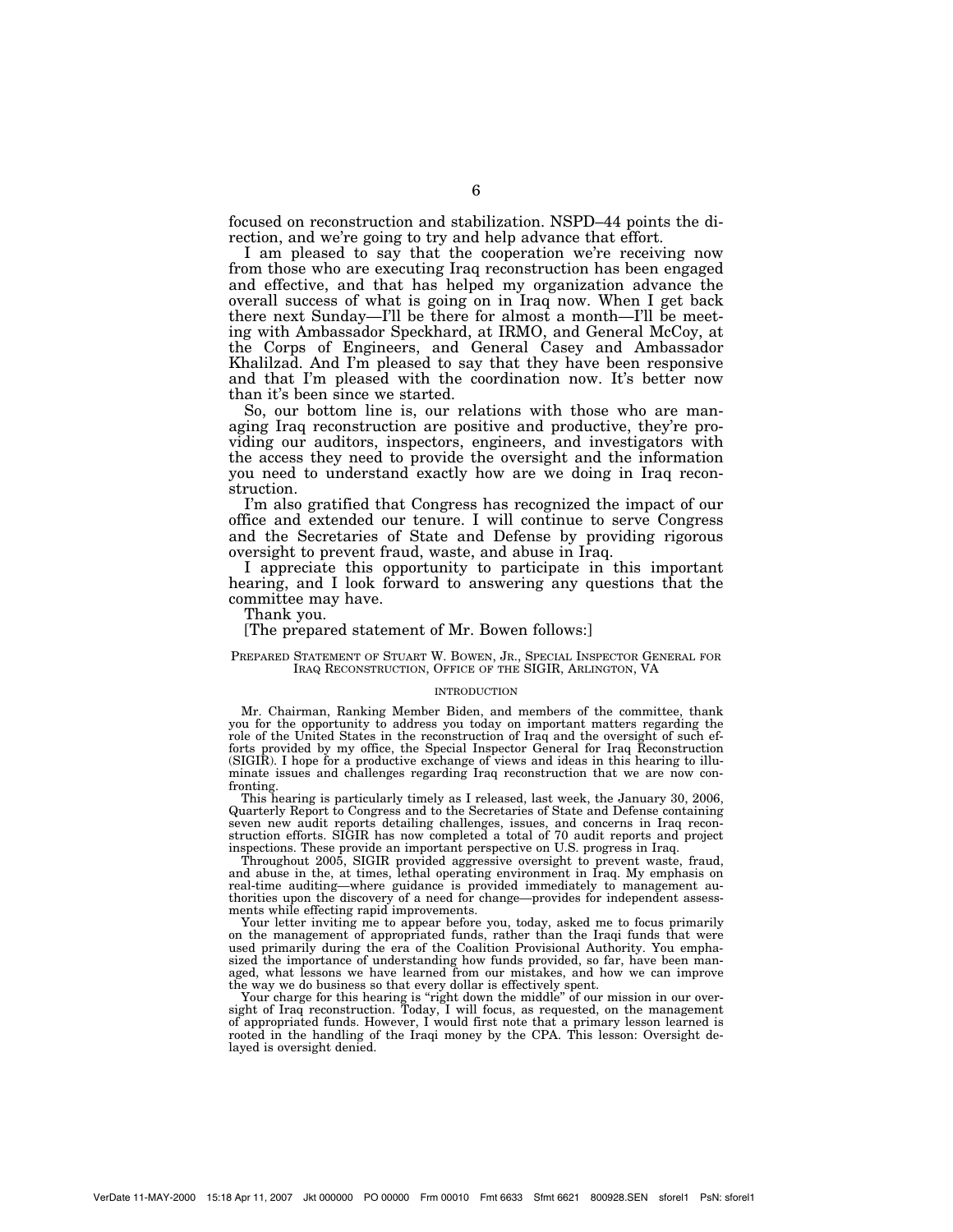focused on reconstruction and stabilization. NSPD–44 points the direction, and we're going to try and help advance that effort.

I am pleased to say that the cooperation we're receiving now from those who are executing Iraq reconstruction has been engaged and effective, and that has helped my organization advance the overall success of what is going on in Iraq now. When I get back there next Sunday—I'll be there for almost a month—I'll be meeting with Ambassador Speckhard, at IRMO, and General McCoy, at the Corps of Engineers, and General Casey and Ambassador Khalilzad. And I'm pleased to say that they have been responsive and that I'm pleased with the coordination now. It's better now than it's been since we started.

So, our bottom line is, our relations with those who are managing Iraq reconstruction are positive and productive, they're providing our auditors, inspectors, engineers, and investigators with the access they need to provide the oversight and the information you need to understand exactly how are we doing in Iraq reconstruction.

I'm also gratified that Congress has recognized the impact of our office and extended our tenure. I will continue to serve Congress and the Secretaries of State and Defense by providing rigorous oversight to prevent fraud, waste, and abuse in Iraq.

I appreciate this opportunity to participate in this important hearing, and I look forward to answering any questions that the committee may have.

Thank you.

#### [The prepared statement of Mr. Bowen follows:]

#### PREPARED STATEMENT OF STUART W. BOWEN, JR., SPECIAL INSPECTOR GENERAL FOR IRAQ RECONSTRUCTION, OFFICE OF THE SIGIR, ARLINGTON, VA

#### **INTRODUCTION**

Mr. Chairman, Ranking Member Biden, and members of the committee, thank you for the opportunity to address you today on important matters regarding the role of the United States in the reconstruction of Iraq and the oversight of such efforts provided by my office, the Special Inspector General for Iraq Reconstruction (SIGIR). I hope for a productive exchange of views and ideas in this hearing to illuminate issues and challenges regarding Iraq reconstruction that we are now confronting.

This hearing is particularly timely as I released, last week, the January 30, 2006, Quarterly Report to Congress and to the Secretaries of State and Defense containing seven new audit reports detailing challenges, issues, and concerns in Iraq reconstruction efforts. SIGIR has now completed a total of 70 audit reports and project inspections. These provide an important perspective on U.S. progress in Iraq.

Throughout 2005, SIGIR provided aggressive oversight to prevent waste, fraud, and abuse in the, at times, lethal operating environment in Iraq. My emphasis on real-time auditing—where guidance is provided immediately to management authorities upon the discovery of a need for change—provides for independent assessments while effecting rapid improvements.

Your letter inviting me to appear before you, today, asked me to focus primarily on the management of appropriated funds, rather than the Iraqi funds that were used primarily during the era of the Coalition Provisional Authority. You emphasized the importance of understanding how funds provided, so far, have been managed, what lessons we have learned from our mistakes, and how we can improve the way we do business so that every dollar is effectively spent.

Your charge for this hearing is "right down the middle" of our mission in our oversight of Iraq reconstruction. Today, I will focus, as requested, on the management of appropriated funds. However, I would first note that a primary lesson learned is rooted in the handling of the Iraqi money by the CPA. This lesson: Oversight delayed is oversight denied.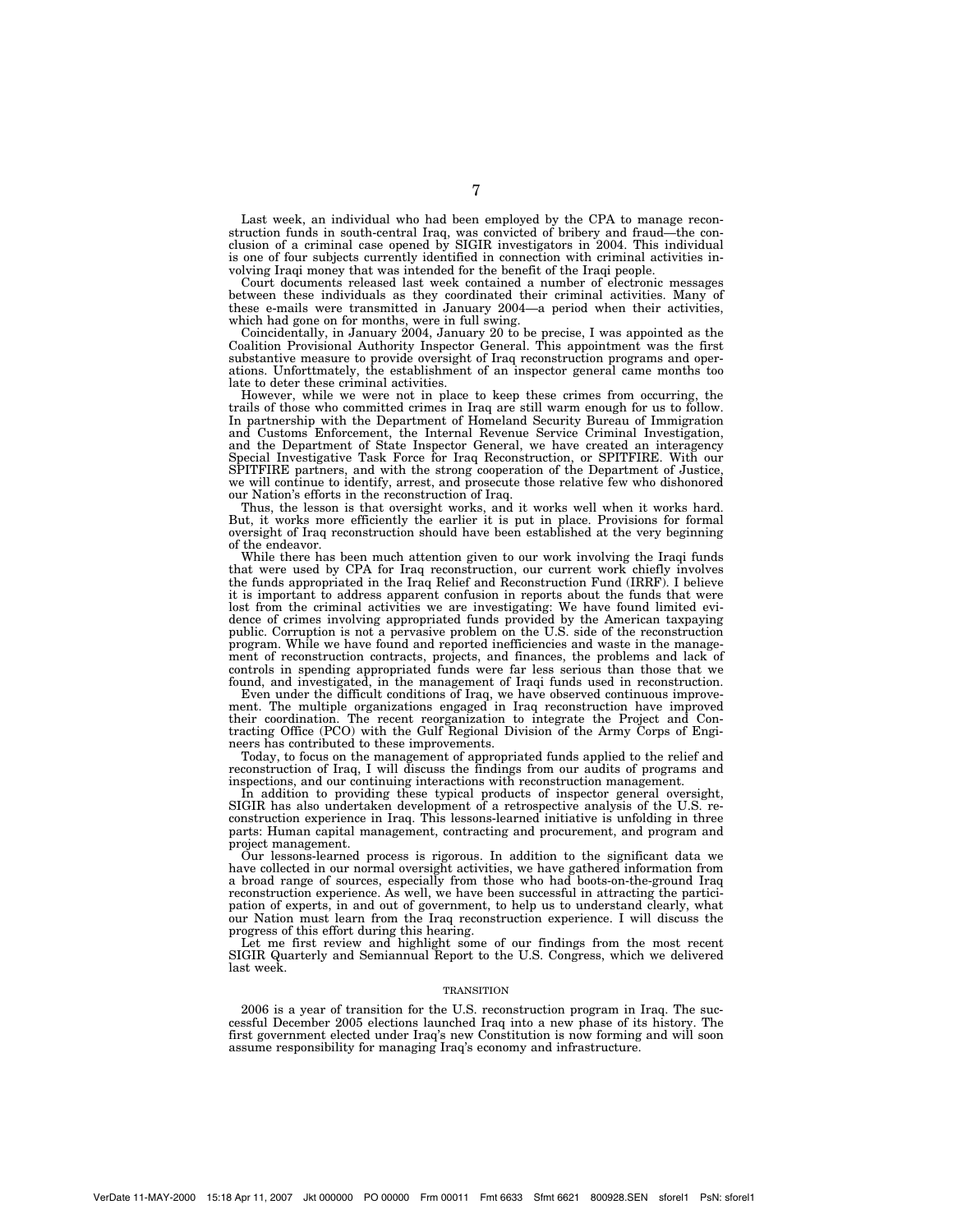Last week, an individual who had been employed by the CPA to manage reconstruction funds in south-central Iraq, was convicted of bribery and fraud—the conclusion of a criminal case opened by SIGIR investigators in 2004. This individual is one of four subjects currently identified in connection with criminal activities involving Iraqi money that was intended for the benefit of the Iraqi people.

Court documents released last week contained a number of electronic messages between these individuals as they coordinated their criminal activities. Many of these e-mails were transmitted in January 2004—a period when their activities, which had gone on for months, were in full swing.

Coincidentally, in January 2004, January 20 to be precise, I was appointed as the Coalition Provisional Authority Inspector General. This appointment was the first substantive measure to provide oversight of Iraq reconstruction programs and operations. Unforttmately, the establishment of an inspector general came months too late to deter these criminal activities.

However, while we were not in place to keep these crimes from occurring, the trails of those who committed crimes in Iraq are still warm enough for us to follow. In partnership with the Department of Homeland Security Bureau of Immigration and Customs Enforcement, the Internal Revenue Service Criminal Investigation, and the Department of State Inspector General, we have created an interagency Special Investigative Task Force for Iraq Reconstruction, or SPITFIRE. With our SPITFIRE partners, and with the strong cooperation of the Department of Justice, we will continue to identify, arrest, and prosecute those relative few who dishonored our Nation's efforts in the reconstruction of Iraq.

Thus, the lesson is that oversight works, and it works well when it works hard. But, it works more efficiently the earlier it is put in place. Provisions for formal oversight of Iraq reconstruction should have been established at the very beginning of the endeavor.

While there has been much attention given to our work involving the Iraqi funds that were used by CPA for Iraq reconstruction, our current work chiefly involves the funds appropriated in the Iraq Relief and Reconstruction Fund (IRRF). I believe it is important to address apparent confusion in reports about the funds that were lost from the criminal activities we are investigating: We have found limited evidence of crimes involving appropriated funds provided by the American taxpaying public. Corruption is not a pervasive problem on the U.S. side of the reconstruction program. While we have found and reported inefficiencies and waste in the management of reconstruction contracts, projects, and finances, the problems and lack of controls in spending appropriated funds were far less serious than those that we found, and investigated, in the management of Iraqi funds used in reconstruction.

Even under the difficult conditions of Iraq, we have observed continuous improvement. The multiple organizations engaged in Iraq reconstruction have improved their coordination. The recent reorganization to integrate the Project and Contracting Office (PCO) with the Gulf Regional Division of the Army Corps of Engineers has contributed to these improvements.

Today, to focus on the management of appropriated funds applied to the relief and reconstruction of Iraq, I will discuss the findings from our audits of programs and inspections, and our continuing interactions with reconstruction management.

In addition to providing these typical products of inspector general oversight, SIGIR has also undertaken development of a retrospective analysis of the U.S. reconstruction experience in Iraq. This lessons-learned initiative is unfolding in three parts: Human capital management, contracting and procurement, and program and project management.

Our lessons-learned process is rigorous. In addition to the significant data we have collected in our normal oversight activities, we have gathered information from a broad range of sources, especially from those who had boots-on-the-ground Iraq reconstruction experience. As well, we have been successful in attracting the participation of experts, in and out of government, to help us to understand clearly, what our Nation must learn from the Iraq reconstruction experience. I will discuss the progress of this effort during this hearing.

Let me first review and highlight some of our findings from the most recent SIGIR Quarterly and Semiannual Report to the U.S. Congress, which we delivered last week.

#### **TRANSITION**

2006 is a year of transition for the U.S. reconstruction program in Iraq. The successful December 2005 elections launched Iraq into a new phase of its history. The first government elected under Iraq's new Constitution is now forming and will soon assume responsibility for managing Iraq's economy and infrastructure.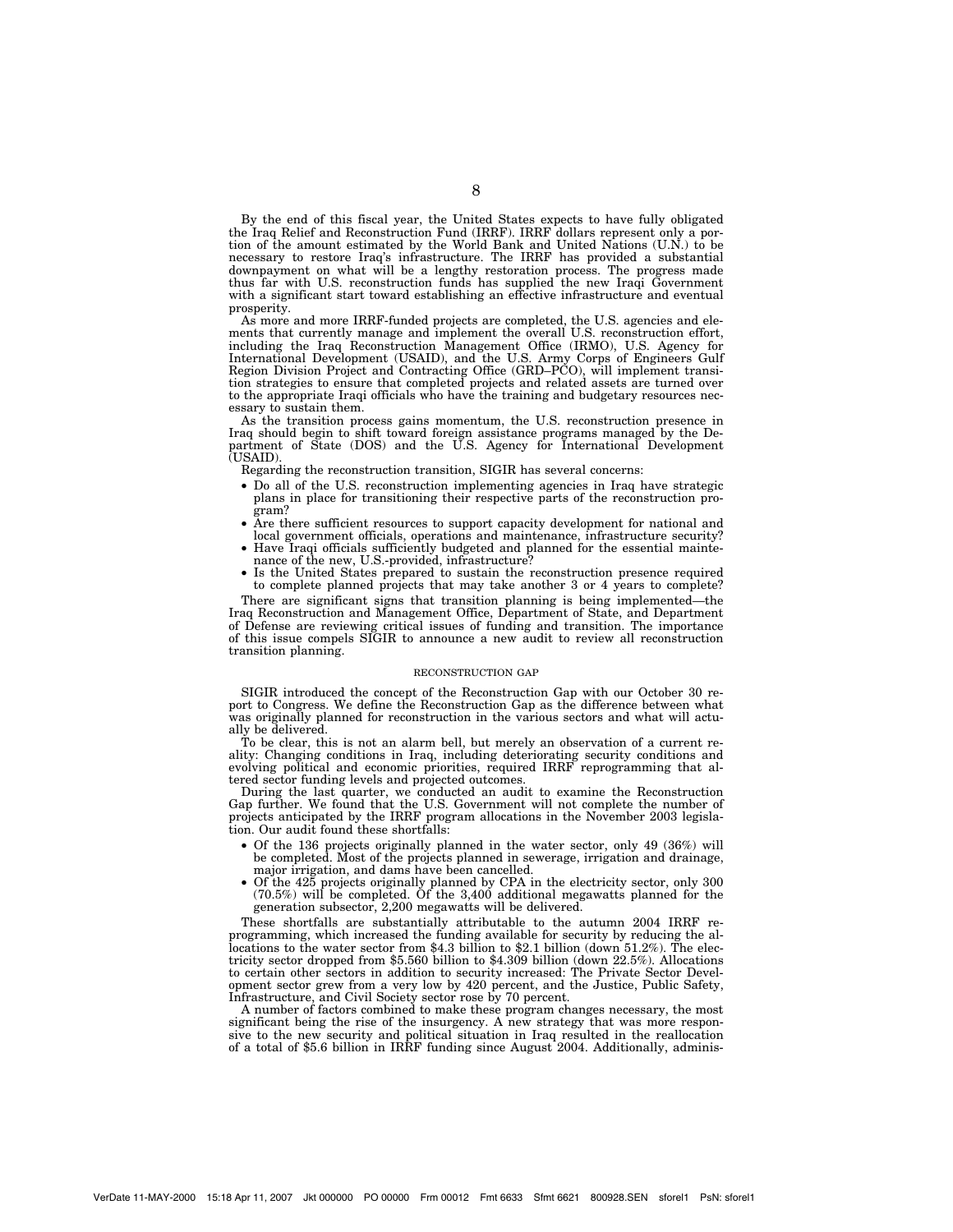By the end of this fiscal year, the United States expects to have fully obligated the Iraq Relief and Reconstruction Fund (IRRF). IRRF dollars represent only a portion of the amount estimated by the World Bank and United Nations (U.N.) to be necessary to restore Iraq's infrastructure. The IRRF has provided a substantial downpayment on what will be a lengthy restoration process. The progress made thus far with U.S. reconstruction funds has supplied the new Iraqi Government with a significant start toward establishing an effective infrastructure and eventual prosperity.

As more and more IRRF-funded projects are completed, the U.S. agencies and elements that currently manage and implement the overall U.S. reconstruction effort, including the Iraq Reconstruction Management Office (IRMO), U.S. Agency for International Development (USAID), and the U.S. Army Corps of Engineers Gulf Region Division Project and Contracting Office (GRD–PCO), will implement transition strategies to ensure that completed projects and related assets are turned over to the appropriate Iraqi officials who have the training and budgetary resources necessary to sustain them.

As the transition process gains momentum, the U.S. reconstruction presence in Iraq should begin to shift toward foreign assistance programs managed by the Department of State (DOS) and the U.S. Agency for International Development parumem<br>(USAID).

Regarding the reconstruction transition, SIGIR has several concerns:

- Do all of the U.S. reconstruction implementing agencies in Iraq have strategic plans in place for transitioning their respective parts of the reconstruction program?
- Are there sufficient resources to support capacity development for national and local government officials, operations and maintenance, infrastructure security?
- Have Iraqi officials sufficiently budgeted and planned for the essential maintenance of the new, U.S.-provided, infrastructure?
- Is the United States prepared to sustain the reconstruction presence required to complete planned projects that may take another 3 or 4 years to complete?

There are significant signs that transition planning is being implemented—the Iraq Reconstruction and Management Office, Department of State, and Department of Defense are reviewing critical issues of funding and transition. The importance of this issue compels SIGIR to announce a new audit to review all reconstruction transition planning.

#### RECONSTRUCTION GAP

SIGIR introduced the concept of the Reconstruction Gap with our October 30 report to Congress. We define the Reconstruction Gap as the difference between what was originally planned for reconstruction in the various sectors and what will actually be delivered.

To be clear, this is not an alarm bell, but merely an observation of a current reality: Changing conditions in Iraq, including deteriorating security conditions and evolving political and economic priorities, required IRRF reprogramming that altered sector funding levels and projected outcomes.

During the last quarter, we conducted an audit to examine the Reconstruction Gap further. We found that the U.S. Government will not complete the number of projects anticipated by the IRRF program allocations in the November 2003 legislation. Our audit found these shortfalls:

- Of the 136 projects originally planned in the water sector, only 49 (36%) will be completed. Most of the projects planned in sewerage, irrigation and drainage, major irrigation, and dams have been cancelled.
- Of the 425 projects originally planned by CPA in the electricity sector, only 300 (70.5%) will be completed. Of the 3,400 additional megawatts planned for the generation subsector, 2,200 megawatts will be delivered.

These shortfalls are substantially attributable to the autumn 2004 IRRF reprogramming, which increased the funding available for security by reducing the allocations to the water sector from \$4.3 billion to \$2.1 billion (down 51.2%). The electricity sector dropped from \$5.560 billion to \$4.309 billion (down 22.5%). Allocations to certain other sectors in addition to security increased: The Private Sector Development sector grew from a very low by 420 percent, and the Justice, Public Safety, Infrastructure, and Civil Society sector rose by 70 percent.

A number of factors combined to make these program changes necessary, the most significant being the rise of the insurgency. A new strategy that was more responsive to the new security and political situation in Iraq resulted in the reallocation of a total of \$5.6 billion in IRRF funding since August 2004. Additionally, adminis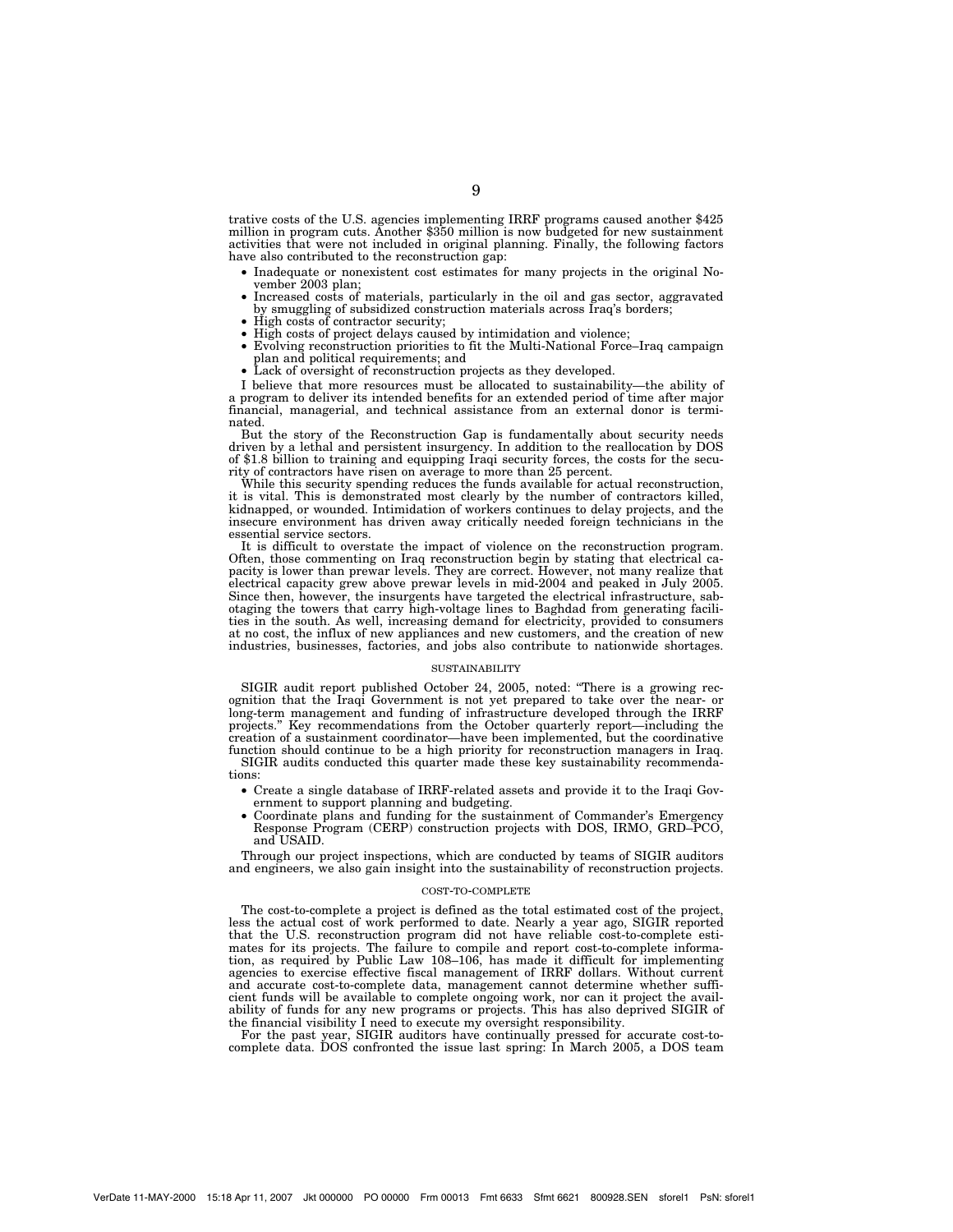trative costs of the U.S. agencies implementing IRRF programs caused another \$425 million in program cuts. Another \$350 million is now budgeted for new sustainment activities that were not included in original planning. Finally, the following factors have also contributed to the reconstruction gap:

- Inadequate or nonexistent cost estimates for many projects in the original No-
- Increased costs of materials, particularly in the oil and gas sector, aggravated by smuggling of subsidized construction materials across Iraq's borders;
- 
- 
- High costs of contractor security;<br>• High costs of project delays caused by intimidation and violence;<br>• Evolving reconstruction priorities to fit the Multi-National Force–Iraq campaign plan and political requirements; and<br>Lack of oversight of reconstruction projects as they developed.
- 

I believe that more resources must be allocated to sustainability—the ability of a program to deliver its intended benefits for an extended period of time after major financial, managerial, and technical assistance from an external donor is terminated.

But the story of the Reconstruction Gap is fundamentally about security needs driven by a lethal and persistent insurgency. In addition to the reallocation by DOS of \$1.8 billion to training and equipping Iraqi security forces, the costs for the security of contractors have risen on average to more than 25 percent.

While this security spending reduces the funds available for actual reconstruction, it is vital. This is demonstrated most clearly by the number of contractors killed, kidnapped, or wounded. Intimidation of workers continues to delay projects, and the insecure environment has driven away critically needed foreign technicians in the essential service sectors.

It is difficult to overstate the impact of violence on the reconstruction program. Often, those commenting on Iraq reconstruction begin by stating that electrical capacity is lower than prewar levels. They are correct. However, not many realize that electrical capacity grew above prewar levels in mid-2004 and peaked in July 2005. Since then, however, the insurgents have targeted the electrical infrastructure, sabotaging the towers that carry high-voltage lines to Baghdad from generating facilities in the south. As well, increasing demand for electricity, provided to consumers at no cost, the influx of new appliances and new customers, and the creation of new industries, businesses, factories, and jobs also contribute to nationwide shortages.

## SUSTAINABILITY

SIGIR audit report published October 24, 2005, noted: ''There is a growing recognition that the Iraqi Government is not yet prepared to take over the near- or long-term management and funding of infrastructure developed through the IRRF projects.'' Key recommendations from the October quarterly report—including the creation of a sustainment coordinator—have been implemented, but the coordinative function should continue to be a high priority for reconstruction managers in Iraq.

SIGIR audits conducted this quarter made these key sustainability recommendations:

- Create a single database of IRRF-related assets and provide it to the Iraqi Government to support planning and budgeting.
- Coordinate plans and funding for the sustainment of Commander's Emergency Response Program (CERP) construction projects with DOS, IRMO, GRD–PCO, and USAID.

Through our project inspections, which are conducted by teams of SIGIR auditors and engineers, we also gain insight into the sustainability of reconstruction projects.

#### COST-TO-COMPLETE

The cost-to-complete a project is defined as the total estimated cost of the project, less the actual cost of work performed to date. Nearly a year ago, SIGIR reported that the U.S. reconstruction program did not have reliable cost-to-complete estimates for its projects. The failure to compile and report cost-to-complete information, as required by Public Law 108–106, has made it difficult for implementing agencies to exercise effective fiscal management of IRRF dollars. Without current and accurate cost-to-complete data, management cannot determine whether sufficient funds will be available to complete ongoing work, nor can it project the availability of funds for any new programs or projects. This has also deprived SIGIR of

the financial visibility I need to execute my oversight responsibility.<br>For the past year, SIGIR auditors have continually pressed for accurate cost-to-<br>complete data. DOS confronted the issue last spring: In March 2005, a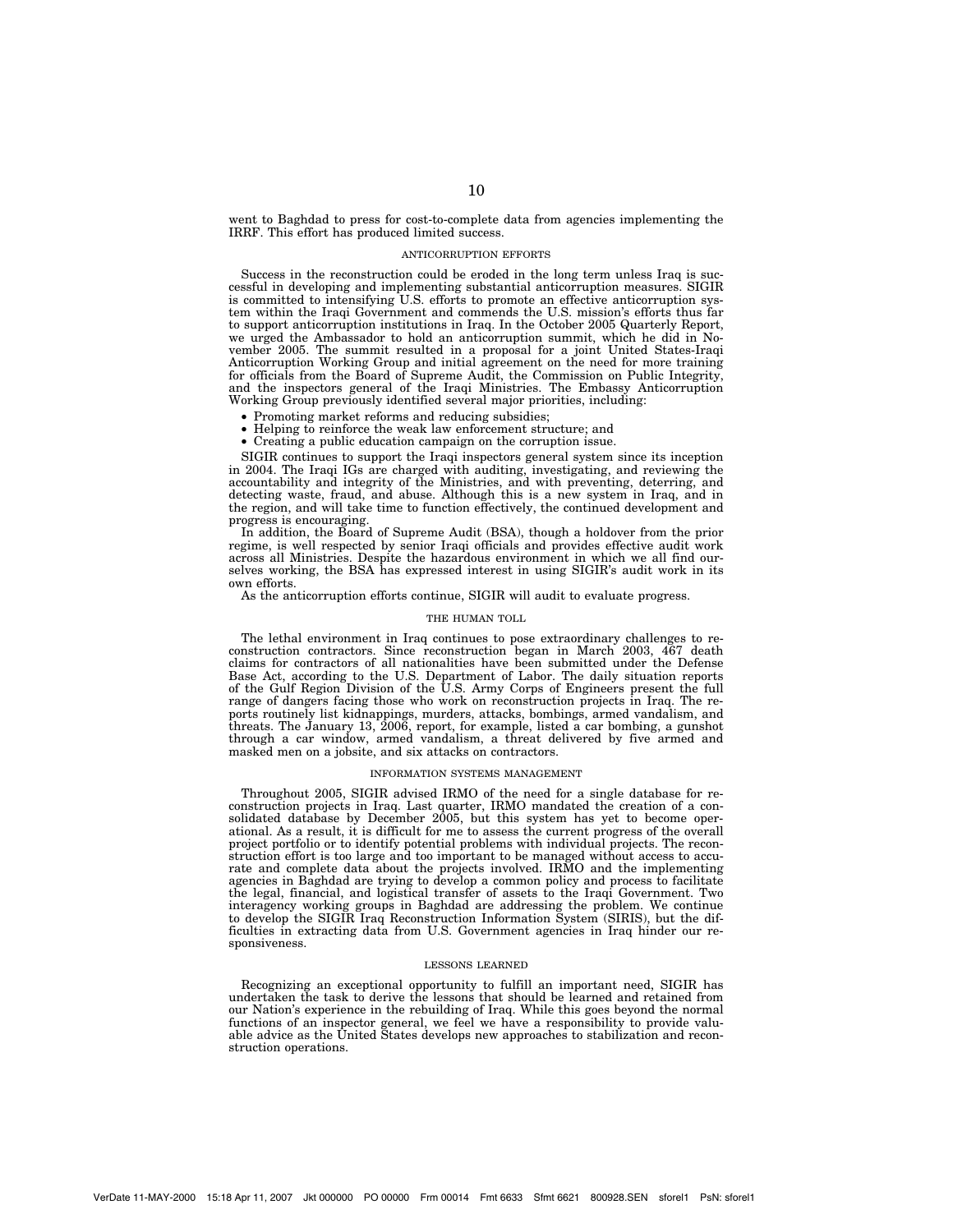went to Baghdad to press for cost-to-complete data from agencies implementing the IRRF. This effort has produced limited success.

#### ANTICORRUPTION EFFORTS

Success in the reconstruction could be eroded in the long term unless Iraq is successful in developing and implementing substantial anticorruption measures. SIGIR is committed to intensifying U.S. efforts to promote an effective anticorruption system within the Iraqi Government and commends the U.S. mission's efforts thus far to support anticorruption institutions in Iraq. In the October 2005 Quarterly Report, we urged the Ambassador to hold an anticorruption summit, which he did in November 2005. The summit resulted in a proposal for a joint United States-Iraqi Anticorruption Working Group and initial agreement on the need for more training for officials from the Board of Supreme Audit, the Commission on Public Integrity, and the inspectors general of the Iraqi Ministries. The Embassy Anticorruption Working Group previously identified several major priorities, including:

- Promoting market reforms and reducing subsidies;
- Helping to reinforce the weak law enforcement structure; and
- Creating a public education campaign on the corruption issue.

SIGIR continues to support the Iraqi inspectors general system since its inception in 2004. The Iraqi IGs are charged with auditing, investigating, and reviewing the accountability and integrity of the Ministries, and with preventing, deterring, and detecting waste, fraud, and abuse. Although this is a new system in Iraq, and in the region, and will take time to function effectively, the continued development and progress is encouraging.

In addition, the Board of Supreme Audit (BSA), though a holdover from the prior regime, is well respected by senior Iraqi officials and provides effective audit work across all Ministries. Despite the hazardous environment in which we all find ourselves working, the BSA has expressed interest in using SIGIR's audit work in its own efforts.

As the anticorruption efforts continue, SIGIR will audit to evaluate progress.

#### THE HUMAN TOLL

The lethal environment in Iraq continues to pose extraordinary challenges to reconstruction contractors. Since reconstruction began in March 2003, 467 death claims for contractors of all nationalities have been submitted under the Defense Base Act, according to the U.S. Department of Labor. The daily situation reports of the Gulf Region Division of the U.S. Army Corps of Engineers present the full range of dangers facing those who work on reconstruction projects in Iraq. The reports routinely list kidnappings, murders, attacks, bombings, armed vandalism, and threats. The January 13, 2006, report, for example, listed a car bombing, a gunshot through a car window, armed vandalism, a threat delivered by five armed and masked men on a jobsite, and six attacks on contractors.

#### INFORMATION SYSTEMS MANAGEMENT

Throughout 2005, SIGIR advised IRMO of the need for a single database for reconstruction projects in Iraq. Last quarter, IRMO mandated the creation of a consolidated database by December 2005, but this system has yet to become operational. As a result, it is difficult for me to assess the current progress of the overall project portfolio or to identify potential problems with individual projects. The reconstruction effort is too large and too important to be managed without access to accurate and complete data about the projects involved. IRMO and the implementing agencies in Baghdad are trying to develop a common policy and process to facilitate the legal, financial, and logistical transfer of assets to the Iraqi Government. Two interagency working groups in Baghdad are addressing the problem. We continue to develop the SIGIR Iraq Reconstruction Information System (SIRIS), but the difficulties in extracting data from U.S. Government agencies in Iraq hinder our responsiveness.

#### LESSONS LEARNED

Recognizing an exceptional opportunity to fulfill an important need, SIGIR has undertaken the task to derive the lessons that should be learned and retained from our Nation's experience in the rebuilding of Iraq. While this goes beyond the normal functions of an inspector general, we feel we have a responsibility to provide valuable advice as the United States develops new approaches to stabilization and reconstruction operations.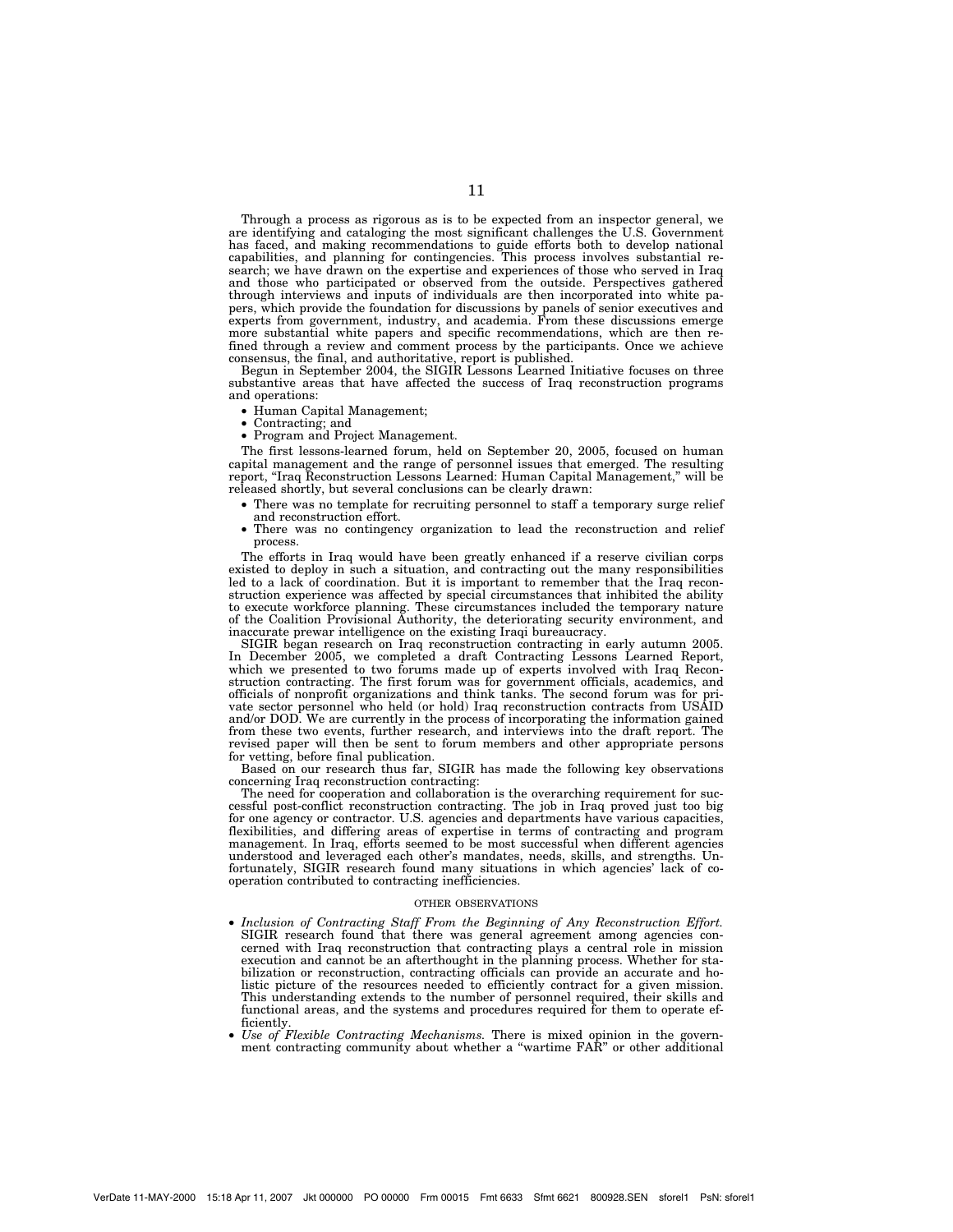Through a process as rigorous as is to be expected from an inspector general, we are identifying and cataloging the most significant challenges the U.S. Government has faced, and making recommendations to guide efforts both to develop national capabilities, and planning for contingencies. This process involves substantial research; we have drawn on the expertise and experiences of those who served in Iraq and those who participated or observed from the outside. Perspectives gathered through interviews and inputs of individuals are then incorporated into white papers, which provide the foundation for discussions by panels of senior executives and experts from government, industry, and academia. From these discussions emerge more substantial white papers and specific recommendations, which are then refined through a review and comment process by the participants. Once we achieve consensus, the final, and authoritative, report is published.

Begun in September 2004, the SIGIR Lessons Learned Initiative focuses on three substantive areas that have affected the success of Iraq reconstruction programs and operations:

- Human Capital Management;
- 
- Contracting; and Program and Project Management.

The first lessons-learned forum, held on September 20, 2005, focused on human capital management and the range of personnel issues that emerged. The resulting report, ''Iraq Reconstruction Lessons Learned: Human Capital Management,'' will be released shortly, but several conclusions can be clearly drawn:

- There was no template for recruiting personnel to staff a temporary surge relief and reconstruction effort.
- There was no contingency organization to lead the reconstruction and relief process.

The efforts in Iraq would have been greatly enhanced if a reserve civilian corps existed to deploy in such a situation, and contracting out the many responsibilities led to a lack of coordination. But it is important to remember that the Iraq reconstruction experience was affected by special circumstances that inhibited the ability to execute workforce planning. These circumstances included the temporary nature of the Coalition Provisional Authority, the deteriorating security environment, and inaccurate prewar intelligence on the existing Iraqi bureaucracy.

SIGIR began research on Iraq reconstruction contracting in early autumn 2005. In December 2005, we completed a draft Contracting Lessons Learned Report, which we presented to two forums made up of experts involved with Iraq Reconstruction contracting. The first forum was for government officials, academics, and officials of nonprofit organizations and think tanks. The second forum was for private sector personnel who held (or hold) Iraq reconstruction contracts from USAID and/or DOD. We are currently in the process of incorporating the information gained from these two events, further research, and interviews into the draft report. The revised paper will then be sent to forum members and other appropriate persons for vetting, before final publication.

Based on our research thus far, SIGIR has made the following key observations concerning Iraq reconstruction contracting:

The need for cooperation and collaboration is the overarching requirement for successful post-conflict reconstruction contracting. The job in Iraq proved just too big for one agency or contractor. U.S. agencies and departments have various capacities, flexibilities, and differing areas of expertise in terms of contracting and program management. In Iraq, efforts seemed to be most successful when different agencies understood and leveraged each other's mandates, needs, skills, and strengths. Unfortunately, SIGIR research found many situations in which agencies' lack of cooperation contributed to contracting inefficiencies.

#### OTHER OBSERVATIONS

- *Inclusion of Contracting Staff From the Beginning of Any Reconstruction Effort.* SIGIR research found that there was general agreement among agencies concerned with Iraq reconstruction that contracting plays a central role in mission execution and cannot be an afterthought in the planning process. Whether for stabilization or reconstruction, contracting officials can provide an accurate and holistic picture of the resources needed to efficiently contract for a given mission. This understanding extends to the number of personnel required, their skills and functional areas, and the systems and procedures required for them to operate efficiently.
- *Use of Flexible Contracting Mechanisms*. There is mixed opinion in the govern-<br>ment contracting community about whether a "wartime FAR" or other additional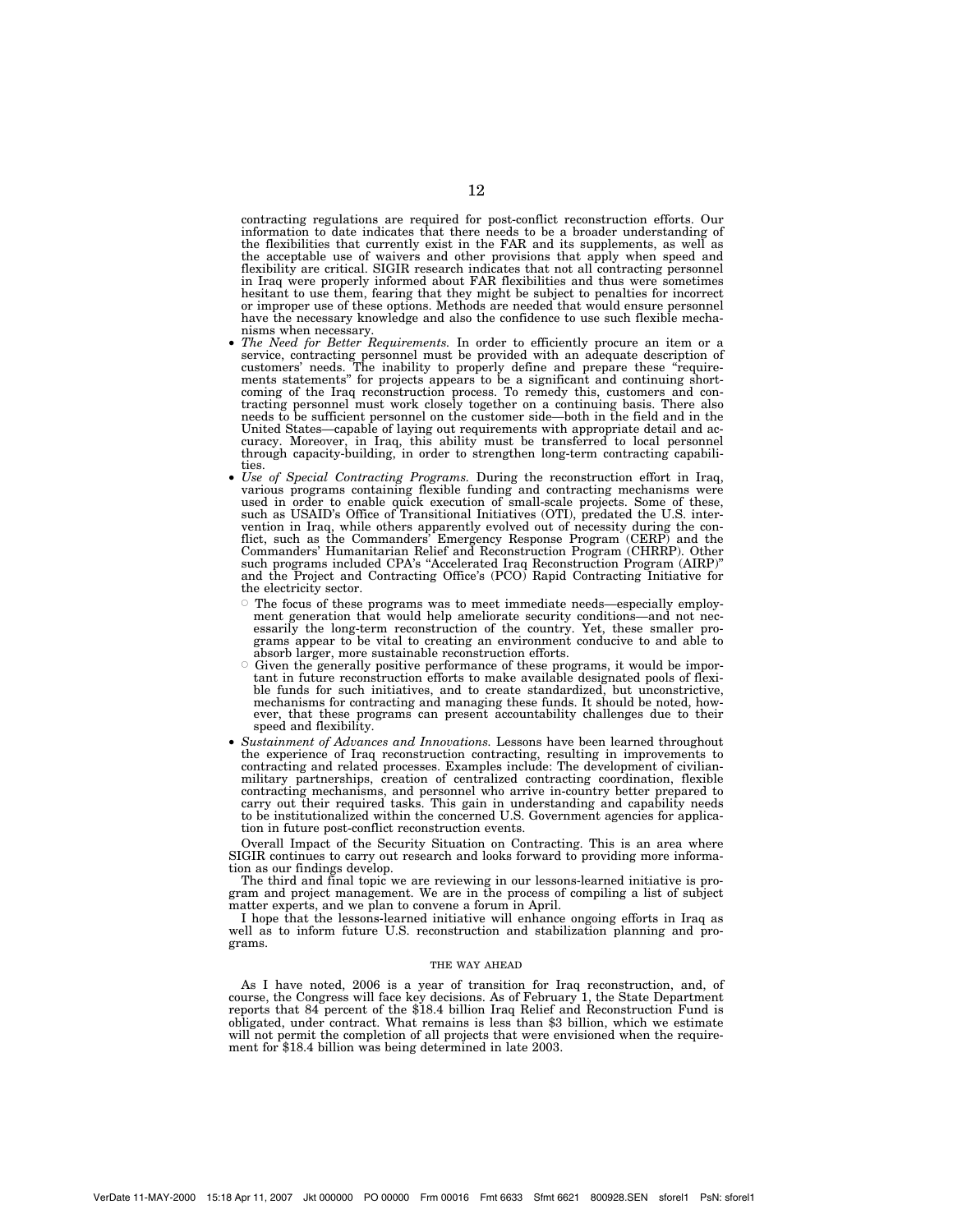contracting regulations are required for post-conflict reconstruction efforts. Our information to date indicates that there needs to be a broader understanding of the flexibilities that currently exist in the FAR and its supplements, as well as the acceptable use of waivers and other provisions that apply when speed and flexibility are critical. SIGIR research indicates that not all contracting personnel in Iraq were properly informed about FAR flexibilities and thus were sometimes hesitant to use them, fearing that they might be subject to penalties for incorrect or improper use of these options. Methods are needed that would ensure personnel have the necessary knowledge and also the confidence to use such flexible mechanisms when necessary. • *The Need for Better Requirements.* In order to efficiently procure an item or a

- service, contracting personnel must be provided with an adequate description of<br>customers' needs. The inability to properly define and prepare these "require-<br>ments statements" for projects appears to be a significant and tracting personnel must work closely together on a continuing basis. There also needs to be sufficient personnel on the customer side—both in the field and in the United States—capable of laying out requirements with appropriate detail and accuracy. Moreover, in Iraq, this ability must be transferred to local personnel through capacity-building, in order to strengthen long-term contracting capabili-
- ties.<br>
 Use of Special Contracting Programs. During the reconstruction effort in Iraq,<br>
various programs containing flexible funding and contracting mechanisms were<br>
used in order to enable quick execution of small-scale vention in Iraq, while others apparently evolved out of necessity during the con-<br>flict, such as the Commanders' Emergency Response Program (CERP) and the<br>Commanders' Humanitarian Relief and Reconstruction Program (CHRRP)" the electricity sector.
	- Æ The focus of these programs was to meet immediate needs—especially employment generation that would help ameliorate security conditions—and not necessarily the long-term reconstruction of the country. Yet, these smaller programs appear to be vital to creating an environment conducive to and able to absorb larger, more sustainable reconstruction efforts.
	- absorb larger, more sustainable reconstruction efforts.<br>
	C Given the generally positive performance of these programs, it would be impor-<br>
	tant in future reconstruction efforts to make available designated pools of flexible funds for such initiatives, and to create standardized, but unconstrictive, mechanisms for contracting and managing these funds. It should be noted, however, that these programs can present accountability challenges due to their speed and flexibility.
- *Sustainment of Advances and Innovations.* Lessons have been learned throughout the experience of Iraq reconstruction contracting, resulting in improvements to contracting and related processes. Examples include: The development of civilianmilitary partnerships, creation of centralized contracting coordination, flexible contracting mechanisms, and personnel who arrive in-country better prepared to carry out their required tasks. This gain in understanding and capability needs to be institutionalized within the concerned U.S. Government agencies for application in future post-conflict reconstruction events.

Overall Impact of the Security Situation on Contracting. This is an area where SIGIR continues to carry out research and looks forward to providing more information as our findings develop.

The third and final topic we are reviewing in our lessons-learned initiative is program and project management. We are in the process of compiling a list of subject matter experts, and we plan to convene a forum in April.

I hope that the lessons-learned initiative will enhance ongoing efforts in Iraq as well as to inform future U.S. reconstruction and stabilization planning and programs.

#### THE WAY AHEAD

As I have noted, 2006 is a year of transition for Iraq reconstruction, and, of course, the Congress will face key decisions. As of February 1, the State Department reports that 84 percent of the \$18.4 billion Iraq Relief and Reconstruction Fund is obligated, under contract. What remains is less than \$3 billion, which we estimate will not permit the completion of all projects that were envisioned when the require-ment for \$18.4 billion was being determined in late 2003.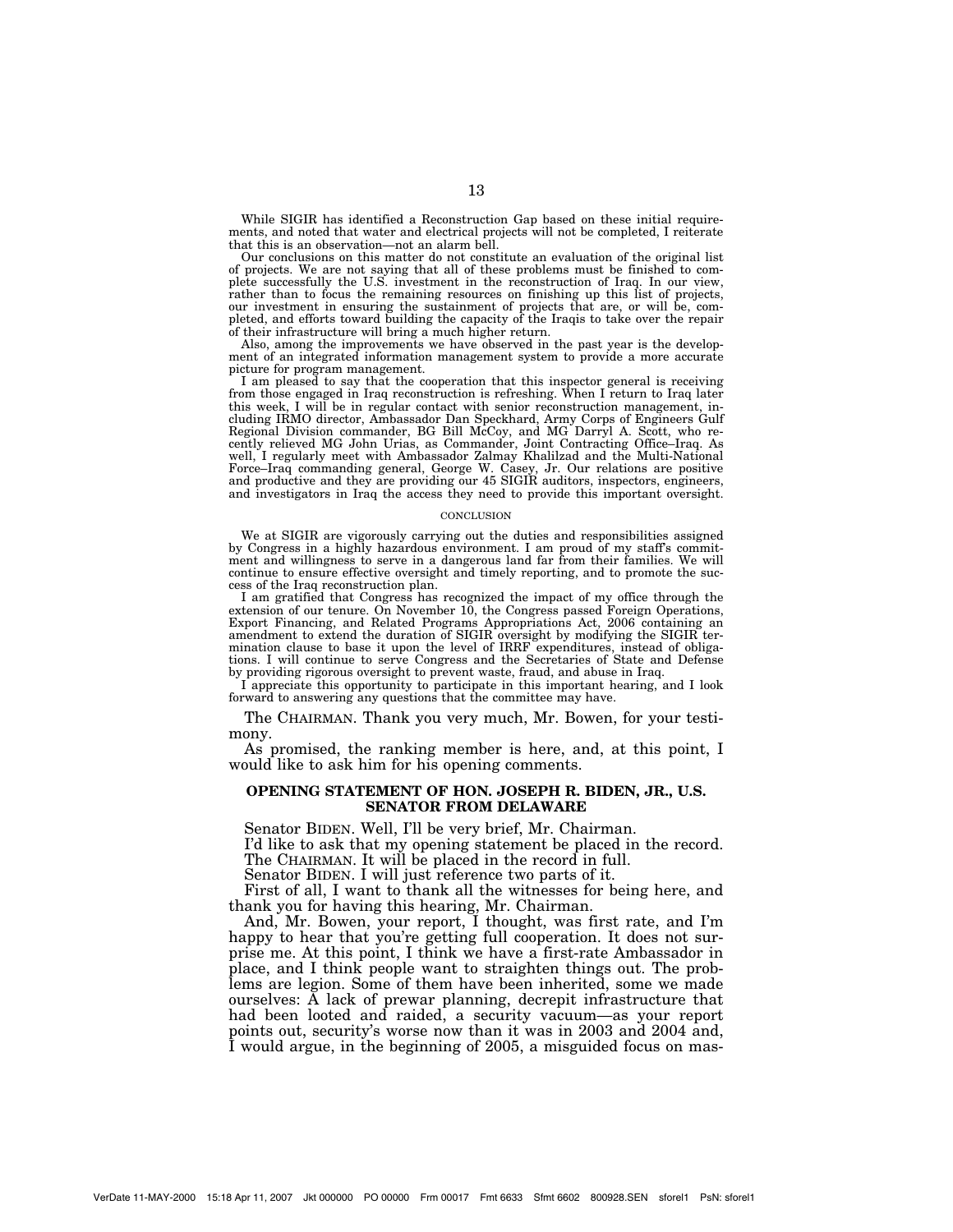While SIGIR has identified a Reconstruction Gap based on these initial requirements, and noted that water and electrical projects will not be completed, I reiterate that this is an observation—not an alarm bell.

Our conclusions on this matter do not constitute an evaluation of the original list of projects. We are not saying that all of these problems must be finished to complete successfully the U.S. investment in the reconstruction of Iraq. In our view, rather than to focus the remaining resources on finishing up this list of projects, our investment in ensuring the sustainment of projects that are, or will be, completed, and efforts toward building the capacity of the Iraqis to take over the repair of their infrastructure will bring a much higher return.

Also, among the improvements we have observed in the past year is the development of an integrated information management system to provide a more accurate picture for program management.

I am pleased to say that the cooperation that this inspector general is receiving from those engaged in Iraq reconstruction is refreshing. When I return to Iraq later this week, I will be in regular contact with senior reconstruction management, including IRMO director, Ambassador Dan Speckhard, Army Corps of Engineers Gulf Regional Division commander, BG Bill McCoy, and MG Darryl A. Scott, who recently relieved MG John Urias, as Commander, Joint Contracting Office–Iraq. As well, I regularly meet with Ambassador Zalmay Khalilzad and the Multi-National Force–Iraq commanding general, George W. Casey, Jr. Our relations are positive and productive and they are providing our 45 SIGIR auditors, inspectors, engineers, and investigators in Iraq the access they need to provide this important oversight.

#### **CONCLUSION**

We at SIGIR are vigorously carrying out the duties and responsibilities assigned by Congress in a highly hazardous environment. I am proud of my staff's commitment and willingness to serve in a dangerous land far from their families. We will continue to ensure effective oversight and timely reporting, and to promote the success of the Iraq reconstruction plan.

I am gratified that Congress has recognized the impact of my office through the extension of our tenure. On November 10, the Congress passed Foreign Operations, Export Financing, and Related Programs Appropriations Act, 2006 containing an amendment to extend the duration of SIGIR oversight by modifying the SIGIR termination clause to base it upon the level of IRRF expenditures, instead of obligations. I will continue to serve Congress and the Secretaries of State and Defense by providing rigorous oversight to prevent waste, fraud, and abuse in Iraq.

I appreciate this opportunity to participate in this important hearing, and I look forward to answering any questions that the committee may have.

The CHAIRMAN. Thank you very much, Mr. Bowen, for your testimony.

As promised, the ranking member is here, and, at this point, I would like to ask him for his opening comments.

#### **OPENING STATEMENT OF HON. JOSEPH R. BIDEN, JR., U.S. SENATOR FROM DELAWARE**

Senator BIDEN. Well, I'll be very brief, Mr. Chairman.

I'd like to ask that my opening statement be placed in the record. The CHAIRMAN. It will be placed in the record in full.

Senator BIDEN. I will just reference two parts of it.

First of all, I want to thank all the witnesses for being here, and thank you for having this hearing, Mr. Chairman.

And, Mr. Bowen, your report, I thought, was first rate, and I'm happy to hear that you're getting full cooperation. It does not surprise me. At this point, I think we have a first-rate Ambassador in place, and I think people want to straighten things out. The problems are legion. Some of them have been inherited, some we made ourselves:  $\tilde{A}$  lack of prewar planning, decrepit infrastructure that had been looted and raided, a security vacuum—as your report points out, security's worse now than it was in 2003 and 2004 and, I would argue, in the beginning of 2005, a misguided focus on mas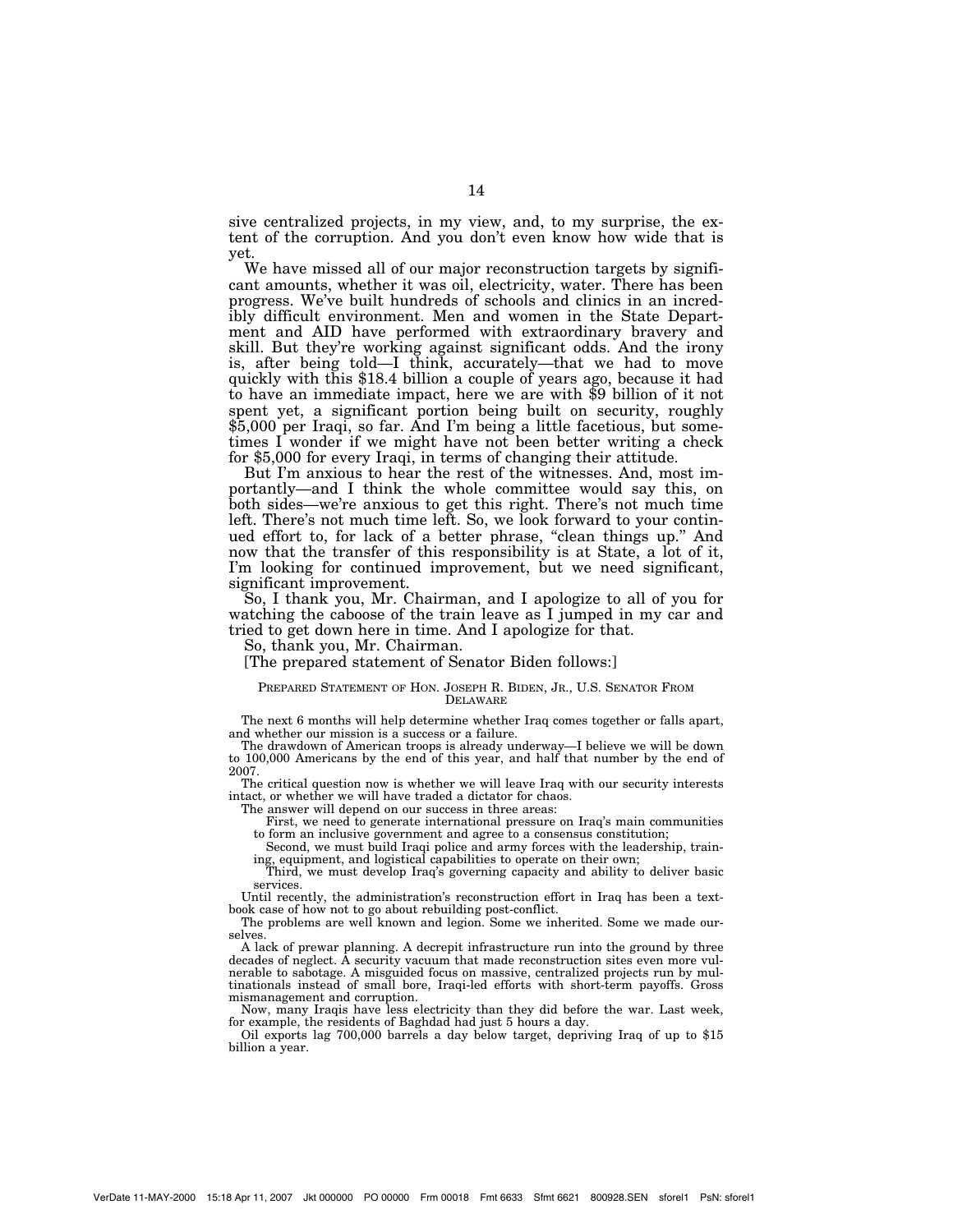sive centralized projects, in my view, and, to my surprise, the extent of the corruption. And you don't even know how wide that is yet.

We have missed all of our major reconstruction targets by significant amounts, whether it was oil, electricity, water. There has been progress. We've built hundreds of schools and clinics in an incredibly difficult environment. Men and women in the State Department and AID have performed with extraordinary bravery and skill. But they're working against significant odds. And the irony is, after being told—I think, accurately—that we had to move quickly with this \$18.4 billion a couple of years ago, because it had to have an immediate impact, here we are with \$9 billion of it not spent yet, a significant portion being built on security, roughly \$5,000 per Iraqi, so far. And I'm being a little facetious, but sometimes I wonder if we might have not been better writing a check for \$5,000 for every Iraqi, in terms of changing their attitude.

But I'm anxious to hear the rest of the witnesses. And, most importantly—and I think the whole committee would say this, on both sides—we're anxious to get this right. There's not much time left. There's not much time left. So, we look forward to your continued effort to, for lack of a better phrase, "clean things up." And now that the transfer of this responsibility is at State, a lot of it, I'm looking for continued improvement, but we need significant, significant improvement.

So, I thank you, Mr. Chairman, and I apologize to all of you for watching the caboose of the train leave as I jumped in my car and tried to get down here in time. And I apologize for that.

So, thank you, Mr. Chairman.

[The prepared statement of Senator Biden follows:]

#### PREPARED STATEMENT OF HON. JOSEPH R. BIDEN, JR., U.S. SENATOR FROM DELAWARE

The next 6 months will help determine whether Iraq comes together or falls apart, and whether our mission is a success or a failure.

The drawdown of American troops is already underway—I believe we will be down to 100,000 Americans by the end of this year, and half that number by the end of 2007.

The critical question now is whether we will leave Iraq with our security interests intact, or whether we will have traded a dictator for chaos.

The answer will depend on our success in three areas:

First, we need to generate international pressure on Iraq's main communities to form an inclusive government and agree to a consensus constitution;

Second, we must build Iraqi police and army forces with the leadership, training, equipment, and logistical capabilities to operate on their own;

Third, we must develop Iraq's governing capacity and ability to deliver basic services.

Until recently, the administration's reconstruction effort in Iraq has been a textbook case of how not to go about rebuilding post-conflict.

The problems are well known and legion. Some we inherited. Some we made ourselves.

A lack of prewar planning. A decrepit infrastructure run into the ground by three decades of neglect. A security vacuum that made reconstruction sites even more vulnerable to sabotage. A misguided focus on massive, centralized projects run by multinationals instead of small bore, Iraqi-led efforts with short-term payoffs. Gross mismanagement and corruption.

Now, many Iraqis have less electricity than they did before the war. Last week, for example, the residents of Baghdad had just 5 hours a day.

Oil exports lag 700,000 barrels a day below target, depriving Iraq of up to \$15 billion a year.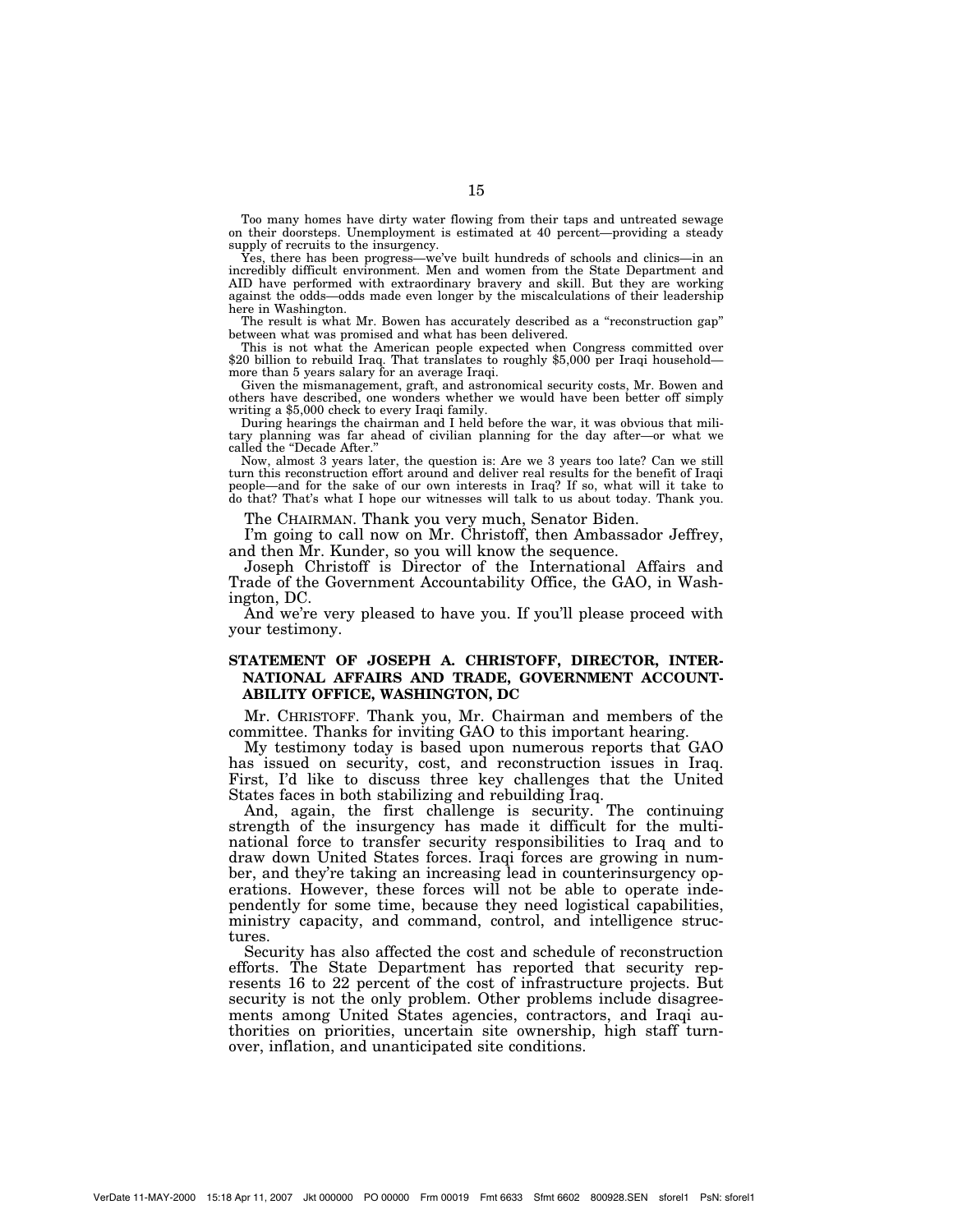Too many homes have dirty water flowing from their taps and untreated sewage on their doorsteps. Unemployment is estimated at 40 percent—providing a steady supply of recruits to the insurgency.

Yes, there has been progress—we've built hundreds of schools and clinics—in an incredibly difficult environment. Men and women from the State Department and AID have performed with extraordinary bravery and skill. But they are working against the odds—odds made even longer by the miscalculations of their leadership here in Washington.

The result is what Mr. Bowen has accurately described as a ''reconstruction gap'' between what was promised and what has been delivered.

This is not what the American people expected when Congress committed over \$20 billion to rebuild Iraq. That translates to roughly \$5,000 per Iraqi householdmore than 5 years salary for an average Iraqi.

Given the mismanagement, graft, and astronomical security costs, Mr. Bowen and others have described, one wonders whether we would have been better off simply writing a \$5,000 check to every Iraqi family.

During hearings the chairman and I held before the war, it was obvious that military planning was far ahead of civilian planning for the day after—or what we called the "Decade After."

Now, almost 3 years later, the question is: Are we 3 years too late? Can we still turn this reconstruction effort around and deliver real results for the benefit of Iraqi people—and for the sake of our own interests in Iraq? If so, what will it take to do that? That's what I hope our witnesses will talk to us about today. Thank you.

The CHAIRMAN. Thank you very much, Senator Biden.

I'm going to call now on Mr. Christoff, then Ambassador Jeffrey, and then Mr. Kunder, so you will know the sequence.

Joseph Christoff is Director of the International Affairs and Trade of the Government Accountability Office, the GAO, in Washington, DC.

And we're very pleased to have you. If you'll please proceed with your testimony.

# **STATEMENT OF JOSEPH A. CHRISTOFF, DIRECTOR, INTER-NATIONAL AFFAIRS AND TRADE, GOVERNMENT ACCOUNT-ABILITY OFFICE, WASHINGTON, DC**

Mr. CHRISTOFF. Thank you, Mr. Chairman and members of the committee. Thanks for inviting GAO to this important hearing.

My testimony today is based upon numerous reports that GAO has issued on security, cost, and reconstruction issues in Iraq. First, I'd like to discuss three key challenges that the United States faces in both stabilizing and rebuilding Iraq.

And, again, the first challenge is security. The continuing strength of the insurgency has made it difficult for the multinational force to transfer security responsibilities to Iraq and to draw down United States forces. Iraqi forces are growing in number, and they're taking an increasing lead in counterinsurgency operations. However, these forces will not be able to operate independently for some time, because they need logistical capabilities, ministry capacity, and command, control, and intelligence structures.

Security has also affected the cost and schedule of reconstruction efforts. The State Department has reported that security represents 16 to 22 percent of the cost of infrastructure projects. But security is not the only problem. Other problems include disagreements among United States agencies, contractors, and Iraqi authorities on priorities, uncertain site ownership, high staff turnover, inflation, and unanticipated site conditions.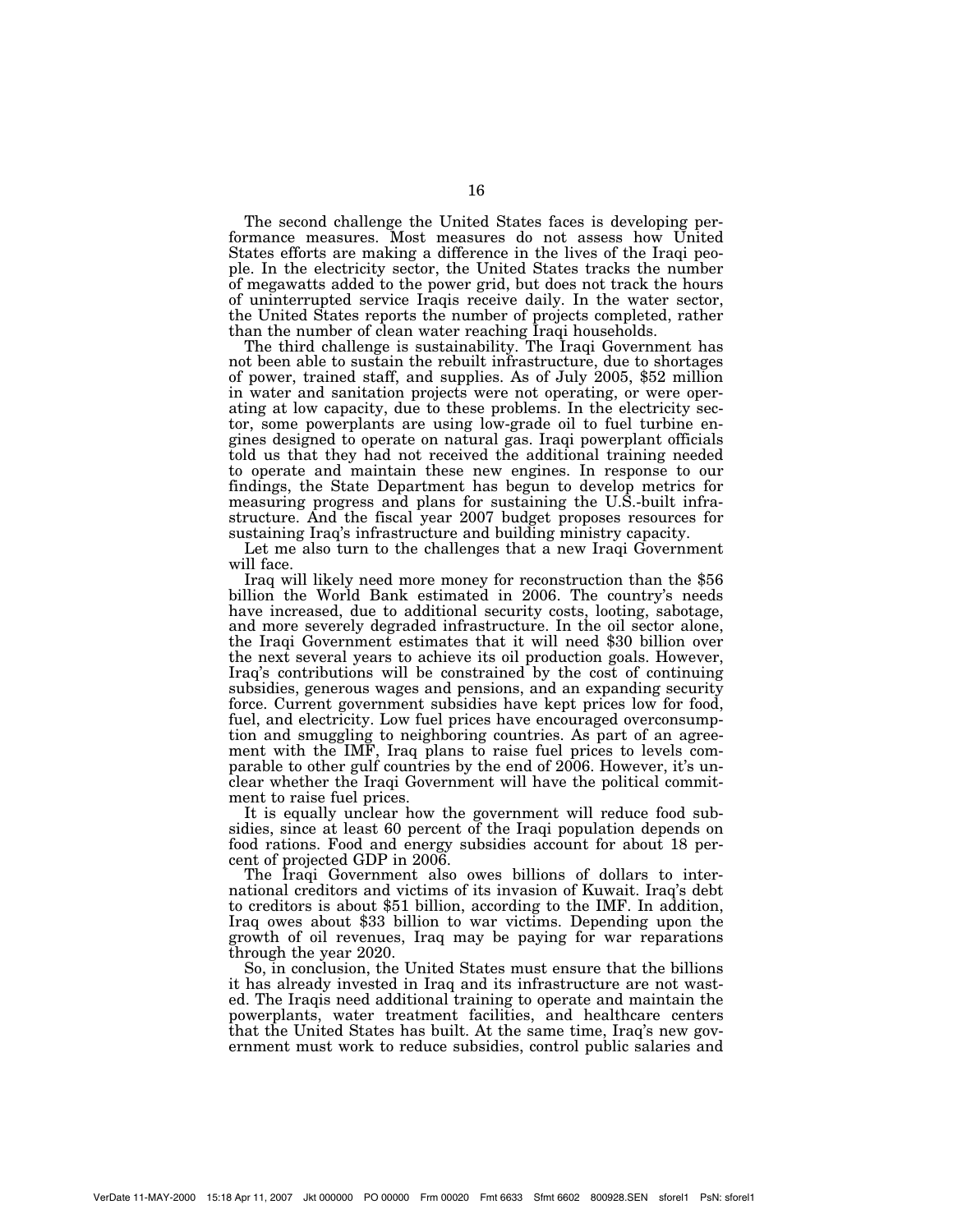The second challenge the United States faces is developing performance measures. Most measures do not assess how United States efforts are making a difference in the lives of the Iraqi people. In the electricity sector, the United States tracks the number of megawatts added to the power grid, but does not track the hours of uninterrupted service Iraqis receive daily. In the water sector, the United States reports the number of projects completed, rather than the number of clean water reaching Iraqi households.

The third challenge is sustainability. The Iraqi Government has not been able to sustain the rebuilt infrastructure, due to shortages of power, trained staff, and supplies. As of July 2005, \$52 million in water and sanitation projects were not operating, or were operating at low capacity, due to these problems. In the electricity sector, some powerplants are using low-grade oil to fuel turbine engines designed to operate on natural gas. Iraqi powerplant officials told us that they had not received the additional training needed to operate and maintain these new engines. In response to our findings, the State Department has begun to develop metrics for measuring progress and plans for sustaining the U.S.-built infrastructure. And the fiscal year 2007 budget proposes resources for sustaining Iraq's infrastructure and building ministry capacity.

Let me also turn to the challenges that a new Iraqi Government will face.

Iraq will likely need more money for reconstruction than the \$56 billion the World Bank estimated in 2006. The country's needs have increased, due to additional security costs, looting, sabotage, and more severely degraded infrastructure. In the oil sector alone, the Iraqi Government estimates that it will need \$30 billion over the next several years to achieve its oil production goals. However, Iraq's contributions will be constrained by the cost of continuing subsidies, generous wages and pensions, and an expanding security force. Current government subsidies have kept prices low for food, fuel, and electricity. Low fuel prices have encouraged overconsumption and smuggling to neighboring countries. As part of an agreement with the IMF, Iraq plans to raise fuel prices to levels comparable to other gulf countries by the end of 2006. However, it's unclear whether the Iraqi Government will have the political commitment to raise fuel prices.

It is equally unclear how the government will reduce food subsidies, since at least 60 percent of the Iraqi population depends on food rations. Food and energy subsidies account for about 18 percent of projected GDP in 2006.

The Iraqi Government also owes billions of dollars to international creditors and victims of its invasion of Kuwait. Iraq's debt to creditors is about \$51 billion, according to the IMF. In addition, Iraq owes about \$33 billion to war victims. Depending upon the growth of oil revenues, Iraq may be paying for war reparations through the year 2020.

So, in conclusion, the United States must ensure that the billions it has already invested in Iraq and its infrastructure are not wasted. The Iraqis need additional training to operate and maintain the powerplants, water treatment facilities, and healthcare centers that the United States has built. At the same time, Iraq's new government must work to reduce subsidies, control public salaries and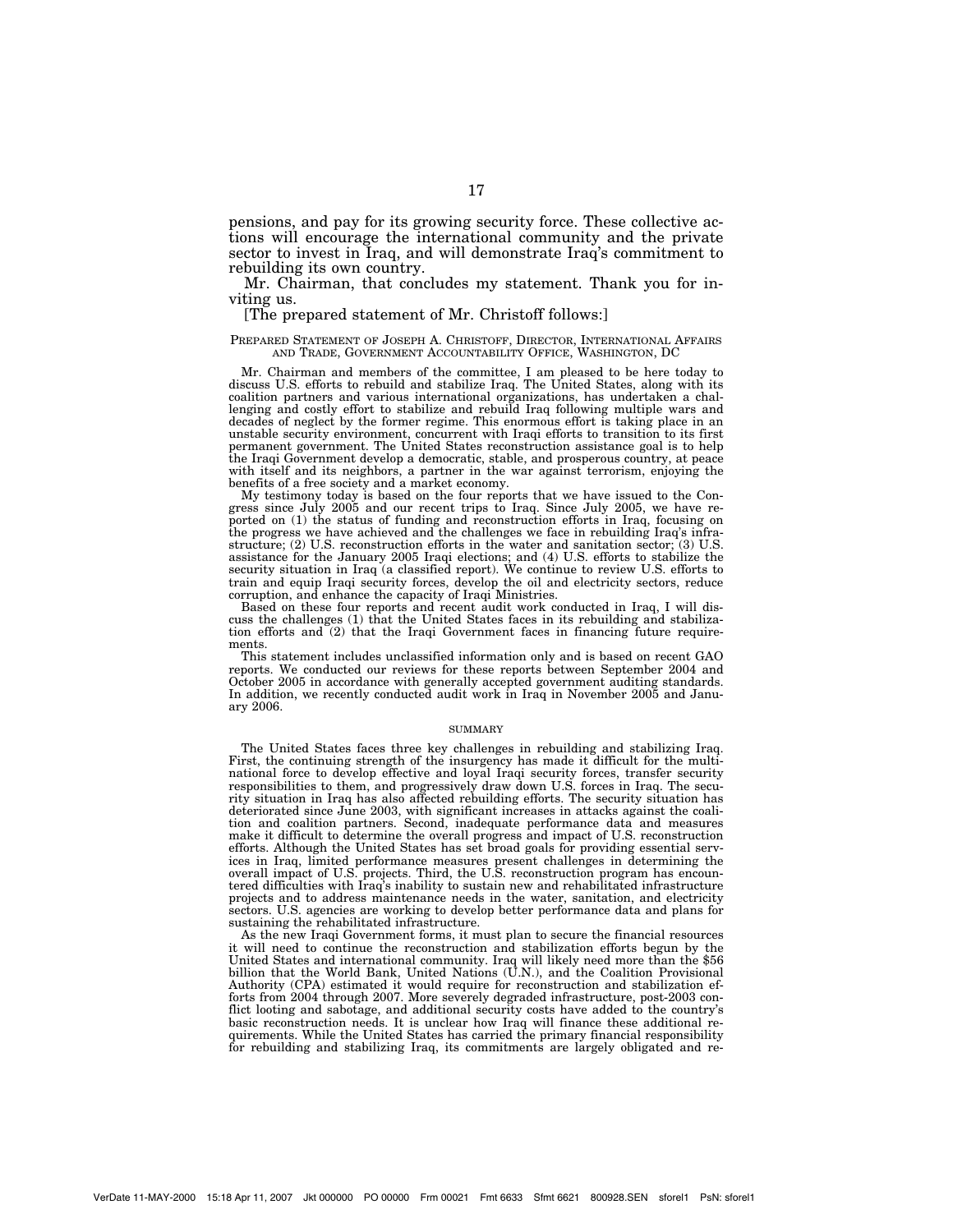pensions, and pay for its growing security force. These collective actions will encourage the international community and the private sector to invest in Iraq, and will demonstrate Iraq's commitment to rebuilding its own country.

Mr. Chairman, that concludes my statement. Thank you for inviting us.

## [The prepared statement of Mr. Christoff follows:]

#### PREPARED STATEMENT OF JOSEPH A. CHRISTOFF, DIRECTOR, INTERNATIONAL AFFAIRS AND TRADE, GOVERNMENT ACCOUNTABILITY OFFICE, WASHINGTON, DC

Mr. Chairman and members of the committee, I am pleased to be here today to discuss U.S. efforts to rebuild and stabilize Iraq. The United States, along with its coalition partners and various international organizations, has undertaken a challenging and costly effort to stabilize and rebuild Iraq following multiple wars and decades of neglect by the former regime. This enormous effort is taking place in an unstable security environment, concurrent with Iraqi efforts to transition to its first permanent government. The United States reconstruction assistance goal is to help the Iraqi Government develop a democratic, stable, and prosperous country, at peace with itself and its neighbors, a partner in the war against terrorism, enjoying the benefits of a free society and a market economy.

My testimony today is based on the four reports that we have issued to the Congress since July 2005 and our recent trips to Iraq. Since July 2005, we have reported on (1) the status of funding and reconstruction efforts in Iraq, focusing on the progress we have achieved and the challenges we face in rebuilding Iraq's infrastructure; (2) U.S. reconstruction efforts in the water and sanitation sector; (3) U.S. assistance for the January 2005 Iraqi elections; and (4) U.S. efforts to stabilize the security situation in Iraq (a classified report). We continue to review U.S. efforts to train and equip Iraqi security forces, develop the oil and electricity sectors, reduce corruption, and enhance the capacity of Iraqi Ministries.

Based on these four reports and recent audit work conducted in Iraq, I will discuss the challenges (1) that the United States faces in its rebuilding and stabilization efforts and (2) that the Iraqi Government faces in financing future requirements.

This statement includes unclassified information only and is based on recent GAO reports. We conducted our reviews for these reports between September 2004 and October 2005 in accordance with generally accepted government auditing standards. In addition, we recently conducted audit work in Iraq in November 2005 and January 2006.

#### SUMMARY

The United States faces three key challenges in rebuilding and stabilizing Iraq. First, the continuing strength of the insurgency has made it difficult for the multinational force to develop effective and loyal Iraqi security forces, transfer security responsibilities to them, and progressively draw down U.S. forces in Iraq. The security situation in Iraq has also affected rebuilding efforts. The security situation has deteriorated since June 2003, with significant increases in attacks against the coalition and coalition partners. Second, inadequate performance data and measures make it difficult to determine the overall progress and impact of U.S. reconstruction efforts. Although the United States has set broad goals for providing essential services in Iraq, limited performance measures present challenges in determining the overall impact of U.S. projects. Third, the U.S. reconstruction program has encountered difficulties with Iraq's inability to sustain new and rehabilitated infrastructure projects and to address maintenance needs in the water, sanitation, and electricity sectors. U.S. agencies are working to develop better performance data and plans for sustaining the rehabilitated infrastructure.

As the new Iraqi Government forms, it must plan to secure the financial resources it will need to continue the reconstruction and stabilization efforts begun by the United States and international community. Iraq will likely need more than the \$56 billion that the World Bank, United Nations (U.N.), and the Coalition Provisional Authority (CPA) estimated it would require for reconstruction and stabilization efforts from 2004 through 2007. More severely degraded infrastructure, post-2003 conflict looting and sabotage, and additional security costs have added to the country's basic reconstruction needs. It is unclear how Iraq will finance these additional requirements. While the United States has carried the primary financial responsibility for rebuilding and stabilizing Iraq, its commitments are largely obligated and re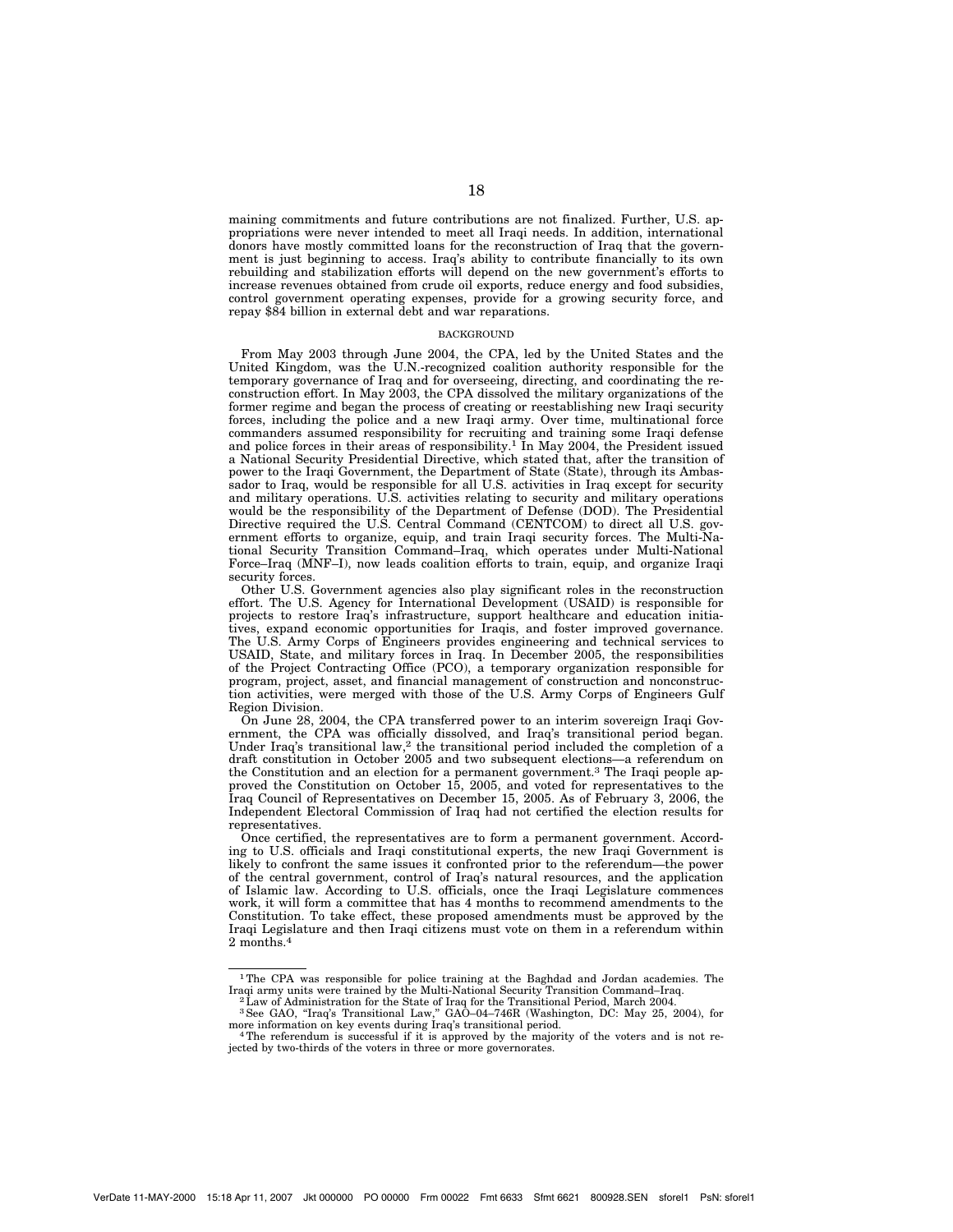maining commitments and future contributions are not finalized. Further, U.S. appropriations were never intended to meet all Iraqi needs. In addition, international donors have mostly committed loans for the reconstruction of Iraq that the government is just beginning to access. Iraq's ability to contribute financially to its own rebuilding and stabilization efforts will depend on the new government's efforts to increase revenues obtained from crude oil exports, reduce energy and food subsidies, control government operating expenses, provide for a growing security force, and repay \$84 billion in external debt and war reparations.

#### **BACKGROUND**

From May 2003 through June 2004, the CPA, led by the United States and the United Kingdom, was the U.N.-recognized coalition authority responsible for the temporary governance of Iraq and for overseeing, directing, and coordinating the reconstruction effort. In May 2003, the CPA dissolved the military organizations of the former regime and began the process of creating or reestablishing new Iraqi security forces, including the police and a new Iraqi army. Over time, multinational force commanders assumed responsibility for recruiting and training some Iraqi defense and police forces in their areas of responsibility.1 In May 2004, the President issued a National Security Presidential Directive, which stated that, after the transition of power to the Iraqi Government, the Department of State (State), through its Ambassador to Iraq, would be responsible for all U.S. activities in Iraq except for security and military operations. U.S. activities relating to security and military operations would be the responsibility of the Department of Defense (DOD). The Presidential Directive required the U.S. Central Command (CENTCOM) to direct all U.S. government efforts to organize, equip, and train Iraqi security forces. The Multi-National Security Transition Command–Iraq, which operates under Multi-National Force–Iraq (MNF–I), now leads coalition efforts to train, equip, and organize Iraqi security forces.

Other U.S. Government agencies also play significant roles in the reconstruction effort. The U.S. Agency for International Development (USAID) is responsible for projects to restore Iraq's infrastructure, support healthcare and education initiatives, expand economic opportunities for Iraqis, and foster improved governance. The U.S. Army Corps of Engineers provides engineering and technical services to USAID, State, and military forces in Iraq. In December 2005, the responsibilities of the Project Contracting Office (PCO), a temporary organization responsible for program, project, asset, and financial management of construction and nonconstruction activities, were merged with those of the U.S. Army Corps of Engineers Gulf Region Division.

On June 28, 2004, the CPA transferred power to an interim sovereign Iraqi Government, the CPA was officially dissolved, and Iraq's transitional period began. Under Iraq's transitional law,<sup>2</sup> the transitional period included the completion of a draft constitution in October 2005 and two subsequent elections—a referendum on the Constitution and an election for a permanent government.3 The Iraqi people approved the Constitution on October 15, 2005, and voted for representatives to the Iraq Council of Representatives on December 15, 2005. As of February 3, 2006, the Independent Electoral Commission of Iraq had not certified the election results for representatives.

Once certified, the representatives are to form a permanent government. According to U.S. officials and Iraqi constitutional experts, the new Iraqi Government is likely to confront the same issues it confronted prior to the referendum—the power of the central government, control of Iraq's natural resources, and the application of Islamic law. According to U.S. officials, once the Iraqi Legislature commences work, it will form a committee that has 4 months to recommend amendments to the Constitution. To take effect, these proposed amendments must be approved by the Iraqi Legislature and then Iraqi citizens must vote on them in a referendum within 2 months.4

 $1$ <sup>1</sup>The CPA was responsible for police training at the Baghdad and Jordan academies. The Iraqi army units were trained by the Multi-National Security Transition Command–Iraq.

Iraqi army units were trained by the Multi-National Security Transition Command–Iraq.<br><sup>2</sup> Law of Administration for the State of Iraq for the Transitional Period, March 2004.<br><sup>3</sup> See GAO, "Iraq's Transitional Law," GAO–04–

more information on key events during Iraq's transitional period.<br><sup>4</sup>The referendum is successful if it is approved by the majority of the voters and is not re-

<sup>&</sup>lt;sup>4</sup>The referendum is successful if it is approved by the majority of the voters and is not re-<br>jected by two-thirds of the voters in three or more governorates.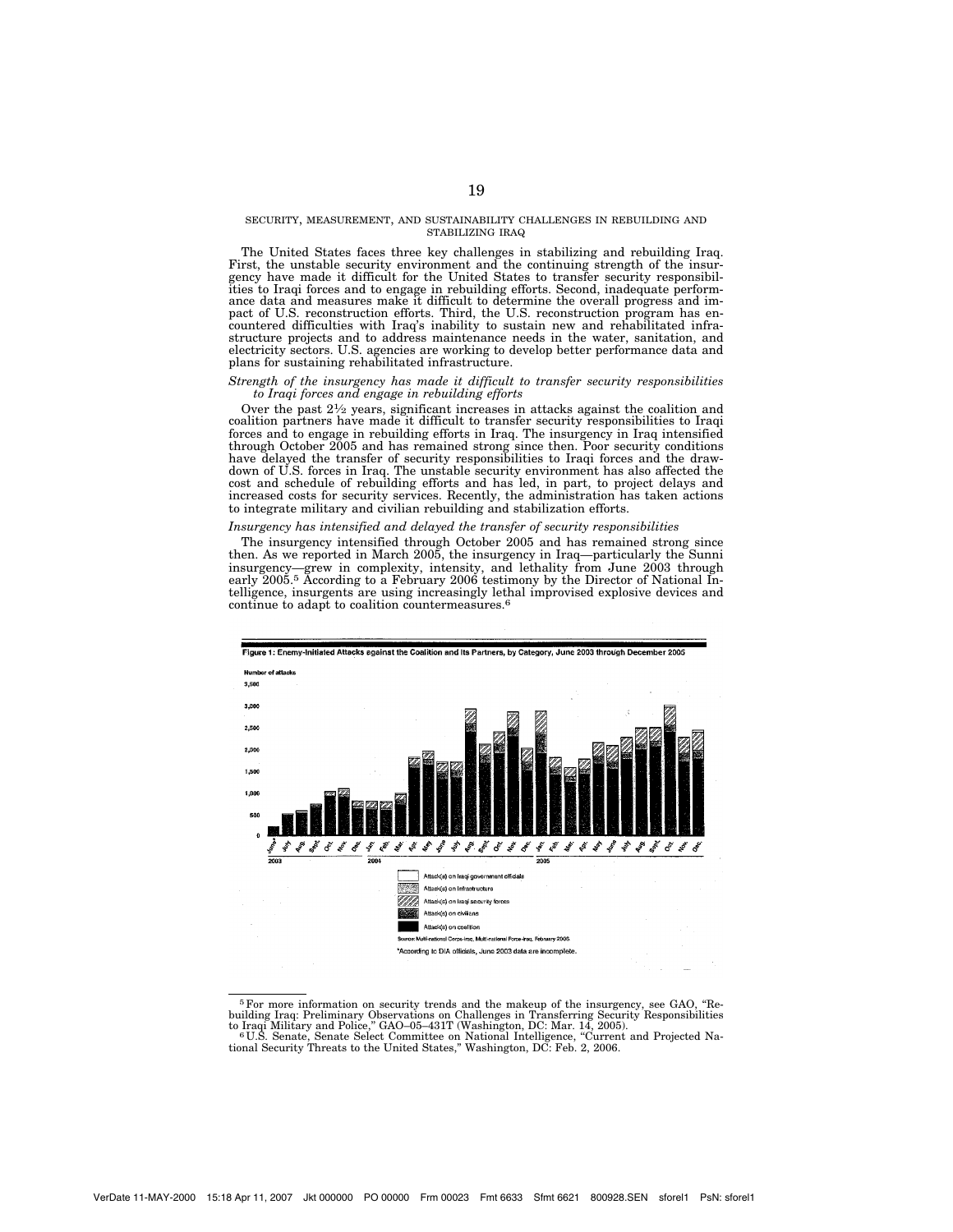#### SECURITY, MEASUREMENT, AND SUSTAINABILITY CHALLENGES IN REBUILDING AND STABILIZING IRAQ

The United States faces three key challenges in stabilizing and rebuilding Iraq. First, the unstable security environment and the continuing strength of the insurgency have made it difficult for the United States to transfer security responsibilities to Iraqi forces and to engage in rebuilding efforts. Second, inadequate performance data and measures make it difficult to determine the overall progress and impact of U.S. reconstruction efforts. Third, the U.S. reconstruction program has en-countered difficulties with Iraq's inability to sustain new and rehabilitated infrastructure projects and to address maintenance needs in the water, sanitation, and electricity sectors. U.S. agencies are working to develop better performance data and plans for sustaining rehabilitated infrastructure.

#### *Strength of the insurgency has made it difficult to transfer security responsibilities to Iraqi forces and engage in rebuilding efforts*

Over the past  $2\frac{1}{2}$  years, significant increases in attacks against the coalition and coalition partners have made it difficult to transfer security responsibilities to Iraqi forces and to engage in rebuilding efforts in Iraq. The insurgency in Iraq intensified through October 2005 and has remained strong since then. Poor security conditions have delayed the transfer of security responsibilities to Iraqi forces and the drawdown of U.S. forces in Iraq. The unstable security environment has also affected the cost and schedule of rebuilding efforts and has led, in part, to project delays and increased costs for security services. Recently, the administration has taken actions to integrate military and civilian rebuilding and stabilization efforts.

#### *Insurgency has intensified and delayed the transfer of security responsibilities*

The insurgency intensified through October 2005 and has remained strong since then. As we reported in March 2005, the insurgency in Iraq—particularly the Sunni insurgency—grew in complexity, intensity, and lethality from June 2003 through early 2005.5 According to a February 2006 testimony by the Director of National Intelligence, insurgents are using increasingly lethal improvised explosive devices and continue to adapt to coalition countermeasures.6



 $^{5}$  For more information on security trends and the makeup of the insurgency, see GAO, "Rebuilding Iraq: Preliminary Observations on Challenges in Transferring Security Responsibilities to Iraqi Military and Police," GA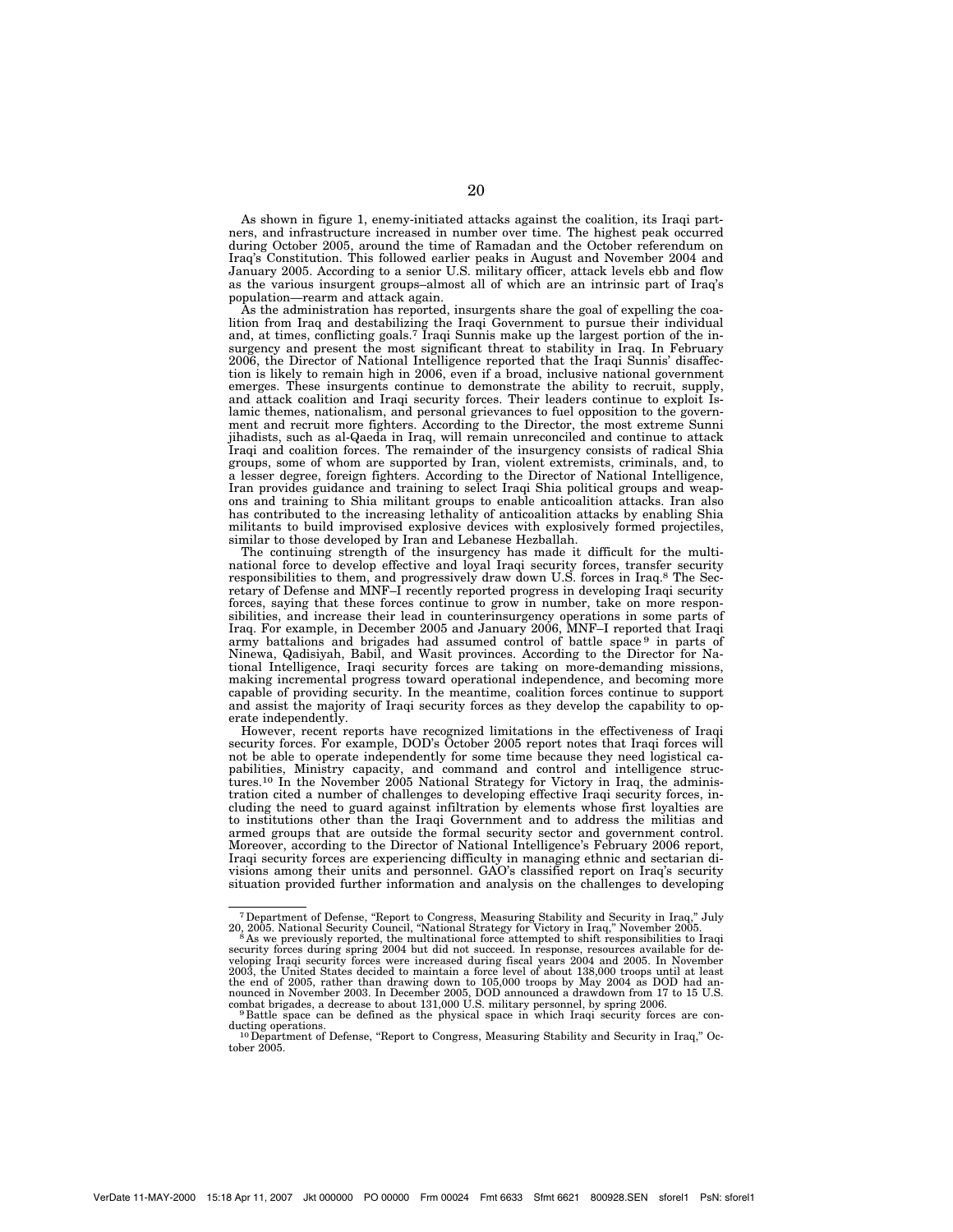As shown in figure 1, enemy-initiated attacks against the coalition, its Iraqi partners, and infrastructure increased in number over time. The highest peak occurred during October 2005, around the time of Ramadan and the October referendum on Iraq's Constitution. This followed earlier peaks in August and November 2004 and January 2005. According to a senior U.S. military officer, attack levels ebb and flow as the various insurgent groups–almost all of which are an intrinsic part of Iraq's population—rearm and attack again.

As the administration has reported, insurgents share the goal of expelling the coalition from Iraq and destabilizing the Iraqi Government to pursue their individual and, at times, conflicting goals.7 Iraqi Sunnis make up the largest portion of the insurgency and present the most significant threat to stability in Iraq. In February 2006, the Director of National Intelligence reported that the Iraqi Sunnis' disaffection is likely to remain high in 2006, even if a broad, inclusive national government emerges. These insurgents continue to demonstrate the ability to recruit, supply, and attack coalition and Iraqi security forces. Their leaders continue to exploit Islamic themes, nationalism, and personal grievances to fuel opposition to the government and recruit more fighters. According to the Director, the most extreme Sunni jihadists, such as al-Qaeda in Iraq, will remain unreconciled and continue to attack Iraqi and coalition forces. The remainder of the insurgency consists of radical Shia groups, some of whom are supported by Iran, violent extremists, criminals, and, to a lesser degree, foreign fighters. According to the Director of National Intelligence, Iran provides guidance and training to select Iraqi Shia political groups and weapons and training to Shia militant groups to enable anticoalition attacks. Iran also has contributed to the increasing lethality of anticoalition attacks by enabling Shia militants to build improvised explosive devices with explosively formed projectiles, similar to those developed by Iran and Lebanese Hezballah.

The continuing strength of the insurgency has made it difficult for the multinational force to develop effective and loyal Iraqi security forces, transfer security responsibilities to them, and progressively draw down U.S. forces in Iraq.8 The Secretary of Defense and MNF–I recently reported progress in developing Iraqi security forces, saying that these forces continue to grow in number, take on more responsibilities, and increase their lead in counterinsurgency operations in some parts of Iraq. For example, in December 2005 and January 2006, MNF–I reported that Iraqi army battalions and brigades had assumed control of battle space 9 in parts of Ninewa, Qadisiyah, Babil, and Wasit provinces. According to the Director for National Intelligence, Iraqi security forces are taking on more-demanding missions, making incremental progress toward operational independence, and becoming more capable of providing security. In the meantime, coalition forces continue to support and assist the majority of Iraqi security forces as they develop the capability to operate independently.

However, recent reports have recognized limitations in the effectiveness of Iraqi security forces. For example, DOD's October 2005 report notes that Iraqi forces will not be able to operate independently for some time because they need logistical capabilities, Ministry capacity, and command and control and intelligence struc-tures.10 In the November 2005 National Strategy for Victory in Iraq, the administration cited a number of challenges to developing effective Iraqi security forces, including the need to guard against infiltration by elements whose first loyalties are to institutions other than the Iraqi Government and to address the militias and armed groups that are outside the formal security sector and government control. Moreover, according to the Director of National Intelligence's February 2006 report, Iraqi security forces are experiencing difficulty in managing ethnic and sectarian divisions among their units and personnel. GAO's classified report on Iraq's security situation provided further information and analysis on the challenges to developing

<sup>&</sup>lt;sup>7</sup> Department of Defense, "Report to Congress, Measuring Stability and Security in Iraq," July 20, 2005. National Scrutty Council, "National Strategy for Victory in Iraq," November 2005. As As we previously reported, the

ducting operations. 10Department of Defense, ''Report to Congress, Measuring Stability and Security in Iraq,'' Oc-tober 2005.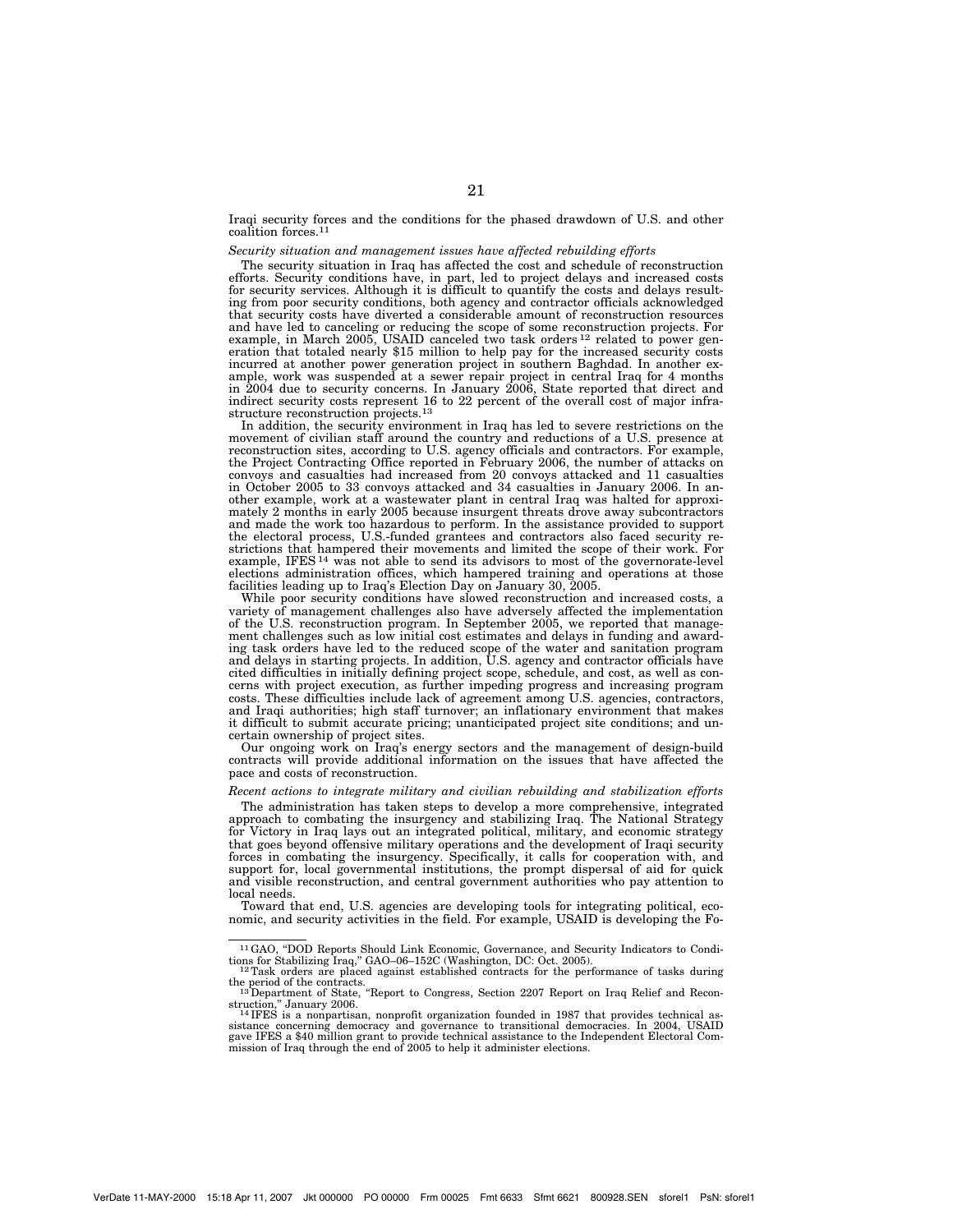Iraqi security forces and the conditions for the phased drawdown of U.S. and other coalition forces.11

#### *Security situation and management issues have affected rebuilding efforts*

The security situation in Iraq has affected the cost and schedule of reconstruction efforts. Security conditions have, in part, led to project delays and increased costs for security services. Although it is difficult to quantify the costs and delays resulting from poor security conditions, both agency and contractor officials acknowledged that security costs have diverted a considerable amount of reconstruction resources and have led to canceling or reducing the scope of some reconstruction projects. For example, in March 2005, USAID canceled two task orders  $^{12}$  related to power generation that totaled nearly \$15 million to help pay for the increased security costs incurred at another power generation project in southern Baghdad. In another ex-ample, work was suspended at a sewer repair project in central Iraq for 4 months in 2004 due to security concerns. In January 2006, State reported that direct and indirect security costs represent 16 to 22 percent of the overall cost of major infrastructure reconstruction projects.13

In addition, the security environment in Iraq has led to severe restrictions on the movement of civilian staff around the country and reductions of a U.S. presence at reconstruction sites, according to U.S. agency officials and contractors. For example, the Project Contracting Office reported in February 2006, the number of attacks on convoys and casualties had increased from 20 convoys attacked and 11 casualties in October 2005 to 33 convoys attacked and 34 casualties in January 2006. In another example, work at a wastewater plant in central Iraq was halted for approximately 2 months in early 2005 because insurgent threats drove away subcontractors and made the work too hazardous to perform. In the assistance provided to support the electoral process, U.S.-funded grantees and contractors also faced security restrictions that hampered their movements and limited the scope of their work. For example, IFES 14 was not able to send its advisors to most of the governorate-level elections administration offices, which hampered training and operations at those facilities leading up to Iraq's Election Day on January 30, 2005.

While poor security conditions have slowed reconstruction and increased costs, a variety of management challenges also have adversely affected the implementation of the U.S. reconstruction program. In September 2005, we reported that management challenges such as low initial cost estimates and delays in funding and awarding task orders have led to the reduced scope of the water and sanitation program and delays in starting projects. In addition, U.S. agency and contractor officials have cited difficulties in initially defining project scope, schedule, and cost, as well as concerns with project execution, as further impeding progress and increasing program costs. These difficulties include lack of agreement among U.S. agencies, contractors, and Iraqi authorities; high staff turnover; an inflationary environment that makes it difficult to submit accurate pricing; unanticipated project site conditions; and uncertain ownership of project sites.

Our ongoing work on Iraq's energy sectors and the management of design-build contracts will provide additional information on the issues that have affected the pace and costs of reconstruction.

#### *Recent actions to integrate military and civilian rebuilding and stabilization efforts*

The administration has taken steps to develop a more comprehensive, integrated approach to combating the insurgency and stabilizing Iraq. The National Strategy for Victory in Iraq lays out an integrated political, military, and economic strategy that goes beyond offensive military operations and the development of Iraqi security forces in combating the insurgency. Specifically, it calls for cooperation with, and support for, local governmental institutions, the prompt dispersal of aid for quick and visible reconstruction, and central government authorities who pay attention to local needs.

Toward that end, U.S. agencies are developing tools for integrating political, economic, and security activities in the field. For example, USAID is developing the Fo-

 $^{11}$ GAO, "DOD Reports Should Link Economic, Governance, and Security Indicators to Conditions for Stabilizing Iraq," GAO–06–152C (Washington, DC: Oct. 2005).

 $12$ Task orders are placed against established contracts for the performance of tasks during the period of the contracts. <sup>13</sup>Department of State, "Report to Congress, Section 2207 Report on Iraq Relief and Recon-

struction," January 2006.<br><sup>14</sup> IFES is a nonpartisan, nonprofit organization founded in 1987 that provides technical as-

sistance concerning democracy and governance to transitional democracies. In 2004, USAID<br>gave IFES a \$40 million grant to provide technical assistance to the Independent Electoral Com-<br>mission of Iraq through the end of 20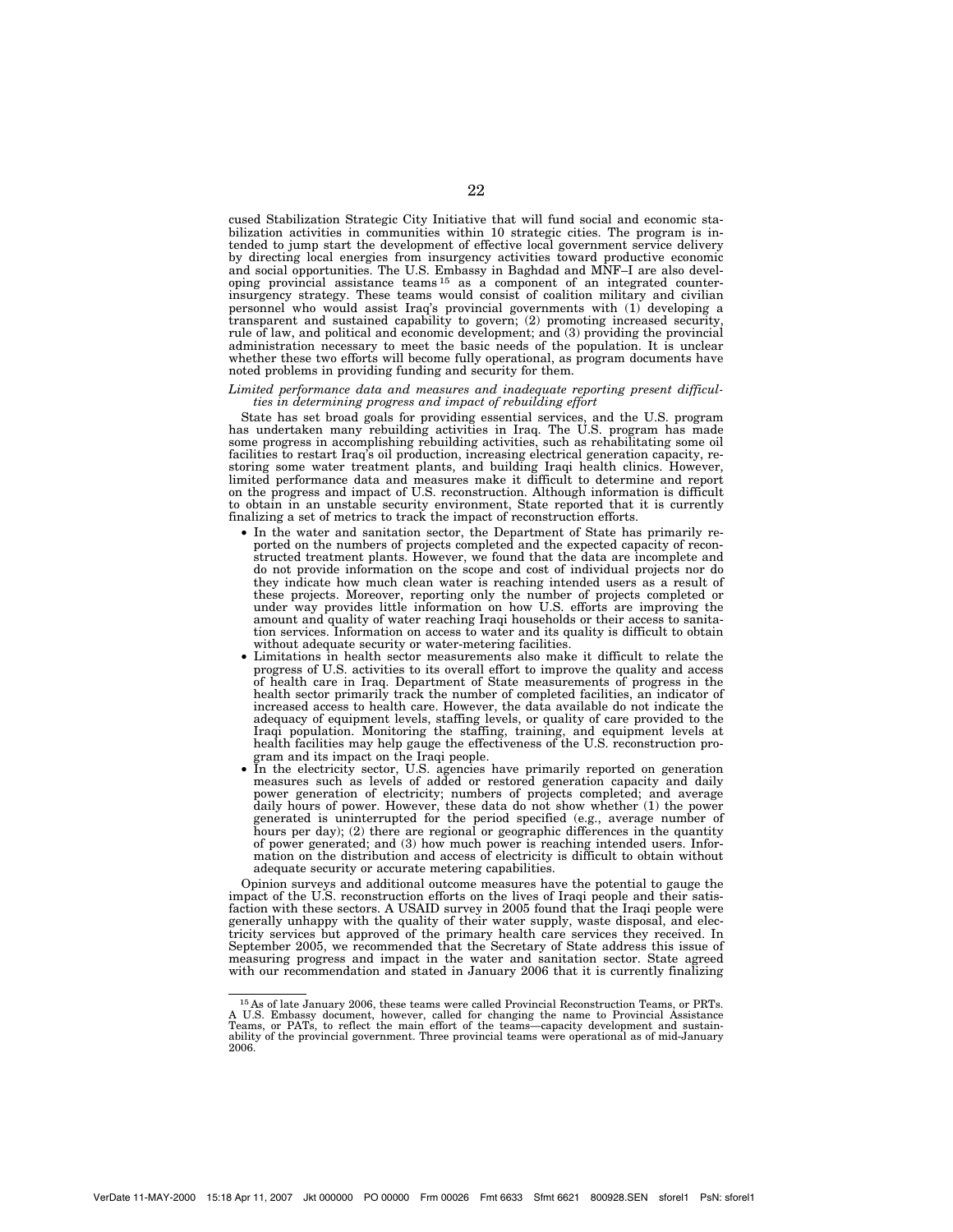cused Stabilization Strategic City Initiative that will fund social and economic stabilization activities in communities within 10 strategic cities. The program is intended to jump start the development of effective local government service delivery by directing local energies from insurgency activities toward productive economic and social opportunities. The U.S. Embassy in Baghdad and MNF–I are also developing provincial assistance teams 15 as a component of an integrated counterinsurgency strategy. These teams would consist of coalition military and civilian personnel who would assist Iraq's provincial governments with (1) developing a transparent and sustained capability to govern; (2) promoting increased security, rule of law, and political and economic development; and (3) providing the provincial administration necessary to meet the basic needs of the population. It is unclear whether these two efforts will become fully operational, as program documents have noted problems in providing funding and security for them.

#### *Limited performance data and measures and inadequate reporting present difficulties in determining progress and impact of rebuilding effort*

State has set broad goals for providing essential services, and the U.S. program has undertaken many rebuilding activities in Iraq. The U.S. program has made some progress in accomplishing rebuilding activities, such as rehabilitating some oil facilities to restart Iraq's oil production, increasing electrical generation capacity, restoring some water treatment plants, and building Iraqi health clinics. However, limited performance data and measures make it difficult to determine and report on the progress and impact of U.S. reconstruction. Although information is difficult to obtain in an unstable security environment, State reported that it is currently finalizing a set of metrics to track the impact of reconstruction efforts.

- In the water and sanitation sector, the Department of State has primarily reported on the numbers of projects completed and the expected capacity of reconstructed treatment plants. However, we found that the data are incomplete and do not provide information on the scope and cost of individual projects nor do they indicate how much clean water is reaching intended users as a result of these projects. Moreover, reporting only the number of projects completed or under way provides little information on how U.S. efforts are improving the amount and quality of water reaching Iraqi households or their access to sanitation services. Information on access to water and its quality is difficult to obtain without adequate security or water-metering facilities.
- Limitations in health sector measurements also make it difficult to relate the progress of U.S. activities to its overall effort to improve the quality and access of health care in Iraq. Department of State measurements of progress in the health sector primarily track the number of completed facilities, an indicator of increased access to health care. However, the data available do not indicate the adequacy of equipment levels, staffing levels, or quality of care provided to the Iraqi population. Monitoring the staffing, training, and equipment levels at health facilities may help gauge the effectiveness of the U.S. reconstruction program and its impact on the Iraqi people.
- In the electricity sector, U.S. agencies have primarily reported on generation measures such as levels of added or restored generation capacity and daily power generation of electricity; numbers of projects completed; and average daily hours of power. However, these data do not show whether (1) the power generated is uninterrupted for the period specified (e.g., average number of hours per day); (2) there are regional or geographic differences in the quantity of power generated; and (3) how much power is reaching intended users. Information on the distribution and access of electricity is difficult to obtain without adequate security or accurate metering capabilities.

Opinion surveys and additional outcome measures have the potential to gauge the impact of the U.S. reconstruction efforts on the lives of Iraqi people and their satisfaction with these sectors. A USAID survey in 2005 found that the Iraqi people were generally unhappy with the quality of their water supply, waste disposal, and electricity services but approved of the primary health care services they received. In September 2005, we recommended that the Secretary of State address this issue of measuring progress and impact in the water and sanitation sector. State agreed with our recommendation and stated in January 2006 that it is currently finalizing

 $^{15}$ As of late January 2006, these teams were called Provincial Reconstruction Teams, or PRTs.<br>A U.S. Embassy document, however, called for changing the name to Provincial Assistance<br>Teams, or PATs, to reflect the main ability of the provincial government. Three provincial teams were operational as of mid-January 2006.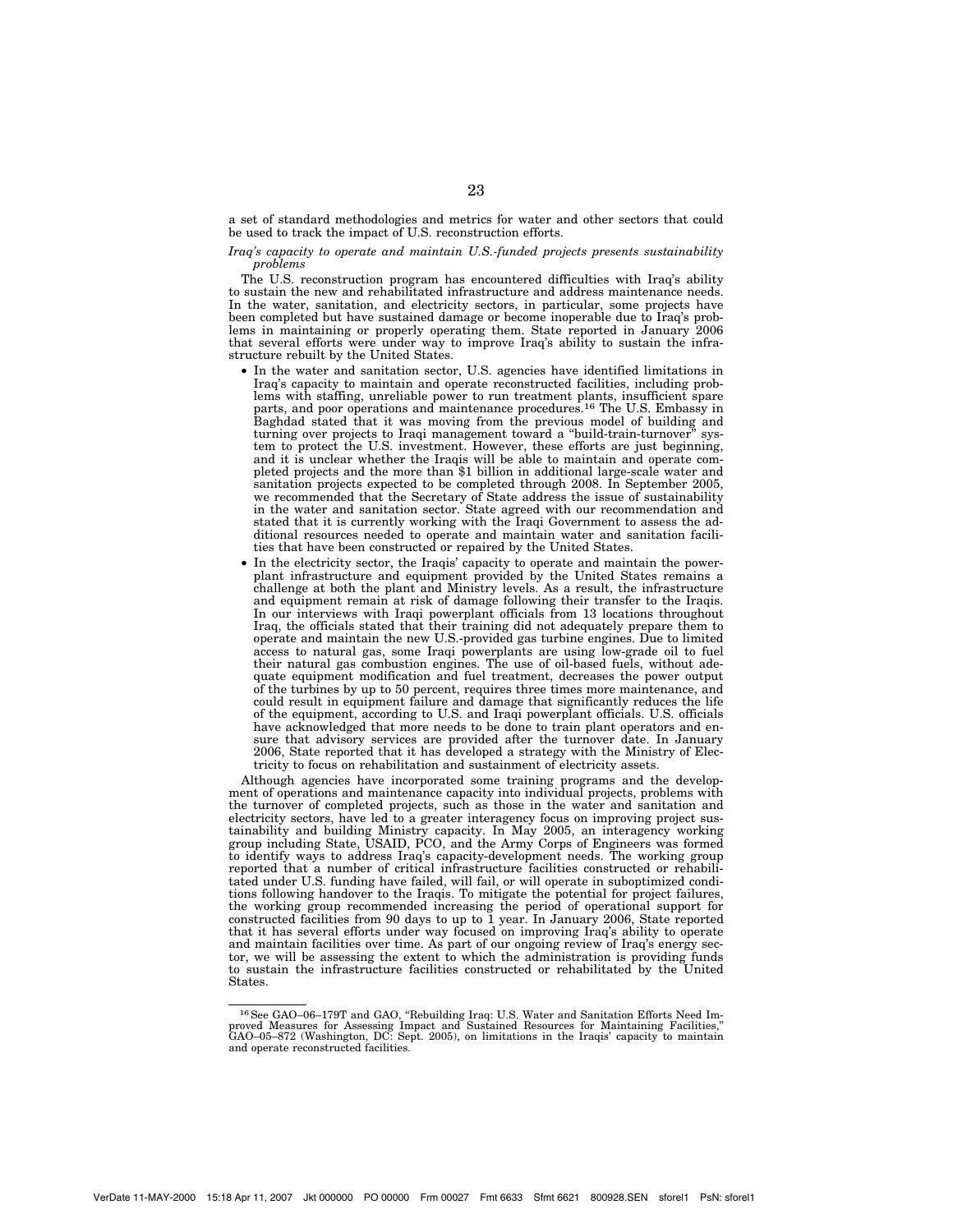a set of standard methodologies and metrics for water and other sectors that could be used to track the impact of U.S. reconstruction efforts.

#### *Iraq's capacity to operate and maintain U.S.-funded projects presents sustainability problems*

The U.S. reconstruction program has encountered difficulties with Iraq's ability to sustain the new and rehabilitated infrastructure and address maintenance needs. In the water, sanitation, and electricity sectors, in particular, some projects have been completed but have sustained damage or become inoperable due to Iraq's problems in maintaining or properly operating them. State reported in January 2006 that several efforts were under way to improve Iraq's ability to sustain the infrastructure rebuilt by the United States.

- In the water and sanitation sector, U.S. agencies have identified limitations in Iraq's capacity to maintain and operate reconstructed facilities, including problems with staffing, unreliable power to run treatment plants, insufficient spare parts, and poor operations and maintenance procedures.16 The U.S. Embassy in Baghdad stated that it was moving from the previous model of building and turning over projects to Iraqi management toward a ''build-train-turnover'' system to protect the U.S. investment. However, these efforts are just beginning, and it is unclear whether the Iraqis will be able to maintain and operate completed projects and the more than \$1 billion in additional large-scale water and sanitation projects expected to be completed through 2008. In September 2005, we recommended that the Secretary of State address the issue of sustainability in the water and sanitation sector. State agreed with our recommendation and stated that it is currently working with the Iraqi Government to assess the additional resources needed to operate and maintain water and sanitation facilities that have been constructed or repaired by the United States.
- In the electricity sector, the Iraqis' capacity to operate and maintain the powerplant infrastructure and equipment provided by the United States remains a challenge at both the plant and Ministry levels. As a result, the infrastructure and equipment remain at risk of damage following their transfer to the Iraqis. In our interviews with Iraqi powerplant officials from 13 locations throughout Iraq, the officials stated that their training did not adequately prepare them to operate and maintain the new U.S.-provided gas turbine engines. Due to limited access to natural gas, some Iraqi powerplants are using low-grade oil to fuel their natural gas combustion engines. The use of oil-based fuels, without adequate equipment modification and fuel treatment, decreases the power output of the turbines by up to 50 percent, requires three times more maintenance, and could result in equipment failure and damage that significantly reduces the life of the equipment, according to U.S. and Iraqi powerplant officials. U.S. officials have acknowledged that more needs to be done to train plant operators and ensure that advisory services are provided after the turnover date. In January 2006, State reported that it has developed a strategy with the Ministry of Electricity to focus on rehabilitation and sustainment of electricity assets.

Although agencies have incorporated some training programs and the development of operations and maintenance capacity into individual projects, problems with the turnover of completed projects, such as those in the water and sanitation and electricity sectors, have led to a greater interagency focus on improving project sustainability and building Ministry capacity. In May 2005, an interagency working group including State, USAID, PCO, and the Army Corps of Engineers was formed to identify ways to address Iraq's capacity-development needs. The working group reported that a number of critical infrastructure facilities constructed or rehabilitated under U.S. funding have failed, will fail, or will operate in suboptimized conditions following handover to the Iraqis. To mitigate the potential for project failures, the working group recommended increasing the period of operational support for constructed facilities from 90 days to up to 1 year. In January 2006, State reported that it has several efforts under way focused on improving Iraq's ability to operate and maintain facilities over time. As part of our ongoing review of Iraq's energy sector, we will be assessing the extent to which the administration is providing funds to sustain the infrastructure facilities constructed or rehabilitated by the United States.

<sup>16</sup>See GAO–06–179T and GAO, ''Rebuilding Iraq: U.S. Water and Sanitation Efforts Need Improved Measures for Assessing Impact and Sustained Resources for Maintaining Facilities,'' GAO–05–872 (Washington, DC: Sept. 2005), on limitations in the Iraqis' capacity to maintain and operate reconstructed facilities.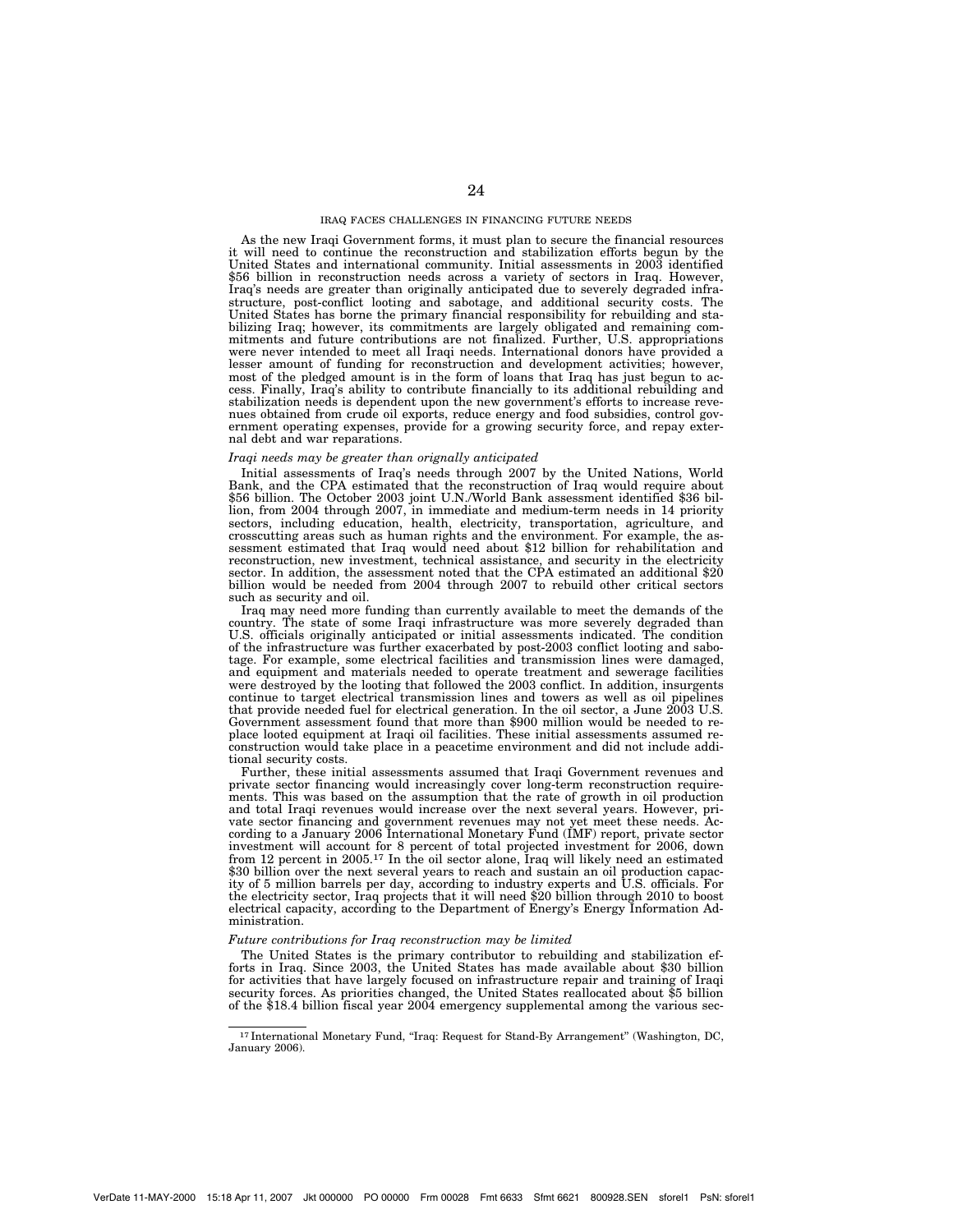#### IRAQ FACES CHALLENGES IN FINANCING FUTURE NEEDS

As the new Iraqi Government forms, it must plan to secure the financial resources it will need to continue the reconstruction and stabilization efforts begun by the United States and international community. Initial assessments in 2003 identified \$56 billion in reconstruction needs across a variety of sectors in Iraq. However, Iraq's needs are greater than originally anticipated due to severely degraded infrastructure, post-conflict looting and sabotage, and additional security costs. The United States has borne the primary financial responsibility for rebuilding and stabilizing Iraq; however, its commitments are largely obligated and remaining commitments and future contributions are not finalized. Further, U.S. appropriations were never intended to meet all Iraqi needs. International donors have provided a lesser amount of funding for reconstruction and development activities; however, most of the pledged amount is in the form of loans that Iraq has just begun to access. Finally, Iraq's ability to contribute financially to its additional rebuilding and stabilization needs is dependent upon the new government's efforts to increase revenues obtained from crude oil exports, reduce energy and food subsidies, control government operating expenses, provide for a growing security force, and repay external debt and war reparations.

#### *Iraqi needs may be greater than orignally anticipated*

Initial assessments of Iraq's needs through 2007 by the United Nations, World Bank, and the CPA estimated that the reconstruction of Iraq would require about \$56 billion. The October 2003 joint U.N./World Bank assessment identified \$36 billion, from 2004 through 2007, in immediate and medium-term needs in 14 priority sectors, including education, health, electricity, transportation, agriculture, and crosscutting areas such as human rights and the environment. For example, the assessment estimated that Iraq would need about \$12 billion for rehabilitation and reconstruction, new investment, technical assistance, and security in the electricity sector. In addition, the assessment noted that the CPA estimated an additional \$20 billion would be needed from 2004 through 2007 to rebuild other critical sectors such as security and oil.

Iraq may need more funding than currently available to meet the demands of the country. The state of some Iraqi infrastructure was more severely degraded than U.S. officials originally anticipated or initial assessments indicated. The condition of the infrastructure was further exacerbated by post-2003 conflict looting and sabotage. For example, some electrical facilities and transmission lines were damaged, and equipment and materials needed to operate treatment and sewerage facilities were destroyed by the looting that followed the 2003 conflict. In addition, insurgents continue to target electrical transmission lines and towers as well as oil pipelines that provide needed fuel for electrical generation. In the oil sector, a June 2003 U.S. Government assessment found that more than \$900 million would be needed to replace looted equipment at Iraqi oil facilities. These initial assessments assumed reconstruction would take place in a peacetime environment and did not include additional security costs.

Further, these initial assessments assumed that Iraqi Government revenues and private sector financing would increasingly cover long-term reconstruction requirements. This was based on the assumption that the rate of growth in oil production and total Iraqi revenues would increase over the next several years. However, private sector financing and government revenues may not yet meet these needs. According to a January 2006 International Monetary Fund (IMF) report, private sector investment will account for 8 percent of total projected investment for 2006, down from 12 percent in 2005.17 In the oil sector alone, Iraq will likely need an estimated \$30 billion over the next several years to reach and sustain an oil production capacity of 5 million barrels per day, according to industry experts and U.S. officials. For the electricity sector, Iraq projects that it will need \$20 billion through 2010 to boost electrical capacity, according to the Department of Energy's Energy Information Administration.

#### *Future contributions for Iraq reconstruction may be limited*

The United States is the primary contributor to rebuilding and stabilization efforts in Iraq. Since 2003, the United States has made available about \$30 billion for activities that have largely focused on infrastructure repair and training of Iraqi security forces. As priorities changed, the United States reallocated about \$5 billion of the \$18.4 billion fiscal year 2004 emergency supplemental among the various sec-

 $^{17}\!$  International Monetary Fund, "Iraq: Request for Stand-By Arrangement" (Washington, DC, January 2006).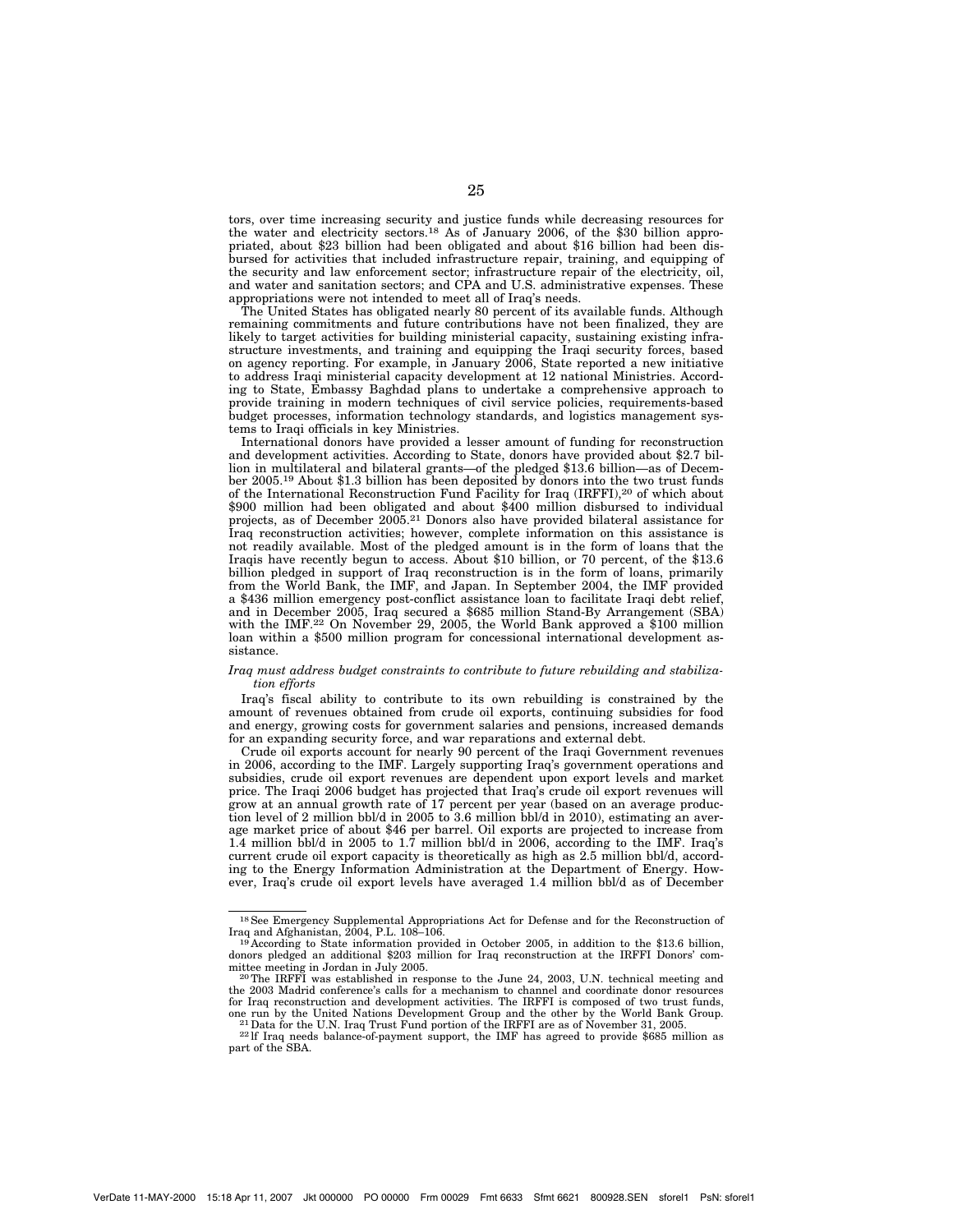tors, over time increasing security and justice funds while decreasing resources for the water and electricity sectors.18 As of January 2006, of the \$30 billion appropriated, about \$23 billion had been obligated and about \$16 billion had been disbursed for activities that included infrastructure repair, training, and equipping of the security and law enforcement sector; infrastructure repair of the electricity, oil, and water and sanitation sectors; and CPA and U.S. administrative expenses. These appropriations were not intended to meet all of Iraq's needs.

The United States has obligated nearly 80 percent of its available funds. Although remaining commitments and future contributions have not been finalized, they are likely to target activities for building ministerial capacity, sustaining existing infrastructure investments, and training and equipping the Iraqi security forces, based on agency reporting. For example, in January 2006, State reported a new initiative to address Iraqi ministerial capacity development at 12 national Ministries. According to State, Embassy Baghdad plans to undertake a comprehensive approach to provide training in modern techniques of civil service policies, requirements-based budget processes, information technology standards, and logistics management systems to Iraqi officials in key Ministries.

International donors have provided a lesser amount of funding for reconstruction and development activities. According to State, donors have provided about \$2.7 billion in multilateral and bilateral grants—of the pledged \$13.6 billion—as of Decem-ber 2005.19 About \$1.3 billion has been deposited by donors into the two trust funds of the International Reconstruction Fund Facility for Iraq (IRFFI),20 of which about \$900 million had been obligated and about \$400 million disbursed to individual projects, as of December 2005.21 Donors also have provided bilateral assistance for Iraq reconstruction activities; however, complete information on this assistance is not readily available. Most of the pledged amount is in the form of loans that the Iraqis have recently begun to access. About \$10 billion, or 70 percent, of the \$13.6 billion pledged in support of Iraq reconstruction is in the form of loans, primarily from the World Bank, the IMF, and Japan. In September 2004, the IMF provided a \$436 million emergency post-conflict assistance loan to facilitate Iraqi debt relief, and in December 2005, Iraq secured a \$685 million Stand-By Arrangement (SBA) with the IMF.<sup>22</sup> On November 29, 2005, the World Bank approved a \$100 million loan within a \$500 million program for concessional international development assistance.

#### *Iraq must address budget constraints to contribute to future rebuilding and stabilization efforts*

Iraq's fiscal ability to contribute to its own rebuilding is constrained by the amount of revenues obtained from crude oil exports, continuing subsidies for food and energy, growing costs for government salaries and pensions, increased demands for an expanding security force, and war reparations and external debt.

Crude oil exports account for nearly 90 percent of the Iraqi Government revenues in 2006, according to the IMF. Largely supporting Iraq's government operations and subsidies, crude oil export revenues are dependent upon export levels and market price. The Iraqi 2006 budget has projected that Iraq's crude oil export revenues will grow at an annual growth rate of 17 percent per year (based on an average production level of 2 million bbl/d in 2005 to 3.6 million bbl/d in 2010), estimating an average market price of about \$46 per barrel. Oil exports are projected to increase from 1.4 million bbl/d in 2005 to 1.7 million bbl/d in 2006, according to the IMF. Iraq's current crude oil export capacity is theoretically as high as 2.5 million bbl/d, according to the Energy Information Administration at the Department of Energy. However, Iraq's crude oil export levels have averaged 1.4 million bbl/d as of December

 $^{18}$  See Emergency Supplemental Appropriations Act for Defense and for the Reconstruction of Iraq and Afghanistan, 2004, P.L. 108–106.

According to State information provided in October 2005, in addition to the \$13.6 billion, donors pledged an additional \$203 million for Iraq reconstruction at the IRFFI Donors' com-<br>mittee meeting in Jordan in July 2005.

<sup>&</sup>lt;sup>20</sup>The IRFFI was established in response to the June 24, 2003, U.N. technical meeting and the 2003 Madrid conference's calls for a mechanism to channel and coordinate donor resources for Iraq reconstruction and development activities. The IRFFI is composed of two trust funds, one run by the United Nations Development Group and the other by the World Bank Group.<br><sup>21</sup> Data for the U.N. Iraq Trust Fund portion of the IRFFI are as of November 31, 2005.

Detail of the SBA.<br>
Part of the SBA balance-of-payment support, the IMF has agreed to provide \$685 million as<br>
part of the SBA.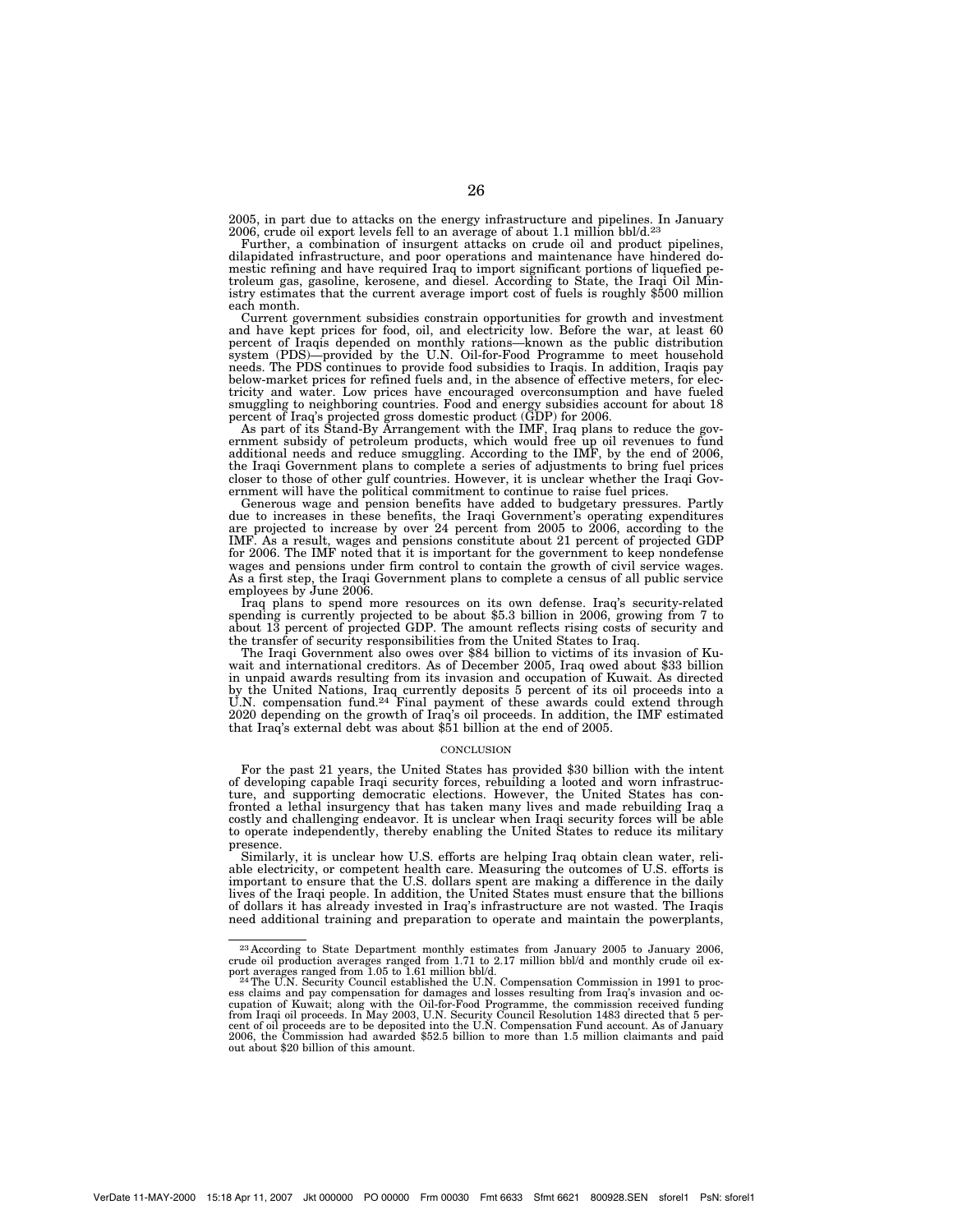2005, in part due to attacks on the energy infrastructure and pipelines. In January 2006, crude oil export levels fell to an average of about 1.1 million bbl/d.23

Further, a combination of insurgent attacks on crude oil and product pipelines, dilapidated infrastructure, and poor operations and maintenance have hindered domestic refining and have required Iraq to import significant portions of liquefied petroleum gas, gasoline, kerosene, and diesel. According to State, the Iraqi Oil Min-istry estimates that the current average import cost of fuels is roughly \$500 million each month.

Current government subsidies constrain opportunities for growth and investment and have kept prices for food, oil, and electricity low. Before the war, at least 60<br>percent of Iraqis depended on monthly rations—known as the public distribution<br>system (PDS)—provided by the U.N. Oil-for-Food Programme t below-market prices for refined fuels and, in the absence of effective meters, for elec-tricity and water. Low prices have encouraged overconsumption and have fueled smuggling to neighboring countries. Food and energy subsidies account for about 18 percent of Iraq's projected gross domestic product (GDP) for 2006.

As part of its Stand-By Arrangement with the IMF, Iraq plans to reduce the government subsidy of petroleum products, which would free up oil revenues to fund additional needs and reduce smuggling. According to the IMF, by the end of 2006, the Iraqi Government plans to complete a series of adjustments to bring fuel prices closer to those of other gulf countries. However, it is unclear whether the Iraqi Government will have the political commitment to continue to raise fuel prices.

Generous wage and pension benefits have added to budgetary pressures. Partly due to increases in these benefits, the Iraqi Government's operating expenditures are projected to increase by over 24 percent from 2005 to 2006, according to the IMF. As a result, wages and pensions constitute about 21 percent of projected GDP for 2006. The IMF noted that it is important for the government to keep nondefense wages and pensions under firm control to contain the growth of civil service wages. As a first step, the Iraqi Government plans to complete a census of all public service employees by June 2006.

Iraq plans to spend more resources on its own defense. Iraq's security-related spending is currently projected to be about \$5.3 billion in 2006, growing from 7 to about 13 percent of projected GDP. The amount reflects rising costs of security and the transfer of security responsibilities from the United States to Iraq.

The Iraqi Government also owes over \$84 billion to victims of its invasion of Kuwait and international creditors. As of December 2005, Iraq owed about \$33 billion in unpaid awards resulting from its invasion and occupation of Kuwait. As directed by the United Nations, Iraq currently deposits 5 percent of its oil proceeds into a<br>U.N. compensation fund.<sup>24</sup> Final payment of these awards could extend through 2020 depending on the growth of Iraq's oil proceeds. In addition, the IMF estimated that Iraq's external debt was about \$51 billion at the end of 2005.

#### **CONCLUSION**

For the past 21 years, the United States has provided \$30 billion with the intent of developing capable Iraqi security forces, rebuilding a looted and worn infrastructure, and supporting democratic elections. However, the United States has confronted a lethal insurgency that has taken many lives and made rebuilding Iraq a costly and challenging endeavor. It is unclear when Iraqi security forces will be able to operate independently, thereby enabling the United States to reduce its military presence.

Similarly, it is unclear how U.S. efforts are helping Iraq obtain clean water, reliable electricity, or competent health care. Measuring the outcomes of U.S. efforts is important to ensure that the U.S. dollars spent are making a difference in the daily lives of the Iraqi people. In addition, the United States must ensure that the billions of dollars it has already invested in Iraq's infrastructure are not wasted. The Iraqis need additional training and preparation to operate and maintain the powerplants,

<sup>23</sup> According to State Department monthly estimates from January 2005 to January 2006, crude oil production averages ranged from 1.71 to 2.17 million bbl/d and monthly crude oil ex-<br>port averages ranged from 1.05 to 1.61 million bbl/d.<br>- <sup>24</sup>The U.N. Security Council established the U.N. Compensation Commiss

ess claims and pay compensation for damages and losses resulting from Iraq's invasion and occupation of Kuwait; along with the Oil-for-Food Programme, the commission received funding from Iraqi oil proceeds. In May 2003, U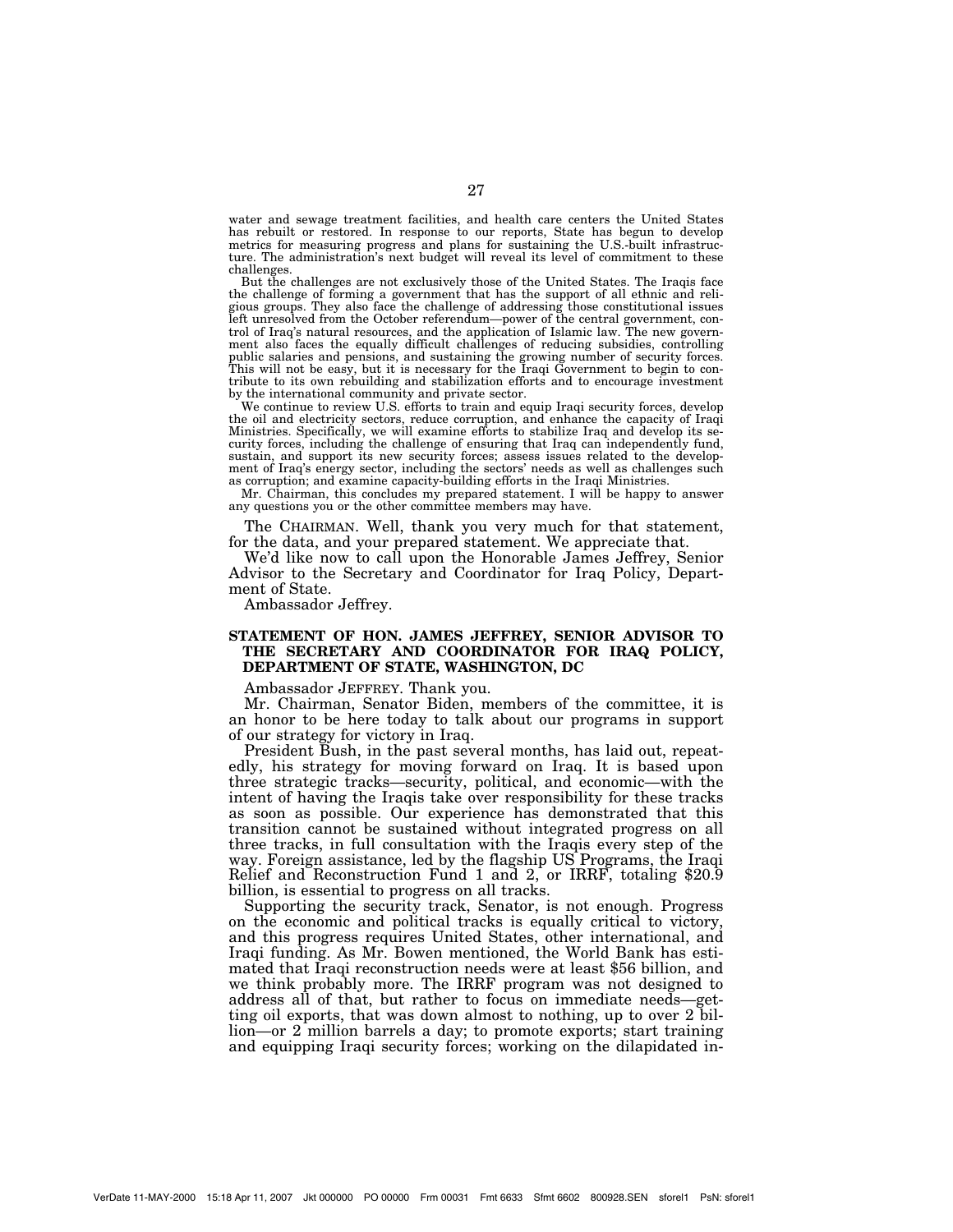water and sewage treatment facilities, and health care centers the United States has rebuilt or restored. In response to our reports, State has begun to develop metrics for measuring progress and plans for sustaining the U.S.-built infrastructure. The administration's next budget will reveal its level of commitment to these challenges.

But the challenges are not exclusively those of the United States. The Iraqis face the challenge of forming a government that has the support of all ethnic and religious groups. They also face the challenge of addressing those constitutional issues left unresolved from the October referendum—power of the central government, control of Iraq's natural resources, and the application of Islamic law. The new government also faces the equally difficult challenges of reducing subsidies, controlling public salaries and pensions, and sustaining the growing number of security forces. This will not be easy, but it is necessary for the Iraqi Government to begin to contribute to its own rebuilding and stabilization efforts and to encourage investment by the international community and private sector.

We continue to review U.S. efforts to train and equip Iraqi security forces, develop the oil and electricity sectors, reduce corruption, and enhance the capacity of Iraqi Ministries. Specifically, we will examine efforts to stabilize Iraq and develop its security forces, including the challenge of ensuring that Iraq can independently fund, sustain, and support its new security forces; assess issues related to the development of Iraq's energy sector, including the sectors' needs as well as challenges such as corruption; and examine capacity-building efforts in the Iraqi Ministries.

Mr. Chairman, this concludes my prepared statement. I will be happy to answer any questions you or the other committee members may have.

The CHAIRMAN. Well, thank you very much for that statement, for the data, and your prepared statement. We appreciate that.

We'd like now to call upon the Honorable James Jeffrey, Senior Advisor to the Secretary and Coordinator for Iraq Policy, Department of State.

Ambassador Jeffrey.

## **STATEMENT OF HON. JAMES JEFFREY, SENIOR ADVISOR TO THE SECRETARY AND COORDINATOR FOR IRAQ POLICY, DEPARTMENT OF STATE, WASHINGTON, DC**

Ambassador JEFFREY. Thank you.

Mr. Chairman, Senator Biden, members of the committee, it is an honor to be here today to talk about our programs in support of our strategy for victory in Iraq.

President Bush, in the past several months, has laid out, repeatedly, his strategy for moving forward on Iraq. It is based upon three strategic tracks—security, political, and economic—with the intent of having the Iraqis take over responsibility for these tracks as soon as possible. Our experience has demonstrated that this transition cannot be sustained without integrated progress on all three tracks, in full consultation with the Iraqis every step of the way. Foreign assistance, led by the flagship US Programs, the Iraqi Relief and Reconstruction Fund 1 and 2, or IRRF, totaling \$20.9 billion, is essential to progress on all tracks.

Supporting the security track, Senator, is not enough. Progress on the economic and political tracks is equally critical to victory, and this progress requires United States, other international, and Iraqi funding. As Mr. Bowen mentioned, the World Bank has estimated that Iraqi reconstruction needs were at least \$56 billion, and we think probably more. The IRRF program was not designed to address all of that, but rather to focus on immediate needs—getting oil exports, that was down almost to nothing, up to over 2 billion—or 2 million barrels a day; to promote exports; start training and equipping Iraqi security forces; working on the dilapidated in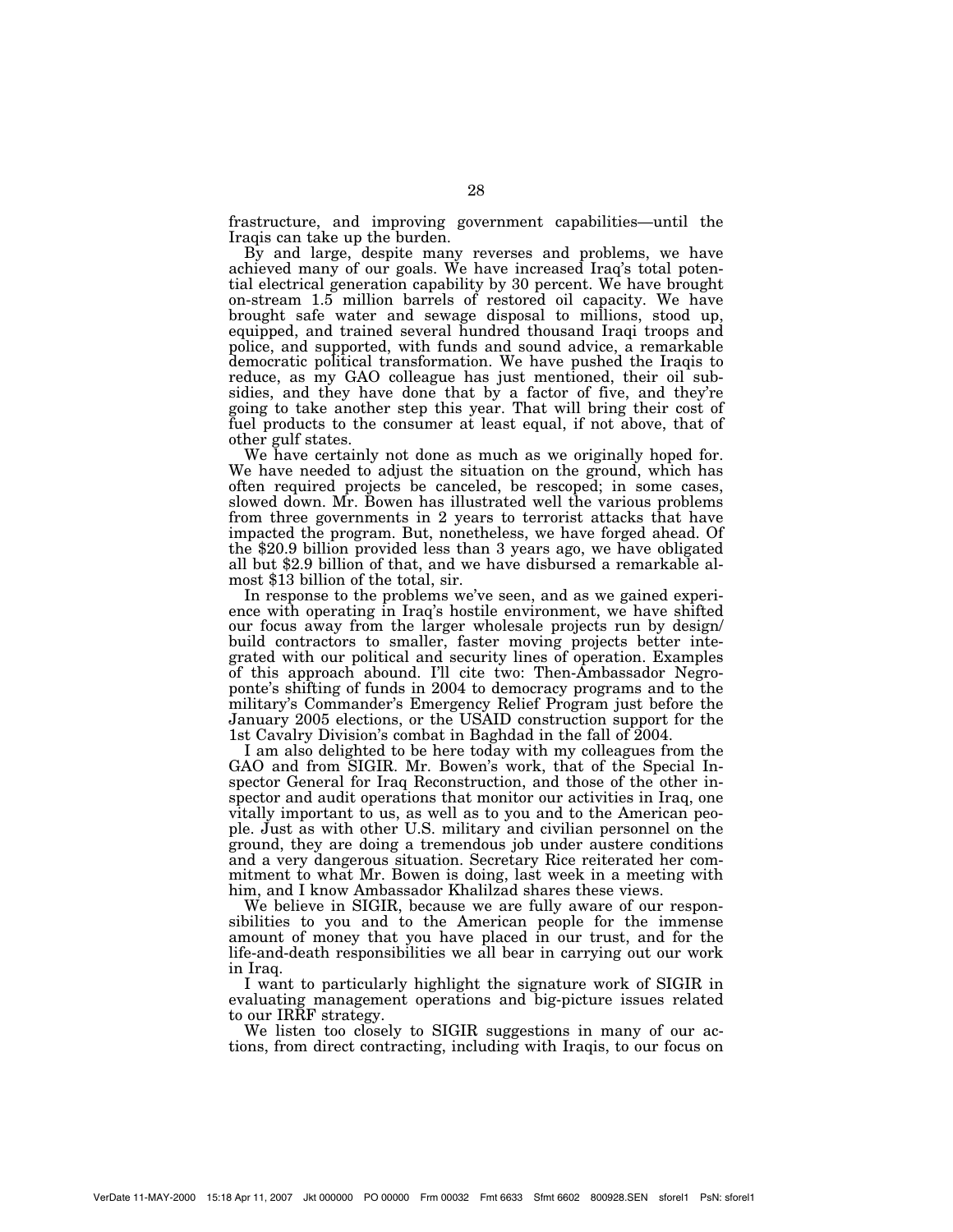frastructure, and improving government capabilities—until the Iraqis can take up the burden.

By and large, despite many reverses and problems, we have achieved many of our goals. We have increased Iraq's total potential electrical generation capability by 30 percent. We have brought on-stream 1.5 million barrels of restored oil capacity. We have brought safe water and sewage disposal to millions, stood up, equipped, and trained several hundred thousand Iraqi troops and police, and supported, with funds and sound advice, a remarkable democratic political transformation. We have pushed the Iraqis to reduce, as my GAO colleague has just mentioned, their oil subsidies, and they have done that by a factor of five, and they're going to take another step this year. That will bring their cost of fuel products to the consumer at least equal, if not above, that of other gulf states.

We have certainly not done as much as we originally hoped for. We have needed to adjust the situation on the ground, which has often required projects be canceled, be rescoped; in some cases, slowed down. Mr. Bowen has illustrated well the various problems from three governments in 2 years to terrorist attacks that have impacted the program. But, nonetheless, we have forged ahead. Of the \$20.9 billion provided less than 3 years ago, we have obligated all but \$2.9 billion of that, and we have disbursed a remarkable almost \$13 billion of the total, sir.

In response to the problems we've seen, and as we gained experience with operating in Iraq's hostile environment, we have shifted our focus away from the larger wholesale projects run by design/ build contractors to smaller, faster moving projects better integrated with our political and security lines of operation. Examples of this approach abound. I'll cite two: Then-Ambassador Negroponte's shifting of funds in 2004 to democracy programs and to the military's Commander's Emergency Relief Program just before the January 2005 elections, or the USAID construction support for the 1st Cavalry Division's combat in Baghdad in the fall of 2004.

I am also delighted to be here today with my colleagues from the GAO and from SIGIR. Mr. Bowen's work, that of the Special Inspector General for Iraq Reconstruction, and those of the other inspector and audit operations that monitor our activities in Iraq, one vitally important to us, as well as to you and to the American people. Just as with other U.S. military and civilian personnel on the ground, they are doing a tremendous job under austere conditions and a very dangerous situation. Secretary Rice reiterated her commitment to what Mr. Bowen is doing, last week in a meeting with him, and I know Ambassador Khalilzad shares these views.

We believe in SIGIR, because we are fully aware of our responsibilities to you and to the American people for the immense amount of money that you have placed in our trust, and for the life-and-death responsibilities we all bear in carrying out our work in Iraq.

I want to particularly highlight the signature work of SIGIR in evaluating management operations and big-picture issues related to our IRRF strategy.

We listen too closely to SIGIR suggestions in many of our actions, from direct contracting, including with Iraqis, to our focus on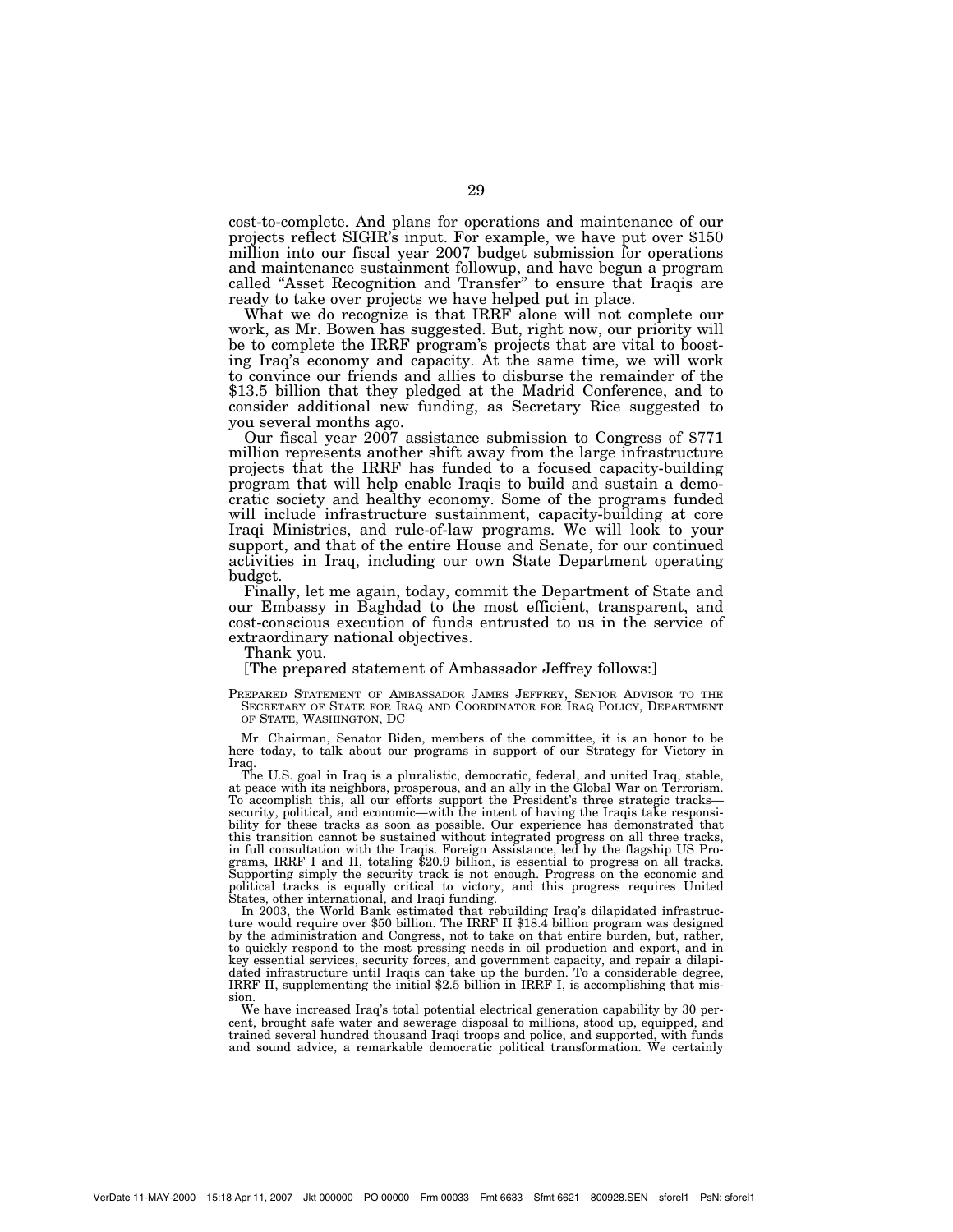cost-to-complete. And plans for operations and maintenance of our projects reflect SIGIR's input. For example, we have put over \$150 million into our fiscal year 2007 budget submission for operations and maintenance sustainment followup, and have begun a program called ''Asset Recognition and Transfer'' to ensure that Iraqis are ready to take over projects we have helped put in place.

What we do recognize is that IRRF alone will not complete our work, as Mr. Bowen has suggested. But, right now, our priority will be to complete the IRRF program's projects that are vital to boosting Iraq's economy and capacity. At the same time, we will work to convince our friends and allies to disburse the remainder of the \$13.5 billion that they pledged at the Madrid Conference, and to consider additional new funding, as Secretary Rice suggested to

Our fiscal year 2007 assistance submission to Congress of  $$771$ million represents another shift away from the large infrastructure projects that the IRRF has funded to a focused capacity-building program that will help enable Iraqis to build and sustain a democratic society and healthy economy. Some of the programs funded will include infrastructure sustainment, capacity-building at core Iraqi Ministries, and rule-of-law programs. We will look to your support, and that of the entire House and Senate, for our continued activities in Iraq, including our own State Department operating budget.

Finally, let me again, today, commit the Department of State and our Embassy in Baghdad to the most efficient, transparent, and cost-conscious execution of funds entrusted to us in the service of extraordinary national objectives.

Thank you.

[The prepared statement of Ambassador Jeffrey follows:]

PREPARED STATEMENT OF AMBASSADOR JAMES JEFFREY, SENIOR ADVISOR TO THE SECRETARY OF STATE FOR IRAQ AND COORDINATOR FOR IRAQ POLICY, DEPARTMENT OF STATE, WASHINGTON, DC

Mr. Chairman, Senator Biden, members of the committee, it is an honor to be here today, to talk about our programs in support of our Strategy for Victory in Iraq.

The U.S. goal in Iraq is a pluralistic, democratic, federal, and united Iraq, stable, at peace with its neighbors, prosperous, and an ally in the Global War on Terrorism. To accomplish this, all our efforts support the President's three strategic tracks security, political, and economic—with the intent of having the Iraqis take responsibility for these tracks as soon as possible. Our experience has demonstrated that this transition cannot be sustained without integrated progress on all three tracks, in full consultation with the Iraqis. Foreign Assistance, led by the flagship US Pro-<br>grams, IRRF I and II, totaling \$20.9 billion, is essential to progress on all tracks.<br>Supporting simply the security track is not enough political tracks is equally critical to victory, and this progress requires United States, other international, and Iraqi funding.<br>In 2003, the World Bank estimated that rebuilding Iraq's dilapidated infrastruc-

ture would require over \$50 billion. The IRRF II \$18.4 billion program was designed by the administration and Congress, not to take on that entire burden, but, rather, to quickly respond to the most pressing needs in oil production and export, and in key essential services, security forces, and government capacity, and repair a dilapidated infrastructure until Iraqis can take up the burden. To a considerable degree, IRRF II, supplementing the initial \$2.5 billion in IRRF I, is accomplishing that mission.

We have increased Iraq's total potential electrical generation capability by 30 percent, brought safe water and sewerage disposal to millions, stood up, equipped, and trained several hundred thousand Iraqi troops and police, and supported, with funds and sound advice, a remarkable democratic political transformation. We certainly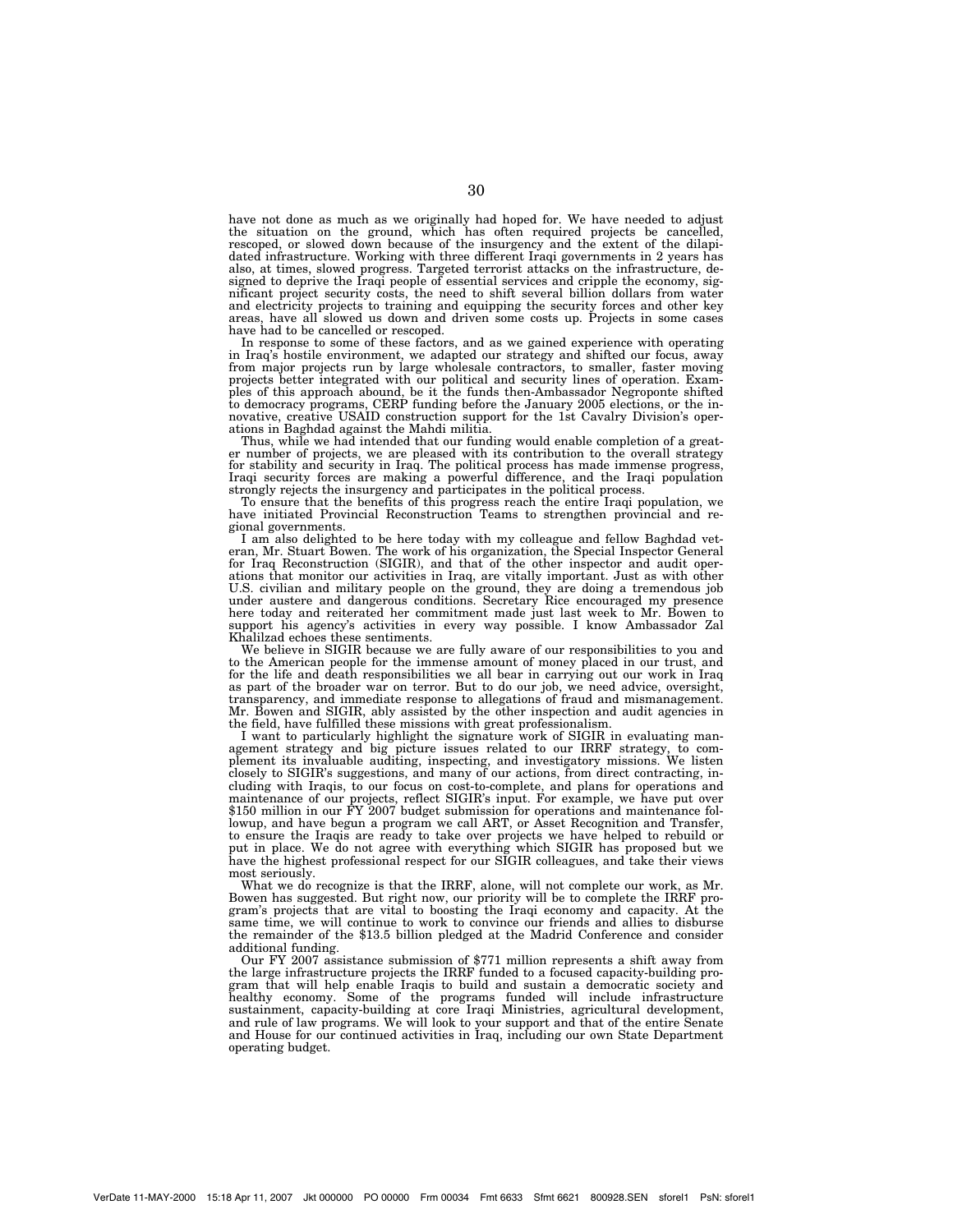have not done as much as we originally had hoped for. We have needed to adjust the situation on the ground, which has often required projects be cancelled, rescoped, or slowed down because of the insurgency and the extent of the dilapidated infrastructure. Working with three different Iraqi governments in 2 years has also, at times, slowed progress. Targeted terrorist attacks on the infrastructure, designed to deprive the Iraqi people of essential services and cripple the economy, sig-nificant project security costs, the need to shift several billion dollars from water and electricity projects to training and equipping the security forces and other key areas, have all slowed us down and driven some costs up. Projects in some cases have had to be cancelled or rescoped.

In response to some of these factors, and as we gained experience with operating in Iraq's hostile environment, we adapted our strategy and shifted our focus, away from major projects run by large wholesale contractors, to smaller, faster moving projects better integrated with our political and security lines of operation. Exam-ples of this approach abound, be it the funds then-Ambassador Negroponte shifted to democracy programs, CERP funding before the January 2005 elections, or the innovative, creative USAID construction support for the 1st Cavalry Division's operations in Baghdad against the Mahdi militia.

Thus, while we had intended that our funding would enable completion of a greater number of projects, we are pleased with its contribution to the overall strategy for stability and security in Iraq. The political process has made immense progress, Iraqi security forces are making a powerful difference, and the Iraqi population strongly rejects the insurgency and participates in the political process.

To ensure that the benefits of this progress reach the entire Iraqi population, we have initiated Provincial Reconstruction Teams to strengthen provincial and regional governments.

I am also delighted to be here today with my colleague and fellow Baghdad veteran, Mr. Stuart Bowen. The work of his organization, the Special Inspector General for Iraq Reconstruction (SIGIR), and that of the other inspector and audit operations that monitor our activities in Iraq, are vitally important. Just as with other U.S. civilian and military people on the ground, they are doing a tremendous job under austere and dangerous conditions. Secretary Rice encouraged my presence here today and reiterated her commitment made just last week to Mr. Bowen to support his agency's activities in every way possible. I know Ambassador Zal Khalilzad echoes these sentiments.

We believe in SIGIR because we are fully aware of our responsibilities to you and to the American people for the immense amount of money placed in our trust, and for the life and death responsibilities we all bear in carrying out our work in Iraq as part of the broader war on terror. But to do our job, we need advice, oversight, transparency, and immediate response to allegations of fraud and mismanagement. Mr. Bowen and SIGIR, ably assisted by the other inspection and audit agencies in the field, have fulfilled these missions with great professionalism.

I want to particularly highlight the signature work of SIGIR in evaluating management strategy and big picture issues related to our IRRF strategy, to complement its invaluable auditing, inspecting, and investigatory missions. We listen closely to SIGIR's suggestions, and many of our actions, from direct contracting, including with Iraqis, to our focus on cost-to-complete, and plans for operations and maintenance of our projects, reflect SIGIR's input. For example, we have put over \$150 million in our FY 2007 budget submission for operations and maintenance followup, and have begun a program we call ART, or Asset Recognition and Transfer, to ensure the Iraqis are ready to take over projects we have helped to rebuild or put in place. We do not agree with everything which SIGIR has proposed but we have the highest professional respect for our SIGIR colleagues, and take their views most seriously.

What we do recognize is that the IRRF, alone, will not complete our work Bowen has suggested. But right now, our priority will be to complete the IRRF program's projects that are vital to boosting the Iraqi economy and capacity. At the same time, we will continue to work to convince our friends and allies to disburse the remainder of the \$13.5 billion pledged at the Madrid Conference and consider additional funding.

Our FY 2007 assistance submission of \$771 million represents a shift away from the large infrastructure projects the IRRF funded to a focused capacity-building program that will help enable Iraqis to build and sustain a democratic society and healthy economy. Some of the programs funded will include infrastructure sustainment, capacity-building at core Iraqi Ministries, agricultural development, and rule of law programs. We will look to your support and that of the entire Senate and House for our continued activities in Iraq, including our own State Department operating budget.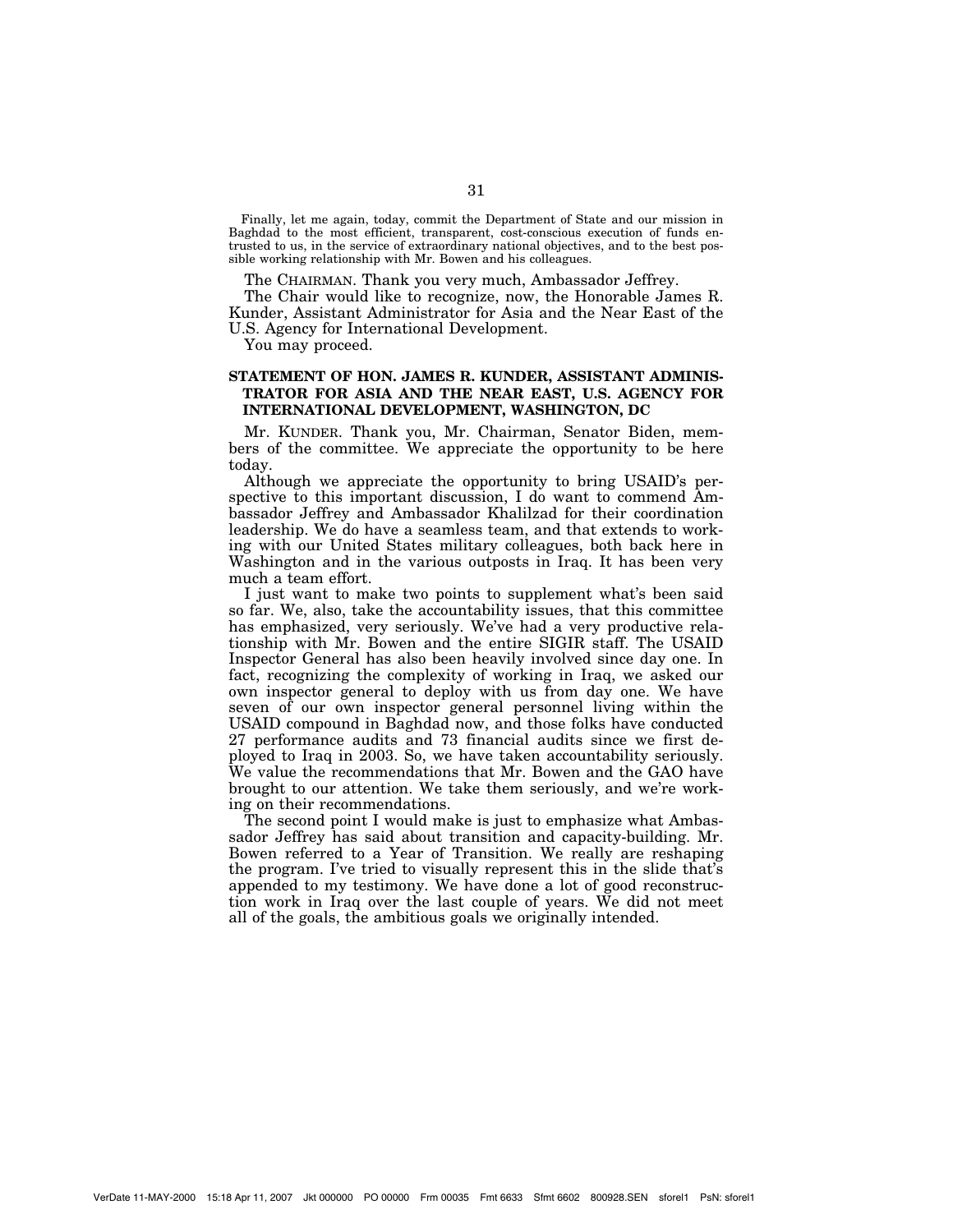Finally, let me again, today, commit the Department of State and our mission in Baghdad to the most efficient, transparent, cost-conscious execution of funds entrusted to us, in the service of extraordinary national objectives, and to the best possible working relationship with Mr. Bowen and his colleagues.

The CHAIRMAN. Thank you very much, Ambassador Jeffrey.

The Chair would like to recognize, now, the Honorable James R. Kunder, Assistant Administrator for Asia and the Near East of the U.S. Agency for International Development.

You may proceed.

# **STATEMENT OF HON. JAMES R. KUNDER, ASSISTANT ADMINIS-TRATOR FOR ASIA AND THE NEAR EAST, U.S. AGENCY FOR INTERNATIONAL DEVELOPMENT, WASHINGTON, DC**

Mr. KUNDER. Thank you, Mr. Chairman, Senator Biden, members of the committee. We appreciate the opportunity to be here today.

Although we appreciate the opportunity to bring USAID's perspective to this important discussion, I do want to commend Ambassador Jeffrey and Ambassador Khalilzad for their coordination leadership. We do have a seamless team, and that extends to working with our United States military colleagues, both back here in Washington and in the various outposts in Iraq. It has been very much a team effort.

I just want to make two points to supplement what's been said so far. We, also, take the accountability issues, that this committee has emphasized, very seriously. We've had a very productive relationship with Mr. Bowen and the entire SIGIR staff. The USAID Inspector General has also been heavily involved since day one. In fact, recognizing the complexity of working in Iraq, we asked our own inspector general to deploy with us from day one. We have seven of our own inspector general personnel living within the USAID compound in Baghdad now, and those folks have conducted 27 performance audits and 73 financial audits since we first deployed to Iraq in 2003. So, we have taken accountability seriously. We value the recommendations that Mr. Bowen and the GAO have brought to our attention. We take them seriously, and we're working on their recommendations.

The second point I would make is just to emphasize what Ambassador Jeffrey has said about transition and capacity-building. Mr. Bowen referred to a Year of Transition. We really are reshaping the program. I've tried to visually represent this in the slide that's appended to my testimony. We have done a lot of good reconstruction work in Iraq over the last couple of years. We did not meet all of the goals, the ambitious goals we originally intended.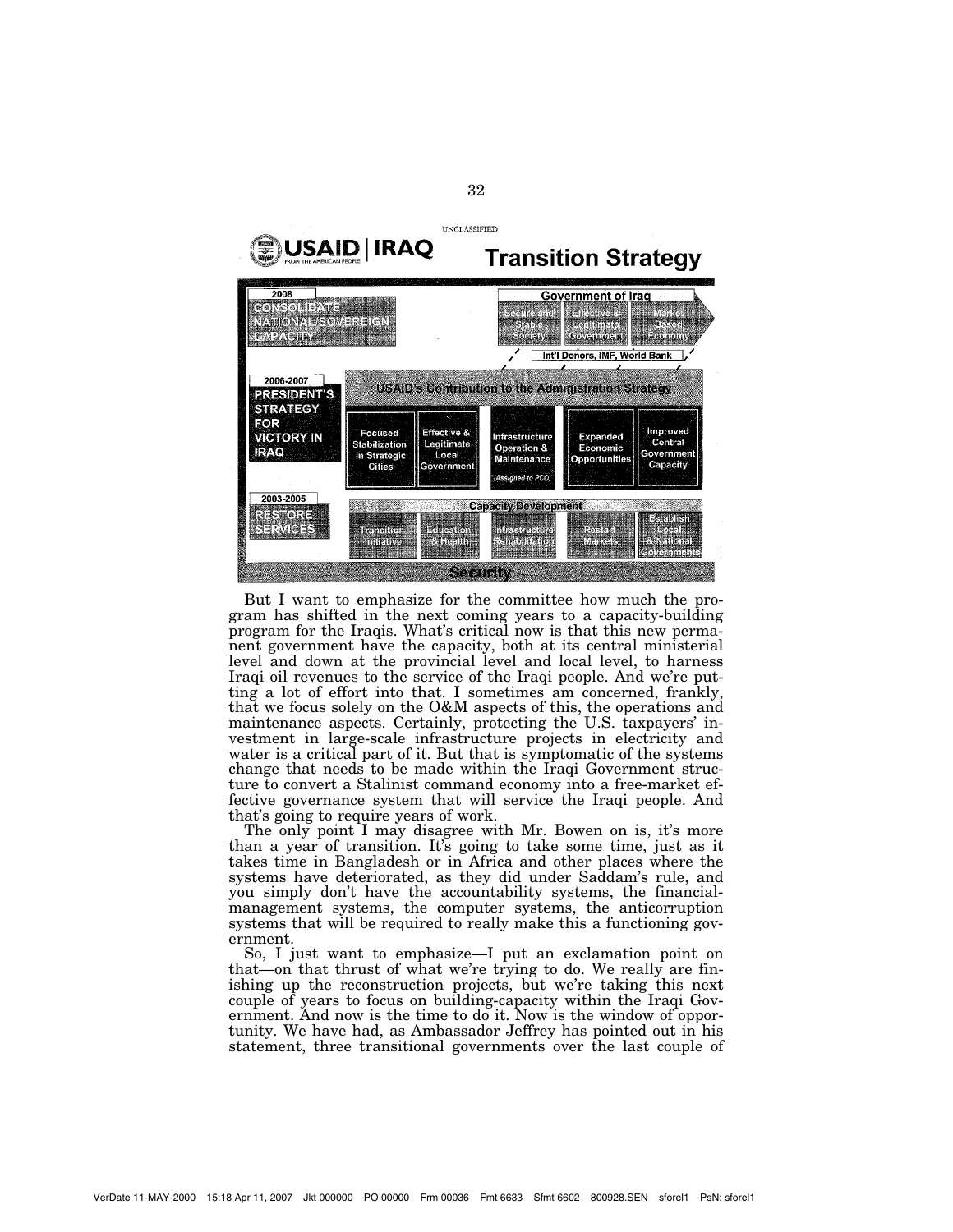

But I want to emphasize for the committee how much the program has shifted in the next coming years to a capacity-building program for the Iraqis. What's critical now is that this new permanent government have the capacity, both at its central ministerial level and down at the provincial level and local level, to harness Iraqi oil revenues to the service of the Iraqi people. And we're putting a lot of effort into that. I sometimes am concerned, frankly, that we focus solely on the O&M aspects of this, the operations and maintenance aspects. Certainly, protecting the U.S. taxpayers' investment in large-scale infrastructure projects in electricity and water is a critical part of it. But that is symptomatic of the systems change that needs to be made within the Iraqi Government structure to convert a Stalinist command economy into a free-market effective governance system that will service the Iraqi people. And that's going to require years of work.

The only point I may disagree with Mr. Bowen on is, it's more than a year of transition. It's going to take some time, just as it takes time in Bangladesh or in Africa and other places where the systems have deteriorated, as they did under Saddam's rule, and you simply don't have the accountability systems, the financialmanagement systems, the computer systems, the anticorruption systems that will be required to really make this a functioning government.

So, I just want to emphasize—I put an exclamation point on that—on that thrust of what we're trying to do. We really are finishing up the reconstruction projects, but we're taking this next couple of years to focus on building-capacity within the Iraqi Government. And now is the time to do it. Now is the window of opportunity. We have had, as Ambassador Jeffrey has pointed out in his statement, three transitional governments over the last couple of

32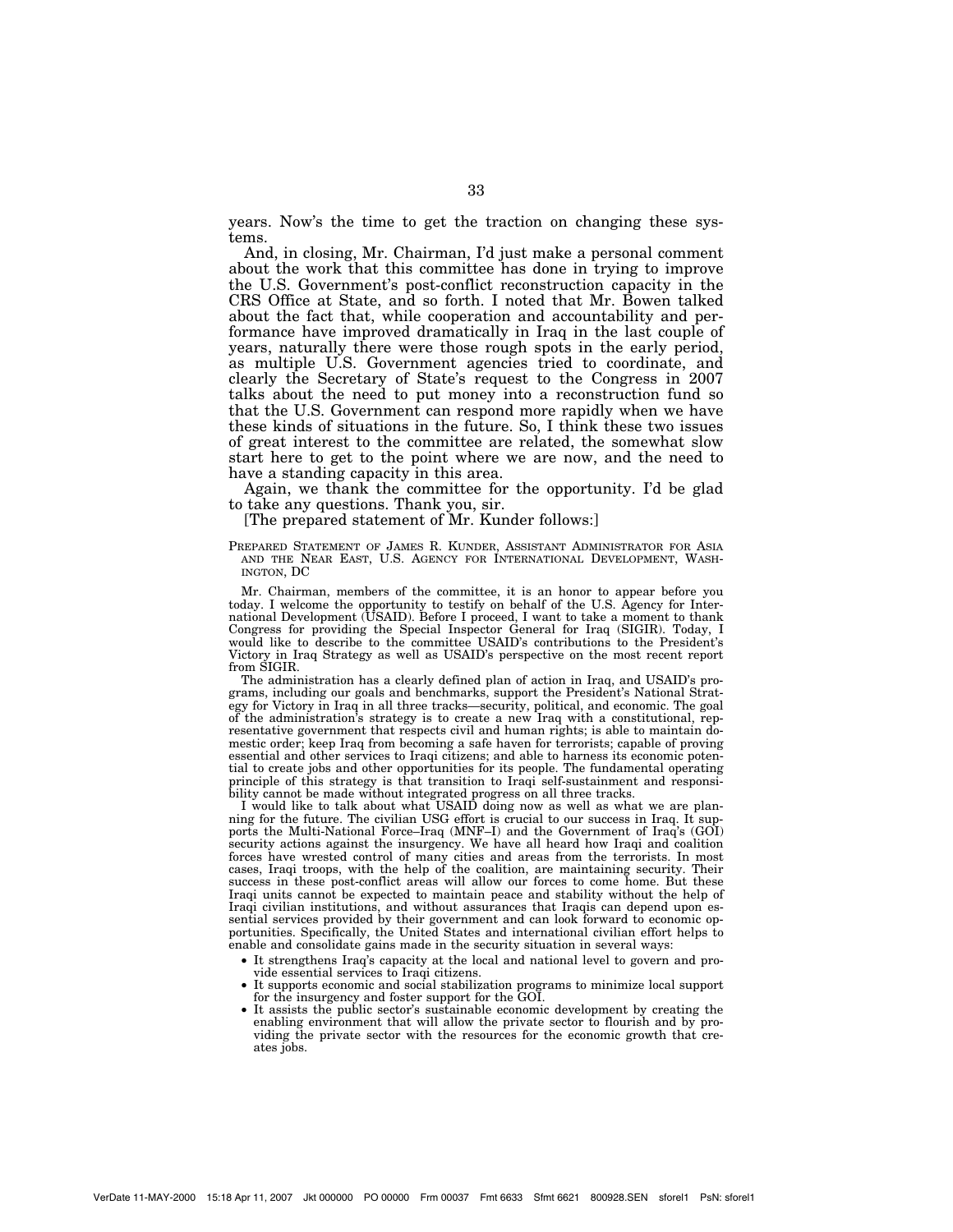years. Now's the time to get the traction on changing these systems.

And, in closing, Mr. Chairman, I'd just make a personal comment about the work that this committee has done in trying to improve the U.S. Government's post-conflict reconstruction capacity in the CRS Office at State, and so forth. I noted that Mr. Bowen talked about the fact that, while cooperation and accountability and performance have improved dramatically in Iraq in the last couple of years, naturally there were those rough spots in the early period, as multiple U.S. Government agencies tried to coordinate, and clearly the Secretary of State's request to the Congress in 2007 talks about the need to put money into a reconstruction fund so that the U.S. Government can respond more rapidly when we have these kinds of situations in the future. So, I think these two issues of great interest to the committee are related, the somewhat slow start here to get to the point where we are now, and the need to have a standing capacity in this area.

Again, we thank the committee for the opportunity. I'd be glad to take any questions. Thank you, sir.

#### [The prepared statement of Mr. Kunder follows:]

PREPARED STATEMENT OF JAMES R. KUNDER, ASSISTANT ADMINISTRATOR FOR ASIA AND THE NEAR EAST, U.S. AGENCY FOR INTERNATIONAL DEVELOPMENT, WASH-INGTON, DC

Mr. Chairman, members of the committee, it is an honor to appear before you today. I welcome the opportunity to testify on behalf of the U.S. Agency for International Development (USAID). Before I proceed, I want to take a moment to thank Congress for providing the Special Inspector General for Iraq (SIGIR). Today, I would like to describe to the committee USAID's contributions to the President's Victory in Iraq Strategy as well as USAID's perspective on the most recent report from SIGIR.

The administration has a clearly defined plan of action in Iraq, and USAID's programs, including our goals and benchmarks, support the President's National Strategy for Victory in Iraq in all three tracks—security, political, and economic. The goal of the administration's strategy is to create a new Iraq with a constitutional, representative government that respects civil and human rights; is able to maintain domestic order; keep Iraq from becoming a safe haven for terrorists; capable of proving essential and other services to Iraqi citizens; and able to harness its economic potential to create jobs and other opportunities for its people. The fundamental operating principle of this strategy is that transition to Iraqi self-sustainment and responsibility cannot be made without integrated progress on all three tracks.

I would like to talk about what USAID doing now as well as what we are planning for the future. The civilian USG effort is crucial to our success in Iraq. It supports the Multi-National Force–Iraq (MNF–I) and the Government of Iraq's (GOI) security actions against the insurgency. We have all heard how Iraqi and coalition forces have wrested control of many cities and areas from the terrorists. In most cases, Iraqi troops, with the help of the coalition, are maintaining security. Their success in these post-conflict areas will allow our forces to come home. But these Iraqi units cannot be expected to maintain peace and stability without the help of Iraqi civilian institutions, and without assurances that Iraqis can depend upon essential services provided by their government and can look forward to economic opportunities. Specifically, the United States and international civilian effort helps to enable and consolidate gains made in the security situation in several ways:

- It strengthens Iraq's capacity at the local and national level to govern and provide essential services to Iraqi citizens.
- It supports economic and social stabilization programs to minimize local support for the insurgency and foster support for the GOI.
- It assists the public sector's sustainable economic development by creating the enabling environment that will allow the private sector to flourish and by providing the private sector with the resources for the economic growth that creates jobs.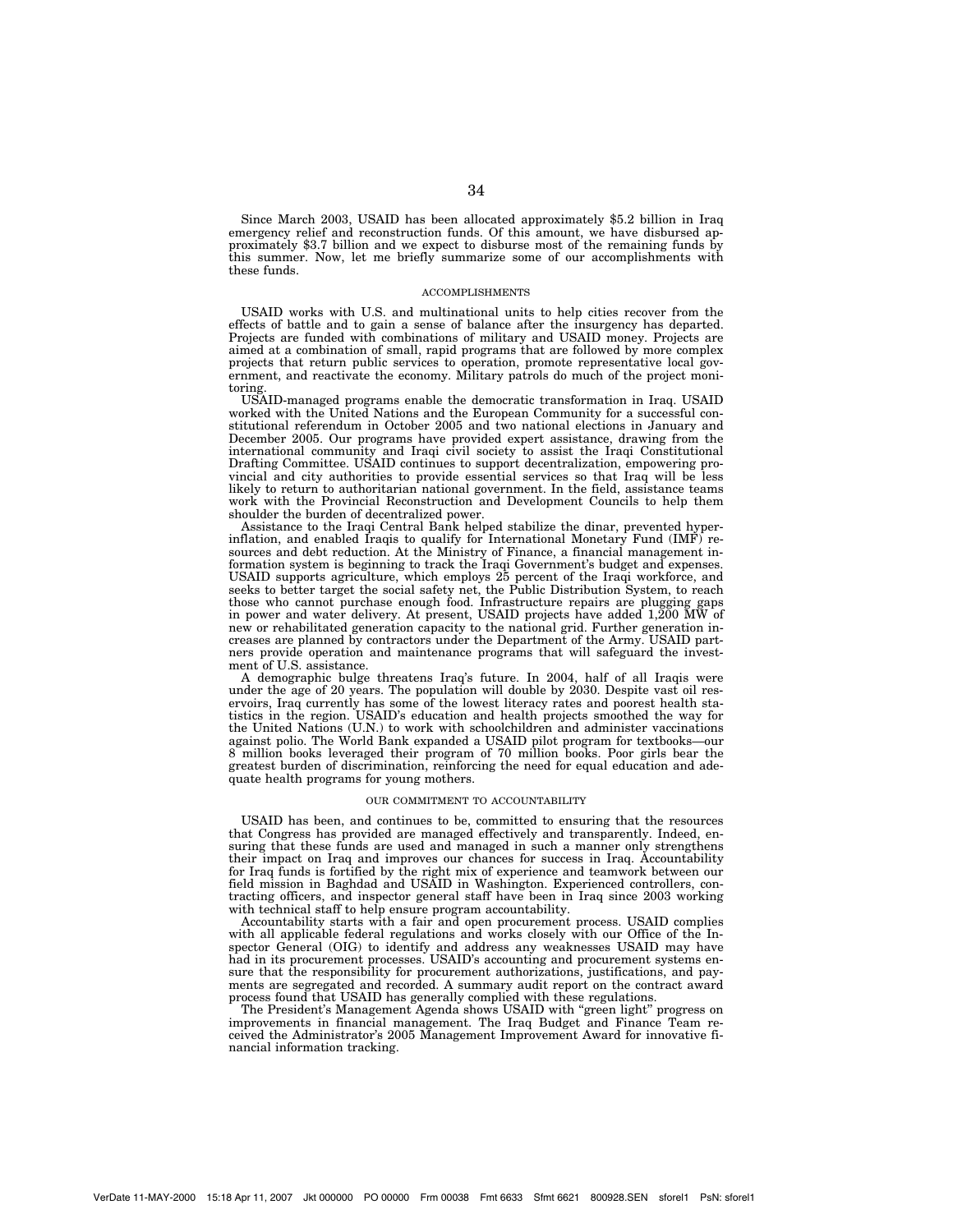Since March 2003, USAID has been allocated approximately \$5.2 billion in Iraq emergency relief and reconstruction funds. Of this amount, we have disbursed approximately \$3.7 billion and we expect to disburse most of the remaining funds by this summer. Now, let me briefly summarize some of our accomplishments with these funds.

#### ACCOMPLISHMENTS

USAID works with U.S. and multinational units to help cities recover from the effects of battle and to gain a sense of balance after the insurgency has departed. Projects are funded with combinations of military and USAID money. Projects are aimed at a combination of small, rapid programs that are followed by more complex projects that return public services to operation, promote representative local government, and reactivate the economy. Military patrols do much of the project monitoring.

USAID-managed programs enable the democratic transformation in Iraq. USAID worked with the United Nations and the European Community for a successful constitutional referendum in October 2005 and two national elections in January and December 2005. Our programs have provided expert assistance, drawing from the international community and Iraqi civil society to assist the Iraqi Constitutional Drafting Committee. USAID continues to support decentralization, empowering provincial and city authorities to provide essential services so that Iraq will be less likely to return to authoritarian national government. In the field, assistance teams work with the Provincial Reconstruction and Development Councils to help them shoulder the burden of decentralized power.

Assistance to the Iraqi Central Bank helped stabilize the dinar, prevented hyperinflation, and enabled Iraqis to qualify for International Monetary Fund (IMF) resources and debt reduction. At the Ministry of Finance, a financial management information system is beginning to track the Iraqi Government's budget and expenses. USAID supports agriculture, which employs 25 percent of the Iraqi workforce, and seeks to better target the social safety net, the Public Distribution System, to reach those who cannot purchase enough food. Infrastructure repairs are plugging gaps in power and water delivery. At present, USAID projects have added  $1,\tilde{200}$  MW of new or rehabilitated generation capacity to the national grid. Further generation increases are planned by contractors under the Department of the Army. USAID partners provide operation and maintenance programs that will safeguard the investment of U.S. assistance.

A demographic bulge threatens Iraq's future. In 2004, half of all Iraqis were under the age of 20 years. The population will double by 2030. Despite vast oil reservoirs, Iraq currently has some of the lowest literacy rates and poorest health statistics in the region. USAID's education and health projects smoothed the way for the United Nations (U.N.) to work with schoolchildren and administer vaccinations against polio. The World Bank expanded a USAID pilot program for textbooks—our 8 million books leveraged their program of 70 million books. Poor girls bear the greatest burden of discrimination, reinforcing the need for equal education and adequate health programs for young mothers.

#### OUR COMMITMENT TO ACCOUNTABILITY

USAID has been, and continues to be, committed to ensuring that the resources that Congress has provided are managed effectively and transparently. Indeed, ensuring that these funds are used and managed in such a manner only strengthens their impact on Iraq and improves our chances for success in Iraq. Accountability for Iraq funds is fortified by the right mix of experience and teamwork between our field mission in Baghdad and USAID in Washington. Experienced controllers, contracting officers, and inspector general staff have been in Iraq since 2003 working with technical staff to help ensure program accountability.

Accountability starts with a fair and open procurement process. USAID complies with all applicable federal regulations and works closely with our Office of the Inspector General (OIG) to identify and address any weaknesses USAID may have had in its procurement processes. USAID's accounting and procurement systems ensure that the responsibility for procurement authorizations, justifications, and payments are segregated and recorded. A summary audit report on the contract award process found that USAID has generally complied with these regulations.

The President's Management Agenda shows USAID with ''green light'' progress on improvements in financial management. The Iraq Budget and Finance Team received the Administrator's 2005 Management Improvement Award for innovative financial information tracking.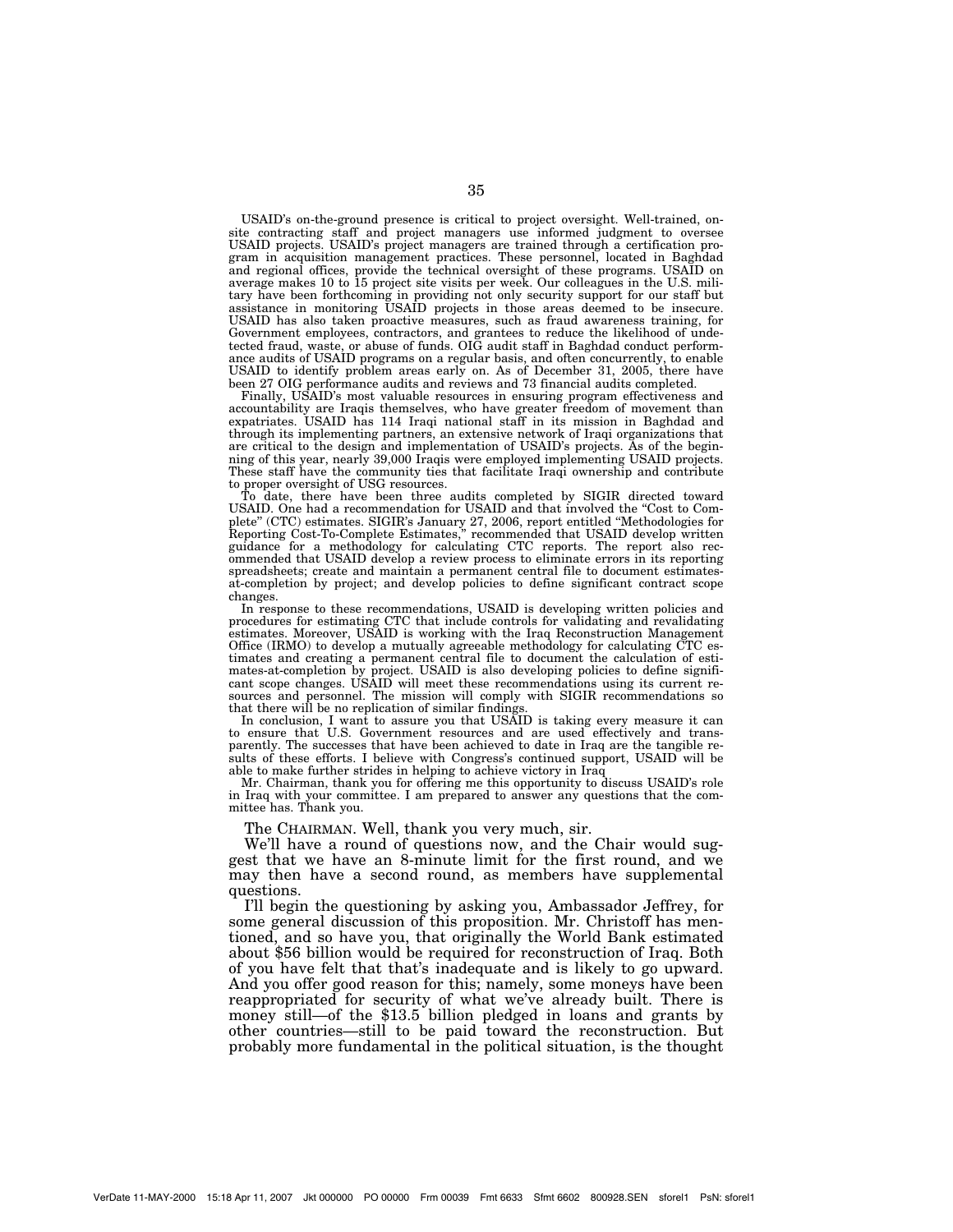USAID's on-the-ground presence is critical to project oversight. Well-trained, onsite contracting staff and project managers use informed judgment to oversee USAID projects. USAID's project managers are trained through a certification program in acquisition management practices. These personnel, located in Baghdad and regional offices, provide the technical oversight of these programs. USAID on average makes 10 to 15 project site visits per week. Our colleagues in the U.S. military have been forthcoming in providing not only security support for our staff but assistance in monitoring USAID projects in those areas deemed to be insecure. USAID has also taken proactive measures, such as fraud awareness training, for Government employees, contractors, and grantees to reduce the likelihood of undetected fraud, waste, or abuse of funds. OIG audit staff in Baghdad conduct performance audits of USAID programs on a regular basis, and often concurrently, to enable USAID to identify problem areas early on. As of December 31, 2005, there have been 27 OIG performance audits and reviews and 73 financial audits completed.

Finally, USAID's most valuable resources in ensuring program effectiveness and accountability are Iraqis themselves, who have greater freedom of movement than expatriates. USAID has 114 Iraqi national staff in its mission in Baghdad and through its implementing partners, an extensive network of Iraqi organizations that are critical to the design and implementation of USAID's projects. As of the beginning of this year, nearly 39,000 Iraqis were employed implementing USAID projects. These staff have the community ties that facilitate Iraqi ownership and contribute to proper oversight of USG resources.

To date, there have been three audits completed by SIGIR directed toward USAID. One had a recommendation for USAID and that involved the ''Cost to Complete'' (CTC) estimates. SIGIR's January 27, 2006, report entitled ''Methodologies for Reporting Cost-To-Complete Estimates,'' recommended that USAID develop written guidance for a methodology for calculating CTC reports. The report also recommended that USAID develop a review process to eliminate errors in its reporting spreadsheets; create and maintain a permanent central file to document estimatesat-completion by project; and develop policies to define significant contract scope changes.

In response to these recommendations, USAID is developing written policies and procedures for estimating CTC that include controls for validating and revalidating estimates. Moreover, USAID is working with the Iraq Reconstruction Management Office (IRMO) to develop a mutually agreeable methodology for calculating CTC estimates and creating a permanent central file to document the calculation of estimates-at-completion by project. USAID is also developing policies to define significant scope changes. USAID will meet these recommendations using its current resources and personnel. The mission will comply with SIGIR recommendations so that there will be no replication of similar findings.

In conclusion, I want to assure you that USAID is taking every measure it can to ensure that U.S. Government resources and are used effectively and transparently. The successes that have been achieved to date in Iraq are the tangible results of these efforts. I believe with Congress's continued support, USAID will be able to make further strides in helping to achieve victory in Iraq

Mr. Chairman, thank you for offering me this opportunity to discuss USAID's role in Iraq with your committee. I am prepared to answer any questions that the committee has. Thank you.

The CHAIRMAN. Well, thank you very much, sir.

We'll have a round of questions now, and the Chair would suggest that we have an 8-minute limit for the first round, and we may then have a second round, as members have supplemental questions.

I'll begin the questioning by asking you, Ambassador Jeffrey, for some general discussion of this proposition. Mr. Christoff has mentioned, and so have you, that originally the World Bank estimated about \$56 billion would be required for reconstruction of Iraq. Both of you have felt that that's inadequate and is likely to go upward. And you offer good reason for this; namely, some moneys have been reappropriated for security of what we've already built. There is money still—of the \$13.5 billion pledged in loans and grants by other countries—still to be paid toward the reconstruction. But probably more fundamental in the political situation, is the thought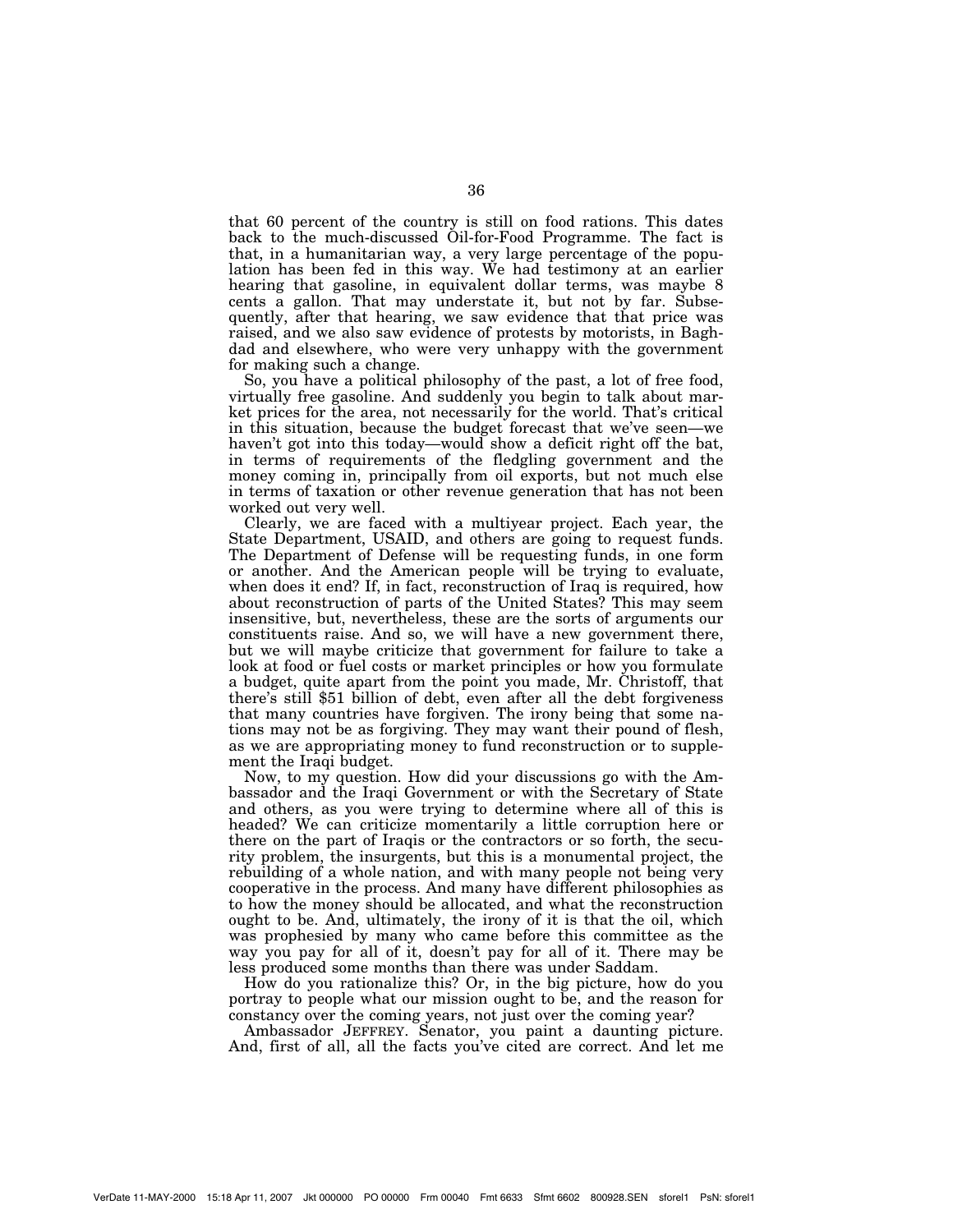that 60 percent of the country is still on food rations. This dates back to the much-discussed Oil-for-Food Programme. The fact is that, in a humanitarian way, a very large percentage of the population has been fed in this way. We had testimony at an earlier hearing that gasoline, in equivalent dollar terms, was maybe 8 cents a gallon. That may understate it, but not by far. Subsequently, after that hearing, we saw evidence that that price was raised, and we also saw evidence of protests by motorists, in Baghdad and elsewhere, who were very unhappy with the government for making such a change.

So, you have a political philosophy of the past, a lot of free food, virtually free gasoline. And suddenly you begin to talk about market prices for the area, not necessarily for the world. That's critical in this situation, because the budget forecast that we've seen—we haven't got into this today—would show a deficit right off the bat, in terms of requirements of the fledgling government and the money coming in, principally from oil exports, but not much else in terms of taxation or other revenue generation that has not been worked out very well.

Clearly, we are faced with a multiyear project. Each year, the State Department, USAID, and others are going to request funds. The Department of Defense will be requesting funds, in one form or another. And the American people will be trying to evaluate, when does it end? If, in fact, reconstruction of Iraq is required, how about reconstruction of parts of the United States? This may seem insensitive, but, nevertheless, these are the sorts of arguments our constituents raise. And so, we will have a new government there, but we will maybe criticize that government for failure to take a look at food or fuel costs or market principles or how you formulate a budget, quite apart from the point you made, Mr. Christoff, that there's still \$51 billion of debt, even after all the debt forgiveness that many countries have forgiven. The irony being that some nations may not be as forgiving. They may want their pound of flesh, as we are appropriating money to fund reconstruction or to supplement the Iraqi budget.

Now, to my question. How did your discussions go with the Ambassador and the Iraqi Government or with the Secretary of State and others, as you were trying to determine where all of this is headed? We can criticize momentarily a little corruption here or there on the part of Iraqis or the contractors or so forth, the security problem, the insurgents, but this is a monumental project, the rebuilding of a whole nation, and with many people not being very cooperative in the process. And many have different philosophies as to how the money should be allocated, and what the reconstruction ought to be. And, ultimately, the irony of it is that the oil, which was prophesied by many who came before this committee as the way you pay for all of it, doesn't pay for all of it. There may be less produced some months than there was under Saddam.

How do you rationalize this? Or, in the big picture, how do you portray to people what our mission ought to be, and the reason for constancy over the coming years, not just over the coming year?

Ambassador JEFFREY. Senator, you paint a daunting picture. And, first of all, all the facts you've cited are correct. And let me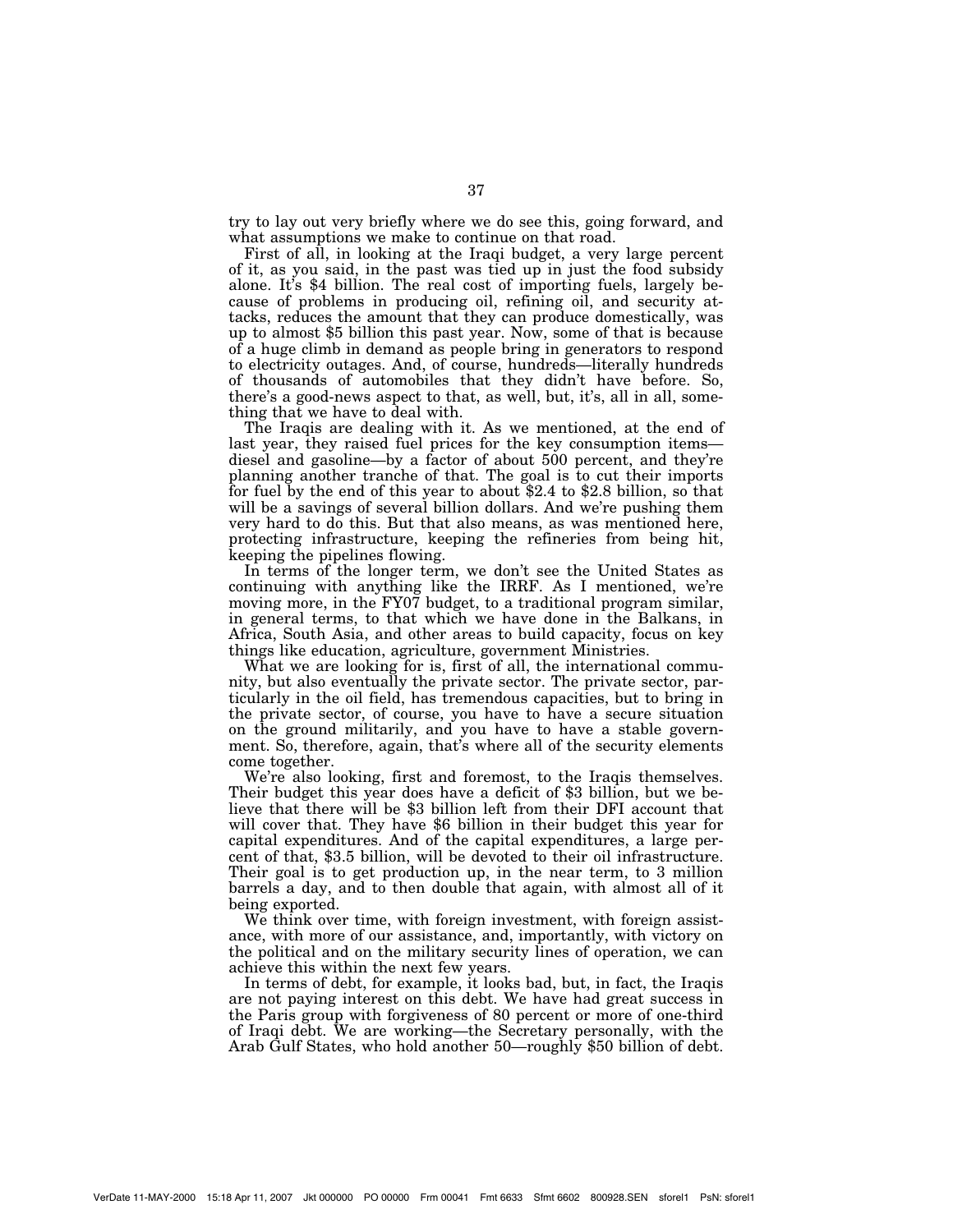try to lay out very briefly where we do see this, going forward, and what assumptions we make to continue on that road.

First of all, in looking at the Iraqi budget, a very large percent of it, as you said, in the past was tied up in just the food subsidy alone. It's \$4 billion. The real cost of importing fuels, largely because of problems in producing oil, refining oil, and security attacks, reduces the amount that they can produce domestically, was up to almost \$5 billion this past year. Now, some of that is because of a huge climb in demand as people bring in generators to respond to electricity outages. And, of course, hundreds—literally hundreds of thousands of automobiles that they didn't have before. So, there's a good-news aspect to that, as well, but, it's, all in all, something that we have to deal with.

The Iraqis are dealing with it. As we mentioned, at the end of last year, they raised fuel prices for the key consumption items diesel and gasoline—by a factor of about 500 percent, and they're planning another tranche of that. The goal is to cut their imports for fuel by the end of this year to about \$2.4 to \$2.8 billion, so that will be a savings of several billion dollars. And we're pushing them very hard to do this. But that also means, as was mentioned here, protecting infrastructure, keeping the refineries from being hit, keeping the pipelines flowing.

In terms of the longer term, we don't see the United States as continuing with anything like the IRRF. As I mentioned, we're moving more, in the FY07 budget, to a traditional program similar, in general terms, to that which we have done in the Balkans, in Africa, South Asia, and other areas to build capacity, focus on key things like education, agriculture, government Ministries.

What we are looking for is, first of all, the international community, but also eventually the private sector. The private sector, particularly in the oil field, has tremendous capacities, but to bring in the private sector, of course, you have to have a secure situation on the ground militarily, and you have to have a stable government. So, therefore, again, that's where all of the security elements come together.

We're also looking, first and foremost, to the Iraqis themselves. Their budget this year does have a deficit of \$3 billion, but we believe that there will be \$3 billion left from their DFI account that will cover that. They have \$6 billion in their budget this year for capital expenditures. And of the capital expenditures, a large percent of that, \$3.5 billion, will be devoted to their oil infrastructure. Their goal is to get production up, in the near term, to 3 million barrels a day, and to then double that again, with almost all of it being exported.

We think over time, with foreign investment, with foreign assistance, with more of our assistance, and, importantly, with victory on the political and on the military security lines of operation, we can achieve this within the next few years.

In terms of debt, for example, it looks bad, but, in fact, the Iraqis are not paying interest on this debt. We have had great success in the Paris group with forgiveness of 80 percent or more of one-third of Iraqi debt. We are working—the Secretary personally, with the Arab Gulf States, who hold another 50—roughly \$50 billion of debt.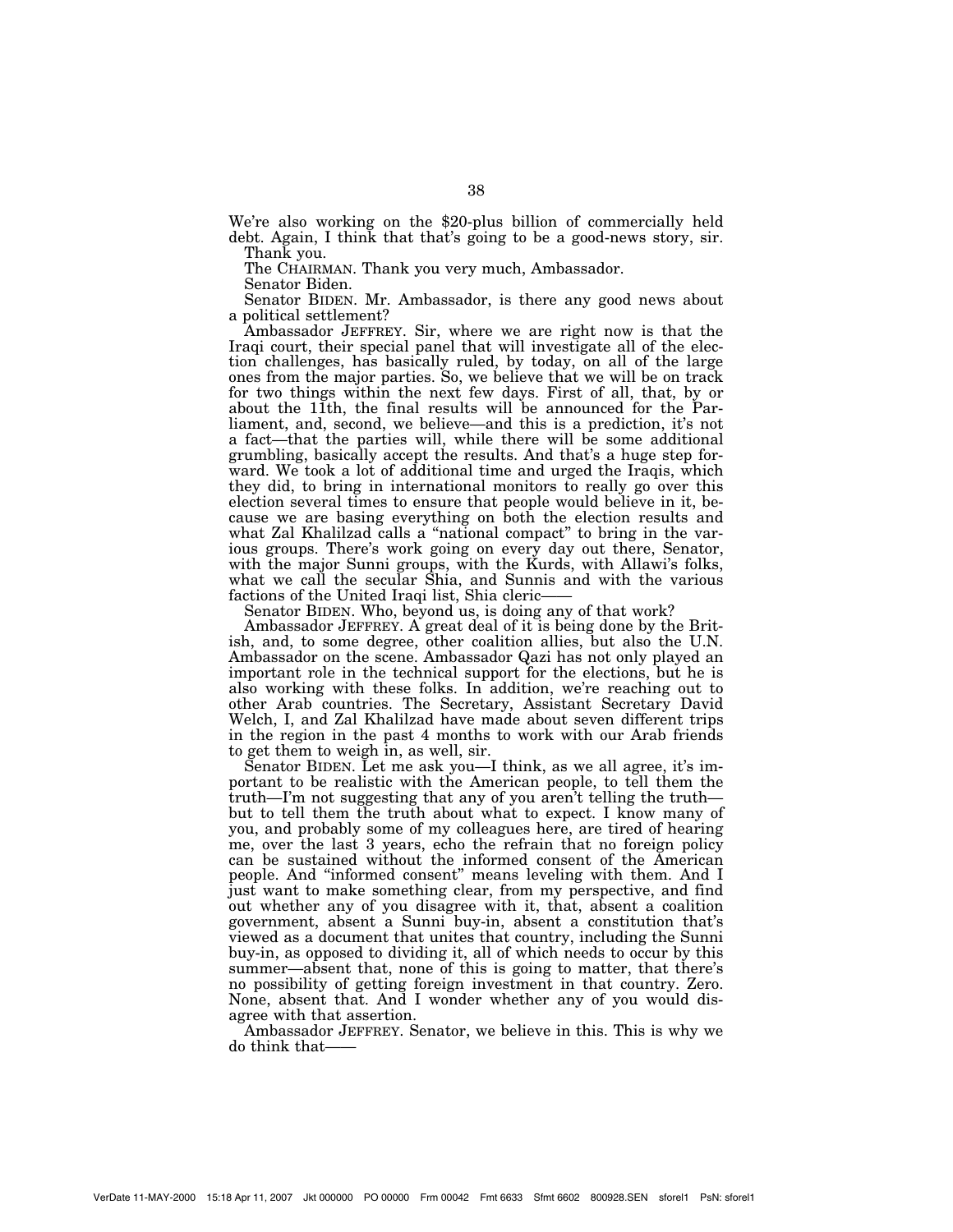We're also working on the \$20-plus billion of commercially held debt. Again, I think that that's going to be a good-news story, sir. Thank you.

The CHAIRMAN. Thank you very much, Ambassador.

Senator Biden.

Senator BIDEN. Mr. Ambassador, is there any good news about a political settlement?

Ambassador JEFFREY. Sir, where we are right now is that the Iraqi court, their special panel that will investigate all of the election challenges, has basically ruled, by today, on all of the large ones from the major parties. So, we believe that we will be on track for two things within the next few days. First of all, that, by or about the 11th, the final results will be announced for the Parliament, and, second, we believe—and this is a prediction, it's not a fact—that the parties will, while there will be some additional grumbling, basically accept the results. And that's a huge step forward. We took a lot of additional time and urged the Iraqis, which they did, to bring in international monitors to really go over this election several times to ensure that people would believe in it, because we are basing everything on both the election results and what Zal Khalilzad calls a ''national compact'' to bring in the various groups. There's work going on every day out there, Senator, with the major Sunni groups, with the Kurds, with Allawi's folks, what we call the secular Shia, and Sunnis and with the various factions of the United Iraqi list, Shia cleric-

Senator BIDEN. Who, beyond us, is doing any of that work?

Ambassador JEFFREY. A great deal of it is being done by the British, and, to some degree, other coalition allies, but also the U.N. Ambassador on the scene. Ambassador Qazi has not only played an important role in the technical support for the elections, but he is also working with these folks. In addition, we're reaching out to other Arab countries. The Secretary, Assistant Secretary David Welch, I, and Zal Khalilzad have made about seven different trips in the region in the past 4 months to work with our Arab friends to get them to weigh in, as well, sir.

Senator BIDEN. Let me ask you—I think, as we all agree, it's important to be realistic with the American people, to tell them the truth—I'm not suggesting that any of you aren't telling the truth but to tell them the truth about what to expect. I know many of you, and probably some of my colleagues here, are tired of hearing me, over the last 3 years, echo the refrain that no foreign policy can be sustained without the informed consent of the American people. And ''informed consent'' means leveling with them. And I just want to make something clear, from my perspective, and find out whether any of you disagree with it, that, absent a coalition government, absent a Sunni buy-in, absent a constitution that's viewed as a document that unites that country, including the Sunni buy-in, as opposed to dividing it, all of which needs to occur by this summer—absent that, none of this is going to matter, that there's no possibility of getting foreign investment in that country. Zero. None, absent that. And I wonder whether any of you would disagree with that assertion.

Ambassador JEFFREY. Senator, we believe in this. This is why we do think that——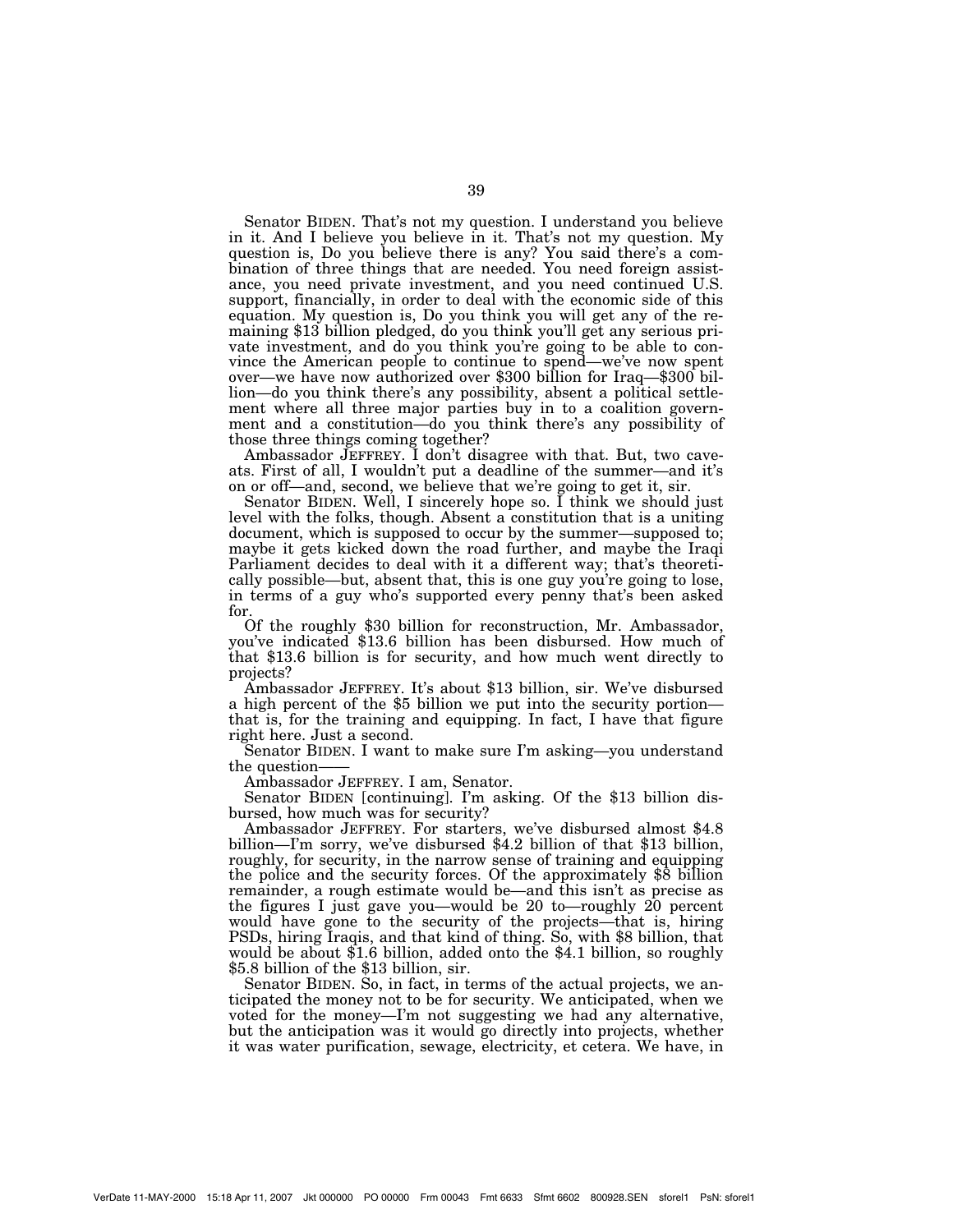Senator BIDEN. That's not my question. I understand you believe in it. And I believe you believe in it. That's not my question. My question is, Do you believe there is any? You said there's a combination of three things that are needed. You need foreign assistance, you need private investment, and you need continued U.S. support, financially, in order to deal with the economic side of this equation. My question is, Do you think you will get any of the remaining \$13 billion pledged, do you think you'll get any serious private investment, and do you think you're going to be able to convince the American people to continue to spend—we've now spent over—we have now authorized over \$300 billion for Iraq—\$300 billion—do you think there's any possibility, absent a political settlement where all three major parties buy in to a coalition government and a constitution—do you think there's any possibility of those three things coming together?

Ambassador JEFFREY. I don't disagree with that. But, two caveats. First of all, I wouldn't put a deadline of the summer—and it's on or off—and, second, we believe that we're going to get it, sir.

Senator BIDEN. Well, I sincerely hope so. I think we should just level with the folks, though. Absent a constitution that is a uniting document, which is supposed to occur by the summer—supposed to; maybe it gets kicked down the road further, and maybe the Iraqi Parliament decides to deal with it a different way; that's theoretically possible—but, absent that, this is one guy you're going to lose, in terms of a guy who's supported every penny that's been asked for.

Of the roughly \$30 billion for reconstruction, Mr. Ambassador, you've indicated \$13.6 billion has been disbursed. How much of that \$13.6 billion is for security, and how much went directly to projects?

Ambassador JEFFREY. It's about \$13 billion, sir. We've disbursed a high percent of the \$5 billion we put into the security portion that is, for the training and equipping. In fact, I have that figure right here. Just a second.

Senator BIDEN. I want to make sure I'm asking—you understand the question-

Ambassador JEFFREY. I am, Senator.

Senator BIDEN [continuing]. I'm asking. Of the \$13 billion disbursed, how much was for security?

Ambassador JEFFREY. For starters, we've disbursed almost \$4.8 billion—I'm sorry, we've disbursed \$4.2 billion of that \$13 billion, roughly, for security, in the narrow sense of training and equipping the police and the security forces. Of the approximately \$8 billion remainder, a rough estimate would be—and this isn't as precise as the figures I just gave you—would be 20 to—roughly 20 percent would have gone to the security of the projects—that is, hiring PSDs, hiring Iraqis, and that kind of thing. So, with \$8 billion, that would be about \$1.6 billion, added onto the \$4.1 billion, so roughly \$5.8 billion of the \$13 billion, sir.

Senator BIDEN. So, in fact, in terms of the actual projects, we anticipated the money not to be for security. We anticipated, when we voted for the money—I'm not suggesting we had any alternative, but the anticipation was it would go directly into projects, whether it was water purification, sewage, electricity, et cetera. We have, in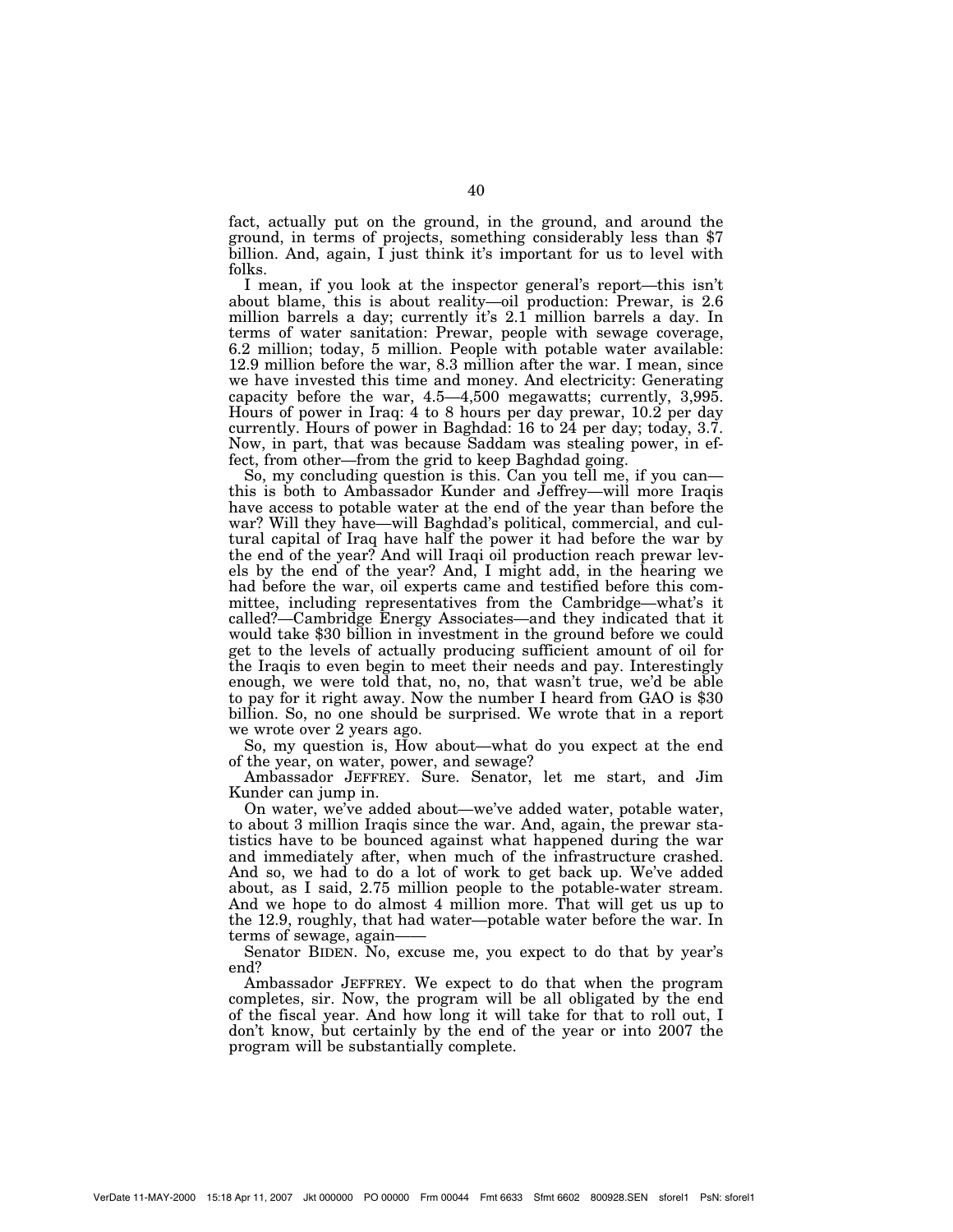fact, actually put on the ground, in the ground, and around the ground, in terms of projects, something considerably less than \$7 billion. And, again, I just think it's important for us to level with folks.

I mean, if you look at the inspector general's report—this isn't about blame, this is about reality—oil production: Prewar, is 2.6 million barrels a day; currently it's 2.1 million barrels a day. In terms of water sanitation: Prewar, people with sewage coverage, 6.2 million; today, 5 million. People with potable water available: 12.9 million before the war, 8.3 million after the war. I mean, since we have invested this time and money. And electricity: Generating capacity before the war, 4.5—4,500 megawatts; currently, 3,995. Hours of power in Iraq: 4 to 8 hours per day prewar, 10.2 per day currently. Hours of power in Baghdad: 16 to 24 per day; today, 3.7. Now, in part, that was because Saddam was stealing power, in effect, from other—from the grid to keep Baghdad going.

So, my concluding question is this. Can you tell me, if you can this is both to Ambassador Kunder and Jeffrey—will more Iraqis have access to potable water at the end of the year than before the war? Will they have—will Baghdad's political, commercial, and cultural capital of Iraq have half the power it had before the war by the end of the year? And will Iraqi oil production reach prewar levels by the end of the year? And, I might add, in the hearing we had before the war, oil experts came and testified before this committee, including representatives from the Cambridge—what's it called?—Cambridge Energy Associates—and they indicated that it would take \$30 billion in investment in the ground before we could get to the levels of actually producing sufficient amount of oil for the Iraqis to even begin to meet their needs and pay. Interestingly enough, we were told that, no, no, that wasn't true, we'd be able to pay for it right away. Now the number I heard from GAO is \$30 billion. So, no one should be surprised. We wrote that in a report we wrote over 2 years ago.

So, my question is, How about—what do you expect at the end of the year, on water, power, and sewage?

Ambassador JEFFREY. Sure. Senator, let me start, and Jim Kunder can jump in.

On water, we've added about—we've added water, potable water, to about 3 million Iraqis since the war. And, again, the prewar statistics have to be bounced against what happened during the war and immediately after, when much of the infrastructure crashed. And so, we had to do a lot of work to get back up. We've added about, as I said, 2.75 million people to the potable-water stream. And we hope to do almost 4 million more. That will get us up to the 12.9, roughly, that had water—potable water before the war. In terms of sewage, again——

Senator BIDEN. No, excuse me, you expect to do that by year's end?

Ambassador JEFFREY. We expect to do that when the program completes, sir. Now, the program will be all obligated by the end of the fiscal year. And how long it will take for that to roll out, I don't know, but certainly by the end of the year or into 2007 the program will be substantially complete.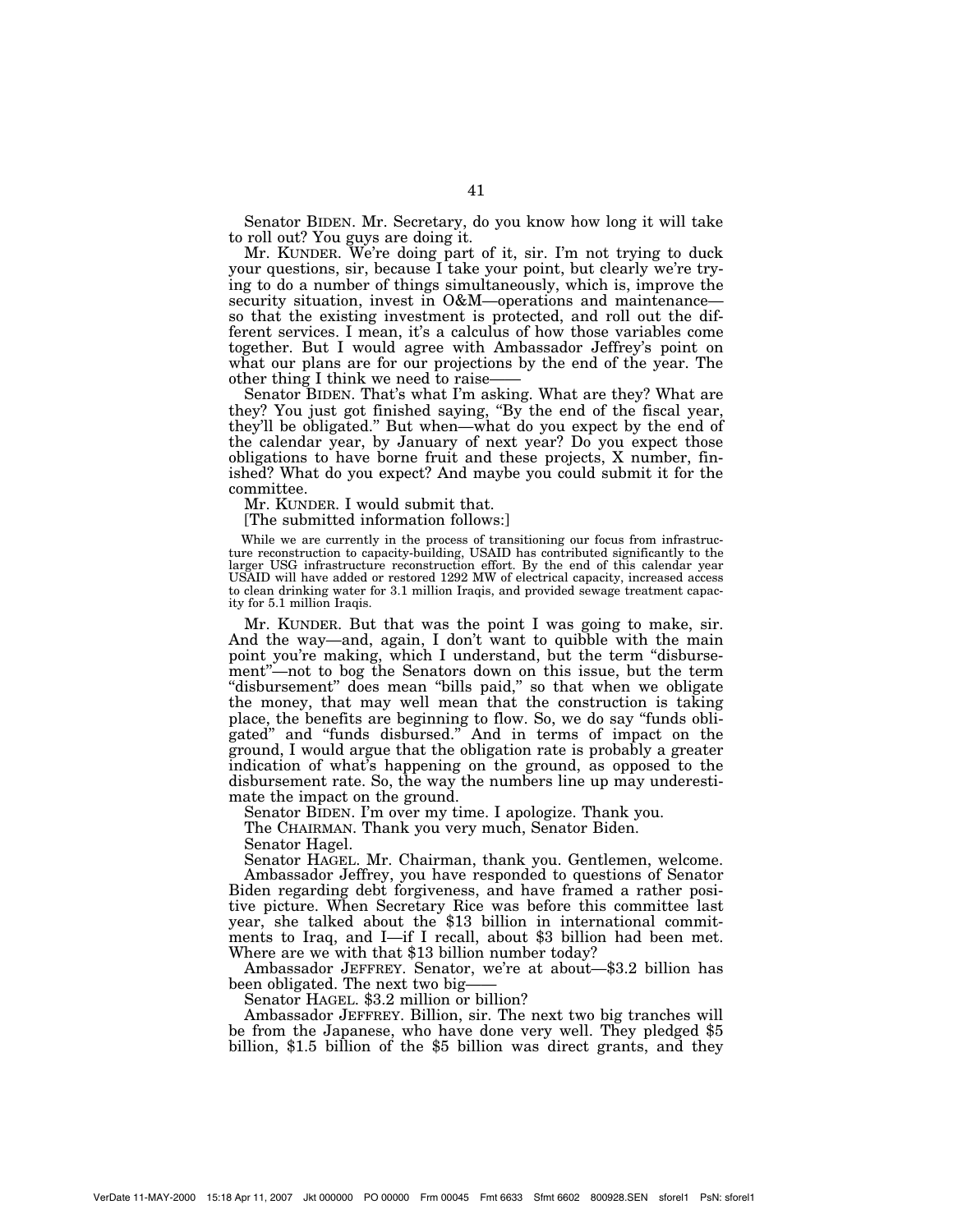Senator BIDEN. Mr. Secretary, do you know how long it will take to roll out? You guys are doing it.

Mr. KUNDER. We're doing part of it, sir. I'm not trying to duck your questions, sir, because I take your point, but clearly we're trying to do a number of things simultaneously, which is, improve the security situation, invest in O&M—operations and maintenance so that the existing investment is protected, and roll out the different services. I mean, it's a calculus of how those variables come together. But I would agree with Ambassador Jeffrey's point on what our plans are for our projections by the end of the year. The other thing I think we need to raise-

Senator BIDEN. That's what I'm asking. What are they? What are they? You just got finished saying, ''By the end of the fiscal year, they'll be obligated.'' But when—what do you expect by the end of the calendar year, by January of next year? Do you expect those obligations to have borne fruit and these projects, X number, finished? What do you expect? And maybe you could submit it for the committee.

Mr. KUNDER. I would submit that.

[The submitted information follows:]

While we are currently in the process of transitioning our focus from infrastructure reconstruction to capacity-building, USAID has contributed significantly to the larger USG infrastructure reconstruction effort. By the end of this calendar year USAID will have added or restored 1292 MW of electrical capacity, increased access to clean drinking water for 3.1 million Iraqis, and provided sewage treatment capacity for 5.1 million Iraqis.

Mr. KUNDER. But that was the point I was going to make, sir. And the way—and, again, I don't want to quibble with the main point you're making, which I understand, but the term "disbursement''—not to bog the Senators down on this issue, but the term "disbursement" does mean "bills paid," so that when we obligate the money, that may well mean that the construction is taking place, the benefits are beginning to flow. So, we do say ''funds obligated'' and ''funds disbursed.'' And in terms of impact on the ground, I would argue that the obligation rate is probably a greater indication of what's happening on the ground, as opposed to the disbursement rate. So, the way the numbers line up may underestimate the impact on the ground.

Senator BIDEN. I'm over my time. I apologize. Thank you.

The CHAIRMAN. Thank you very much, Senator Biden.

Senator Hagel.

Senator HAGEL. Mr. Chairman, thank you. Gentlemen, welcome. Ambassador Jeffrey, you have responded to questions of Senator Biden regarding debt forgiveness, and have framed a rather positive picture. When Secretary Rice was before this committee last year, she talked about the \$13 billion in international commitments to Iraq, and I—if I recall, about \$3 billion had been met. Where are we with that \$13 billion number today?

Ambassador JEFFREY. Senator, we're at about—\$3.2 billion has been obligated. The next two big——

Senator HAGEL. \$3.2 million or billion?

Ambassador JEFFREY. Billion, sir. The next two big tranches will be from the Japanese, who have done very well. They pledged \$5 billion, \$1.5 billion of the \$5 billion was direct grants, and they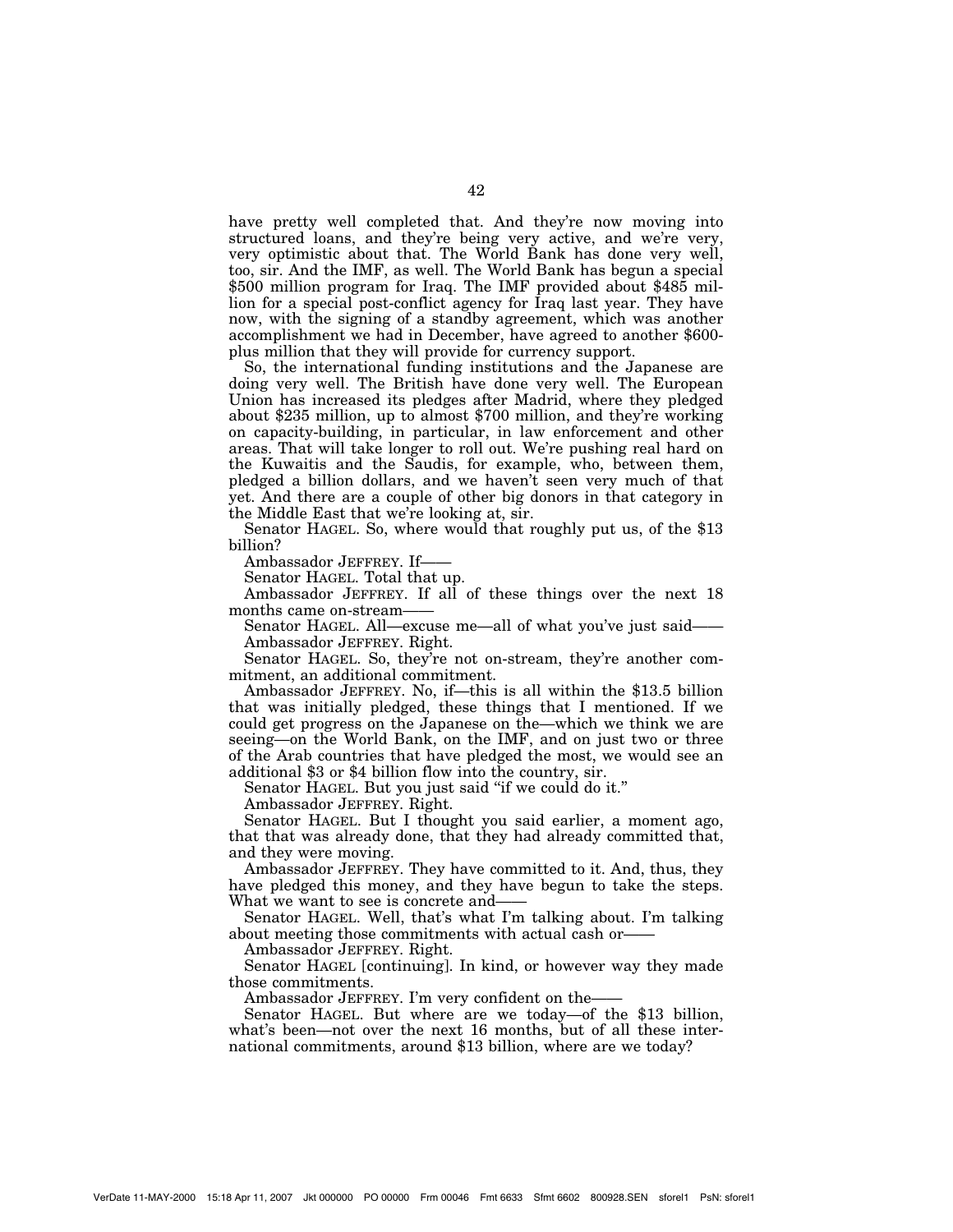have pretty well completed that. And they're now moving into structured loans, and they're being very active, and we're very, very optimistic about that. The World Bank has done very well, too, sir. And the IMF, as well. The World Bank has begun a special \$500 million program for Iraq. The IMF provided about \$485 million for a special post-conflict agency for Iraq last year. They have now, with the signing of a standby agreement, which was another accomplishment we had in December, have agreed to another \$600 plus million that they will provide for currency support.

So, the international funding institutions and the Japanese are doing very well. The British have done very well. The European Union has increased its pledges after Madrid, where they pledged about \$235 million, up to almost \$700 million, and they're working on capacity-building, in particular, in law enforcement and other areas. That will take longer to roll out. We're pushing real hard on the Kuwaitis and the Saudis, for example, who, between them, pledged a billion dollars, and we haven't seen very much of that yet. And there are a couple of other big donors in that category in the Middle East that we're looking at, sir.

Senator HAGEL. So, where would that roughly put us, of the \$13 billion?

Ambassador JEFFREY. If-

Senator HAGEL. Total that up.

Ambassador JEFFREY. If all of these things over the next 18 months came on-stream——

Senator HAGEL. All—excuse me—all of what you've just said—— Ambassador JEFFREY. Right.

Senator HAGEL. So, they're not on-stream, they're another commitment, an additional commitment.

Ambassador JEFFREY. No, if—this is all within the \$13.5 billion that was initially pledged, these things that I mentioned. If we could get progress on the Japanese on the—which we think we are seeing—on the World Bank, on the IMF, and on just two or three of the Arab countries that have pledged the most, we would see an additional \$3 or \$4 billion flow into the country, sir.

Senator HAGEL. But you just said ''if we could do it.''

Ambassador JEFFREY. Right.

Senator HAGEL. But I thought you said earlier, a moment ago, that that was already done, that they had already committed that, and they were moving.

Ambassador JEFFREY. They have committed to it. And, thus, they have pledged this money, and they have begun to take the steps. What we want to see is concrete and-

Senator HAGEL. Well, that's what I'm talking about. I'm talking about meeting those commitments with actual cash or——

Ambassador JEFFREY. Right.

Senator HAGEL [continuing]. In kind, or however way they made those commitments.

Ambassador JEFFREY. I'm very confident on the——

Senator HAGEL. But where are we today—of the \$13 billion, what's been—not over the next 16 months, but of all these international commitments, around \$13 billion, where are we today?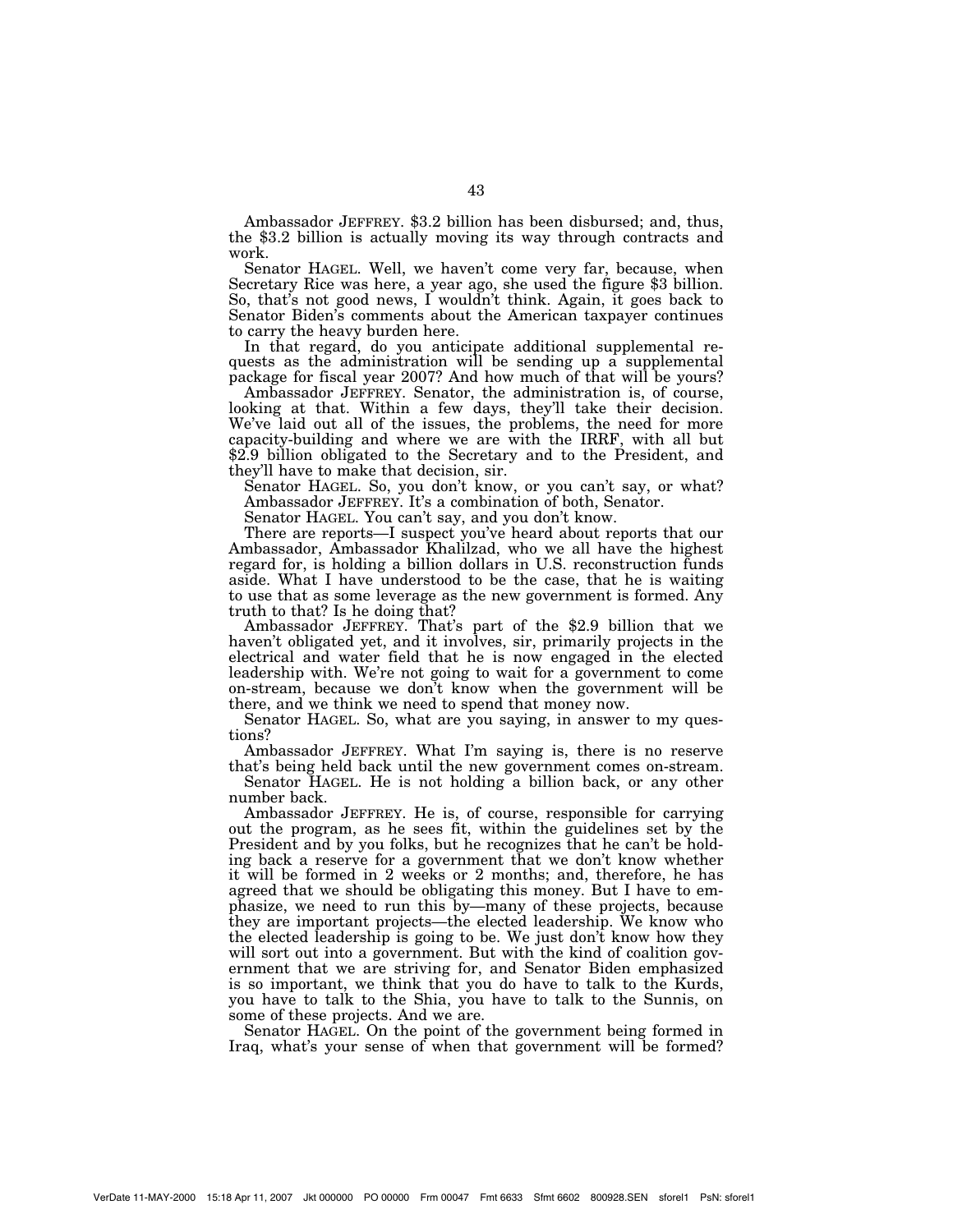Ambassador JEFFREY. \$3.2 billion has been disbursed; and, thus, the \$3.2 billion is actually moving its way through contracts and

work.<br>Senator HAGEL. Well, we haven't come very far, because, when Secretary Rice was here, a year ago, she used the figure \$3 billion. So, that's not good news, I wouldn't think. Again, it goes back to Senator Biden's comments about the American taxpayer continues to carry the heavy burden here.

In that regard, do you anticipate additional supplemental requests as the administration will be sending up a supplemental package for fiscal year 2007? And how much of that will be yours?

Ambassador JEFFREY. Senator, the administration is, of course, looking at that. Within a few days, they'll take their decision. We've laid out all of the issues, the problems, the need for more capacity-building and where we are with the IRRF, with all but \$2.9 billion obligated to the Secretary and to the President, and they'll have to make that decision, sir.

Senator HAGEL. So, you don't know, or you can't say, or what? Ambassador JEFFREY. It's a combination of both, Senator.

Senator HAGEL. You can't say, and you don't know.

There are reports—I suspect you've heard about reports that our Ambassador, Ambassador Khalilzad, who we all have the highest regard for, is holding a billion dollars in U.S. reconstruction funds aside. What I have understood to be the case, that he is waiting to use that as some leverage as the new government is formed. Any truth to that? Is he doing that?

Ambassador JEFFREY. That's part of the \$2.9 billion that we haven't obligated yet, and it involves, sir, primarily projects in the electrical and water field that he is now engaged in the elected leadership with. We're not going to wait for a government to come on-stream, because we don't know when the government will be there, and we think we need to spend that money now.

Senator HAGEL. So, what are you saying, in answer to my questions?

Ambassador JEFFREY. What I'm saying is, there is no reserve that's being held back until the new government comes on-stream.

Senator HAGEL. He is not holding a billion back, or any other number back.

Ambassador JEFFREY. He is, of course, responsible for carrying out the program, as he sees fit, within the guidelines set by the President and by you folks, but he recognizes that he can't be holding back a reserve for a government that we don't know whether it will be formed in 2 weeks or 2 months; and, therefore, he has agreed that we should be obligating this money. But I have to emphasize, we need to run this by—many of these projects, because they are important projects—the elected leadership. We know who the elected leadership is going to be. We just don't know how they will sort out into a government. But with the kind of coalition government that we are striving for, and Senator Biden emphasized is so important, we think that you do have to talk to the Kurds, you have to talk to the Shia, you have to talk to the Sunnis, on some of these projects. And we are.

Senator HAGEL. On the point of the government being formed in Iraq, what's your sense of when that government will be formed?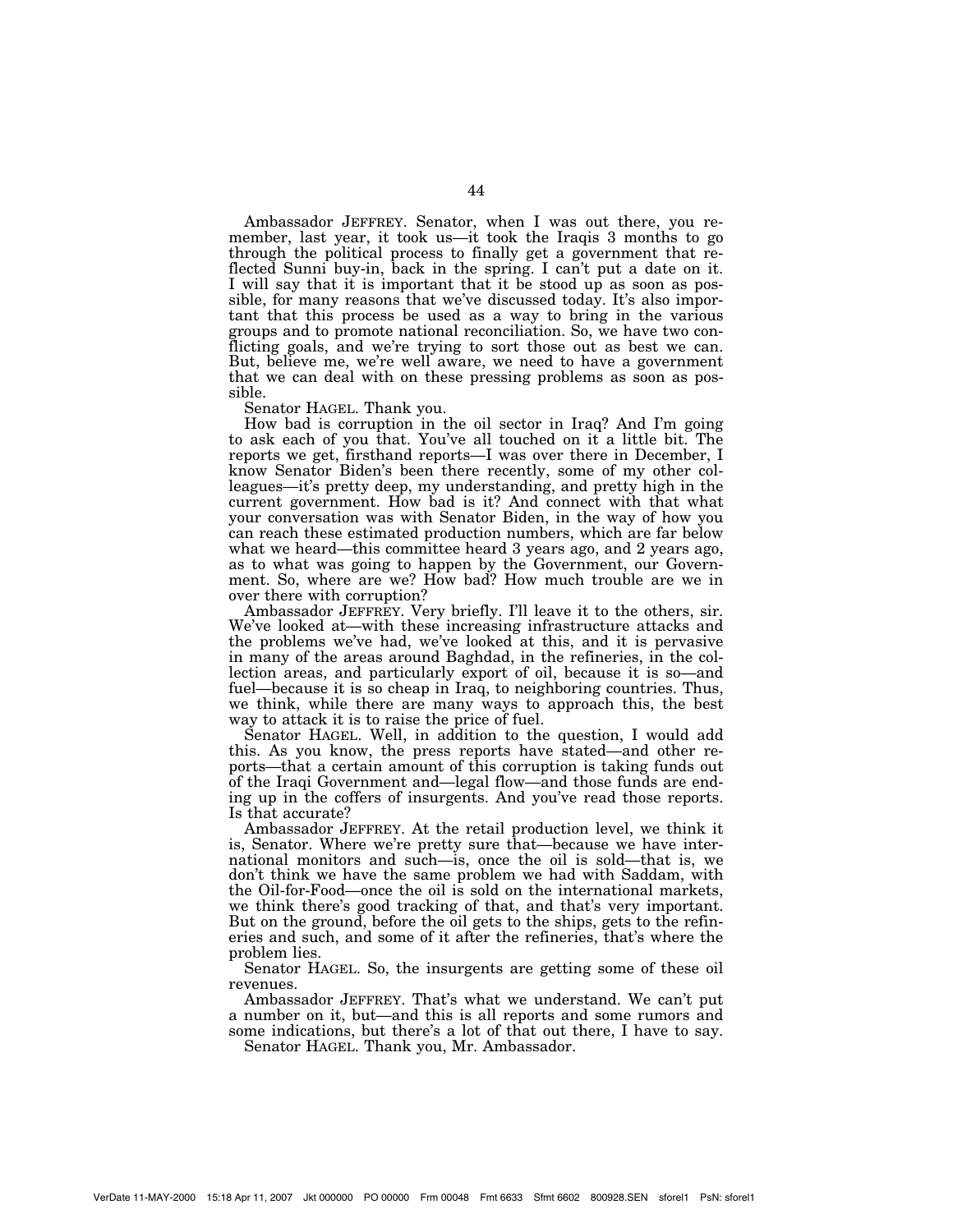Ambassador JEFFREY. Senator, when I was out there, you remember, last year, it took us—it took the Iraqis 3 months to go through the political process to finally get a government that reflected Sunni buy-in, back in the spring. I can't put a date on it. I will say that it is important that it be stood up as soon as possible, for many reasons that we've discussed today. It's also important that this process be used as a way to bring in the various groups and to promote national reconciliation. So, we have two conflicting goals, and we're trying to sort those out as best we can. But, believe me, we're well aware, we need to have a government that we can deal with on these pressing problems as soon as possible.

Senator HAGEL. Thank you.

How bad is corruption in the oil sector in Iraq? And I'm going to ask each of you that. You've all touched on it a little bit. The reports we get, firsthand reports—I was over there in December, I know Senator Biden's been there recently, some of my other colleagues—it's pretty deep, my understanding, and pretty high in the current government. How bad is it? And connect with that what your conversation was with Senator Biden, in the way of how you can reach these estimated production numbers, which are far below what we heard—this committee heard 3 years ago, and 2 years ago, as to what was going to happen by the Government, our Government. So, where are we? How bad? How much trouble are we in over there with corruption?

Ambassador JEFFREY. Very briefly. I'll leave it to the others, sir. We've looked at—with these increasing infrastructure attacks and the problems we've had, we've looked at this, and it is pervasive in many of the areas around Baghdad, in the refineries, in the collection areas, and particularly export of oil, because it is so—and fuel—because it is so cheap in Iraq, to neighboring countries. Thus, we think, while there are many ways to approach this, the best way to attack it is to raise the price of fuel.

Senator HAGEL. Well, in addition to the question, I would add this. As you know, the press reports have stated—and other reports—that a certain amount of this corruption is taking funds out of the Iraqi Government and—legal flow—and those funds are ending up in the coffers of insurgents. And you've read those reports. Is that accurate?

Ambassador JEFFREY. At the retail production level, we think it is, Senator. Where we're pretty sure that—because we have international monitors and such—is, once the oil is sold—that is, we don't think we have the same problem we had with Saddam, with the Oil-for-Food—once the oil is sold on the international markets, we think there's good tracking of that, and that's very important. But on the ground, before the oil gets to the ships, gets to the refineries and such, and some of it after the refineries, that's where the problem lies.

Senator HAGEL. So, the insurgents are getting some of these oil revenues.

Ambassador JEFFREY. That's what we understand. We can't put a number on it, but—and this is all reports and some rumors and some indications, but there's a lot of that out there, I have to say.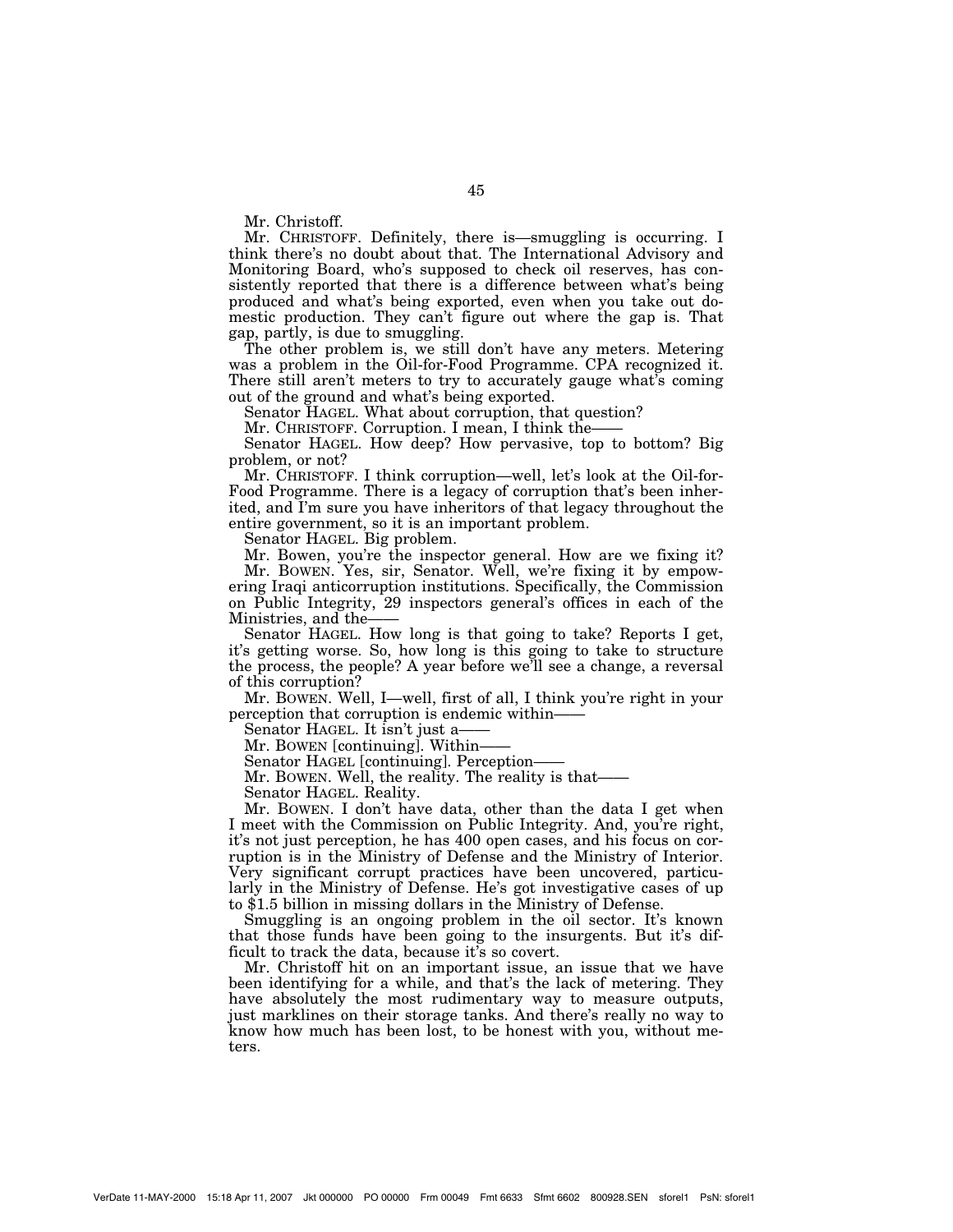Mr. Christoff.

Mr. CHRISTOFF. Definitely, there is—smuggling is occurring. I think there's no doubt about that. The International Advisory and Monitoring Board, who's supposed to check oil reserves, has consistently reported that there is a difference between what's being produced and what's being exported, even when you take out domestic production. They can't figure out where the gap is. That gap, partly, is due to smuggling.

The other problem is, we still don't have any meters. Metering was a problem in the Oil-for-Food Programme. CPA recognized it. There still aren't meters to try to accurately gauge what's coming out of the ground and what's being exported.

Senator HAGEL. What about corruption, that question?

Mr. CHRISTOFF. Corruption. I mean, I think the-

Senator HAGEL. How deep? How pervasive, top to bottom? Big problem, or not?

Mr. CHRISTOFF. I think corruption—well, let's look at the Oil-for-Food Programme. There is a legacy of corruption that's been inherited, and I'm sure you have inheritors of that legacy throughout the entire government, so it is an important problem.

Senator HAGEL. Big problem.

Mr. Bowen, you're the inspector general. How are we fixing it? Mr. BOWEN. Yes, sir, Senator. Well, we're fixing it by empowering Iraqi anticorruption institutions. Specifically, the Commission on Public Integrity, 29 inspectors general's offices in each of the Ministries, and the——

Senator HAGEL. How long is that going to take? Reports I get, it's getting worse. So, how long is this going to take to structure the process, the people? A year before we'll see a change, a reversal of this corruption?

Mr. BOWEN. Well, I—well, first of all, I think you're right in your perception that corruption is endemic within——

Senator HAGEL. It isn't just a

Mr. BOWEN [continuing]. Within——

Senator HAGEL [continuing]. Perception——

Mr. BOWEN. Well, the reality. The reality is that—— Senator HAGEL. Reality.

Mr. BOWEN. I don't have data, other than the data I get when I meet with the Commission on Public Integrity. And, you're right, it's not just perception, he has 400 open cases, and his focus on corruption is in the Ministry of Defense and the Ministry of Interior. Very significant corrupt practices have been uncovered, particularly in the Ministry of Defense. He's got investigative cases of up to \$1.5 billion in missing dollars in the Ministry of Defense.

Smuggling is an ongoing problem in the oil sector. It's known that those funds have been going to the insurgents. But it's difficult to track the data, because it's so covert.

Mr. Christoff hit on an important issue, an issue that we have been identifying for a while, and that's the lack of metering. They have absolutely the most rudimentary way to measure outputs, just marklines on their storage tanks. And there's really no way to know how much has been lost, to be honest with you, without meters.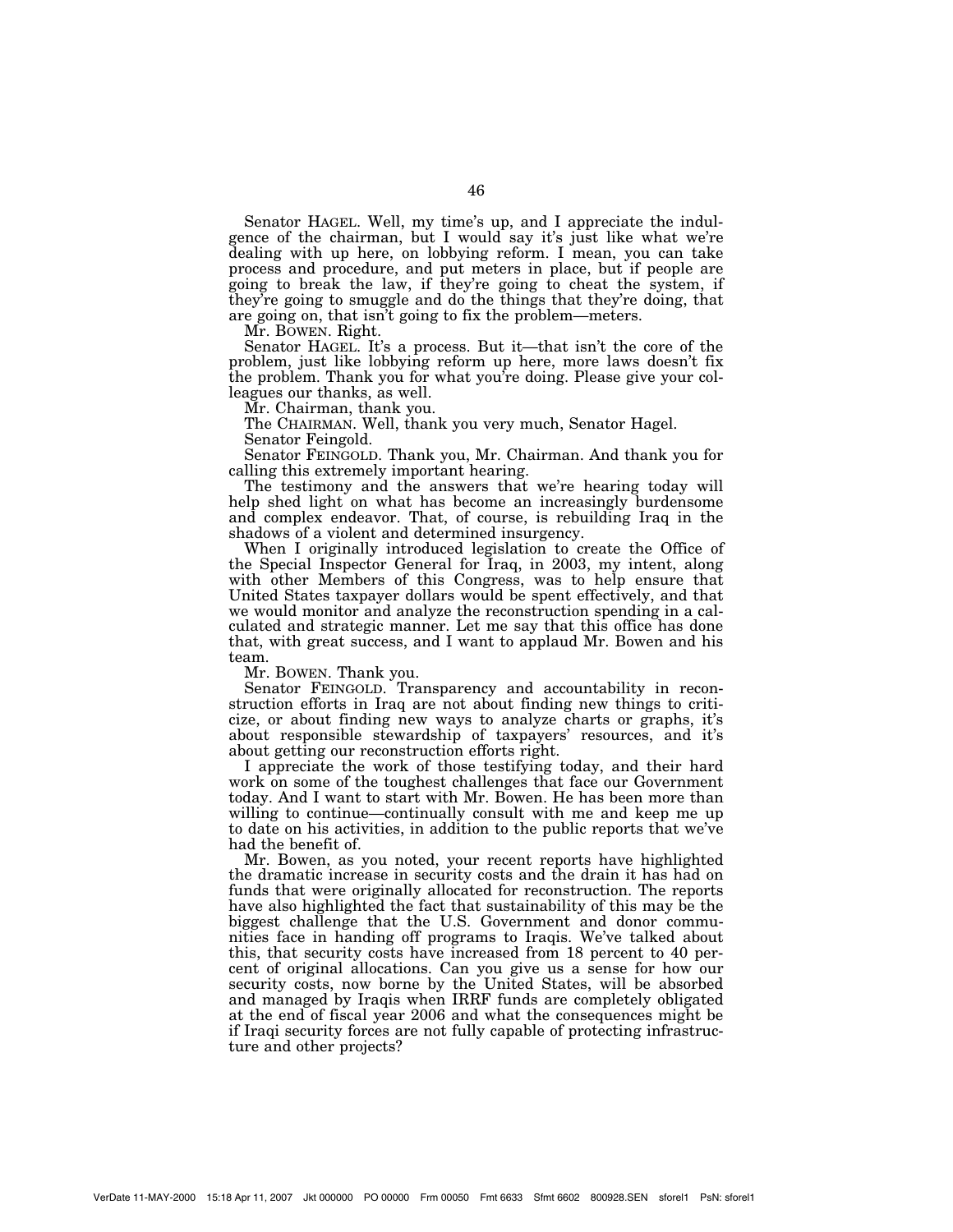Senator HAGEL. Well, my time's up, and I appreciate the indulgence of the chairman, but I would say it's just like what we're dealing with up here, on lobbying reform. I mean, you can take process and procedure, and put meters in place, but if people are going to break the law, if they're going to cheat the system, if they're going to smuggle and do the things that they're doing, that are going on, that isn't going to fix the problem—meters.

Mr. BOWEN. Right.

Senator HAGEL. It's a process. But it—that isn't the core of the problem, just like lobbying reform up here, more laws doesn't fix the problem. Thank you for what you're doing. Please give your colleagues our thanks, as well.

Mr. Chairman, thank you.

The CHAIRMAN. Well, thank you very much, Senator Hagel.

Senator Feingold.

Senator FEINGOLD. Thank you, Mr. Chairman. And thank you for calling this extremely important hearing.

The testimony and the answers that we're hearing today will help shed light on what has become an increasingly burdensome and complex endeavor. That, of course, is rebuilding Iraq in the shadows of a violent and determined insurgency.

When I originally introduced legislation to create the Office of the Special Inspector General for Iraq, in 2003, my intent, along with other Members of this Congress, was to help ensure that United States taxpayer dollars would be spent effectively, and that we would monitor and analyze the reconstruction spending in a calculated and strategic manner. Let me say that this office has done that, with great success, and I want to applaud Mr. Bowen and his team.

Mr. BOWEN. Thank you.

Senator FEINGOLD. Transparency and accountability in reconstruction efforts in Iraq are not about finding new things to criticize, or about finding new ways to analyze charts or graphs, it's about responsible stewardship of taxpayers' resources, and it's about getting our reconstruction efforts right.

I appreciate the work of those testifying today, and their hard work on some of the toughest challenges that face our Government today. And I want to start with Mr. Bowen. He has been more than willing to continue—continually consult with me and keep me up to date on his activities, in addition to the public reports that we've had the benefit of.

Mr. Bowen, as you noted, your recent reports have highlighted the dramatic increase in security costs and the drain it has had on funds that were originally allocated for reconstruction. The reports have also highlighted the fact that sustainability of this may be the biggest challenge that the U.S. Government and donor communities face in handing off programs to Iraqis. We've talked about this, that security costs have increased from 18 percent to 40 percent of original allocations. Can you give us a sense for how our security costs, now borne by the United States, will be absorbed and managed by Iraqis when IRRF funds are completely obligated at the end of fiscal year 2006 and what the consequences might be if Iraqi security forces are not fully capable of protecting infrastructure and other projects?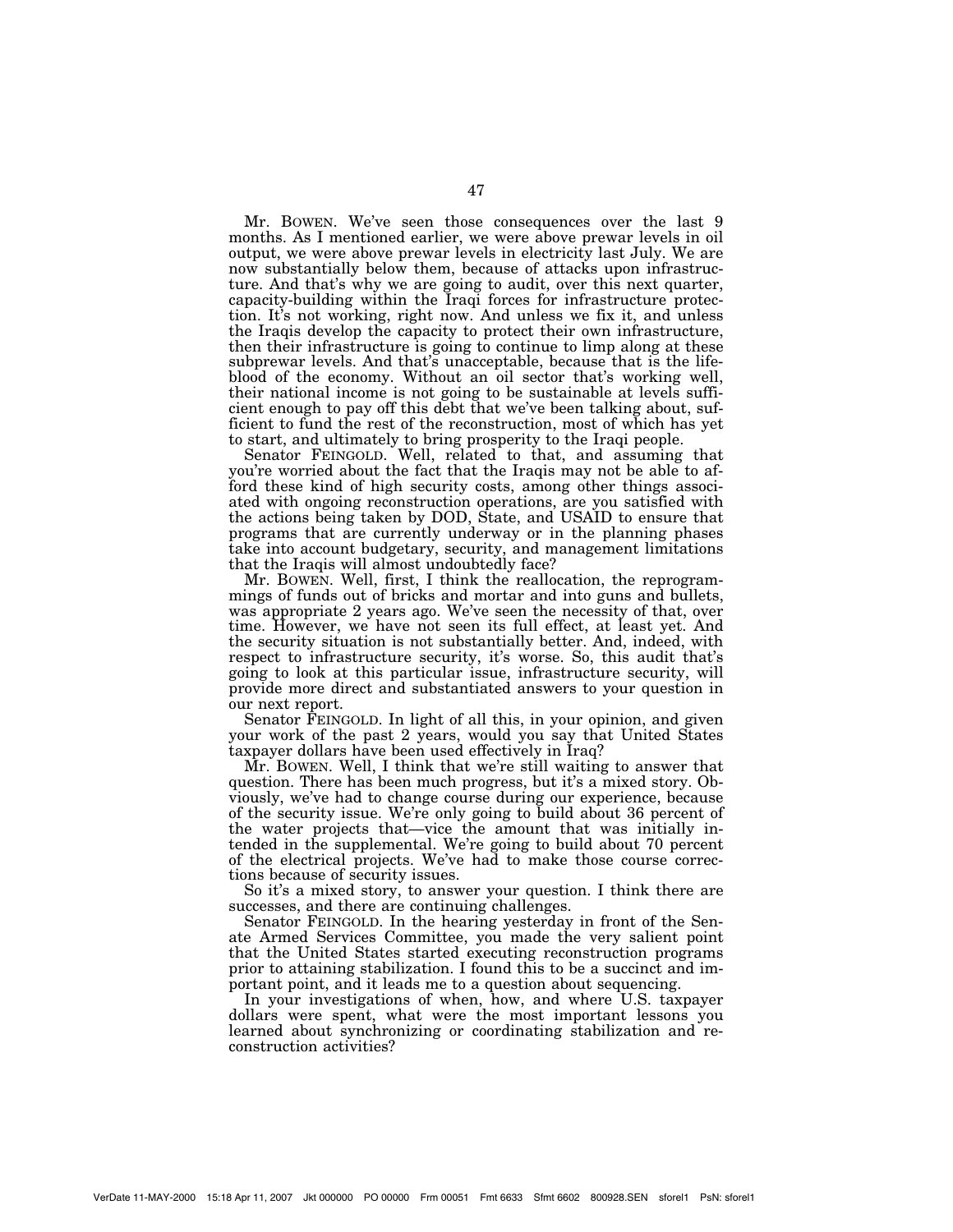Mr. BOWEN. We've seen those consequences over the last 9 months. As I mentioned earlier, we were above prewar levels in oil output, we were above prewar levels in electricity last July. We are now substantially below them, because of attacks upon infrastructure. And that's why we are going to audit, over this next quarter, capacity-building within the Iraqi forces for infrastructure protection. It's not working, right now. And unless we fix it, and unless the Iraqis develop the capacity to protect their own infrastructure, then their infrastructure is going to continue to limp along at these subprewar levels. And that's unacceptable, because that is the lifeblood of the economy. Without an oil sector that's working well, their national income is not going to be sustainable at levels sufficient enough to pay off this debt that we've been talking about, sufficient to fund the rest of the reconstruction, most of which has yet to start, and ultimately to bring prosperity to the Iraqi people.

Senator FEINGOLD. Well, related to that, and assuming that you're worried about the fact that the Iraqis may not be able to afford these kind of high security costs, among other things associated with ongoing reconstruction operations, are you satisfied with the actions being taken by DOD, State, and USAID to ensure that programs that are currently underway or in the planning phases take into account budgetary, security, and management limitations that the Iraqis will almost undoubtedly face?

Mr. BOWEN. Well, first, I think the reallocation, the reprogrammings of funds out of bricks and mortar and into guns and bullets, was appropriate 2 years ago. We've seen the necessity of that, over time. However, we have not seen its full effect, at least yet. And the security situation is not substantially better. And, indeed, with respect to infrastructure security, it's worse. So, this audit that's going to look at this particular issue, infrastructure security, will provide more direct and substantiated answers to your question in our next report.

Senator FEINGOLD. In light of all this, in your opinion, and given your work of the past 2 years, would you say that United States taxpayer dollars have been used effectively in Iraq?

Mr. BOWEN. Well, I think that we're still waiting to answer that question. There has been much progress, but it's a mixed story. Obviously, we've had to change course during our experience, because of the security issue. We're only going to build about 36 percent of the water projects that—vice the amount that was initially intended in the supplemental. We're going to build about 70 percent of the electrical projects. We've had to make those course corrections because of security issues.

So it's a mixed story, to answer your question. I think there are successes, and there are continuing challenges.

Senator FEINGOLD. In the hearing yesterday in front of the Senate Armed Services Committee, you made the very salient point that the United States started executing reconstruction programs prior to attaining stabilization. I found this to be a succinct and important point, and it leads me to a question about sequencing.

In your investigations of when, how, and where U.S. taxpayer dollars were spent, what were the most important lessons you learned about synchronizing or coordinating stabilization and reconstruction activities?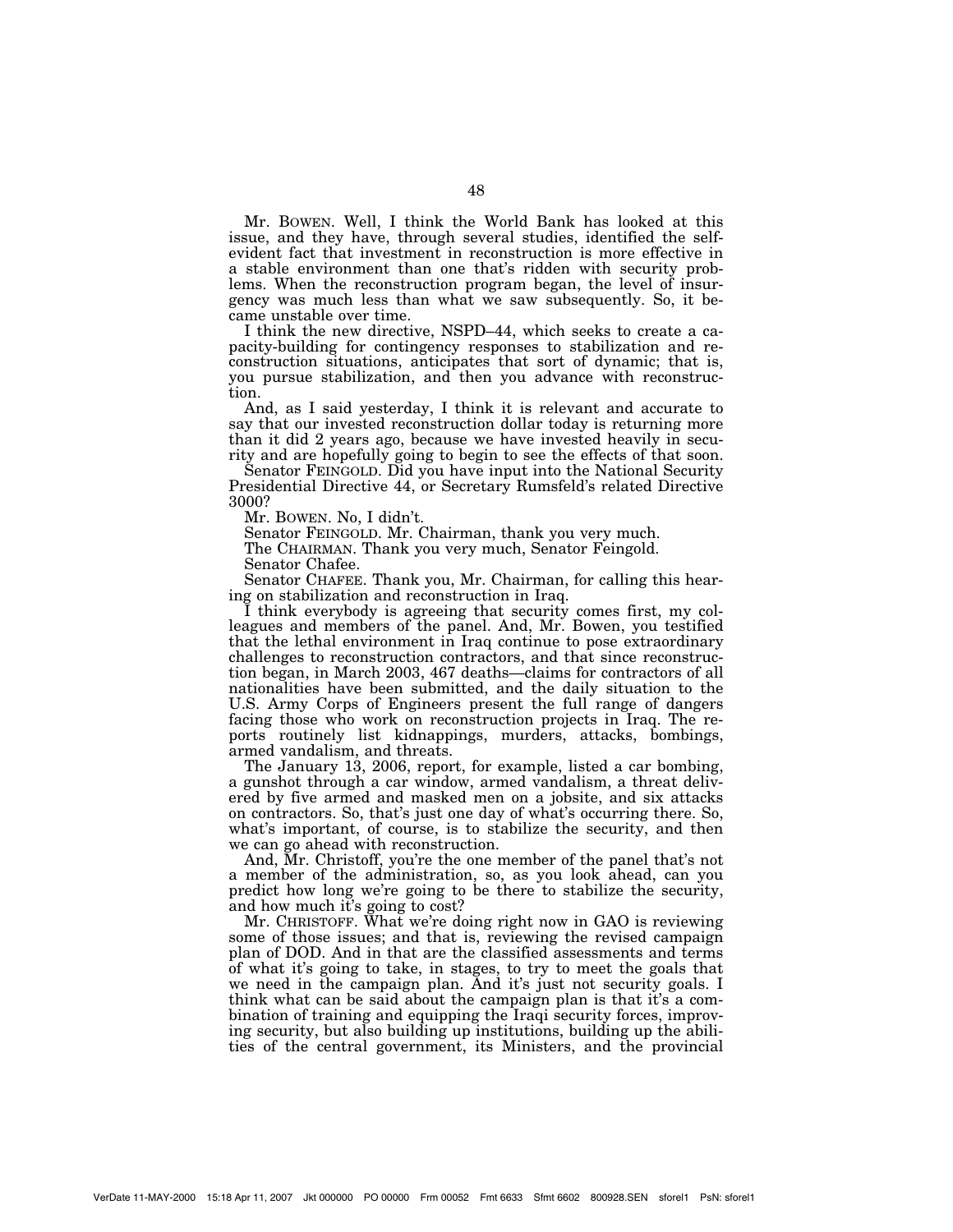Mr. BOWEN. Well, I think the World Bank has looked at this issue, and they have, through several studies, identified the selfevident fact that investment in reconstruction is more effective in a stable environment than one that's ridden with security problems. When the reconstruction program began, the level of insurgency was much less than what we saw subsequently. So, it became unstable over time.

I think the new directive, NSPD–44, which seeks to create a capacity-building for contingency responses to stabilization and reconstruction situations, anticipates that sort of dynamic; that is, you pursue stabilization, and then you advance with reconstruction.

And, as I said yesterday, I think it is relevant and accurate to say that our invested reconstruction dollar today is returning more than it did 2 years ago, because we have invested heavily in security and are hopefully going to begin to see the effects of that soon.

Senator FEINGOLD. Did you have input into the National Security Presidential Directive 44, or Secretary Rumsfeld's related Directive 3000?

Mr. BOWEN. No, I didn't.

Senator FEINGOLD. Mr. Chairman, thank you very much.

The CHAIRMAN. Thank you very much, Senator Feingold.

Senator Chafee.

Senator CHAFEE. Thank you, Mr. Chairman, for calling this hearing on stabilization and reconstruction in Iraq.

I think everybody is agreeing that security comes first, my colleagues and members of the panel. And, Mr. Bowen, you testified that the lethal environment in Iraq continue to pose extraordinary challenges to reconstruction contractors, and that since reconstruction began, in March 2003, 467 deaths—claims for contractors of all nationalities have been submitted, and the daily situation to the U.S. Army Corps of Engineers present the full range of dangers facing those who work on reconstruction projects in Iraq. The reports routinely list kidnappings, murders, attacks, bombings, armed vandalism, and threats.

The January 13, 2006, report, for example, listed a car bombing, a gunshot through a car window, armed vandalism, a threat delivered by five armed and masked men on a jobsite, and six attacks on contractors. So, that's just one day of what's occurring there. So, what's important, of course, is to stabilize the security, and then we can go ahead with reconstruction.

And, Mr. Christoff, you're the one member of the panel that's not a member of the administration, so, as you look ahead, can you predict how long we're going to be there to stabilize the security, and how much it's going to cost?

Mr. CHRISTOFF. What we're doing right now in GAO is reviewing some of those issues; and that is, reviewing the revised campaign plan of DOD. And in that are the classified assessments and terms of what it's going to take, in stages, to try to meet the goals that we need in the campaign plan. And it's just not security goals. I think what can be said about the campaign plan is that it's a combination of training and equipping the Iraqi security forces, improving security, but also building up institutions, building up the abilities of the central government, its Ministers, and the provincial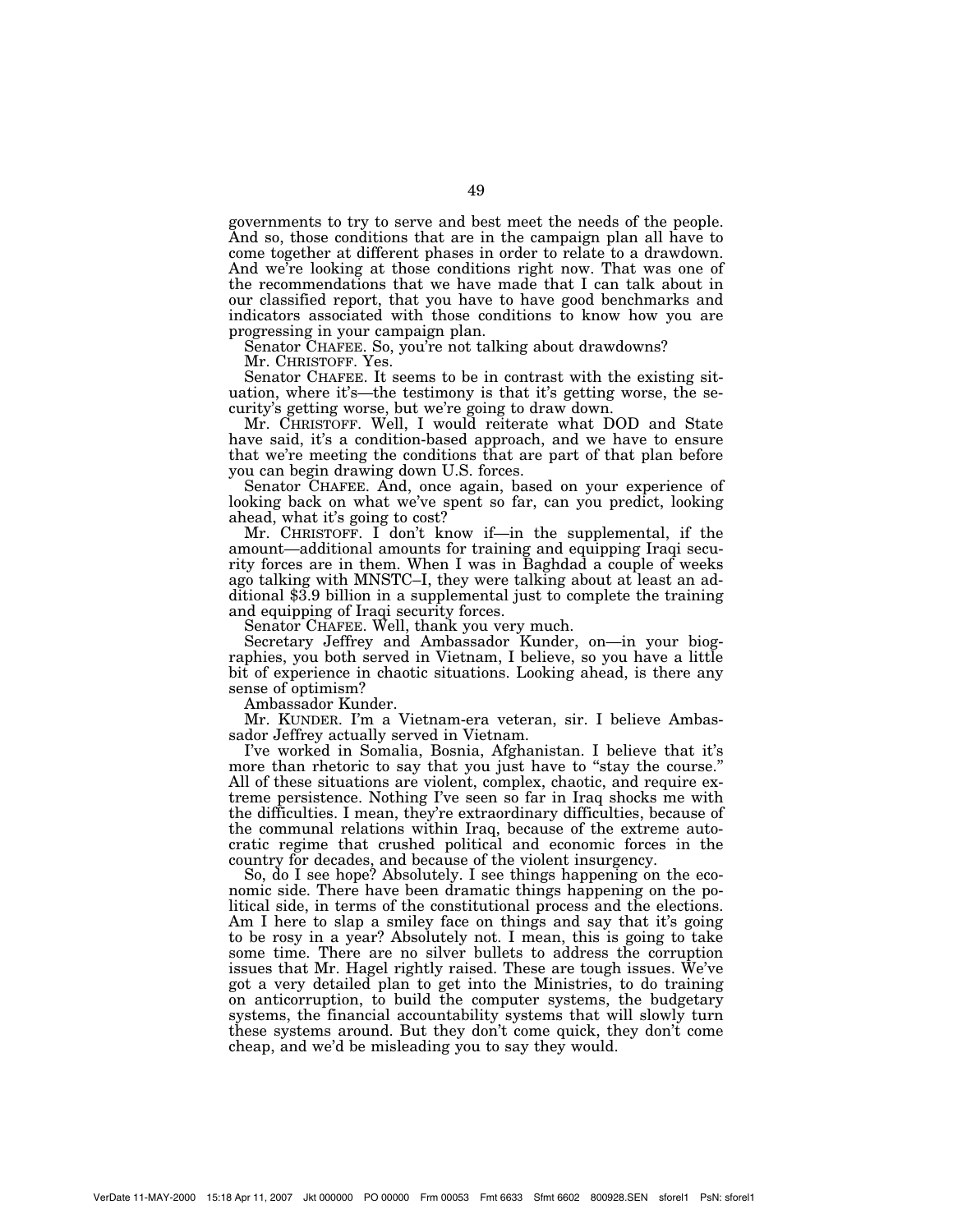governments to try to serve and best meet the needs of the people. And so, those conditions that are in the campaign plan all have to come together at different phases in order to relate to a drawdown. And we're looking at those conditions right now. That was one of the recommendations that we have made that I can talk about in our classified report, that you have to have good benchmarks and indicators associated with those conditions to know how you are progressing in your campaign plan.

Senator CHAFEE. So, you're not talking about drawdowns?

Mr. CHRISTOFF. Yes.

Senator CHAFEE. It seems to be in contrast with the existing situation, where it's—the testimony is that it's getting worse, the security's getting worse, but we're going to draw down.

Mr. CHRISTOFF. Well, I would reiterate what DOD and State have said, it's a condition-based approach, and we have to ensure that we're meeting the conditions that are part of that plan before you can begin drawing down U.S. forces.

Senator CHAFEE. And, once again, based on your experience of looking back on what we've spent so far, can you predict, looking ahead, what it's going to cost?

Mr. CHRISTOFF. I don't know if—in the supplemental, if the amount—additional amounts for training and equipping Iraqi security forces are in them. When I was in Baghdad a couple of weeks ago talking with MNSTC–I, they were talking about at least an additional \$3.9 billion in a supplemental just to complete the training and equipping of Iraqi security forces.

Senator CHAFEE. Well, thank you very much.

Secretary Jeffrey and Ambassador Kunder, on—in your biographies, you both served in Vietnam, I believe, so you have a little bit of experience in chaotic situations. Looking ahead, is there any sense of optimism?

Ambassador Kunder.

Mr. KUNDER. I'm a Vietnam-era veteran, sir. I believe Ambassador Jeffrey actually served in Vietnam.

I've worked in Somalia, Bosnia, Afghanistan. I believe that it's more than rhetoric to say that you just have to "stay the course." All of these situations are violent, complex, chaotic, and require extreme persistence. Nothing I've seen so far in Iraq shocks me with the difficulties. I mean, they're extraordinary difficulties, because of the communal relations within Iraq, because of the extreme autocratic regime that crushed political and economic forces in the country for decades, and because of the violent insurgency.

So, do I see hope? Absolutely. I see things happening on the economic side. There have been dramatic things happening on the political side, in terms of the constitutional process and the elections. Am I here to slap a smiley face on things and say that it's going to be rosy in a year? Absolutely not. I mean, this is going to take some time. There are no silver bullets to address the corruption issues that Mr. Hagel rightly raised. These are tough issues. We've got a very detailed plan to get into the Ministries, to do training on anticorruption, to build the computer systems, the budgetary systems, the financial accountability systems that will slowly turn these systems around. But they don't come quick, they don't come cheap, and we'd be misleading you to say they would.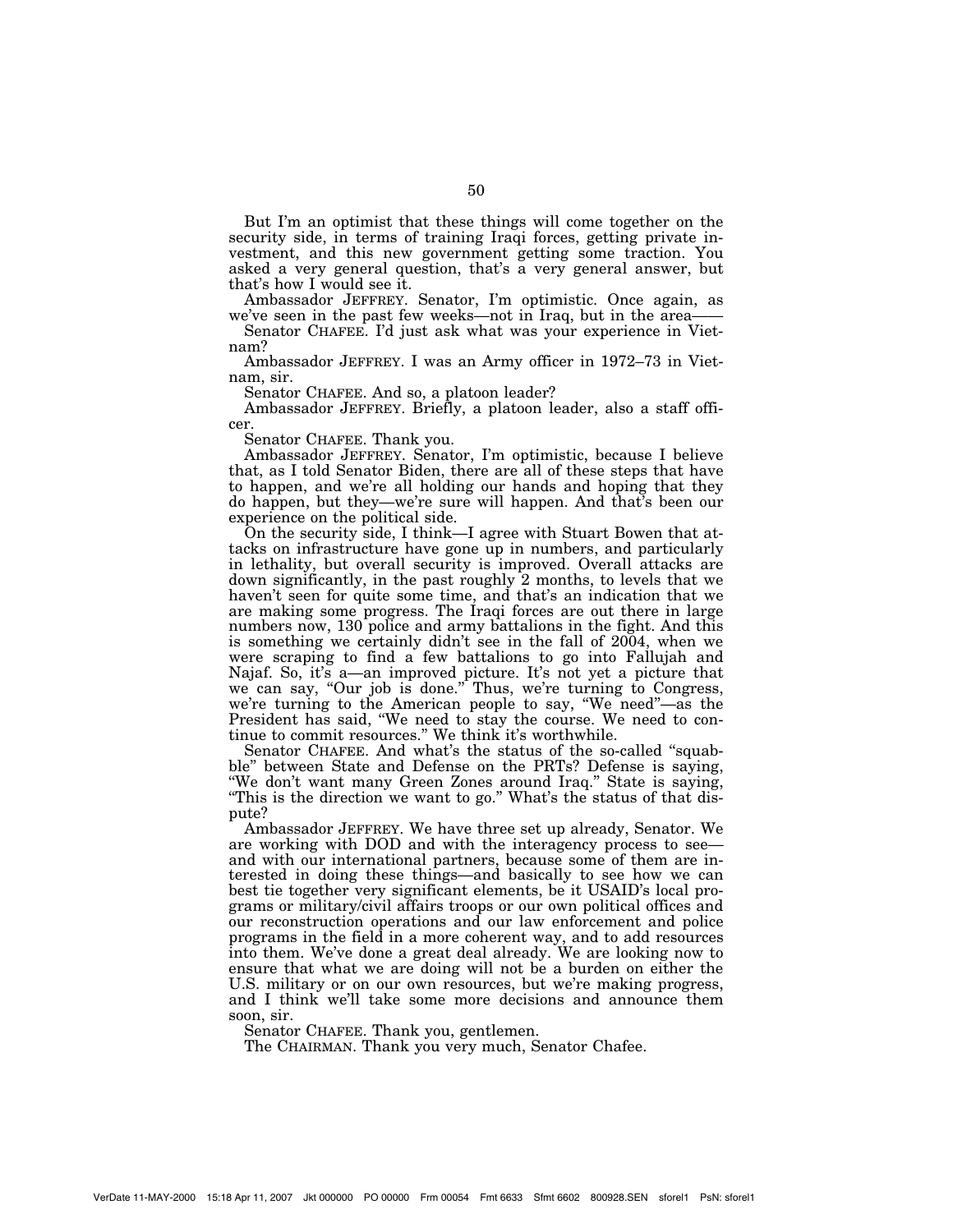But I'm an optimist that these things will come together on the security side, in terms of training Iraqi forces, getting private investment, and this new government getting some traction. You asked a very general question, that's a very general answer, but that's how I would see it.

Ambassador JEFFREY. Senator, I'm optimistic. Once again, as we've seen in the past few weeks—not in Iraq, but in the area—

Senator CHAFEE. I'd just ask what was your experience in Vietnam?

Ambassador JEFFREY. I was an Army officer in 1972–73 in Vietnam, sir.

Senator CHAFEE. And so, a platoon leader?

Ambassador JEFFREY. Briefly, a platoon leader, also a staff officer.

Senator CHAFEE. Thank you.

Ambassador JEFFREY. Senator, I'm optimistic, because I believe that, as I told Senator Biden, there are all of these steps that have to happen, and we're all holding our hands and hoping that they do happen, but they—we're sure will happen. And that's been our experience on the political side.

On the security side, I think—I agree with Stuart Bowen that attacks on infrastructure have gone up in numbers, and particularly in lethality, but overall security is improved. Overall attacks are down significantly, in the past roughly 2 months, to levels that we haven't seen for quite some time, and that's an indication that we are making some progress. The Iraqi forces are out there in large numbers now, 130 police and army battalions in the fight. And this is something we certainly didn't see in the fall of 2004, when we were scraping to find a few battalions to go into Fallujah and Najaf. So, it's a—an improved picture. It's not yet a picture that we can say, "Our job is done." Thus, we're turning to Congress, we're turning to the American people to say, ''We need''—as the President has said, ''We need to stay the course. We need to continue to commit resources.'' We think it's worthwhile.

Senator CHAFEE. And what's the status of the so-called ''squabble'' between State and Defense on the PRTs? Defense is saying, "We don't want many Green Zones around Iraq." State is saying, "This is the direction we want to go." What's the status of that dispute?

Ambassador JEFFREY. We have three set up already, Senator. We are working with DOD and with the interagency process to see and with our international partners, because some of them are interested in doing these things—and basically to see how we can best tie together very significant elements, be it USAID's local programs or military/civil affairs troops or our own political offices and our reconstruction operations and our law enforcement and police programs in the field in a more coherent way, and to add resources into them. We've done a great deal already. We are looking now to ensure that what we are doing will not be a burden on either the U.S. military or on our own resources, but we're making progress, and I think we'll take some more decisions and announce them soon, sir.

Senator CHAFEE. Thank you, gentlemen.

The CHAIRMAN. Thank you very much, Senator Chafee.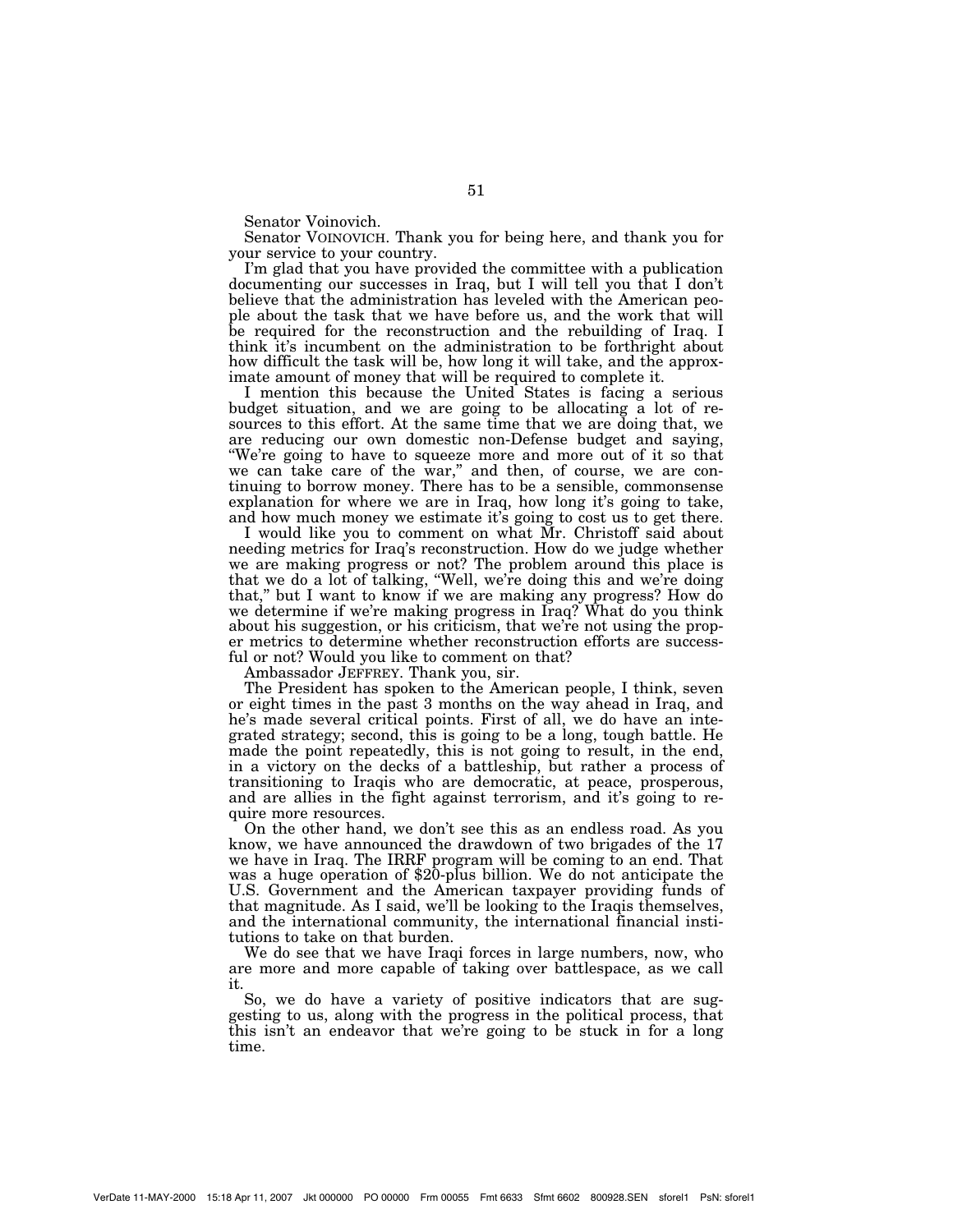Senator Voinovich.

Senator VOINOVICH. Thank you for being here, and thank you for your service to your country.

I'm glad that you have provided the committee with a publication documenting our successes in Iraq, but I will tell you that I don't believe that the administration has leveled with the American people about the task that we have before us, and the work that will be required for the reconstruction and the rebuilding of Iraq. I think it's incumbent on the administration to be forthright about how difficult the task will be, how long it will take, and the approximate amount of money that will be required to complete it.

I mention this because the United States is facing a serious budget situation, and we are going to be allocating a lot of resources to this effort. At the same time that we are doing that, we are reducing our own domestic non-Defense budget and saying, ''We're going to have to squeeze more and more out of it so that we can take care of the war,'' and then, of course, we are continuing to borrow money. There has to be a sensible, commonsense explanation for where we are in Iraq, how long it's going to take, and how much money we estimate it's going to cost us to get there.

I would like you to comment on what Mr. Christoff said about needing metrics for Iraq's reconstruction. How do we judge whether we are making progress or not? The problem around this place is that we do a lot of talking, ''Well, we're doing this and we're doing that,'' but I want to know if we are making any progress? How do we determine if we're making progress in Iraq? What do you think about his suggestion, or his criticism, that we're not using the proper metrics to determine whether reconstruction efforts are successful or not? Would you like to comment on that?

Ambassador JEFFREY. Thank you, sir.

The President has spoken to the American people, I think, seven or eight times in the past 3 months on the way ahead in Iraq, and he's made several critical points. First of all, we do have an integrated strategy; second, this is going to be a long, tough battle. He made the point repeatedly, this is not going to result, in the end, in a victory on the decks of a battleship, but rather a process of transitioning to Iraqis who are democratic, at peace, prosperous, and are allies in the fight against terrorism, and it's going to require more resources.

On the other hand, we don't see this as an endless road. As you know, we have announced the drawdown of two brigades of the 17 we have in Iraq. The IRRF program will be coming to an end. That was a huge operation of \$20-plus billion. We do not anticipate the U.S. Government and the American taxpayer providing funds of that magnitude. As I said, we'll be looking to the Iraqis themselves, and the international community, the international financial institutions to take on that burden.

We do see that we have Iraqi forces in large numbers, now, who are more and more capable of taking over battlespace, as we call it.

So, we do have a variety of positive indicators that are suggesting to us, along with the progress in the political process, that this isn't an endeavor that we're going to be stuck in for a long time.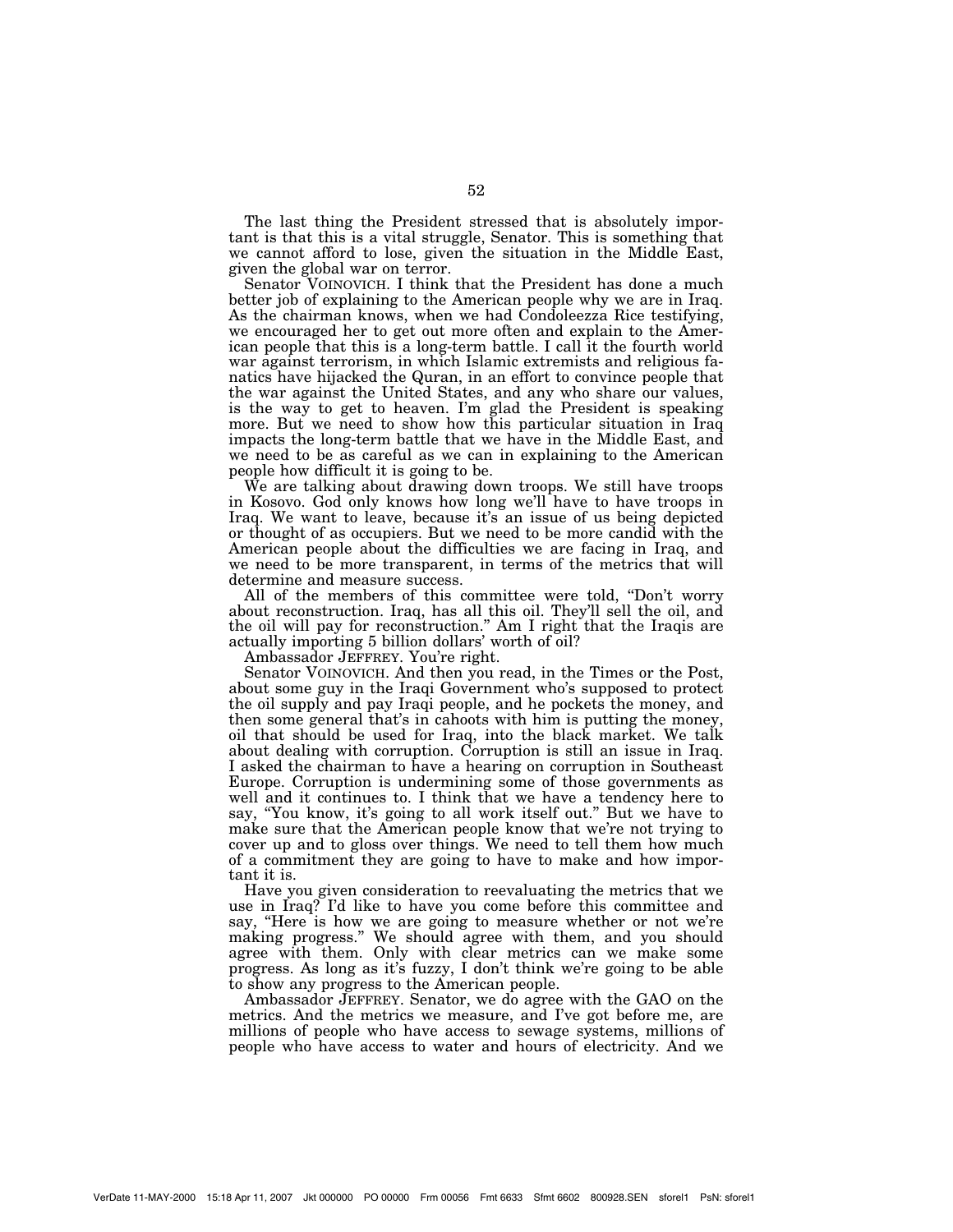The last thing the President stressed that is absolutely important is that this is a vital struggle, Senator. This is something that we cannot afford to lose, given the situation in the Middle East, given the global war on terror.

Senator VOINOVICH. I think that the President has done a much better job of explaining to the American people why we are in Iraq. As the chairman knows, when we had Condoleezza Rice testifying, we encouraged her to get out more often and explain to the American people that this is a long-term battle. I call it the fourth world war against terrorism, in which Islamic extremists and religious fanatics have hijacked the Quran, in an effort to convince people that the war against the United States, and any who share our values, is the way to get to heaven. I'm glad the President is speaking more. But we need to show how this particular situation in Iraq impacts the long-term battle that we have in the Middle East, and we need to be as careful as we can in explaining to the American people how difficult it is going to be.

We are talking about drawing down troops. We still have troops in Kosovo. God only knows how long we'll have to have troops in Iraq. We want to leave, because it's an issue of us being depicted or thought of as occupiers. But we need to be more candid with the American people about the difficulties we are facing in Iraq, and we need to be more transparent, in terms of the metrics that will determine and measure success.

All of the members of this committee were told, ''Don't worry about reconstruction. Iraq, has all this oil. They'll sell the oil, and the oil will pay for reconstruction.'' Am I right that the Iraqis are actually importing 5 billion dollars' worth of oil?

Ambassador JEFFREY. You're right.

Senator VOINOVICH. And then you read, in the Times or the Post, about some guy in the Iraqi Government who's supposed to protect the oil supply and pay Iraqi people, and he pockets the money, and then some general that's in cahoots with him is putting the money, oil that should be used for Iraq, into the black market. We talk about dealing with corruption. Corruption is still an issue in Iraq. I asked the chairman to have a hearing on corruption in Southeast Europe. Corruption is undermining some of those governments as well and it continues to. I think that we have a tendency here to say, ''You know, it's going to all work itself out.'' But we have to make sure that the American people know that we're not trying to cover up and to gloss over things. We need to tell them how much of a commitment they are going to have to make and how important it is.

Have you given consideration to reevaluating the metrics that we use in Iraq? I'd like to have you come before this committee and say, ''Here is how we are going to measure whether or not we're making progress.'' We should agree with them, and you should agree with them. Only with clear metrics can we make some progress. As long as it's fuzzy, I don't think we're going to be able to show any progress to the American people.

Ambassador JEFFREY. Senator, we do agree with the GAO on the metrics. And the metrics we measure, and I've got before me, are millions of people who have access to sewage systems, millions of people who have access to water and hours of electricity. And we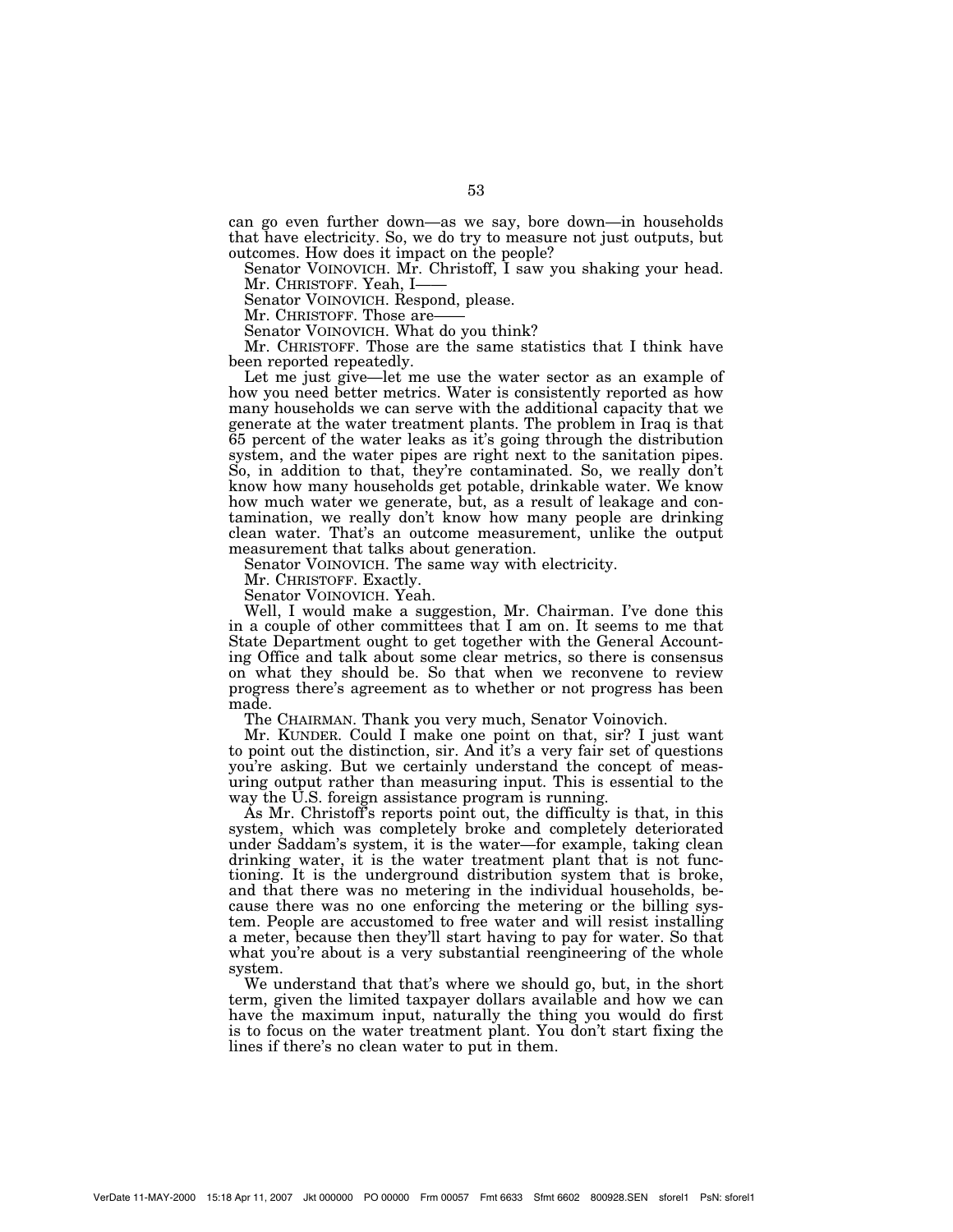can go even further down—as we say, bore down—in households that have electricity. So, we do try to measure not just outputs, but outcomes. How does it impact on the people?

Senator VOINOVICH. Mr. Christoff, I saw you shaking your head. Mr. CHRISTOFF. Yeah, I-

Senator VOINOVICH. Respond, please.

Mr. CHRISTOFF. Those are-

Senator VOINOVICH. What do you think?

Mr. CHRISTOFF. Those are the same statistics that I think have been reported repeatedly.

Let me just give—let me use the water sector as an example of how you need better metrics. Water is consistently reported as how many households we can serve with the additional capacity that we generate at the water treatment plants. The problem in Iraq is that 65 percent of the water leaks as it's going through the distribution system, and the water pipes are right next to the sanitation pipes. So, in addition to that, they're contaminated. So, we really don't know how many households get potable, drinkable water. We know how much water we generate, but, as a result of leakage and contamination, we really don't know how many people are drinking clean water. That's an outcome measurement, unlike the output measurement that talks about generation.

Senator VOINOVICH. The same way with electricity.

Mr. CHRISTOFF. Exactly.

Senator VOINOVICH. Yeah.

Well, I would make a suggestion, Mr. Chairman. I've done this in a couple of other committees that I am on. It seems to me that State Department ought to get together with the General Accounting Office and talk about some clear metrics, so there is consensus on what they should be. So that when we reconvene to review progress there's agreement as to whether or not progress has been made.

The CHAIRMAN. Thank you very much, Senator Voinovich.

Mr. KUNDER. Could I make one point on that, sir? I just want to point out the distinction, sir. And it's a very fair set of questions you're asking. But we certainly understand the concept of measuring output rather than measuring input. This is essential to the way the U.S. foreign assistance program is running.

As Mr. Christoff's reports point out, the difficulty is that, in this system, which was completely broke and completely deteriorated under Saddam's system, it is the water—for example, taking clean drinking water, it is the water treatment plant that is not functioning. It is the underground distribution system that is broke, and that there was no metering in the individual households, because there was no one enforcing the metering or the billing system. People are accustomed to free water and will resist installing a meter, because then they'll start having to pay for water. So that what you're about is a very substantial reengineering of the whole system.

We understand that that's where we should go, but, in the short term, given the limited taxpayer dollars available and how we can have the maximum input, naturally the thing you would do first is to focus on the water treatment plant. You don't start fixing the lines if there's no clean water to put in them.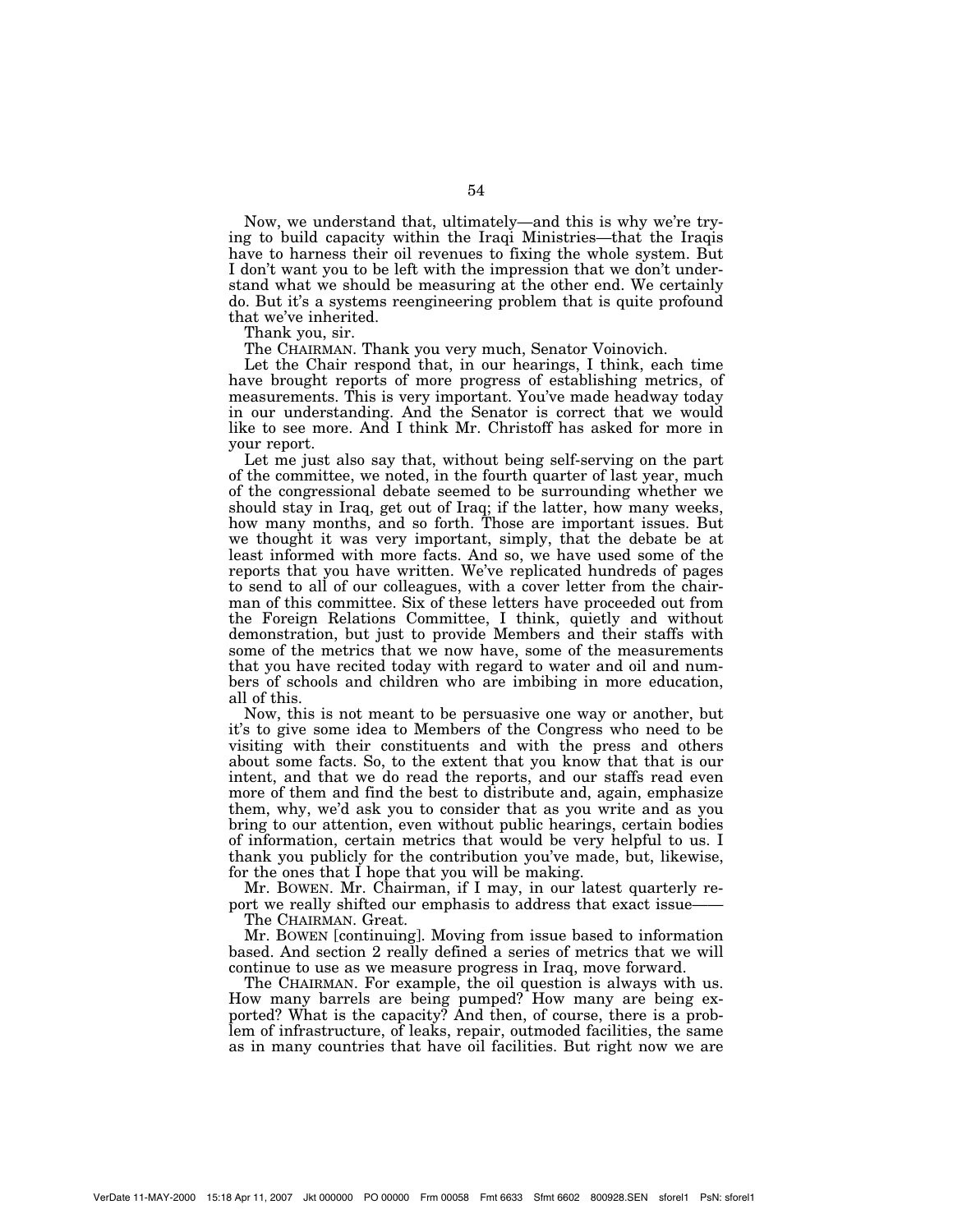Now, we understand that, ultimately—and this is why we're trying to build capacity within the Iraqi Ministries—that the Iraqis have to harness their oil revenues to fixing the whole system. But I don't want you to be left with the impression that we don't understand what we should be measuring at the other end. We certainly do. But it's a systems reengineering problem that is quite profound that we've inherited.

Thank you, sir.

The CHAIRMAN. Thank you very much, Senator Voinovich.

Let the Chair respond that, in our hearings, I think, each time have brought reports of more progress of establishing metrics, of measurements. This is very important. You've made headway today in our understanding. And the Senator is correct that we would like to see more. And I think Mr. Christoff has asked for more in your report.

Let me just also say that, without being self-serving on the part of the committee, we noted, in the fourth quarter of last year, much of the congressional debate seemed to be surrounding whether we should stay in Iraq, get out of Iraq; if the latter, how many weeks, how many months, and so forth. Those are important issues. But we thought it was very important, simply, that the debate be at least informed with more facts. And so, we have used some of the reports that you have written. We've replicated hundreds of pages to send to all of our colleagues, with a cover letter from the chairman of this committee. Six of these letters have proceeded out from the Foreign Relations Committee, I think, quietly and without demonstration, but just to provide Members and their staffs with some of the metrics that we now have, some of the measurements that you have recited today with regard to water and oil and numbers of schools and children who are imbibing in more education, all of this.

Now, this is not meant to be persuasive one way or another, but it's to give some idea to Members of the Congress who need to be visiting with their constituents and with the press and others about some facts. So, to the extent that you know that that is our intent, and that we do read the reports, and our staffs read even more of them and find the best to distribute and, again, emphasize them, why, we'd ask you to consider that as you write and as you bring to our attention, even without public hearings, certain bodies of information, certain metrics that would be very helpful to us. I thank you publicly for the contribution you've made, but, likewise, for the ones that I hope that you will be making.

Mr. BOWEN. Mr. Chairman, if I may, in our latest quarterly report we really shifted our emphasis to address that exact issue-The CHAIRMAN. Great.

Mr. BOWEN [continuing]. Moving from issue based to information based. And section 2 really defined a series of metrics that we will continue to use as we measure progress in Iraq, move forward.

The CHAIRMAN. For example, the oil question is always with us. How many barrels are being pumped? How many are being exported? What is the capacity? And then, of course, there is a problem of infrastructure, of leaks, repair, outmoded facilities, the same as in many countries that have oil facilities. But right now we are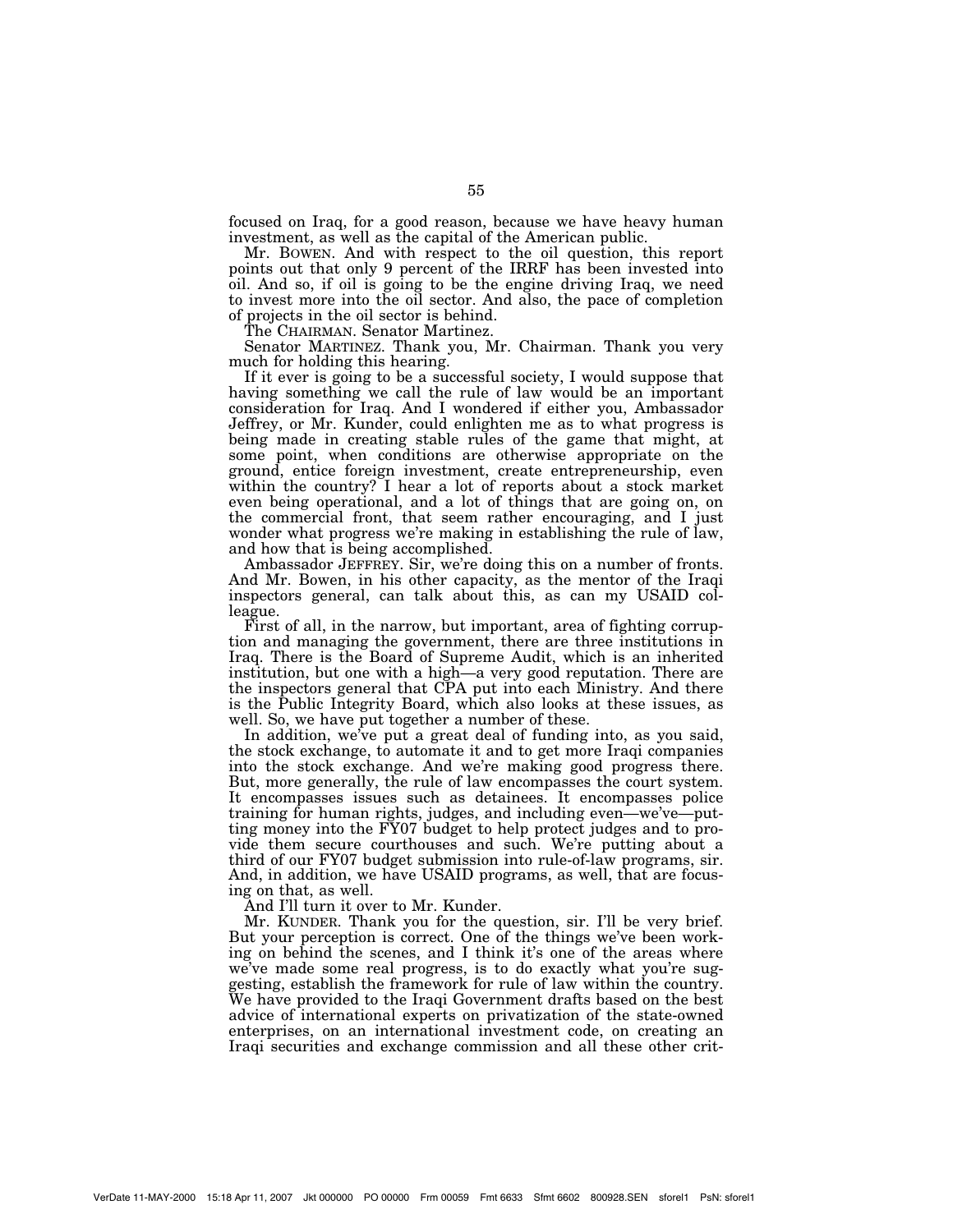focused on Iraq, for a good reason, because we have heavy human investment, as well as the capital of the American public.

Mr. BOWEN. And with respect to the oil question, this report points out that only 9 percent of the IRRF has been invested into oil. And so, if oil is going to be the engine driving Iraq, we need to invest more into the oil sector. And also, the pace of completion of projects in the oil sector is behind.

The CHAIRMAN. Senator Martinez.

Senator MARTINEZ. Thank you, Mr. Chairman. Thank you very much for holding this hearing.

If it ever is going to be a successful society, I would suppose that having something we call the rule of law would be an important consideration for Iraq. And I wondered if either you, Ambassador Jeffrey, or Mr. Kunder, could enlighten me as to what progress is being made in creating stable rules of the game that might, at some point, when conditions are otherwise appropriate on the ground, entice foreign investment, create entrepreneurship, even within the country? I hear a lot of reports about a stock market even being operational, and a lot of things that are going on, on the commercial front, that seem rather encouraging, and I just wonder what progress we're making in establishing the rule of law, and how that is being accomplished.

Ambassador JEFFREY. Sir, we're doing this on a number of fronts. And Mr. Bowen, in his other capacity, as the mentor of the Iraqi inspectors general, can talk about this, as can my USAID colleague.

First of all, in the narrow, but important, area of fighting corruption and managing the government, there are three institutions in Iraq. There is the Board of Supreme Audit, which is an inherited institution, but one with a high—a very good reputation. There are the inspectors general that CPA put into each Ministry. And there is the Public Integrity Board, which also looks at these issues, as well. So, we have put together a number of these.

In addition, we've put a great deal of funding into, as you said, the stock exchange, to automate it and to get more Iraqi companies into the stock exchange. And we're making good progress there. But, more generally, the rule of law encompasses the court system. It encompasses issues such as detainees. It encompasses police training for human rights, judges, and including even—we've—putting money into the FY07 budget to help protect judges and to provide them secure courthouses and such. We're putting about a third of our FY07 budget submission into rule-of-law programs, sir. And, in addition, we have USAID programs, as well, that are focusing on that, as well.

And I'll turn it over to Mr. Kunder.

Mr. KUNDER. Thank you for the question, sir. I'll be very brief. But your perception is correct. One of the things we've been working on behind the scenes, and I think it's one of the areas where we've made some real progress, is to do exactly what you're suggesting, establish the framework for rule of law within the country. We have provided to the Iraqi Government drafts based on the best advice of international experts on privatization of the state-owned enterprises, on an international investment code, on creating an Iraqi securities and exchange commission and all these other crit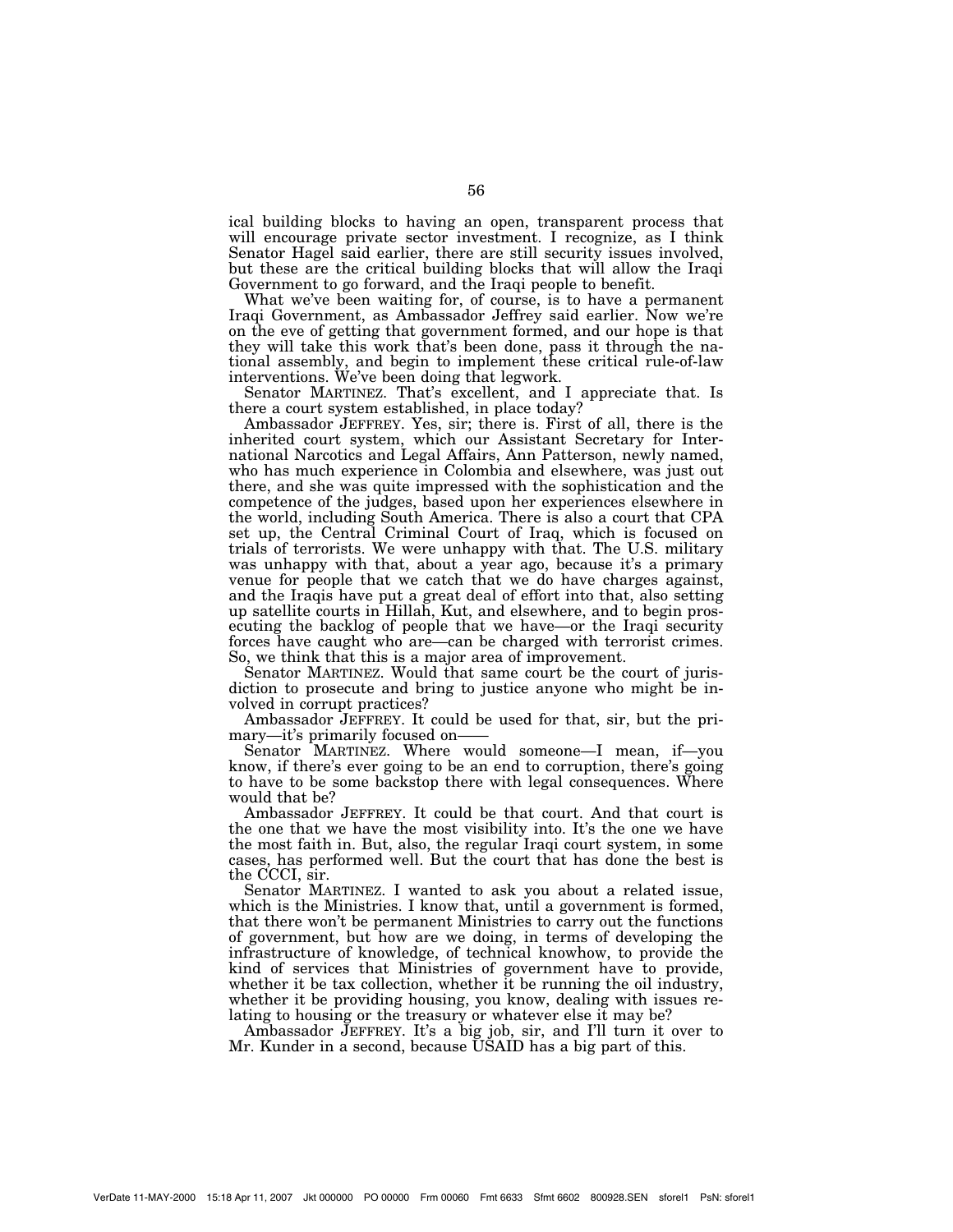ical building blocks to having an open, transparent process that will encourage private sector investment. I recognize, as I think Senator Hagel said earlier, there are still security issues involved, but these are the critical building blocks that will allow the Iraqi Government to go forward, and the Iraqi people to benefit.

What we've been waiting for, of course, is to have a permanent Iraqi Government, as Ambassador Jeffrey said earlier. Now we're on the eve of getting that government formed, and our hope is that they will take this work that's been done, pass it through the national assembly, and begin to implement these critical rule-of-law interventions. We've been doing that legwork.

Senator MARTINEZ. That's excellent, and I appreciate that. Is there a court system established, in place today?

Ambassador JEFFREY. Yes, sir; there is. First of all, there is the inherited court system, which our Assistant Secretary for International Narcotics and Legal Affairs, Ann Patterson, newly named, who has much experience in Colombia and elsewhere, was just out there, and she was quite impressed with the sophistication and the competence of the judges, based upon her experiences elsewhere in the world, including South America. There is also a court that CPA set up, the Central Criminal Court of Iraq, which is focused on trials of terrorists. We were unhappy with that. The U.S. military was unhappy with that, about a year ago, because it's a primary venue for people that we catch that we do have charges against, and the Iraqis have put a great deal of effort into that, also setting up satellite courts in Hillah, Kut, and elsewhere, and to begin prosecuting the backlog of people that we have—or the Iraqi security forces have caught who are—can be charged with terrorist crimes. So, we think that this is a major area of improvement.

Senator MARTINEZ. Would that same court be the court of jurisdiction to prosecute and bring to justice anyone who might be involved in corrupt practices?

Ambassador JEFFREY. It could be used for that, sir, but the primary—it's primarily focused on-

Senator MARTINEZ. Where would someone—I mean, if—you know, if there's ever going to be an end to corruption, there's going to have to be some backstop there with legal consequences. Where would that be?

Ambassador JEFFREY. It could be that court. And that court is the one that we have the most visibility into. It's the one we have the most faith in. But, also, the regular Iraqi court system, in some cases, has performed well. But the court that has done the best is the CCCI, sir.

Senator MARTINEZ. I wanted to ask you about a related issue, which is the Ministries. I know that, until a government is formed, that there won't be permanent Ministries to carry out the functions of government, but how are we doing, in terms of developing the infrastructure of knowledge, of technical knowhow, to provide the kind of services that Ministries of government have to provide, whether it be tax collection, whether it be running the oil industry, whether it be providing housing, you know, dealing with issues relating to housing or the treasury or whatever else it may be?

Ambassador JEFFREY. It's a big job, sir, and I'll turn it over to Mr. Kunder in a second, because USAID has a big part of this.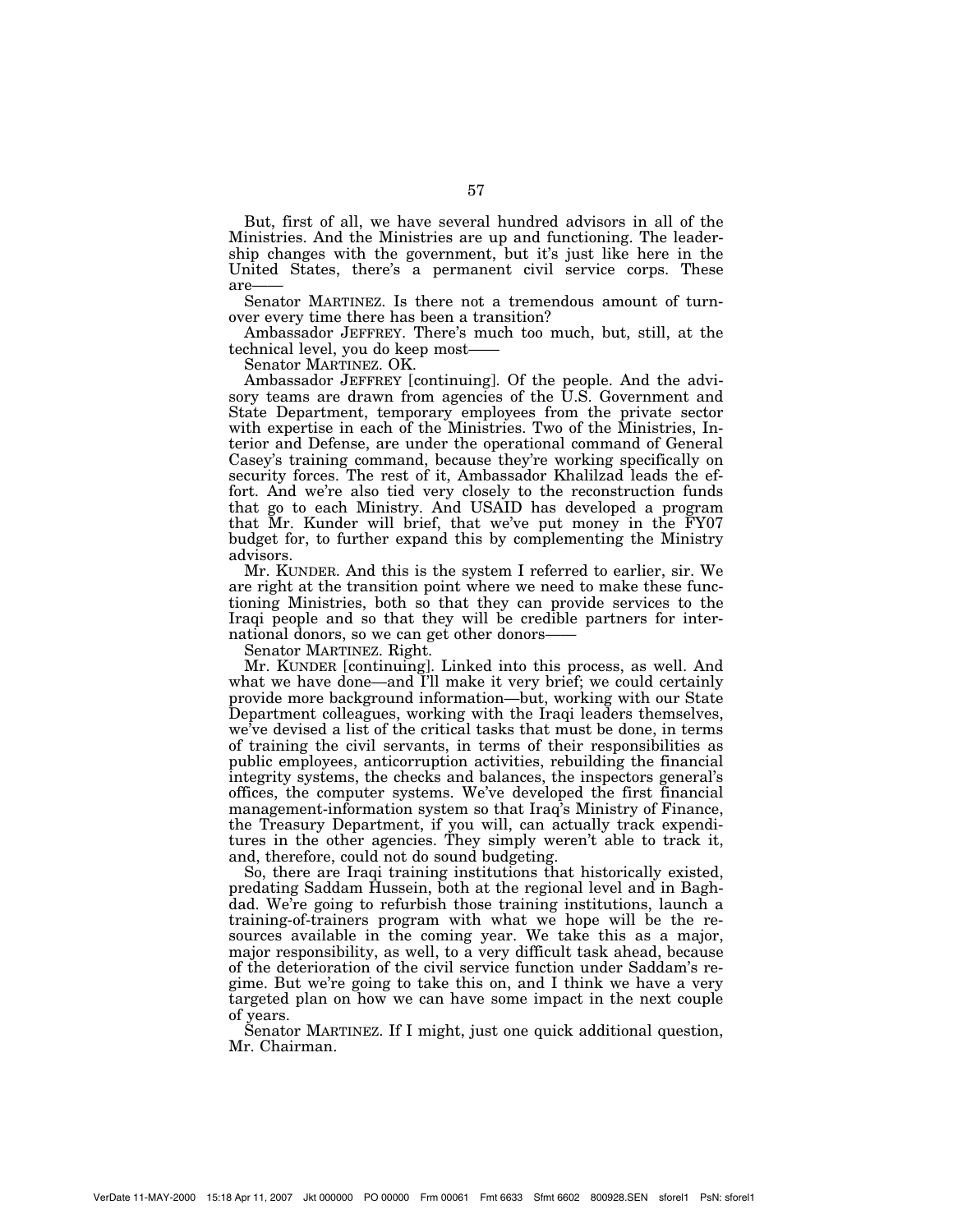But, first of all, we have several hundred advisors in all of the Ministries. And the Ministries are up and functioning. The leadership changes with the government, but it's just like here in the United States, there's a permanent civil service corps. These are

Senator MARTINEZ. Is there not a tremendous amount of turnover every time there has been a transition?

Ambassador JEFFREY. There's much too much, but, still, at the technical level, you do keep most-

Senator MARTINEZ. OK.

Ambassador JEFFREY [continuing]. Of the people. And the advisory teams are drawn from agencies of the U.S. Government and State Department, temporary employees from the private sector with expertise in each of the Ministries. Two of the Ministries, Interior and Defense, are under the operational command of General Casey's training command, because they're working specifically on security forces. The rest of it, Ambassador Khalilzad leads the effort. And we're also tied very closely to the reconstruction funds that go to each Ministry. And USAID has developed a program that Mr. Kunder will brief, that we've put money in the FY07 budget for, to further expand this by complementing the Ministry advisors.

Mr. KUNDER. And this is the system I referred to earlier, sir. We are right at the transition point where we need to make these functioning Ministries, both so that they can provide services to the Iraqi people and so that they will be credible partners for international donors, so we can get other donors——

Senator MARTINEZ. Right.

Mr. KUNDER [continuing]. Linked into this process, as well. And what we have done—and I'll make it very brief; we could certainly provide more background information—but, working with our State Department colleagues, working with the Iraqi leaders themselves, we've devised a list of the critical tasks that must be done, in terms of training the civil servants, in terms of their responsibilities as public employees, anticorruption activities, rebuilding the financial integrity systems, the checks and balances, the inspectors general's offices, the computer systems. We've developed the first financial management-information system so that Iraq's Ministry of Finance, the Treasury Department, if you will, can actually track expenditures in the other agencies. They simply weren't able to track it, and, therefore, could not do sound budgeting.

So, there are Iraqi training institutions that historically existed, predating Saddam Hussein, both at the regional level and in Baghdad. We're going to refurbish those training institutions, launch a training-of-trainers program with what we hope will be the resources available in the coming year. We take this as a major, major responsibility, as well, to a very difficult task ahead, because of the deterioration of the civil service function under Saddam's regime. But we're going to take this on, and I think we have a very targeted plan on how we can have some impact in the next couple of years.

Senator MARTINEZ. If I might, just one quick additional question, Mr. Chairman.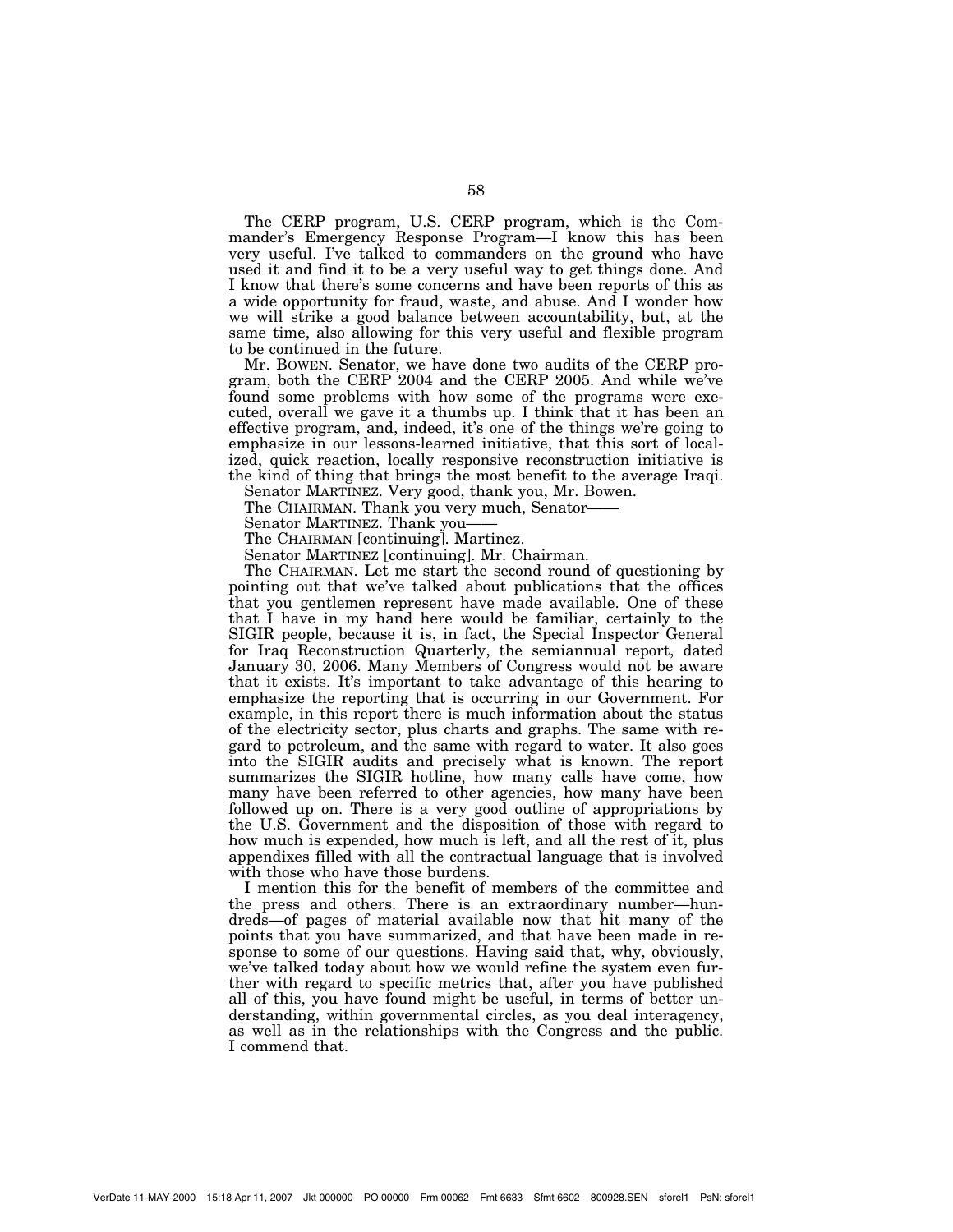The CERP program, U.S. CERP program, which is the Commander's Emergency Response Program—I know this has been very useful. I've talked to commanders on the ground who have used it and find it to be a very useful way to get things done. And I know that there's some concerns and have been reports of this as a wide opportunity for fraud, waste, and abuse. And I wonder how we will strike a good balance between accountability, but, at the same time, also allowing for this very useful and flexible program to be continued in the future.

Mr. BOWEN. Senator, we have done two audits of the CERP program, both the CERP 2004 and the CERP 2005. And while we've found some problems with how some of the programs were executed, overall we gave it a thumbs up. I think that it has been an effective program, and, indeed, it's one of the things we're going to emphasize in our lessons-learned initiative, that this sort of localized, quick reaction, locally responsive reconstruction initiative is the kind of thing that brings the most benefit to the average Iraqi.

Senator MARTINEZ. Very good, thank you, Mr. Bowen.

The CHAIRMAN. Thank you very much, Senator-

Senator MARTINEZ. Thank you-

The CHAIRMAN [continuing]. Martinez.

Senator MARTINEZ [continuing]. Mr. Chairman.

The CHAIRMAN. Let me start the second round of questioning by pointing out that we've talked about publications that the offices that you gentlemen represent have made available. One of these that I have in my hand here would be familiar, certainly to the SIGIR people, because it is, in fact, the Special Inspector General for Iraq Reconstruction Quarterly, the semiannual report, dated January 30, 2006. Many Members of Congress would not be aware that it exists. It's important to take advantage of this hearing to emphasize the reporting that is occurring in our Government. For example, in this report there is much information about the status of the electricity sector, plus charts and graphs. The same with regard to petroleum, and the same with regard to water. It also goes into the SIGIR audits and precisely what is known. The report summarizes the SIGIR hotline, how many calls have come, how many have been referred to other agencies, how many have been followed up on. There is a very good outline of appropriations by the U.S. Government and the disposition of those with regard to how much is expended, how much is left, and all the rest of it, plus appendixes filled with all the contractual language that is involved with those who have those burdens.

I mention this for the benefit of members of the committee and the press and others. There is an extraordinary number—hundreds—of pages of material available now that hit many of the points that you have summarized, and that have been made in response to some of our questions. Having said that, why, obviously, we've talked today about how we would refine the system even further with regard to specific metrics that, after you have published all of this, you have found might be useful, in terms of better understanding, within governmental circles, as you deal interagency, as well as in the relationships with the Congress and the public. I commend that.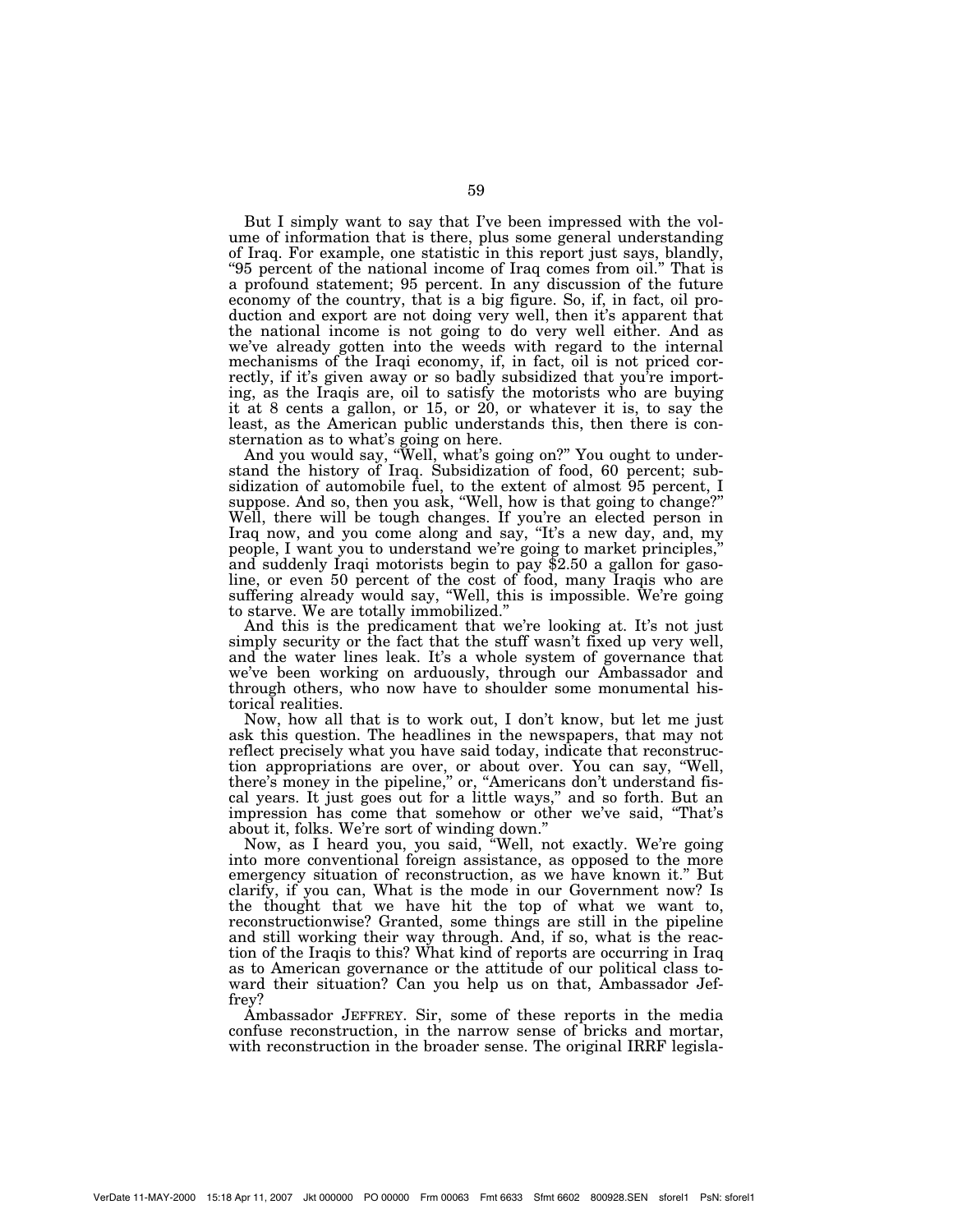But I simply want to say that I've been impressed with the volume of information that is there, plus some general understanding of Iraq. For example, one statistic in this report just says, blandly, "95 percent of the national income of Iraq comes from oil." That is a profound statement; 95 percent. In any discussion of the future economy of the country, that is a big figure. So, if, in fact, oil production and export are not doing very well, then it's apparent that the national income is not going to do very well either. And as we've already gotten into the weeds with regard to the internal mechanisms of the Iraqi economy, if, in fact, oil is not priced correctly, if it's given away or so badly subsidized that you're importing, as the Iraqis are, oil to satisfy the motorists who are buying it at 8 cents a gallon, or  $15$ , or  $20$ , or whatever it is, to say the least, as the American public understands this, then there is consternation as to what's going on here.

And you would say, ''Well, what's going on?'' You ought to understand the history of Iraq. Subsidization of food, 60 percent; subsidization of automobile fuel, to the extent of almost 95 percent, I suppose. And so, then you ask, ''Well, how is that going to change?'' Well, there will be tough changes. If you're an elected person in Iraq now, and you come along and say, ''It's a new day, and, my people, I want you to understand we're going to market principles,'' and suddenly Iraqi motorists begin to pay \$2.50 a gallon for gasoline, or even 50 percent of the cost of food, many Iraqis who are suffering already would say, ''Well, this is impossible. We're going to starve. We are totally immobilized.''

And this is the predicament that we're looking at. It's not just simply security or the fact that the stuff wasn't fixed up very well, and the water lines leak. It's a whole system of governance that we've been working on arduously, through our Ambassador and through others, who now have to shoulder some monumental historical realities.

Now, how all that is to work out, I don't know, but let me just ask this question. The headlines in the newspapers, that may not reflect precisely what you have said today, indicate that reconstruction appropriations are over, or about over. You can say, ''Well, there's money in the pipeline,'' or, ''Americans don't understand fiscal years. It just goes out for a little ways,'' and so forth. But an impression has come that somehow or other we've said, ''That's about it, folks. We're sort of winding down.''

Now, as I heard you, you said, ''Well, not exactly. We're going into more conventional foreign assistance, as opposed to the more emergency situation of reconstruction, as we have known it.'' But clarify, if you can, What is the mode in our Government now? Is the thought that we have hit the top of what we want to, reconstructionwise? Granted, some things are still in the pipeline and still working their way through. And, if so, what is the reaction of the Iraqis to this? What kind of reports are occurring in Iraq as to American governance or the attitude of our political class toward their situation? Can you help us on that, Ambassador Jeffrey?

Ambassador JEFFREY. Sir, some of these reports in the media confuse reconstruction, in the narrow sense of bricks and mortar, with reconstruction in the broader sense. The original IRRF legisla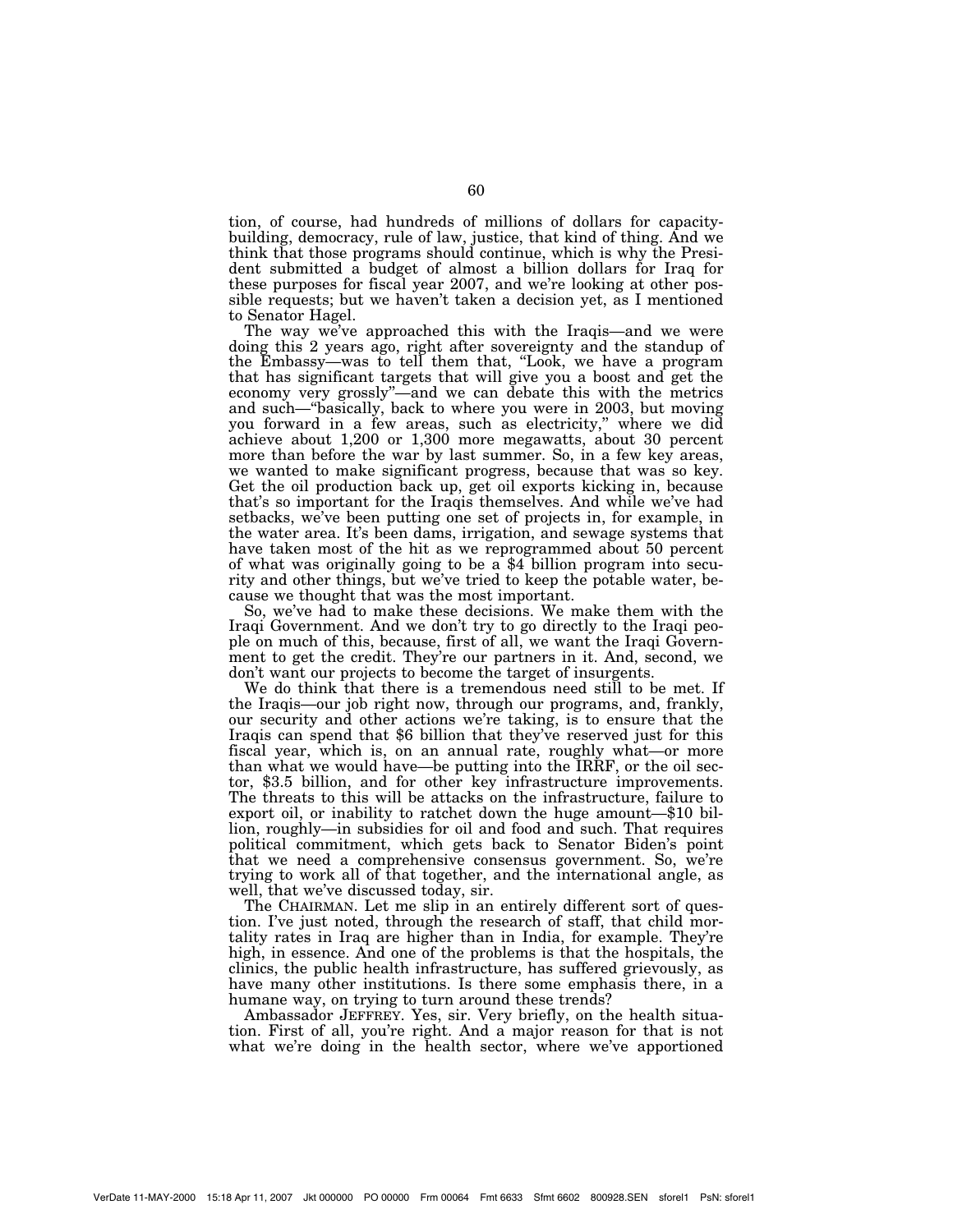tion, of course, had hundreds of millions of dollars for capacitybuilding, democracy, rule of law, justice, that kind of thing. And we think that those programs should continue, which is why the President submitted a budget of almost a billion dollars for Iraq for these purposes for fiscal year 2007, and we're looking at other possible requests; but we haven't taken a decision yet, as I mentioned to Senator Hagel.

The way we've approached this with the Iraqis—and we were doing this 2 years ago, right after sovereignty and the standup of the Embassy—was to tell them that, ''Look, we have a program that has significant targets that will give you a boost and get the economy very grossly''—and we can debate this with the metrics and such—''basically, back to where you were in 2003, but moving you forward in a few areas, such as electricity,'' where we did achieve about 1,200 or 1,300 more megawatts, about 30 percent more than before the war by last summer. So, in a few key areas, we wanted to make significant progress, because that was so key. Get the oil production back up, get oil exports kicking in, because that's so important for the Iraqis themselves. And while we've had setbacks, we've been putting one set of projects in, for example, in the water area. It's been dams, irrigation, and sewage systems that have taken most of the hit as we reprogrammed about 50 percent of what was originally going to be a \$4 billion program into security and other things, but we've tried to keep the potable water, because we thought that was the most important.

So, we've had to make these decisions. We make them with the Iraqi Government. And we don't try to go directly to the Iraqi people on much of this, because, first of all, we want the Iraqi Government to get the credit. They're our partners in it. And, second, we don't want our projects to become the target of insurgents.

We do think that there is a tremendous need still to be met. If the Iraqis—our job right now, through our programs, and, frankly, our security and other actions we're taking, is to ensure that the Iraqis can spend that \$6 billion that they've reserved just for this fiscal year, which is, on an annual rate, roughly what—or more than what we would have—be putting into the IRRF, or the oil sector, \$3.5 billion, and for other key infrastructure improvements. The threats to this will be attacks on the infrastructure, failure to export oil, or inability to ratchet down the huge amount—\$10 billion, roughly—in subsidies for oil and food and such. That requires political commitment, which gets back to Senator Biden's point that we need a comprehensive consensus government. So, we're trying to work all of that together, and the international angle, as well, that we've discussed today, sir.

The CHAIRMAN. Let me slip in an entirely different sort of question. I've just noted, through the research of staff, that child mortality rates in Iraq are higher than in India, for example. They're high, in essence. And one of the problems is that the hospitals, the clinics, the public health infrastructure, has suffered grievously, as have many other institutions. Is there some emphasis there, in a humane way, on trying to turn around these trends?

Ambassador JEFFREY. Yes, sir. Very briefly, on the health situation. First of all, you're right. And a major reason for that is not what we're doing in the health sector, where we've apportioned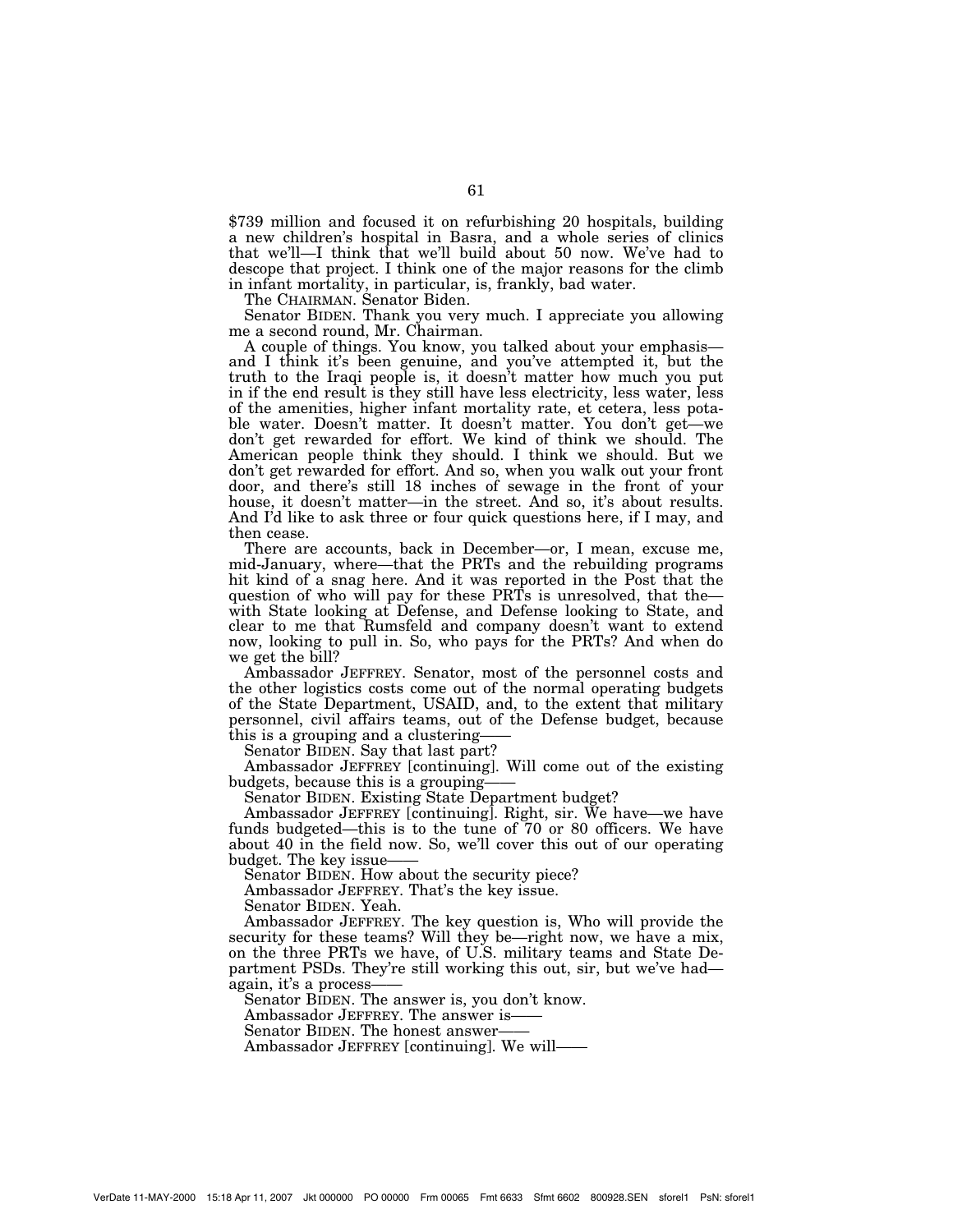\$739 million and focused it on refurbishing 20 hospitals, building a new children's hospital in Basra, and a whole series of clinics that we'll—I think that we'll build about 50 now. We've had to descope that project. I think one of the major reasons for the climb in infant mortality, in particular, is, frankly, bad water.

The CHAIRMAN. Senator Biden.

Senator BIDEN. Thank you very much. I appreciate you allowing me a second round, Mr. Chairman.

A couple of things. You know, you talked about your emphasis and I think it's been genuine, and you've attempted it, but the truth to the Iraqi people is, it doesn't matter how much you put in if the end result is they still have less electricity, less water, less of the amenities, higher infant mortality rate, et cetera, less potable water. Doesn't matter. It doesn't matter. You don't get—we don't get rewarded for effort. We kind of think we should. The American people think they should. I think we should. But we don't get rewarded for effort. And so, when you walk out your front door, and there's still 18 inches of sewage in the front of your house, it doesn't matter—in the street. And so, it's about results. And I'd like to ask three or four quick questions here, if I may, and then cease.

There are accounts, back in December—or, I mean, excuse me, mid-January, where—that the PRTs and the rebuilding programs hit kind of a snag here. And it was reported in the Post that the question of who will pay for these PRTs is unresolved, that the with State looking at Defense, and Defense looking to State, and clear to me that Rumsfeld and company doesn't want to extend now, looking to pull in. So, who pays for the PRTs? And when do we get the bill?

Ambassador JEFFREY. Senator, most of the personnel costs and the other logistics costs come out of the normal operating budgets of the State Department, USAID, and, to the extent that military personnel, civil affairs teams, out of the Defense budget, because this is a grouping and a clustering——

Senator BIDEN. Say that last part?

Ambassador JEFFREY [continuing]. Will come out of the existing budgets, because this is a grouping——

Senator BIDEN. Existing State Department budget?

Ambassador JEFFREY [continuing]. Right, sir. We have—we have funds budgeted—this is to the tune of 70 or 80 officers. We have about 40 in the field now. So, we'll cover this out of our operating budget. The key issue-

Senator BIDEN. How about the security piece?

Ambassador JEFFREY. That's the key issue.

Senator BIDEN. Yeah.

Ambassador JEFFREY. The key question is, Who will provide the security for these teams? Will they be—right now, we have a mix, on the three PRTs we have, of U.S. military teams and State Department PSDs. They're still working this out, sir, but we've had again, it's a process——

Senator BIDEN. The answer is, you don't know.

Ambassador JEFFREY. The answer is-

Senator BIDEN. The honest answer-

Ambassador JEFFREY [continuing]. We will——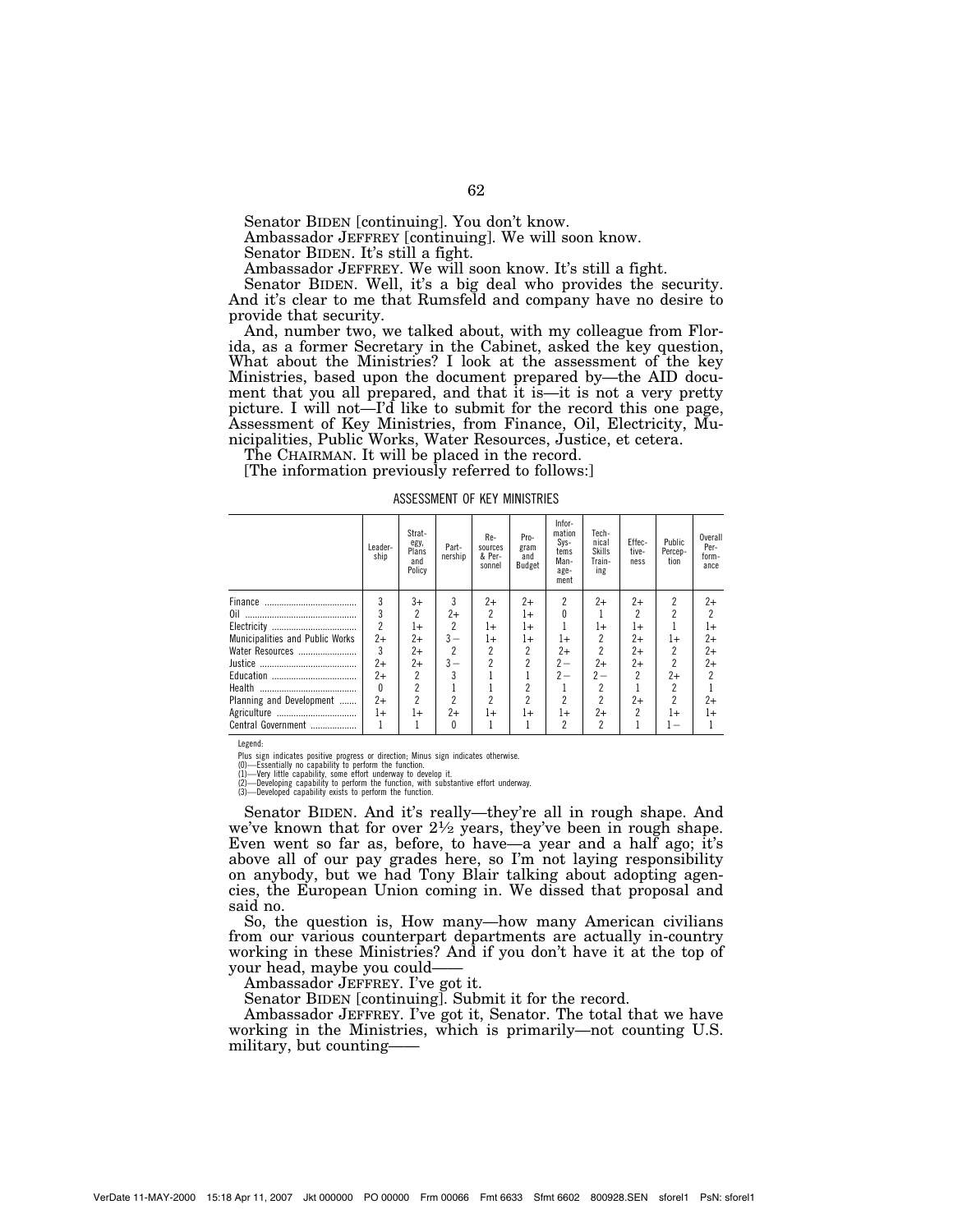Senator BIDEN [continuing]. You don't know.

Ambassador JEFFREY [continuing]. We will soon know.

Senator BIDEN. It's still a fight.

Ambassador JEFFREY. We will soon know. It's still a fight.

Senator BIDEN. Well, it's a big deal who provides the security. And it's clear to me that Rumsfeld and company have no desire to provide that security.

And, number two, we talked about, with my colleague from Florida, as a former Secretary in the Cabinet, asked the key question, What about the Ministries? I look at the assessment of the key Ministries, based upon the document prepared by—the AID document that you all prepared, and that it is—it is not a very pretty picture. I will not—I'd like to submit for the record this one page, Assessment of Key Ministries, from Finance, Oil, Electricity, Municipalities, Public Works, Water Resources, Justice, et cetera.

The CHAIRMAN. It will be placed in the record.

[The information previously referred to follows:]

#### ASSESSMENT OF KEY MINISTRIES

|                                 | Leader-<br>ship | Strat-<br>egy,<br>Plans<br>and<br>Policy | Part-<br>nership | Re-<br>sources<br>& Per-<br>sonnel | $Pro-$<br>gram<br>and<br>Budget | Infor-<br>mation<br>$Sys-$<br>tems<br>Man-<br>age-<br>ment | Tech-<br>nical<br><b>Skills</b><br>Train-<br>ing | Fffec-<br>tive-<br>ness | Public<br>Percep-<br>tion | Overall<br>Per-<br>form-<br>ance |
|---------------------------------|-----------------|------------------------------------------|------------------|------------------------------------|---------------------------------|------------------------------------------------------------|--------------------------------------------------|-------------------------|---------------------------|----------------------------------|
| Finance                         | 3               | $3+$                                     |                  | $2+$                               | $2+$                            | 2                                                          | $2+$                                             | $2+$                    | $\overline{c}$            | $2+$                             |
| 0il                             | 3               |                                          | $2+$             |                                    | l+                              |                                                            |                                                  |                         |                           |                                  |
|                                 |                 | 1+                                       | 2                | 1+                                 | l+                              |                                                            | 1+                                               | $1+$                    |                           | $^{1+}$                          |
| Municipalities and Public Works | $2+$            | $^{2+}$                                  | $3 -$            | l+                                 | 1+                              | $^{1+}$                                                    | 2                                                | 2+                      | l+                        | $2+$                             |
| Water Resources                 | 3               | $2+$                                     | 2                | 2                                  | 2                               | $2+$                                                       | 2                                                | $^{2+}$                 | 2                         | $2+$                             |
|                                 | $2+$            | $2+$                                     | $3 -$            |                                    | $\mathfrak{p}$                  | $2 -$                                                      | $^{2+}$                                          | $^{2+}$                 | $\mathfrak{p}$            | $^{2+}$                          |
|                                 | $^{2+}$         | 2                                        | 3                |                                    |                                 | $2 -$                                                      | 2 —                                              | 2                       | $^{2+}$                   | 2                                |
| Health<br>                      | 0               | 2                                        |                  |                                    | ŋ                               |                                                            | 2                                                |                         | 2                         |                                  |
| Planning and Development        | $2+$            | $\overline{c}$                           | $\mathfrak{p}$   |                                    | 2                               | $\overline{c}$                                             | $\mathfrak{p}$                                   | $^{2+}$                 | $\overline{c}$            | $2+$                             |
| Agriculture                     | $1+$            | 1+                                       | $2+$             | l+                                 | 1+                              | 1+                                                         | $2+$                                             | 2                       | l+                        | $^{1+}$                          |
| Central Government              |                 |                                          | 0                |                                    |                                 | 2                                                          | 2                                                |                         |                           |                                  |

Legend:

Plus sign indicates positive progress or direction; Minus sign indicates otherwise.

(O)—Essentially no capability to perform the function.<br>(1)—Very little capability, some effort underway to develop it.<br>(2)—Developing capability to perform the function, with substantive effort underway.<br>(3)—Developed capa

Senator BIDEN. And it's really—they're all in rough shape. And we've known that for over  $2\frac{1}{2}$  years, they've been in rough shape. Even went so far as, before, to have—a year and a half ago; it's above all of our pay grades here, so I'm not laying responsibility on anybody, but we had Tony Blair talking about adopting agencies, the European Union coming in. We dissed that proposal and said no.

So, the question is, How many—how many American civilians from our various counterpart departments are actually in-country working in these Ministries? And if you don't have it at the top of your head, maybe you could——

Ambassador JEFFREY. I've got it.

Senator BIDEN [continuing]. Submit it for the record.

Ambassador JEFFREY. I've got it, Senator. The total that we have working in the Ministries, which is primarily—not counting U.S. military, but counting——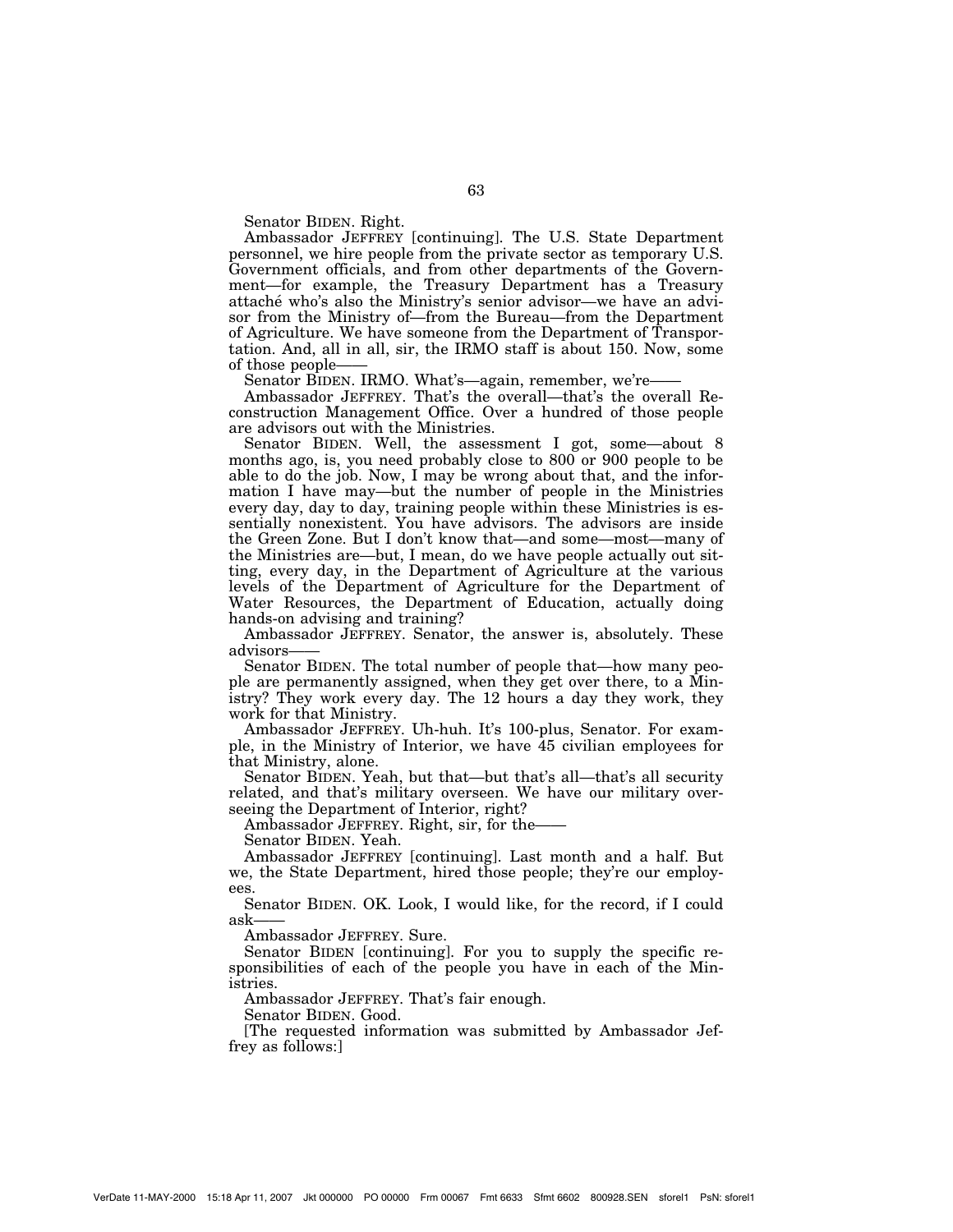Senator BIDEN. Right.

Ambassador JEFFREY [continuing]. The U.S. State Department personnel, we hire people from the private sector as temporary U.S. Government officials, and from other departments of the Government—for example, the Treasury Department has a Treasury attaché who's also the Ministry's senior advisor—we have an advisor from the Ministry of—from the Bureau—from the Department of Agriculture. We have someone from the Department of Transportation. And, all in all, sir, the IRMO staff is about 150. Now, some of those people-

Senator BIDEN. IRMO. What's—again, remember, we're-

Ambassador JEFFREY. That's the overall—that's the overall Reconstruction Management Office. Over a hundred of those people are advisors out with the Ministries.

Senator BIDEN. Well, the assessment I got, some—about 8 months ago, is, you need probably close to 800 or 900 people to be able to do the job. Now, I may be wrong about that, and the information I have may—but the number of people in the Ministries every day, day to day, training people within these Ministries is essentially nonexistent. You have advisors. The advisors are inside the Green Zone. But I don't know that—and some—most—many of the Ministries are—but, I mean, do we have people actually out sitting, every day, in the Department of Agriculture at the various levels of the Department of Agriculture for the Department of Water Resources, the Department of Education, actually doing hands-on advising and training?

Ambassador JEFFREY. Senator, the answer is, absolutely. These advisors——

Senator BIDEN. The total number of people that—how many people are permanently assigned, when they get over there, to a Ministry? They work every day. The 12 hours a day they work, they work for that Ministry.

Ambassador JEFFREY. Uh-huh. It's 100-plus, Senator. For example, in the Ministry of Interior, we have 45 civilian employees for that Ministry, alone.

Senator BIDEN. Yeah, but that—but that's all—that's all security related, and that's military overseen. We have our military overseeing the Department of Interior, right?

Ambassador JEFFREY. Right, sir, for the-

Senator BIDEN. Yeah.

Ambassador JEFFREY [continuing]. Last month and a half. But we, the State Department, hired those people; they're our employees.

Senator BIDEN. OK. Look, I would like, for the record, if I could ask

Ambassador JEFFREY. Sure.

Senator BIDEN [continuing]. For you to supply the specific responsibilities of each of the people you have in each of the Ministries.

Ambassador JEFFREY. That's fair enough.

Senator BIDEN. Good.

[The requested information was submitted by Ambassador Jeffrey as follows:]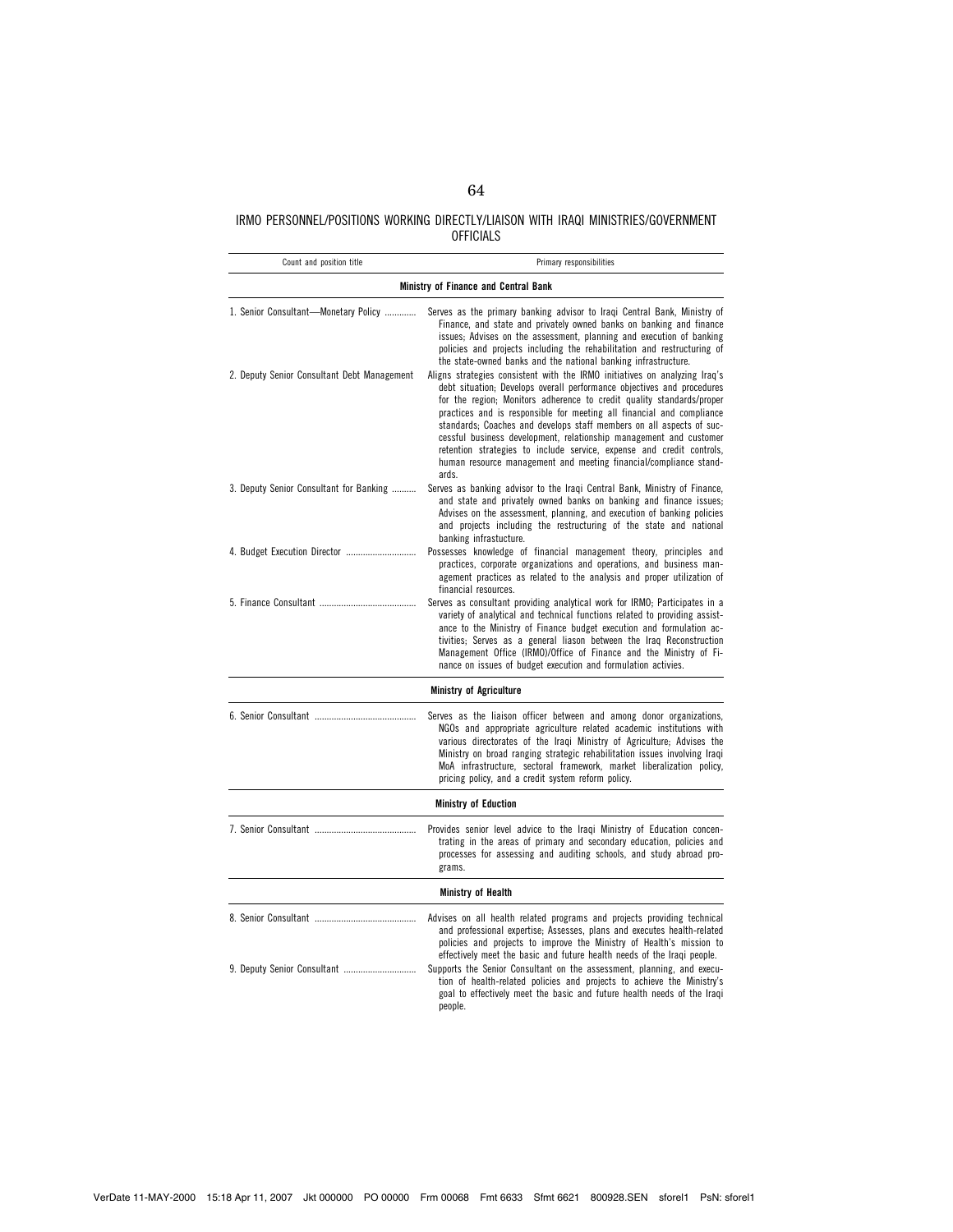| Count and position title                    | Primary responsibilities                                                                                                                                                                                                                                                                                                                                                                                                                                                                                                                                                                                    |  |  |
|---------------------------------------------|-------------------------------------------------------------------------------------------------------------------------------------------------------------------------------------------------------------------------------------------------------------------------------------------------------------------------------------------------------------------------------------------------------------------------------------------------------------------------------------------------------------------------------------------------------------------------------------------------------------|--|--|
|                                             | Ministry of Finance and Central Bank                                                                                                                                                                                                                                                                                                                                                                                                                                                                                                                                                                        |  |  |
| 1. Senior Consultant-Monetary Policy        | Serves as the primary banking advisor to Iraqi Central Bank, Ministry of<br>Finance, and state and privately owned banks on banking and finance<br>issues; Advises on the assessment, planning and execution of banking<br>policies and projects including the rehabilitation and restructuring of<br>the state-owned banks and the national banking infrastructure.                                                                                                                                                                                                                                        |  |  |
| 2. Deputy Senior Consultant Debt Management | Aligns strategies consistent with the IRMO initiatives on analyzing Iraq's<br>debt situation; Develops overall performance objectives and procedures<br>for the region; Monitors adherence to credit quality standards/proper<br>practices and is responsible for meeting all financial and compliance<br>standards; Coaches and develops staff members on all aspects of suc-<br>cessful business development, relationship management and customer<br>retention strategies to include service, expense and credit controls,<br>human resource management and meeting financial/compliance stand-<br>ards. |  |  |
| 3. Deputy Senior Consultant for Banking     | Serves as banking advisor to the Iraqi Central Bank, Ministry of Finance,<br>and state and privately owned banks on banking and finance issues;<br>Advises on the assessment, planning, and execution of banking policies<br>and projects including the restructuring of the state and national<br>banking infrastucture.                                                                                                                                                                                                                                                                                   |  |  |
|                                             | Possesses knowledge of financial management theory, principles and<br>practices, corporate organizations and operations, and business man-<br>agement practices as related to the analysis and proper utilization of<br>financial resources.                                                                                                                                                                                                                                                                                                                                                                |  |  |
|                                             | Serves as consultant providing analytical work for IRMO; Participates in a<br>variety of analytical and technical functions related to providing assist-<br>ance to the Ministry of Finance budget execution and formulation ac-<br>tivities; Serves as a general liason between the Iraq Reconstruction<br>Management Office (IRMO)/Office of Finance and the Ministry of Fi-<br>nance on issues of budget execution and formulation activies.                                                                                                                                                             |  |  |
|                                             | <b>Ministry of Agriculture</b>                                                                                                                                                                                                                                                                                                                                                                                                                                                                                                                                                                              |  |  |
|                                             | Serves as the liaison officer between and among donor organizations,<br>NGOs and appropriate agriculture related academic institutions with<br>various directorates of the Iraqi Ministry of Agriculture; Advises the<br>Ministry on broad ranging strategic rehabilitation issues involving Iraqi<br>MoA infrastructure, sectoral framework, market liberalization policy,<br>pricing policy, and a credit system reform policy.                                                                                                                                                                           |  |  |
|                                             | <b>Ministry of Eduction</b>                                                                                                                                                                                                                                                                                                                                                                                                                                                                                                                                                                                 |  |  |
|                                             | Provides senior level advice to the Iraqi Ministry of Education concen-<br>trating in the areas of primary and secondary education, policies and<br>processes for assessing and auditing schools, and study abroad pro-<br>grams.                                                                                                                                                                                                                                                                                                                                                                           |  |  |
| Ministry of Health                          |                                                                                                                                                                                                                                                                                                                                                                                                                                                                                                                                                                                                             |  |  |
|                                             | Advises on all health related programs and projects providing technical<br>and professional expertise; Assesses, plans and executes health-related<br>policies and projects to improve the Ministry of Health's mission to<br>effectively meet the basic and future health needs of the Iraqi people.                                                                                                                                                                                                                                                                                                       |  |  |
| 9. Deputy Senior Consultant                 | Supports the Senior Consultant on the assessment, planning, and execu-<br>tion of health-related policies and projects to achieve the Ministry's<br>goal to effectively meet the basic and future health needs of the Iraqi<br>people.                                                                                                                                                                                                                                                                                                                                                                      |  |  |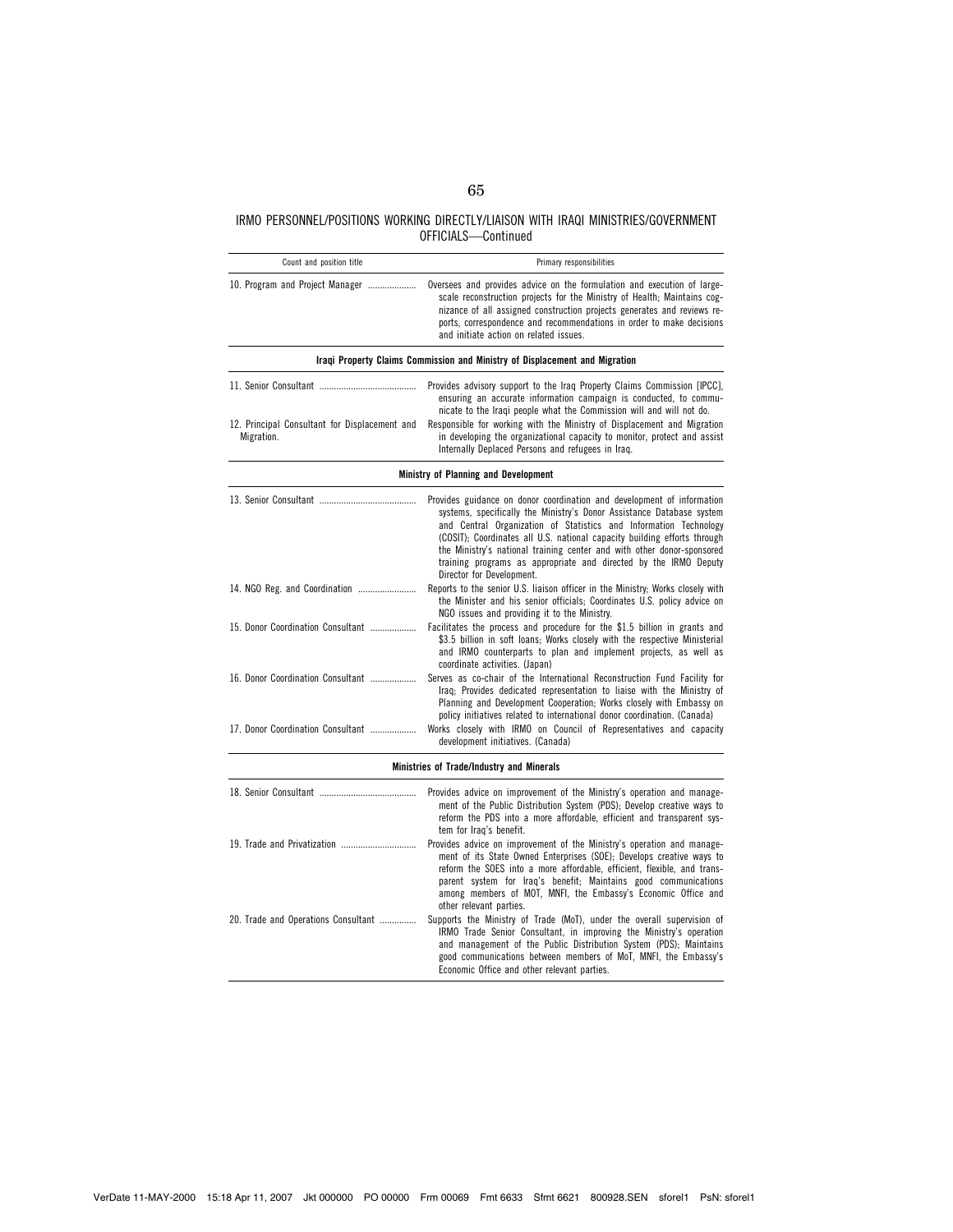| Count and position title                                    | Primary responsibilities                                                                                                                                                                                                                                                                                                                                                                                                                                                    |
|-------------------------------------------------------------|-----------------------------------------------------------------------------------------------------------------------------------------------------------------------------------------------------------------------------------------------------------------------------------------------------------------------------------------------------------------------------------------------------------------------------------------------------------------------------|
|                                                             | Oversees and provides advice on the formulation and execution of large-<br>scale reconstruction projects for the Ministry of Health; Maintains cog-<br>nizance of all assigned construction projects generates and reviews re-<br>ports, correspondence and recommendations in order to make decisions<br>and initiate action on related issues.                                                                                                                            |
|                                                             | Iragi Property Claims Commission and Ministry of Displacement and Migration                                                                                                                                                                                                                                                                                                                                                                                                 |
| 12. Principal Consultant for Displacement and<br>Migration. | Provides advisory support to the Iraq Property Claims Commission [IPCC],<br>ensuring an accurate information campaign is conducted, to commu-<br>nicate to the Iraqi people what the Commission will and will not do.<br>Responsible for working with the Ministry of Displacement and Migration<br>in developing the organizational capacity to monitor, protect and assist                                                                                                |
|                                                             | Internally Deplaced Persons and refugees in Irag.                                                                                                                                                                                                                                                                                                                                                                                                                           |
|                                                             | Ministry of Planning and Development                                                                                                                                                                                                                                                                                                                                                                                                                                        |
|                                                             | Provides guidance on donor coordination and development of information<br>systems, specifically the Ministry's Donor Assistance Database system<br>and Central Organization of Statistics and Information Technology<br>(COSIT); Coordinates all U.S. national capacity building efforts through<br>the Ministry's national training center and with other donor-sponsored<br>training programs as appropriate and directed by the IRMO Deputy<br>Director for Development. |
|                                                             | Reports to the senior U.S. liaison officer in the Ministry; Works closely with<br>the Minister and his senior officials; Coordinates U.S. policy advice on<br>NGO issues and providing it to the Ministry.                                                                                                                                                                                                                                                                  |
| 15. Donor Coordination Consultant                           | Facilitates the process and procedure for the \$1.5 billion in grants and<br>\$3.5 billion in soft loans; Works closely with the respective Ministerial<br>and IRMO counterparts to plan and implement projects, as well as<br>coordinate activities. (Japan)                                                                                                                                                                                                               |
| 16. Donor Coordination Consultant                           | Serves as co-chair of the International Reconstruction Fund Facility for<br>Iraq; Provides dedicated representation to liaise with the Ministry of<br>Planning and Development Cooperation; Works closely with Embassy on<br>policy initiatives related to international donor coordination. (Canada)                                                                                                                                                                       |
| 17. Donor Coordination Consultant                           | Works closely with IRMO on Council of Representatives and capacity<br>development initiatives. (Canada)                                                                                                                                                                                                                                                                                                                                                                     |
|                                                             | Ministries of Trade/Industry and Minerals                                                                                                                                                                                                                                                                                                                                                                                                                                   |
|                                                             | Provides advice on improvement of the Ministry's operation and manage-<br>ment of the Public Distribution System (PDS); Develop creative ways to<br>reform the PDS into a more affordable, efficient and transparent sys-<br>tem for Irag's benefit.                                                                                                                                                                                                                        |
|                                                             | Provides advice on improvement of the Ministry's operation and manage-<br>ment of its State Owned Enterprises (SOE); Develops creative ways to<br>reform the SOES into a more affordable, efficient, flexible, and trans-<br>parent system for Iraq's benefit; Maintains good communications<br>among members of MOT, MNFI, the Embassy's Economic Office and<br>other relevant parties.                                                                                    |
| 20. Trade and Operations Consultant                         | Supports the Ministry of Trade (MoT), under the overall supervision of<br>IRMO Trade Senior Consultant, in improving the Ministry's operation<br>and management of the Public Distribution System (PDS); Maintains<br>good communications between members of MoT, MNFI, the Embassy's<br>Economic Office and other relevant parties.                                                                                                                                        |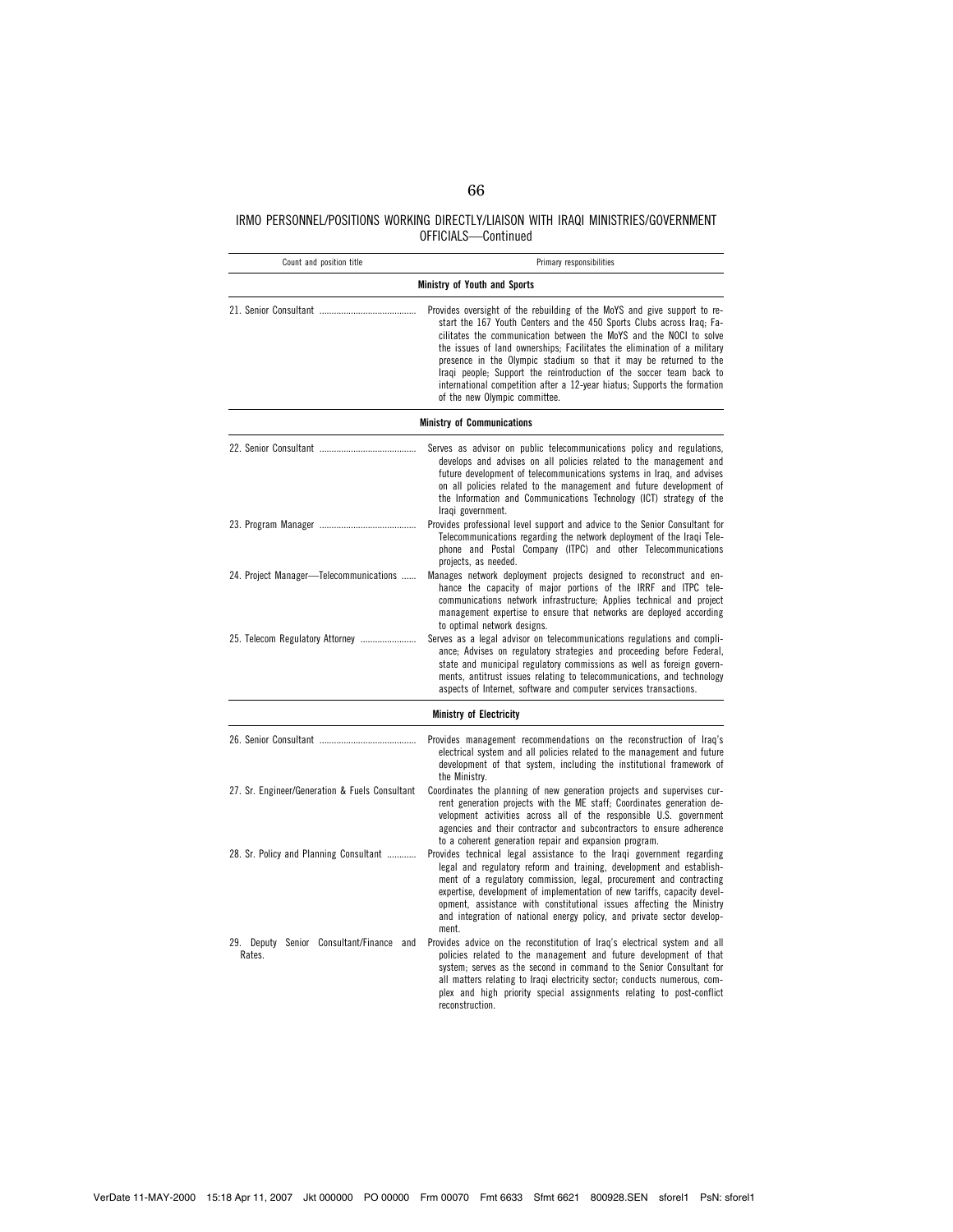| Count and position title                           | Primary responsibilities                                                                                                                                                                                                                                                                                                                                                                                                                                                                                                                                     |
|----------------------------------------------------|--------------------------------------------------------------------------------------------------------------------------------------------------------------------------------------------------------------------------------------------------------------------------------------------------------------------------------------------------------------------------------------------------------------------------------------------------------------------------------------------------------------------------------------------------------------|
|                                                    | <b>Ministry of Youth and Sports</b>                                                                                                                                                                                                                                                                                                                                                                                                                                                                                                                          |
|                                                    | Provides oversight of the rebuilding of the MoYS and give support to re-<br>start the 167 Youth Centers and the 450 Sports Clubs across Iraq; Fa-<br>cilitates the communication between the MoYS and the NOCI to solve<br>the issues of land ownerships; Facilitates the elimination of a military<br>presence in the Olympic stadium so that it may be returned to the<br>Iraqi people; Support the reintroduction of the soccer team back to<br>international competition after a 12-year hiatus; Supports the formation<br>of the new Olympic committee. |
|                                                    | <b>Ministry of Communications</b>                                                                                                                                                                                                                                                                                                                                                                                                                                                                                                                            |
|                                                    | Serves as advisor on public telecommunications policy and regulations,<br>develops and advises on all policies related to the management and<br>future development of telecommunications systems in Iraq, and advises<br>on all policies related to the management and future development of<br>the Information and Communications Technology (ICT) strategy of the<br>Iraqi government.                                                                                                                                                                     |
|                                                    | Provides professional level support and advice to the Senior Consultant for<br>Telecommunications regarding the network deployment of the Iraqi Tele-<br>phone and Postal Company (ITPC) and other Telecommunications<br>projects, as needed.                                                                                                                                                                                                                                                                                                                |
| 24. Project Manager—Telecommunications             | Manages network deployment projects designed to reconstruct and en-<br>hance the capacity of major portions of the IRRF and ITPC tele-<br>communications network infrastructure; Applies technical and project<br>management expertise to ensure that networks are deployed according<br>to optimal network designs.                                                                                                                                                                                                                                         |
| 25. Telecom Regulatory Attorney                    | Serves as a legal advisor on telecommunications regulations and compli-<br>ance; Advises on regulatory strategies and proceeding before Federal,<br>state and municipal regulatory commissions as well as foreign govern-<br>ments, antitrust issues relating to telecommunications, and technology<br>aspects of Internet, software and computer services transactions.                                                                                                                                                                                     |
|                                                    | <b>Ministry of Electricity</b>                                                                                                                                                                                                                                                                                                                                                                                                                                                                                                                               |
|                                                    | Provides management recommendations on the reconstruction of Iraq's<br>electrical system and all policies related to the management and future<br>development of that system, including the institutional framework of<br>the Ministry.                                                                                                                                                                                                                                                                                                                      |
| 27. Sr. Engineer/Generation & Fuels Consultant     | Coordinates the planning of new generation projects and supervises cur-<br>rent generation projects with the ME staff; Coordinates generation de-<br>velopment activities across all of the responsible U.S. government<br>agencies and their contractor and subcontractors to ensure adherence<br>to a coherent generation repair and expansion program.                                                                                                                                                                                                    |
| 28. Sr. Policy and Planning Consultant             | Provides technical legal assistance to the Iraqi government regarding<br>legal and regulatory reform and training, development and establish-<br>ment of a regulatory commission, legal, procurement and contracting<br>expertise, development of implementation of new tariffs, capacity devel-<br>opment, assistance with constitutional issues affecting the Ministry<br>and integration of national energy policy, and private sector develop-<br>ment.                                                                                                  |
| 29. Deputy Senior Consultant/Finance and<br>Rates. | Provides advice on the reconstitution of Iraq's electrical system and all<br>policies related to the management and future development of that<br>system; serves as the second in command to the Senior Consultant for<br>all matters relating to Iraqi electricity sector; conducts numerous, com-<br>plex and high priority special assignments relating to post-conflict<br>reconstruction.                                                                                                                                                               |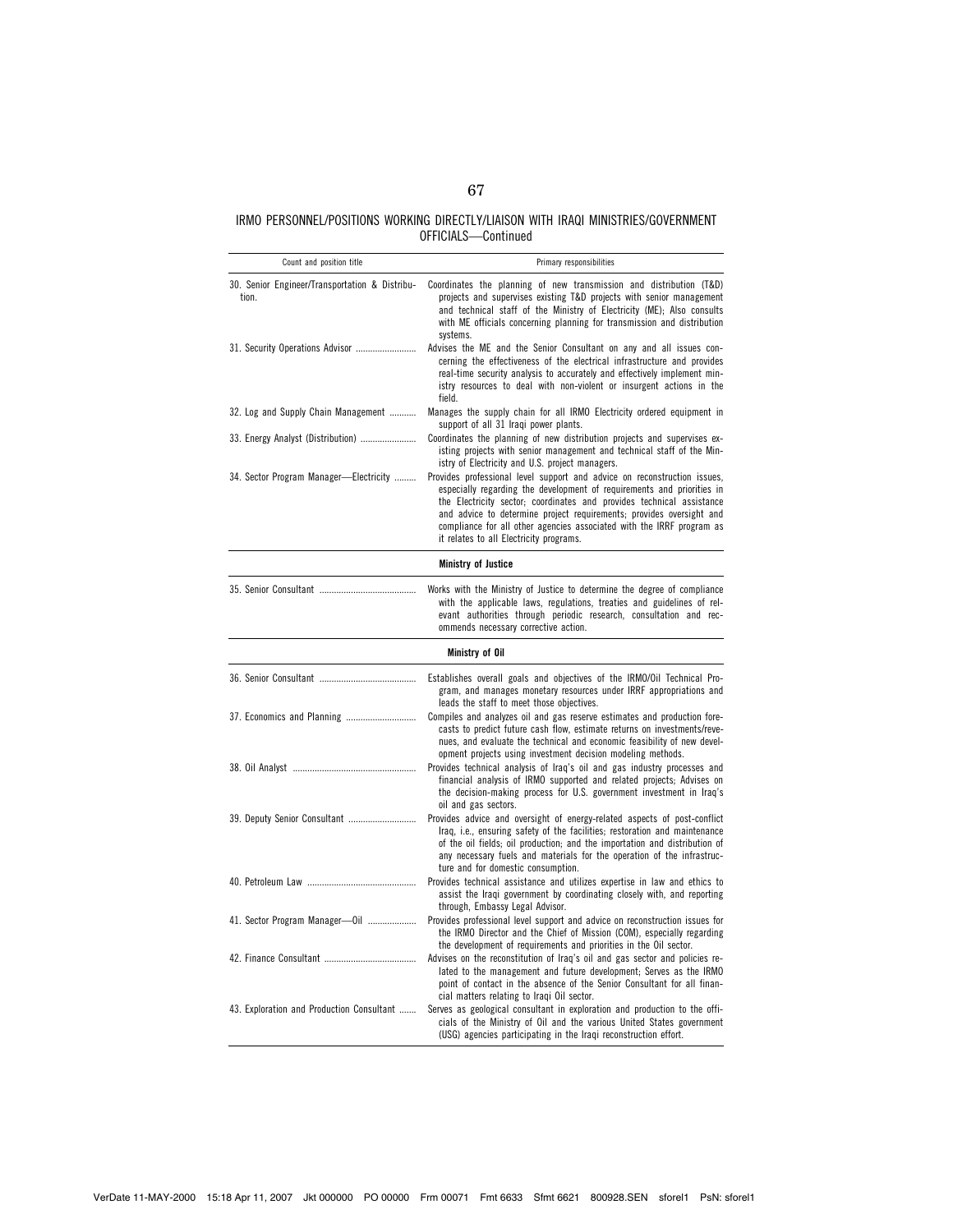| Count and position title                                | Primary responsibilities                                                                                                                                                                                                                                                                                                                                                                                                |
|---------------------------------------------------------|-------------------------------------------------------------------------------------------------------------------------------------------------------------------------------------------------------------------------------------------------------------------------------------------------------------------------------------------------------------------------------------------------------------------------|
| 30. Senior Engineer/Transportation & Distribu-<br>tion. | Coordinates the planning of new transmission and distribution (T&D)<br>projects and supervises existing T&D projects with senior management<br>and technical staff of the Ministry of Electricity (ME); Also consults<br>with ME officials concerning planning for transmission and distribution<br>systems.                                                                                                            |
|                                                         | Advises the ME and the Senior Consultant on any and all issues con-<br>cerning the effectiveness of the electrical infrastructure and provides<br>real-time security analysis to accurately and effectively implement min-<br>istry resources to deal with non-violent or insurgent actions in the<br>field.                                                                                                            |
| 32. Log and Supply Chain Management                     | Manages the supply chain for all IRMO Electricity ordered equipment in<br>support of all 31 Iraqi power plants.                                                                                                                                                                                                                                                                                                         |
| 33. Energy Analyst (Distribution)                       | Coordinates the planning of new distribution projects and supervises ex-<br>isting projects with senior management and technical staff of the Min-<br>istry of Electricity and U.S. project managers.                                                                                                                                                                                                                   |
| 34. Sector Program Manager-Electricity                  | Provides professional level support and advice on reconstruction issues,<br>especially regarding the development of requirements and priorities in<br>the Electricity sector; coordinates and provides technical assistance<br>and advice to determine project requirements; provides oversight and<br>compliance for all other agencies associated with the IRRF program as<br>it relates to all Electricity programs. |
|                                                         | <b>Ministry of Justice</b>                                                                                                                                                                                                                                                                                                                                                                                              |
|                                                         | Works with the Ministry of Justice to determine the degree of compliance<br>with the applicable laws, regulations, treaties and guidelines of rel-<br>evant authorities through periodic research, consultation and rec-<br>ommends necessary corrective action.                                                                                                                                                        |
|                                                         | Ministry of Oil                                                                                                                                                                                                                                                                                                                                                                                                         |
|                                                         | Establishes overall goals and objectives of the IRMO/Oil Technical Pro-<br>gram, and manages monetary resources under IRRF appropriations and<br>leads the staff to meet those objectives.                                                                                                                                                                                                                              |
|                                                         | Compiles and analyzes oil and gas reserve estimates and production fore-<br>casts to predict future cash flow, estimate returns on investments/reve-<br>nues, and evaluate the technical and economic feasibility of new devel-<br>opment projects using investment decision modeling methods.                                                                                                                          |
|                                                         | Provides technical analysis of Iraq's oil and gas industry processes and<br>financial analysis of IRMO supported and related projects; Advises on<br>the decision-making process for U.S. government investment in Iraq's<br>oil and gas sectors.                                                                                                                                                                       |
|                                                         | Provides advice and oversight of energy-related aspects of post-conflict<br>Iraq, i.e., ensuring safety of the facilities; restoration and maintenance<br>of the oil fields; oil production; and the importation and distribution of<br>any necessary fuels and materials for the operation of the infrastruc-<br>ture and for domestic consumption.                                                                    |
|                                                         | Provides technical assistance and utilizes expertise in law and ethics to<br>assist the Iraqi government by coordinating closely with, and reporting<br>through, Embassy Legal Advisor.                                                                                                                                                                                                                                 |
|                                                         | Provides professional level support and advice on reconstruction issues for<br>the IRMO Director and the Chief of Mission (COM), especially regarding<br>the development of requirements and priorities in the Oil sector.                                                                                                                                                                                              |
|                                                         | Advises on the reconstitution of Iraq's oil and gas sector and policies re-<br>lated to the management and future development; Serves as the IRMO<br>point of contact in the absence of the Senior Consultant for all finan-<br>cial matters relating to Iraqi Oil sector.                                                                                                                                              |
| 43. Exploration and Production Consultant               | Serves as geological consultant in exploration and production to the offi-<br>cials of the Ministry of Oil and the various United States government<br>(USG) agencies participating in the Iraqi reconstruction effort.                                                                                                                                                                                                 |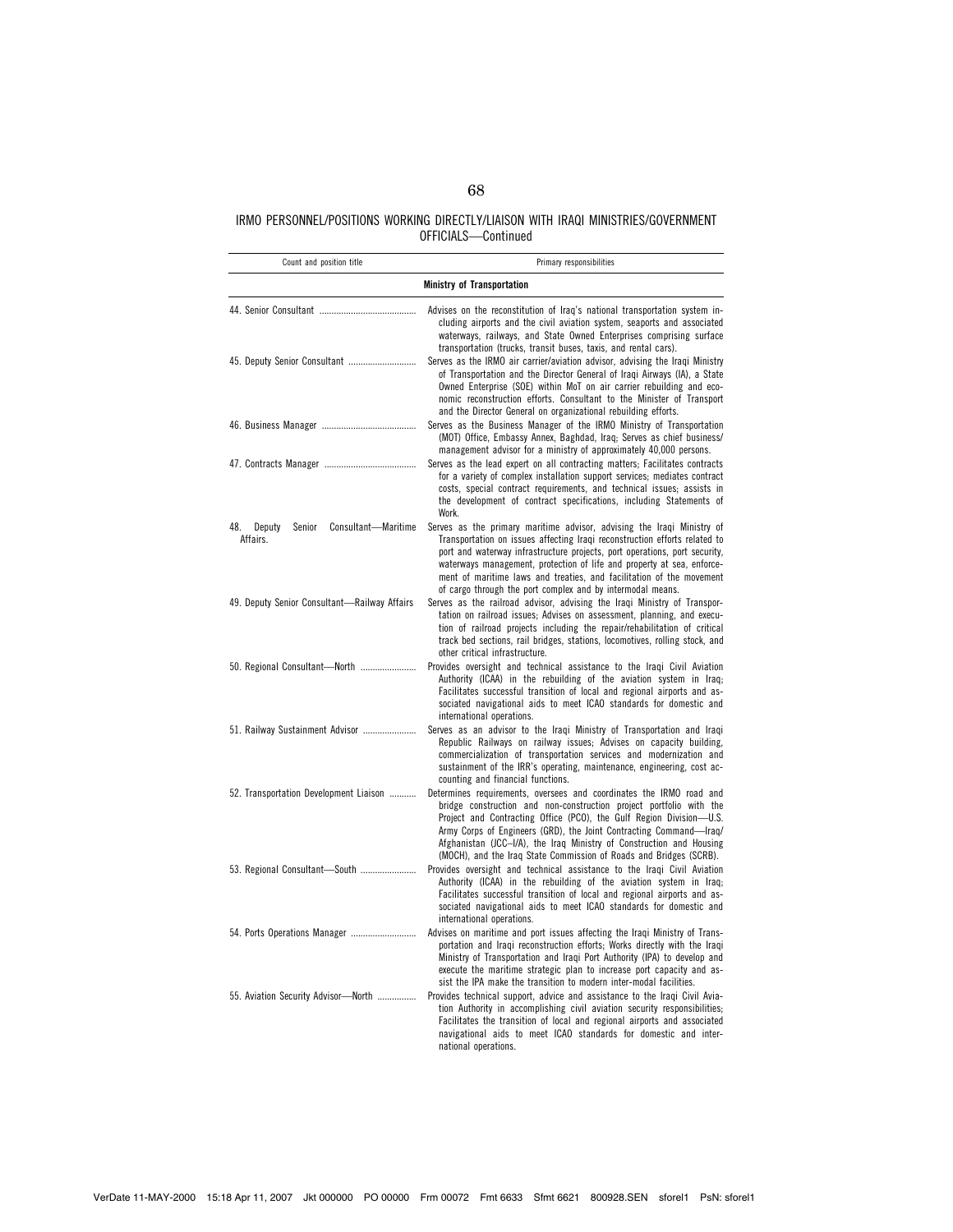| Count and position title                                   | Primary responsibilities                                                                                                                                                                                                                                                                                                                                                                                                                           |
|------------------------------------------------------------|----------------------------------------------------------------------------------------------------------------------------------------------------------------------------------------------------------------------------------------------------------------------------------------------------------------------------------------------------------------------------------------------------------------------------------------------------|
|                                                            | Ministry of Transportation                                                                                                                                                                                                                                                                                                                                                                                                                         |
|                                                            | Advises on the reconstitution of Iraq's national transportation system in-<br>cluding airports and the civil aviation system, seaports and associated<br>waterways, railways, and State Owned Enterprises comprising surface<br>transportation (trucks, transit buses, taxis, and rental cars).                                                                                                                                                    |
| 45. Deputy Senior Consultant                               | Serves as the IRMO air carrier/aviation advisor, advising the Iraqi Ministry<br>of Transportation and the Director General of Iragi Airways (IA), a State<br>Owned Enterprise (SOE) within MoT on air carrier rebuilding and eco-<br>nomic reconstruction efforts. Consultant to the Minister of Transport<br>and the Director General on organizational rebuilding efforts.                                                                       |
|                                                            | Serves as the Business Manager of the IRMO Ministry of Transportation<br>(MOT) Office, Embassy Annex, Baghdad, Iraq; Serves as chief business/<br>management advisor for a ministry of approximately 40,000 persons.                                                                                                                                                                                                                               |
|                                                            | Serves as the lead expert on all contracting matters; Facilitates contracts<br>for a variety of complex installation support services; mediates contract<br>costs, special contract requirements, and technical issues; assists in<br>the development of contract specifications, including Statements of<br>Work.                                                                                                                                 |
| Consultant-Maritime<br>48.<br>Deputy<br>Senior<br>Affairs. | Serves as the primary maritime advisor, advising the Iraqi Ministry of<br>Transportation on issues affecting Iraqi reconstruction efforts related to<br>port and waterway infrastructure projects, port operations, port security,<br>waterways management, protection of life and property at sea, enforce-<br>ment of maritime laws and treaties, and facilitation of the movement<br>of cargo through the port complex and by intermodal means. |
| 49. Deputy Senior Consultant—Railway Affairs               | Serves as the railroad advisor, advising the Iraqi Ministry of Transpor-<br>tation on railroad issues; Advises on assessment, planning, and execu-<br>tion of railroad projects including the repair/rehabilitation of critical<br>track bed sections, rail bridges, stations, locomotives, rolling stock, and<br>other critical infrastructure.                                                                                                   |
| 50. Regional Consultant-North                              | Provides oversight and technical assistance to the Iraqi Civil Aviation<br>Authority (ICAA) in the rebuilding of the aviation system in Iraq;<br>Facilitates successful transition of local and regional airports and as-<br>sociated navigational aids to meet ICAO standards for domestic and<br>international operations.                                                                                                                       |
| 51. Railway Sustainment Advisor                            | Serves as an advisor to the Iraqi Ministry of Transportation and Iraqi<br>Republic Railways on railway issues; Advises on capacity building,<br>commercialization of transportation services and modernization and<br>sustainment of the IRR's operating, maintenance, engineering, cost ac-<br>counting and financial functions.                                                                                                                  |
| 52. Transportation Development Liaison                     | Determines requirements, oversees and coordinates the IRMO road and<br>bridge construction and non-construction project portfolio with the<br>Project and Contracting Office (PCO), the Gulf Region Division-U.S.<br>Army Corps of Engineers (GRD), the Joint Contracting Command—Iraq/<br>Afghanistan (JCC-I/A), the Iraq Ministry of Construction and Housing<br>(MOCH), and the Iraq State Commission of Roads and Bridges (SCRB).              |
| 53. Regional Consultant-South                              | Provides oversight and technical assistance to the Iraqi Civil Aviation<br>Authority (ICAA) in the rebuilding of the aviation system in Iraq;<br>Facilitates successful transition of local and regional airports and as-<br>sociated navigational aids to meet ICAO standards for domestic and<br>international operations.                                                                                                                       |
| 54. Ports Operations Manager                               | Advises on maritime and port issues affecting the Iraqi Ministry of Trans-<br>portation and Iraqi reconstruction efforts; Works directly with the Iraqi<br>Ministry of Transportation and Iraqi Port Authority (IPA) to develop and<br>execute the maritime strategic plan to increase port capacity and as-<br>sist the IPA make the transition to modern inter-modal facilities.                                                                 |
| 55. Aviation Security Advisor-North                        | Provides technical support, advice and assistance to the Iraqi Civil Avia-<br>tion Authority in accomplishing civil aviation security responsibilities;<br>Facilitates the transition of local and regional airports and associated<br>navigational aids to meet ICAO standards for domestic and inter-<br>national operations.                                                                                                                    |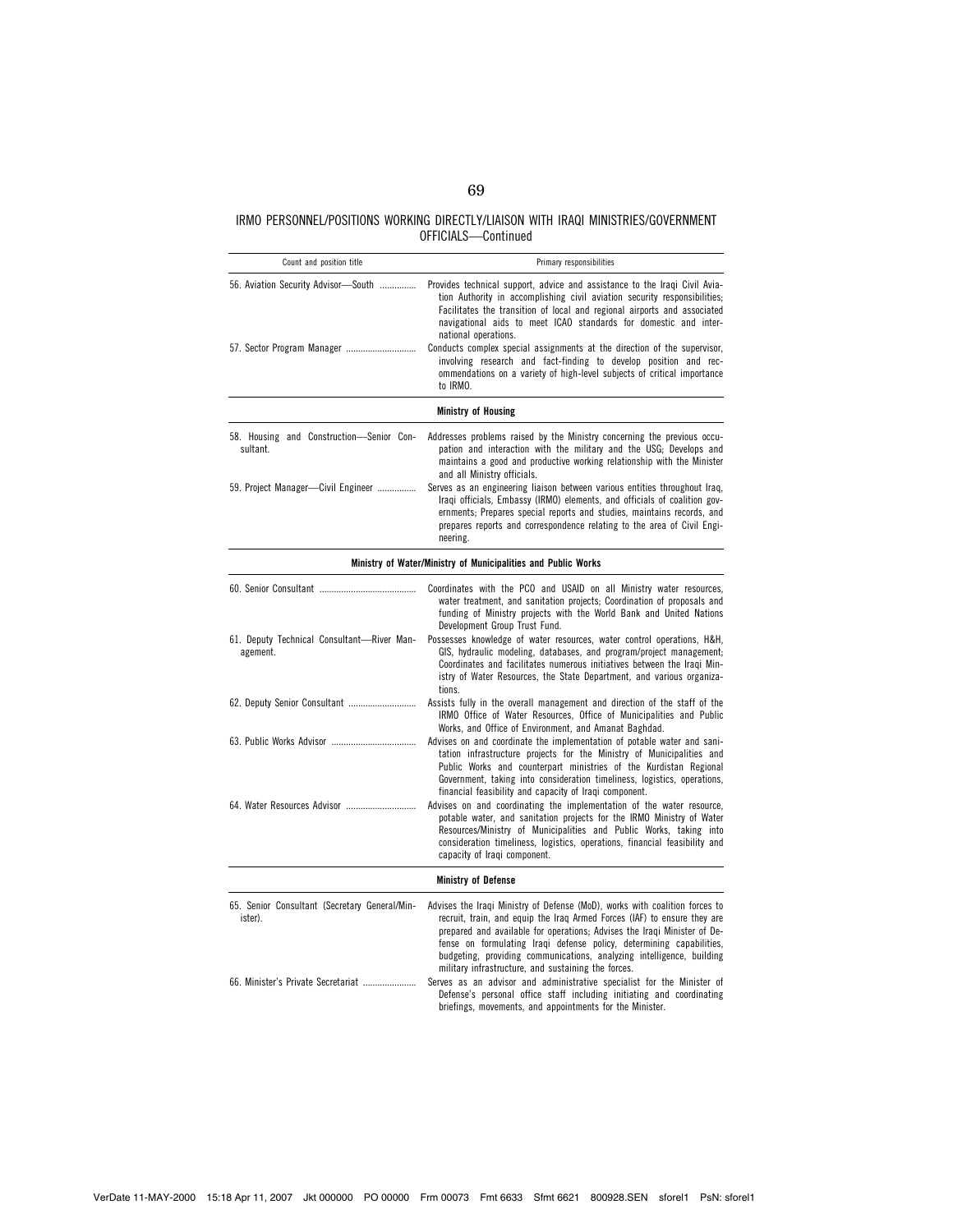# IRMO PERSONNEL/POSITIONS WORKING DIRECTLY/LIAISON WITH IRAQI MINISTRIES/GOVERNMENT OFFICIALS—Continued

| Count and position title                                      | Primary responsibilities                                                                                                                                                                                                                                                                                                                                                                                                                    |
|---------------------------------------------------------------|---------------------------------------------------------------------------------------------------------------------------------------------------------------------------------------------------------------------------------------------------------------------------------------------------------------------------------------------------------------------------------------------------------------------------------------------|
| 56. Aviation Security Advisor-South                           | Provides technical support, advice and assistance to the Iraqi Civil Avia-<br>tion Authority in accomplishing civil aviation security responsibilities;<br>Facilitates the transition of local and regional airports and associated<br>navigational aids to meet ICAO standards for domestic and inter-<br>national operations.<br>Conducts complex special assignments at the direction of the supervisor,                                 |
|                                                               | involving research and fact-finding to develop position and rec-<br>ommendations on a variety of high-level subjects of critical importance<br>to IRMO.                                                                                                                                                                                                                                                                                     |
|                                                               | <b>Ministry of Housing</b>                                                                                                                                                                                                                                                                                                                                                                                                                  |
| 58. Housing and Construction-Senior Con-<br>sultant.          | Addresses problems raised by the Ministry concerning the previous occu-<br>pation and interaction with the military and the USG; Develops and<br>maintains a good and productive working relationship with the Minister<br>and all Ministry officials.                                                                                                                                                                                      |
| 59. Project Manager-Civil Engineer                            | Serves as an engineering liaison between various entities throughout Iraq,<br>Iraqi officials, Embassy (IRMO) elements, and officials of coalition gov-<br>ernments; Prepares special reports and studies, maintains records, and<br>prepares reports and correspondence relating to the area of Civil Engi-<br>neering.                                                                                                                    |
| Ministry of Water/Ministry of Municipalities and Public Works |                                                                                                                                                                                                                                                                                                                                                                                                                                             |
|                                                               | Coordinates with the PCO and USAID on all Ministry water resources,<br>water treatment, and sanitation projects; Coordination of proposals and<br>funding of Ministry projects with the World Bank and United Nations<br>Development Group Trust Fund.                                                                                                                                                                                      |
| 61. Deputy Technical Consultant-River Man-<br>agement.        | Possesses knowledge of water resources, water control operations, H&H,<br>GIS, hydraulic modeling, databases, and program/project management;<br>Coordinates and facilitates numerous initiatives between the Iraqi Min-<br>istry of Water Resources, the State Department, and various organiza-<br>tions.                                                                                                                                 |
|                                                               | Assists fully in the overall management and direction of the staff of the<br>IRMO Office of Water Resources, Office of Municipalities and Public<br>Works, and Office of Environment, and Amanat Baghdad.                                                                                                                                                                                                                                   |
|                                                               | Advises on and coordinate the implementation of potable water and sani-<br>tation infrastructure projects for the Ministry of Municipalities and<br>Public Works and counterpart ministries of the Kurdistan Regional<br>Government, taking into consideration timeliness, logistics, operations,<br>financial feasibility and capacity of Iraqi component.                                                                                 |
|                                                               | Advises on and coordinating the implementation of the water resource,<br>potable water, and sanitation projects for the IRMO Ministry of Water<br>Resources/Ministry of Municipalities and Public Works, taking into<br>consideration timeliness, logistics, operations, financial feasibility and<br>capacity of Iraqi component.                                                                                                          |
| <b>Ministry of Defense</b>                                    |                                                                                                                                                                                                                                                                                                                                                                                                                                             |
| 65. Senior Consultant (Secretary General/Min-<br>ister).      | Advises the Iraqi Ministry of Defense (MoD), works with coalition forces to<br>recruit, train, and equip the Iraq Armed Forces (IAF) to ensure they are<br>prepared and available for operations; Advises the Iraqi Minister of De-<br>fense on formulating Iraqi defense policy, determining capabilities,<br>budgeting, providing communications, analyzing intelligence, building<br>military infrastructure, and sustaining the forces. |
| 66. Minister's Private Secretariat                            | Serves as an advisor and administrative specialist for the Minister of<br>Defense's personal office staff including initiating and coordinating<br>briefings, movements, and appointments for the Minister.                                                                                                                                                                                                                                 |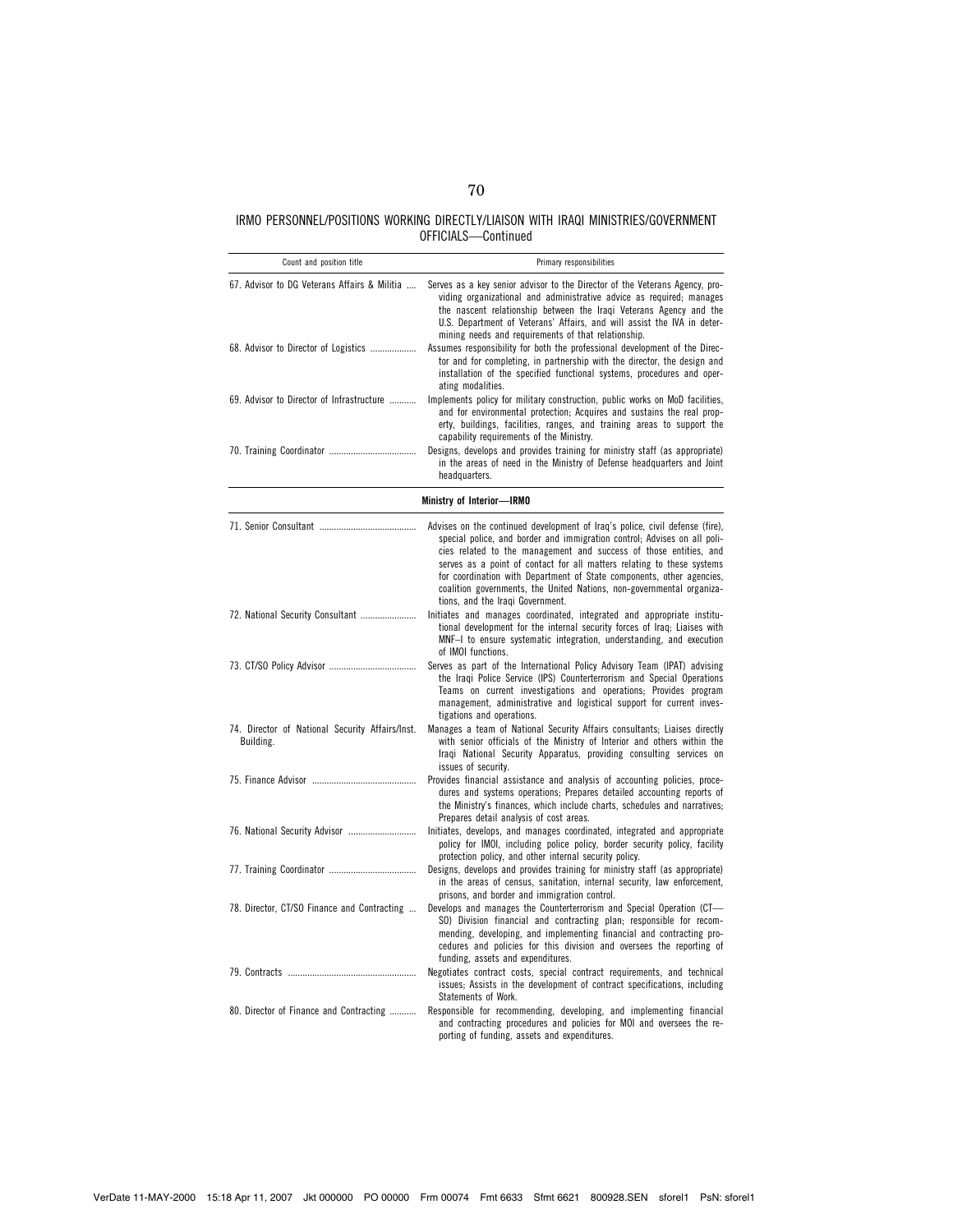# IRMO PERSONNEL/POSITIONS WORKING DIRECTLY/LIAISON WITH IRAQI MINISTRIES/GOVERNMENT OFFICIALS—Continued

| Count and position title                                     | Primary responsibilities                                                                                                                                                                                                                                                                                                                                                                                                                                                                      |
|--------------------------------------------------------------|-----------------------------------------------------------------------------------------------------------------------------------------------------------------------------------------------------------------------------------------------------------------------------------------------------------------------------------------------------------------------------------------------------------------------------------------------------------------------------------------------|
| 67. Advisor to DG Veterans Affairs & Militia                 | Serves as a key senior advisor to the Director of the Veterans Agency, pro-<br>viding organizational and administrative advice as required; manages<br>the nascent relationship between the Iraqi Veterans Agency and the<br>U.S. Department of Veterans' Affairs, and will assist the IVA in deter-<br>mining needs and requirements of that relationship.                                                                                                                                   |
| 68. Advisor to Director of Logistics                         | Assumes responsibility for both the professional development of the Direc-<br>tor and for completing, in partnership with the director, the design and<br>installation of the specified functional systems, procedures and oper-<br>ating modalities.                                                                                                                                                                                                                                         |
| 69. Advisor to Director of Infrastructure                    | Implements policy for military construction, public works on MoD facilities,<br>and for environmental protection; Acquires and sustains the real prop-<br>erty, buildings, facilities, ranges, and training areas to support the<br>capability requirements of the Ministry.                                                                                                                                                                                                                  |
|                                                              | Designs, develops and provides training for ministry staff (as appropriate)<br>in the areas of need in the Ministry of Defense headquarters and Joint<br>headquarters.                                                                                                                                                                                                                                                                                                                        |
|                                                              | Ministry of Interior-IRMO                                                                                                                                                                                                                                                                                                                                                                                                                                                                     |
|                                                              | Advises on the continued development of Iraq's police, civil defense (fire),<br>special police, and border and immigration control; Advises on all poli-<br>cies related to the management and success of those entities, and<br>serves as a point of contact for all matters relating to these systems<br>for coordination with Department of State components, other agencies,<br>coalition governments, the United Nations, non-governmental organiza-<br>tions, and the Iraqi Government. |
| 72. National Security Consultant                             | Initiates and manages coordinated, integrated and appropriate institu-<br>tional development for the internal security forces of Iraq; Liaises with<br>MNF-I to ensure systematic integration, understanding, and execution<br>of IMOI functions.                                                                                                                                                                                                                                             |
|                                                              | Serves as part of the International Policy Advisory Team (IPAT) advising<br>the Iraqi Police Service (IPS) Counterterrorism and Special Operations<br>Teams on current investigations and operations; Provides program<br>management, administrative and logistical support for current inves-<br>tigations and operations.                                                                                                                                                                   |
| 74. Director of National Security Affairs/Inst.<br>Building. | Manages a team of National Security Affairs consultants; Liaises directly<br>with senior officials of the Ministry of Interior and others within the<br>Iraqi National Security Apparatus, providing consulting services on<br>issues of security.                                                                                                                                                                                                                                            |
|                                                              | Provides financial assistance and analysis of accounting policies, proce-<br>dures and systems operations; Prepares detailed accounting reports of<br>the Ministry's finances, which include charts, schedules and narratives;<br>Prepares detail analysis of cost areas.                                                                                                                                                                                                                     |
|                                                              | Initiates, develops, and manages coordinated, integrated and appropriate<br>policy for IMOI, including police policy, border security policy, facility<br>protection policy, and other internal security policy.                                                                                                                                                                                                                                                                              |
|                                                              | Designs, develops and provides training for ministry staff (as appropriate)<br>in the areas of census, sanitation, internal security, law enforcement,<br>prisons, and border and immigration control.                                                                                                                                                                                                                                                                                        |
| 78. Director, CT/SO Finance and Contracting                  | Develops and manages the Counterterrorism and Special Operation (CT-<br>SO) Division financial and contracting plan; responsible for recom-<br>mending, developing, and implementing financial and contracting pro-<br>cedures and policies for this division and oversees the reporting of<br>funding, assets and expenditures.                                                                                                                                                              |
|                                                              | Negotiates contract costs, special contract requirements, and technical<br>issues; Assists in the development of contract specifications, including<br>Statements of Work.                                                                                                                                                                                                                                                                                                                    |
| 80. Director of Finance and Contracting                      | Responsible for recommending, developing, and implementing financial<br>and contracting procedures and policies for MOI and oversees the re-<br>porting of funding, assets and expenditures.                                                                                                                                                                                                                                                                                                  |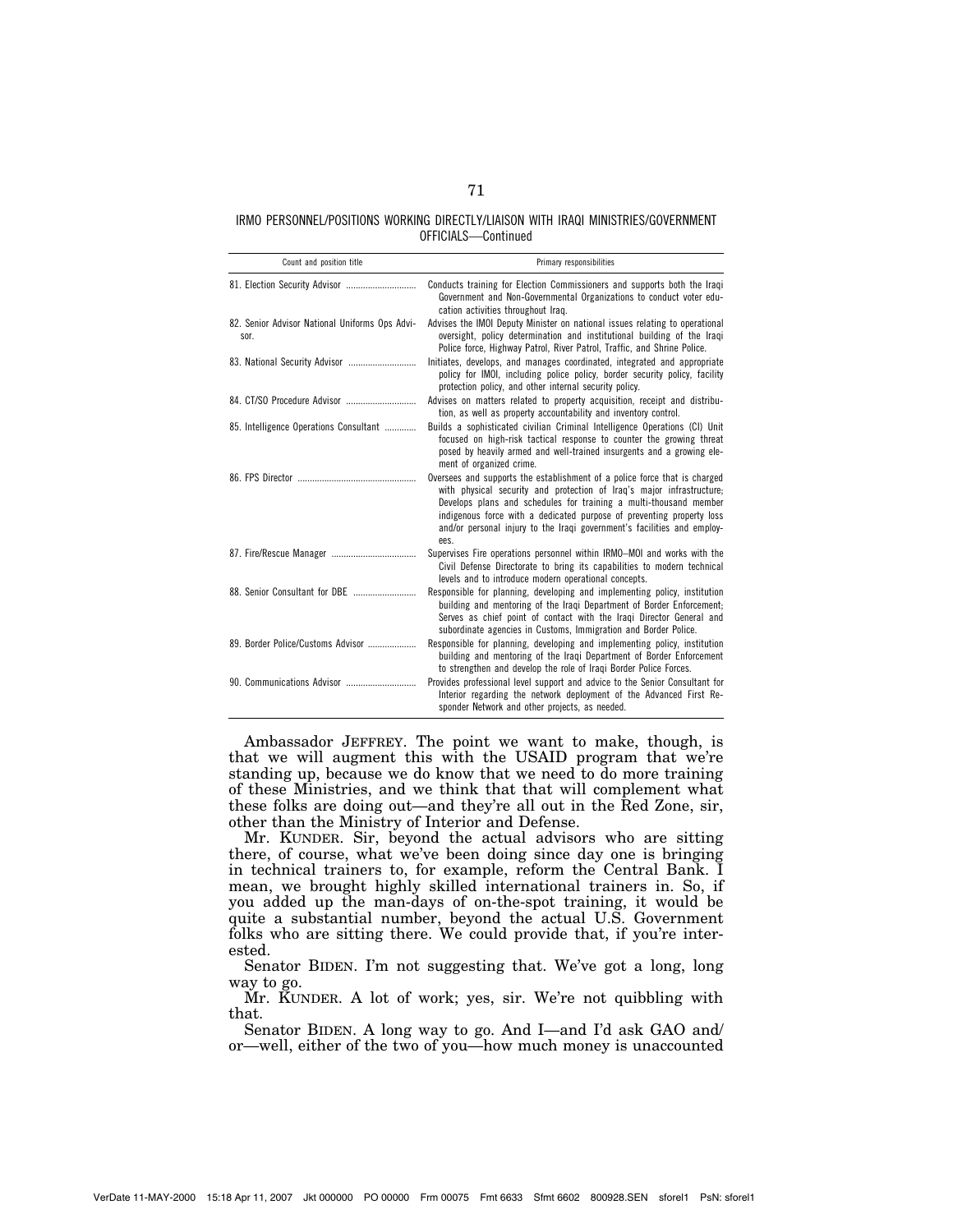IRMO PERSONNEL/POSITIONS WORKING DIRECTLY/LIAISON WITH IRAQI MINISTRIES/GOVERNMENT OFFICIALS—Continued

| Count and position title                               | Primary responsibilities                                                                                                                                                                                                                                                                                                                                                            |
|--------------------------------------------------------|-------------------------------------------------------------------------------------------------------------------------------------------------------------------------------------------------------------------------------------------------------------------------------------------------------------------------------------------------------------------------------------|
|                                                        | Conducts training for Election Commissioners and supports both the Iraqi<br>Government and Non-Governmental Organizations to conduct voter edu-<br>cation activities throughout Iraq.                                                                                                                                                                                               |
| 82. Senior Advisor National Uniforms Ops Advi-<br>sor. | Advises the IMOI Deputy Minister on national issues relating to operational<br>oversight, policy determination and institutional building of the Iraqi<br>Police force, Highway Patrol, River Patrol, Traffic, and Shrine Police.                                                                                                                                                   |
|                                                        | Initiates, develops, and manages coordinated, integrated and appropriate<br>policy for IMOI, including police policy, border security policy, facility<br>protection policy, and other internal security policy.                                                                                                                                                                    |
|                                                        | Advises on matters related to property acquisition, receipt and distribu-<br>tion, as well as property accountability and inventory control.                                                                                                                                                                                                                                        |
| 85. Intelligence Operations Consultant                 | Builds a sophisticated civilian Criminal Intelligence Operations (CI) Unit<br>focused on high-risk tactical response to counter the growing threat<br>posed by heavily armed and well-trained insurgents and a growing ele-<br>ment of organized crime.                                                                                                                             |
|                                                        | Oversees and supports the establishment of a police force that is charged<br>with physical security and protection of Iraq's major infrastructure;<br>Develops plans and schedules for training a multi-thousand member<br>indigenous force with a dedicated purpose of preventing property loss<br>and/or personal injury to the Iraqi government's facilities and employ-<br>ees. |
|                                                        | Supervises Fire operations personnel within IRMO-MOI and works with the<br>Civil Defense Directorate to bring its capabilities to modern technical<br>levels and to introduce modern operational concepts.                                                                                                                                                                          |
|                                                        | Responsible for planning, developing and implementing policy, institution<br>building and mentoring of the Iraqi Department of Border Enforcement;<br>Serves as chief point of contact with the Iraqi Director General and<br>subordinate agencies in Customs, Immigration and Border Police.                                                                                       |
| 89. Border Police/Customs Advisor                      | Responsible for planning, developing and implementing policy, institution<br>building and mentoring of the Iraqi Department of Border Enforcement<br>to strengthen and develop the role of Iraqi Border Police Forces.                                                                                                                                                              |
|                                                        | Provides professional level support and advice to the Senior Consultant for<br>Interior regarding the network deployment of the Advanced First Re-<br>sponder Network and other projects, as needed.                                                                                                                                                                                |

Ambassador JEFFREY. The point we want to make, though, is that we will augment this with the USAID program that we're standing up, because we do know that we need to do more training of these Ministries, and we think that that will complement what these folks are doing out—and they're all out in the Red Zone, sir, other than the Ministry of Interior and Defense.

Mr. KUNDER. Sir, beyond the actual advisors who are sitting there, of course, what we've been doing since day one is bringing in technical trainers to, for example, reform the Central Bank. I mean, we brought highly skilled international trainers in. So, if you added up the man-days of on-the-spot training, it would be quite a substantial number, beyond the actual U.S. Government folks who are sitting there. We could provide that, if you're interested.

Senator BIDEN. I'm not suggesting that. We've got a long, long way to go.

Mr. KUNDER. A lot of work; yes, sir. We're not quibbling with that.

Senator BIDEN. A long way to go. And I—and I'd ask GAO and/ or—well, either of the two of you—how much money is unaccounted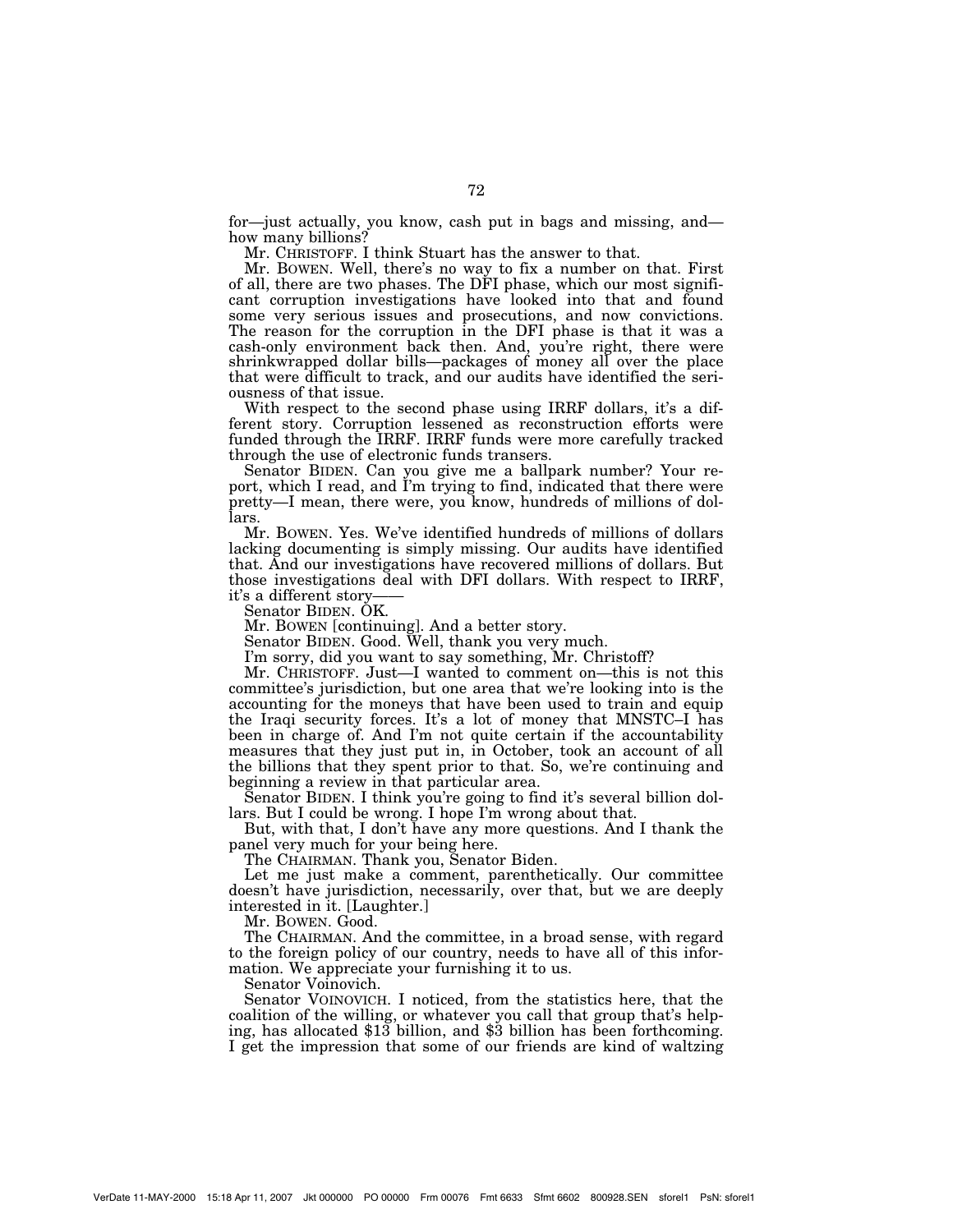for—just actually, you know, cash put in bags and missing, and how many billions?

Mr. CHRISTOFF. I think Stuart has the answer to that.

Mr. BOWEN. Well, there's no way to fix a number on that. First of all, there are two phases. The DFI phase, which our most significant corruption investigations have looked into that and found some very serious issues and prosecutions, and now convictions. The reason for the corruption in the DFI phase is that it was a cash-only environment back then. And, you're right, there were shrinkwrapped dollar bills—packages of money all over the place that were difficult to track, and our audits have identified the seriousness of that issue.

With respect to the second phase using IRRF dollars, it's a different story. Corruption lessened as reconstruction efforts were funded through the IRRF. IRRF funds were more carefully tracked through the use of electronic funds transers.

Senator BIDEN. Can you give me a ballpark number? Your report, which I read, and I'm trying to find, indicated that there were pretty—I mean, there were, you know, hundreds of millions of dollars.

Mr. BOWEN. Yes. We've identified hundreds of millions of dollars lacking documenting is simply missing. Our audits have identified that. And our investigations have recovered millions of dollars. But those investigations deal with DFI dollars. With respect to IRRF, it's a different story—

Senator BIDEN. OK.

Mr. BOWEN [continuing]. And a better story.

Senator BIDEN. Good. Well, thank you very much.

I'm sorry, did you want to say something, Mr. Christoff?

Mr. CHRISTOFF. Just—I wanted to comment on—this is not this committee's jurisdiction, but one area that we're looking into is the accounting for the moneys that have been used to train and equip the Iraqi security forces. It's a lot of money that MNSTC–I has been in charge of. And I'm not quite certain if the accountability measures that they just put in, in October, took an account of all the billions that they spent prior to that. So, we're continuing and beginning a review in that particular area.

Senator BIDEN. I think you're going to find it's several billion dollars. But I could be wrong. I hope I'm wrong about that.

But, with that, I don't have any more questions. And I thank the panel very much for your being here.

The CHAIRMAN. Thank you, Senator Biden.

Let me just make a comment, parenthetically. Our committee doesn't have jurisdiction, necessarily, over that, but we are deeply interested in it. [Laughter.]

Mr. BOWEN. Good.

The CHAIRMAN. And the committee, in a broad sense, with regard to the foreign policy of our country, needs to have all of this information. We appreciate your furnishing it to us.

Senator Voinovich.

Senator VOINOVICH. I noticed, from the statistics here, that the coalition of the willing, or whatever you call that group that's helping, has allocated \$13 billion, and \$3 billion has been forthcoming. I get the impression that some of our friends are kind of waltzing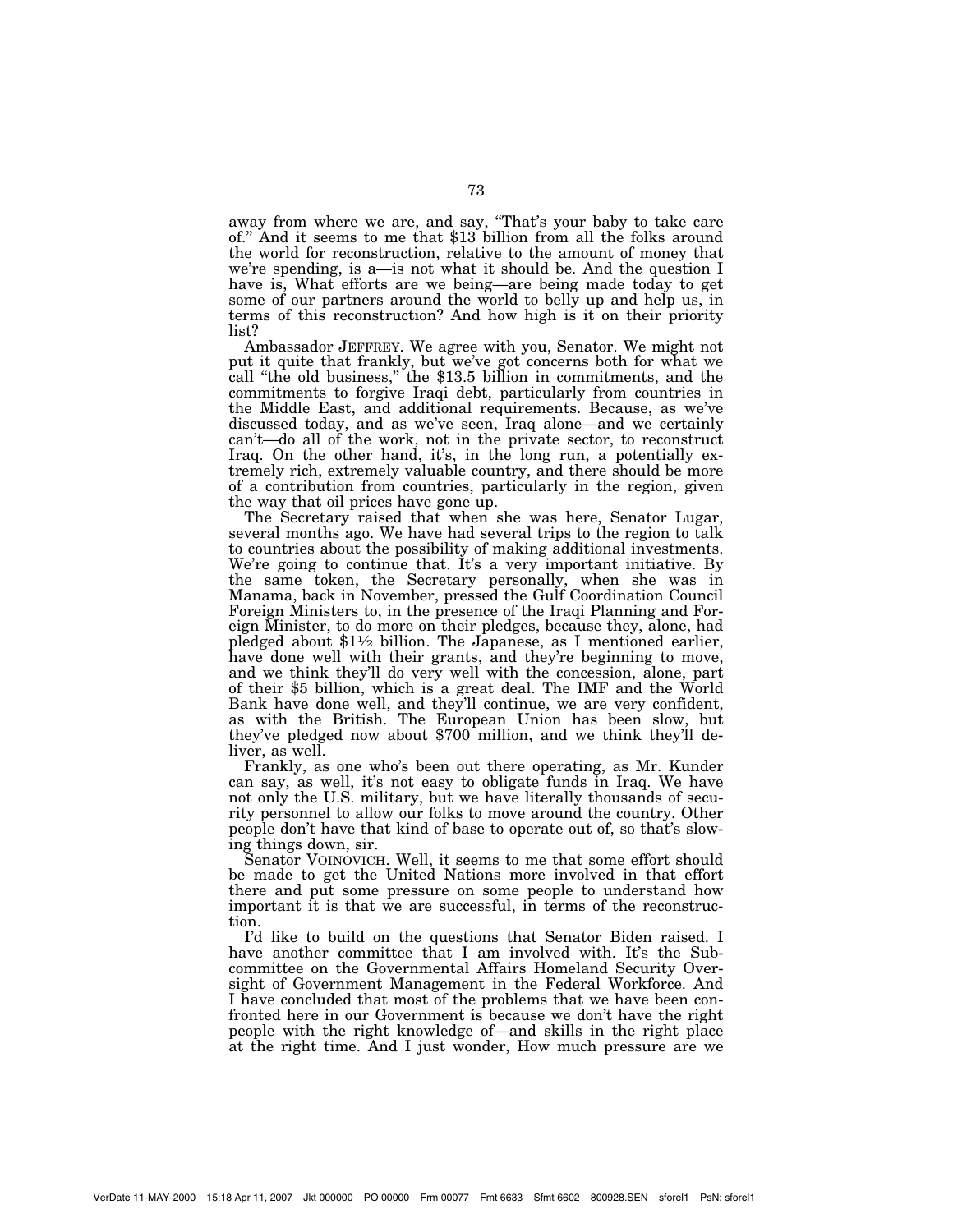away from where we are, and say, ''That's your baby to take care of.'' And it seems to me that \$13 billion from all the folks around the world for reconstruction, relative to the amount of money that we're spending, is a—is not what it should be. And the question I have is, What efforts are we being—are being made today to get some of our partners around the world to belly up and help us, in terms of this reconstruction? And how high is it on their priority list?

Ambassador JEFFREY. We agree with you, Senator. We might not put it quite that frankly, but we've got concerns both for what we call ''the old business,'' the \$13.5 billion in commitments, and the commitments to forgive Iraqi debt, particularly from countries in the Middle East, and additional requirements. Because, as we've discussed today, and as we've seen, Iraq alone—and we certainly can't—do all of the work, not in the private sector, to reconstruct Iraq. On the other hand, it's, in the long run, a potentially extremely rich, extremely valuable country, and there should be more of a contribution from countries, particularly in the region, given the way that oil prices have gone up.

The Secretary raised that when she was here, Senator Lugar, several months ago. We have had several trips to the region to talk to countries about the possibility of making additional investments. We're going to continue that. It's a very important initiative. By the same token, the Secretary personally, when she was in Manama, back in November, pressed the Gulf Coordination Council Foreign Ministers to, in the presence of the Iraqi Planning and Foreign Minister, to do more on their pledges, because they, alone, had pledged about \$11⁄2 billion. The Japanese, as I mentioned earlier, have done well with their grants, and they're beginning to move, and we think they'll do very well with the concession, alone, part of their \$5 billion, which is a great deal. The IMF and the World Bank have done well, and they'll continue, we are very confident, as with the British. The European Union has been slow, but they've pledged now about \$700 million, and we think they'll deliver, as well.

Frankly, as one who's been out there operating, as Mr. Kunder can say, as well, it's not easy to obligate funds in Iraq. We have not only the U.S. military, but we have literally thousands of security personnel to allow our folks to move around the country. Other people don't have that kind of base to operate out of, so that's slowing things down, sir.

Senator VOINOVICH. Well, it seems to me that some effort should be made to get the United Nations more involved in that effort there and put some pressure on some people to understand how important it is that we are successful, in terms of the reconstruction.

I'd like to build on the questions that Senator Biden raised. I have another committee that I am involved with. It's the Subcommittee on the Governmental Affairs Homeland Security Oversight of Government Management in the Federal Workforce. And I have concluded that most of the problems that we have been confronted here in our Government is because we don't have the right people with the right knowledge of—and skills in the right place at the right time. And I just wonder, How much pressure are we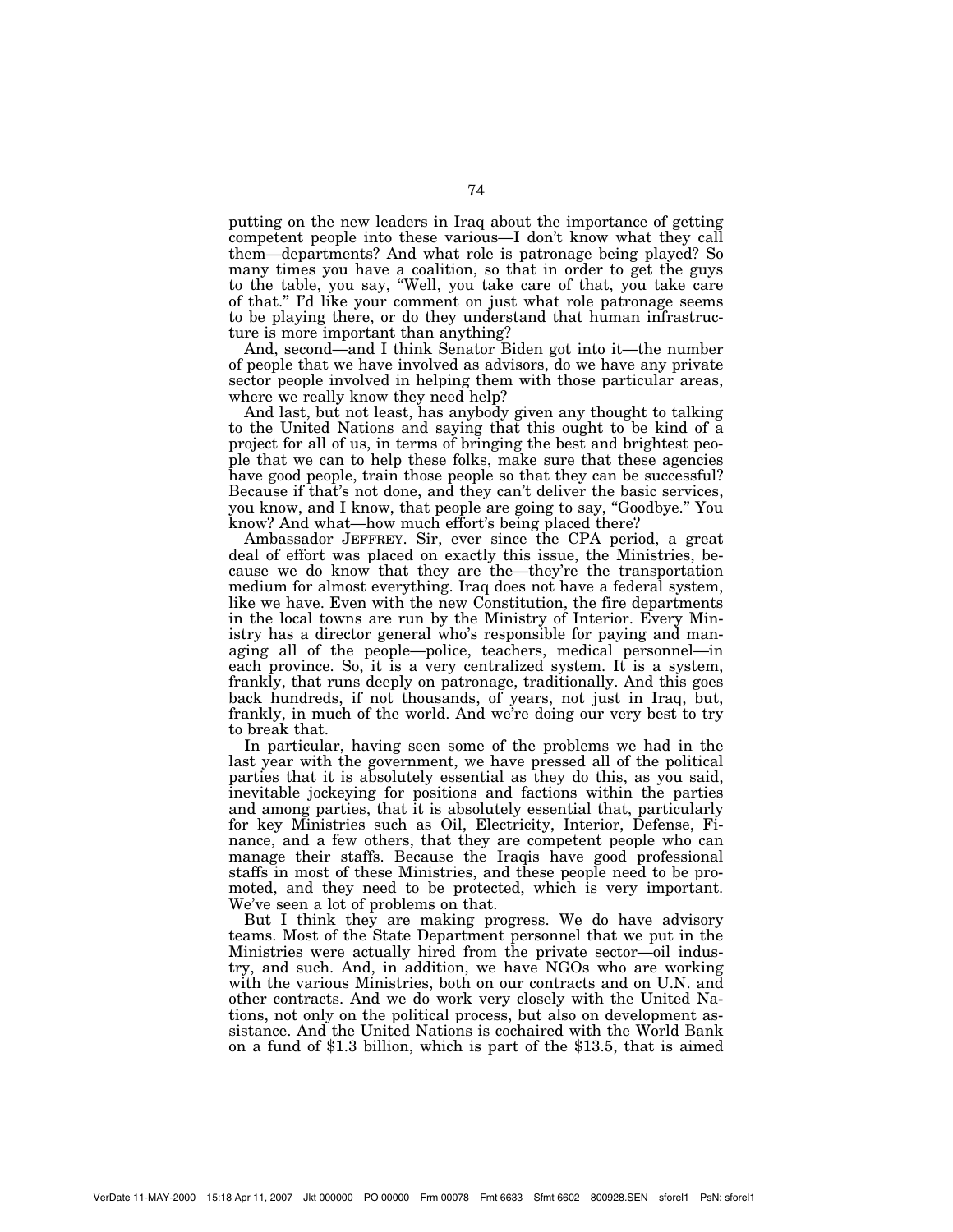putting on the new leaders in Iraq about the importance of getting competent people into these various—I don't know what they call them—departments? And what role is patronage being played? So many times you have a coalition, so that in order to get the guys to the table, you say, ''Well, you take care of that, you take care of that.'' I'd like your comment on just what role patronage seems to be playing there, or do they understand that human infrastructure is more important than anything?

And, second—and I think Senator Biden got into it—the number of people that we have involved as advisors, do we have any private sector people involved in helping them with those particular areas, where we really know they need help?

And last, but not least, has anybody given any thought to talking to the United Nations and saying that this ought to be kind of a project for all of us, in terms of bringing the best and brightest people that we can to help these folks, make sure that these agencies have good people, train those people so that they can be successful? Because if that's not done, and they can't deliver the basic services, you know, and I know, that people are going to say, ''Goodbye.'' You know? And what—how much effort's being placed there?

Ambassador JEFFREY. Sir, ever since the CPA period, a great deal of effort was placed on exactly this issue, the Ministries, because we do know that they are the—they're the transportation medium for almost everything. Iraq does not have a federal system, like we have. Even with the new Constitution, the fire departments in the local towns are run by the Ministry of Interior. Every Ministry has a director general who's responsible for paying and managing all of the people—police, teachers, medical personnel—in each province. So, it is a very centralized system. It is a system, frankly, that runs deeply on patronage, traditionally. And this goes back hundreds, if not thousands, of years, not just in Iraq, but, frankly, in much of the world. And we're doing our very best to try to break that.

In particular, having seen some of the problems we had in the last year with the government, we have pressed all of the political parties that it is absolutely essential as they do this, as you said, inevitable jockeying for positions and factions within the parties and among parties, that it is absolutely essential that, particularly for key Ministries such as Oil, Electricity, Interior, Defense, Finance, and a few others, that they are competent people who can manage their staffs. Because the Iraqis have good professional staffs in most of these Ministries, and these people need to be promoted, and they need to be protected, which is very important. We've seen a lot of problems on that.

But I think they are making progress. We do have advisory teams. Most of the State Department personnel that we put in the Ministries were actually hired from the private sector—oil industry, and such. And, in addition, we have NGOs who are working with the various Ministries, both on our contracts and on U.N. and other contracts. And we do work very closely with the United Nations, not only on the political process, but also on development assistance. And the United Nations is cochaired with the World Bank on a fund of \$1.3 billion, which is part of the \$13.5, that is aimed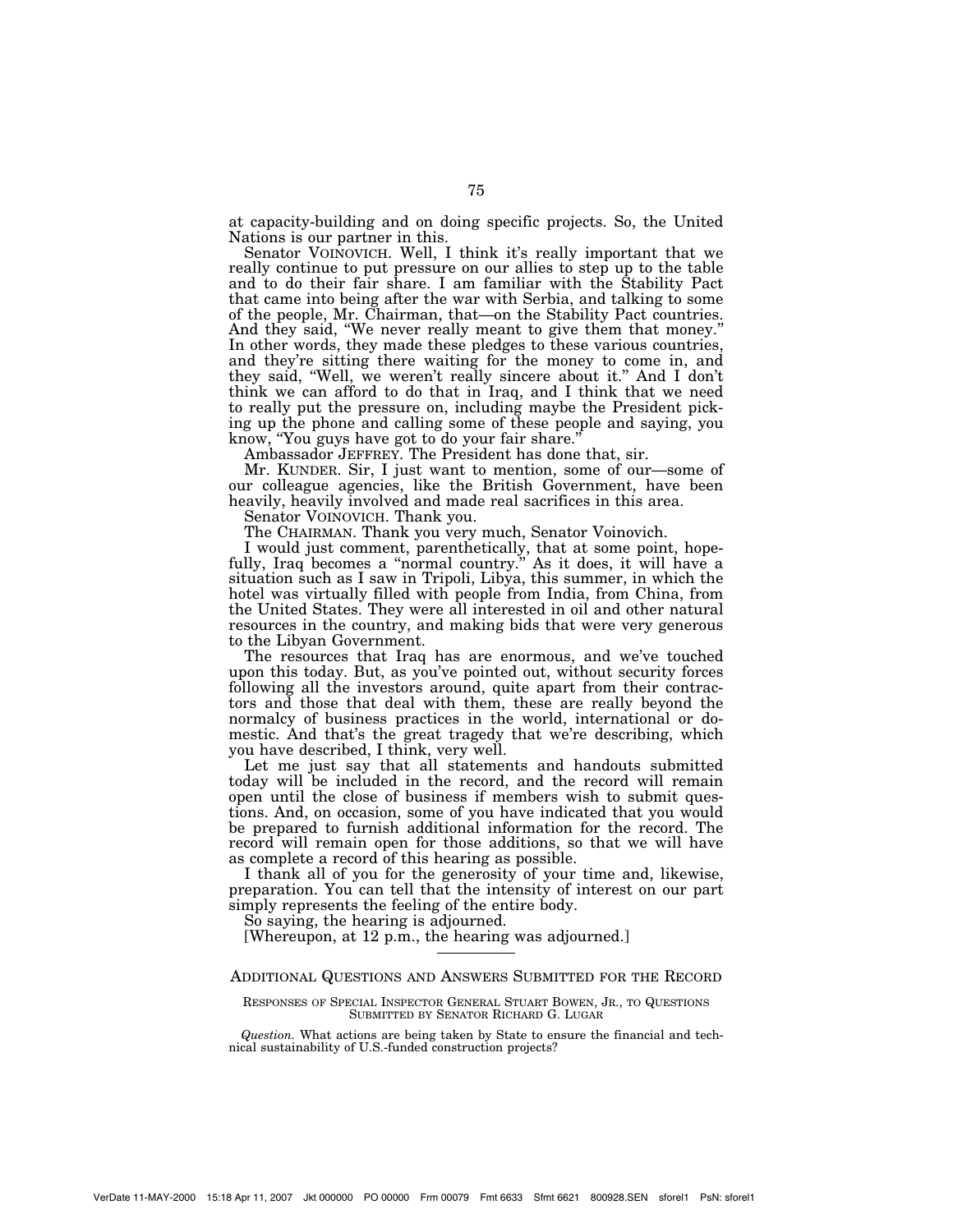at capacity-building and on doing specific projects. So, the United Nations is our partner in this.

Senator VOINOVICH. Well, I think it's really important that we really continue to put pressure on our allies to step up to the table and to do their fair share. I am familiar with the Stability Pact that came into being after the war with Serbia, and talking to some of the people, Mr. Chairman, that—on the Stability Pact countries. And they said, ''We never really meant to give them that money.'' In other words, they made these pledges to these various countries, and they're sitting there waiting for the money to come in, and they said, ''Well, we weren't really sincere about it.'' And I don't think we can afford to do that in Iraq, and I think that we need to really put the pressure on, including maybe the President picking up the phone and calling some of these people and saying, you know, ''You guys have got to do your fair share.''

Ambassador JEFFREY. The President has done that, sir.

Mr. KUNDER. Sir, I just want to mention, some of our—some of our colleague agencies, like the British Government, have been heavily, heavily involved and made real sacrifices in this area.

Senator VOINOVICH. Thank you.

The CHAIRMAN. Thank you very much, Senator Voinovich.

I would just comment, parenthetically, that at some point, hopefully, Iraq becomes a ''normal country.'' As it does, it will have a situation such as I saw in Tripoli, Libya, this summer, in which the hotel was virtually filled with people from India, from China, from the United States. They were all interested in oil and other natural resources in the country, and making bids that were very generous to the Libyan Government.

The resources that Iraq has are enormous, and we've touched upon this today. But, as you've pointed out, without security forces following all the investors around, quite apart from their contractors and those that deal with them, these are really beyond the normalcy of business practices in the world, international or domestic. And that's the great tragedy that we're describing, which you have described, I think, very well.

Let me just say that all statements and handouts submitted today will be included in the record, and the record will remain open until the close of business if members wish to submit questions. And, on occasion, some of you have indicated that you would be prepared to furnish additional information for the record. The record will remain open for those additions, so that we will have as complete a record of this hearing as possible.

I thank all of you for the generosity of your time and, likewise, preparation. You can tell that the intensity of interest on our part simply represents the feeling of the entire body.

So saying, the hearing is adjourned.

[Whereupon, at 12 p.m., the hearing was adjourned.]

# ADDITIONAL QUESTIONS AND ANSWERS SUBMITTED FOR THE RECORD

### RESPONSES OF SPECIAL INSPECTOR GENERAL STUART BOWEN, JR., TO QUESTIONS SUBMITTED BY SENATOR RICHARD G. LUGAR

*Question.* What actions are being taken by State to ensure the financial and technical sustainability of U.S.-funded construction projects?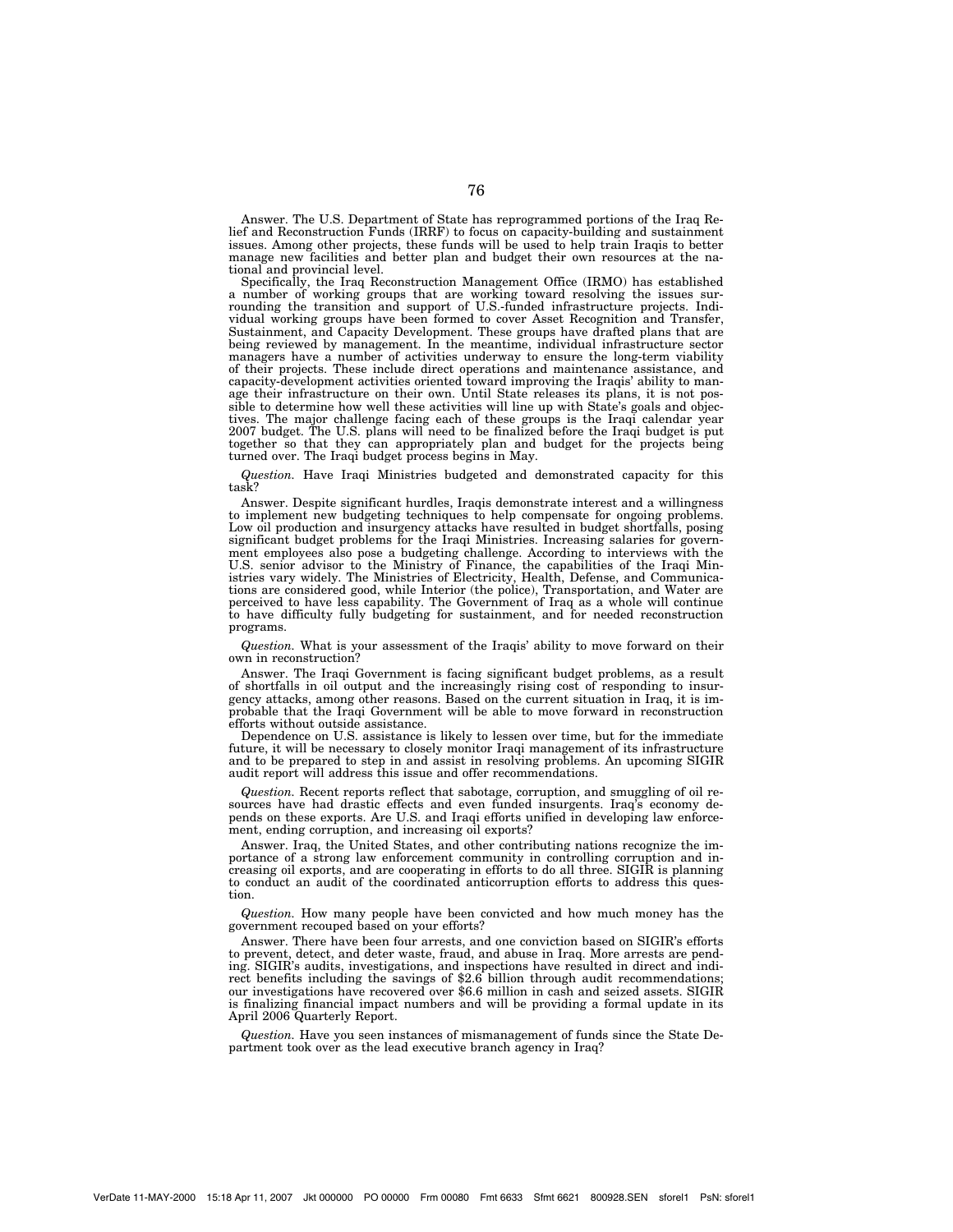Answer. The U.S. Department of State has reprogrammed portions of the Iraq Relief and Reconstruction Funds (IRRF) to focus on capacity-building and sustainment issues. Among other projects, these funds will be used to help train Iraqis to better manage new facilities and better plan and budget their own resources at the national and provincial level.

Specifically, the Iraq Reconstruction Management Office (IRMO) has established a number of working groups that are working toward resolving the issues surrounding the transition and support of U.S.-funded infrastructure projects. Individual working groups have been formed to cover Asset Recognition and Transfer, Sustainment, and Capacity Development. These groups have drafted plans that are being reviewed by management. In the meantime, individual infrastructure sector managers have a number of activities underway to ensure the long-term viability of their projects. These include direct operations and maintenance assistance, and capacity-development activities oriented toward improving the Iraqis' ability to manage their infrastructure on their own. Until State releases its plans, it is not possible to determine how well these activities will line up with State's goals and objectives. The major challenge facing each of these groups is the Iraqi calendar year 2007 budget. The U.S. plans will need to be finalized before the Iraqi budget is put together so that they can appropriately plan and budget for the projects being turned over. The Iraqi budget process begins in May.

*Question.* Have Iraqi Ministries budgeted and demonstrated capacity for this task?

Answer. Despite significant hurdles, Iraqis demonstrate interest and a willingness to implement new budgeting techniques to help compensate for ongoing problems. Low oil production and insurgency attacks have resulted in budget shortfalls, posing significant budget problems for the Iraqi Ministries. Increasing salaries for government employees also pose a budgeting challenge. According to interviews with the U.S. senior advisor to the Ministry of Finance, the capabilities of the Iraqi Ministries vary widely. The Ministries of Electricity, Health, Defense, and Communications are considered good, while Interior (the police), Transportation, and Water are perceived to have less capability. The Government of Iraq as a whole will continue to have difficulty fully budgeting for sustainment, and for needed reconstruction programs.

*Question.* What is your assessment of the Iraqis' ability to move forward on their own in reconstruction?

Answer. The Iraqi Government is facing significant budget problems, as a result of shortfalls in oil output and the increasingly rising cost of responding to insurgency attacks, among other reasons. Based on the current situation in Iraq, it is improbable that the Iraqi Government will be able to move forward in reconstruction efforts without outside assistance.

Dependence on U.S. assistance is likely to lessen over time, but for the immediate future, it will be necessary to closely monitor Iraqi management of its infrastructure and to be prepared to step in and assist in resolving problems. An upcoming SIGIR audit report will address this issue and offer recommendations.

*Question.* Recent reports reflect that sabotage, corruption, and smuggling of oil resources have had drastic effects and even funded insurgents. Iraq's economy depends on these exports. Are U.S. and Iraqi efforts unified in developing law enforcement, ending corruption, and increasing oil exports?

Answer. Iraq, the United States, and other contributing nations recognize the importance of a strong law enforcement community in controlling corruption and increasing oil exports, and are cooperating in efforts to do all three. SIGIR is planning to conduct an audit of the coordinated anticorruption efforts to address this question.

*Question.* How many people have been convicted and how much money has the government recouped based on your efforts?

Answer. There have been four arrests, and one conviction based on SIGIR's efforts to prevent, detect, and deter waste, fraud, and abuse in Iraq. More arrests are pending. SIGIR's audits, investigations, and inspections have resulted in direct and indirect benefits including the savings of \$2.6 billion through audit recommendations; our investigations have recovered over \$6.6 million in cash and seized assets. SIGIR is finalizing financial impact numbers and will be providing a formal update in its April 2006 Quarterly Report.

*Question.* Have you seen instances of mismanagement of funds since the State Department took over as the lead executive branch agency in Iraq?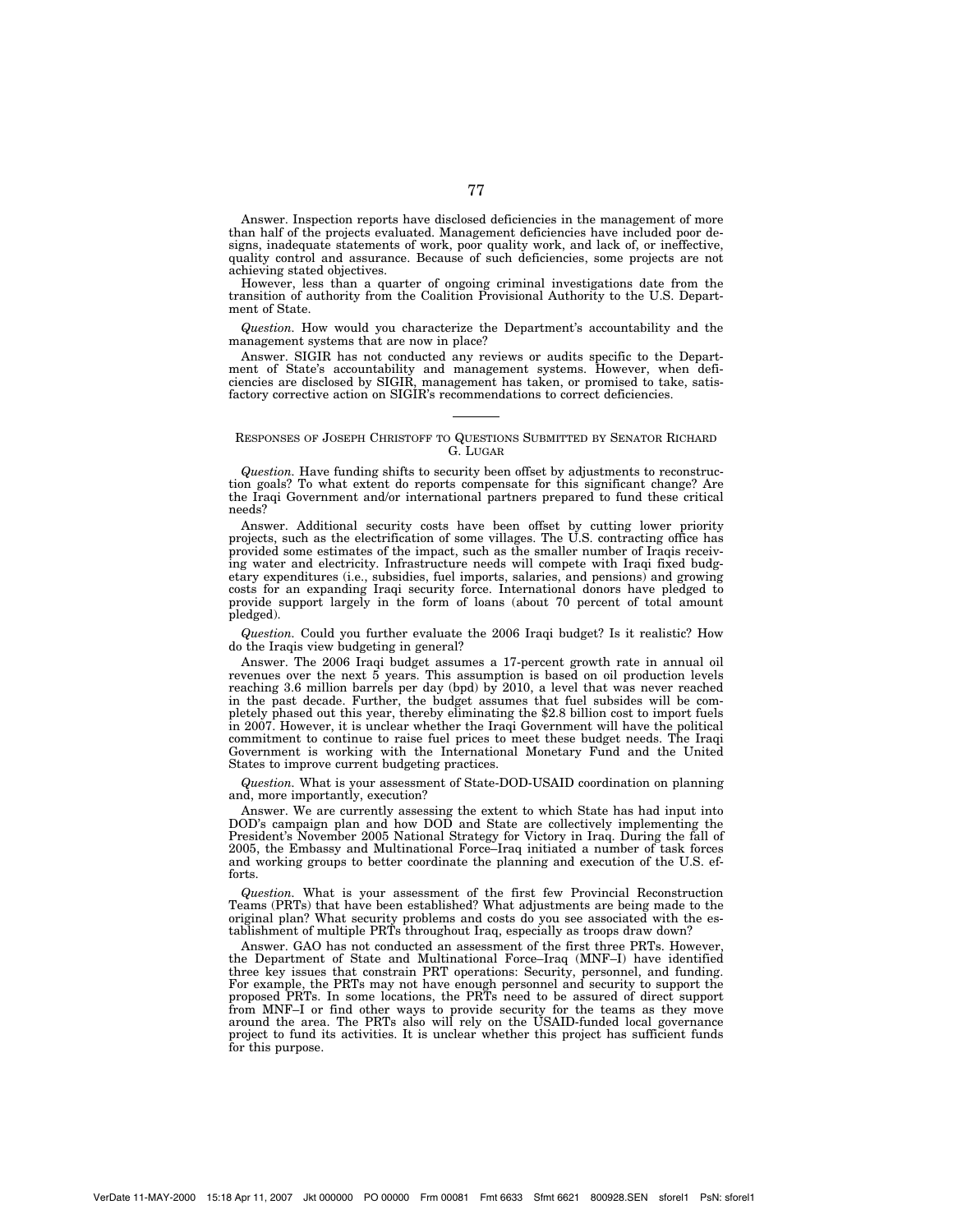Answer. Inspection reports have disclosed deficiencies in the management of more than half of the projects evaluated. Management deficiencies have included poor designs, inadequate statements of work, poor quality work, and lack of, or ineffective, quality control and assurance. Because of such deficiencies, some projects are not achieving stated objectives.

However, less than a quarter of ongoing criminal investigations date from the transition of authority from the Coalition Provisional Authority to the U.S. Department of State.

*Question.* How would you characterize the Department's accountability and the management systems that are now in place?

Answer. SIGIR has not conducted any reviews or audits specific to the Department of State's accountability and management systems. However, when deficiencies are disclosed by SIGIR, management has taken, or promised to take, satisfactory corrective action on SIGIR's recommendations to correct deficiencies.

### RESPONSES OF JOSEPH CHRISTOFF TO QUESTIONS SUBMITTED BY SENATOR RICHARD G. LUGAR

*Question.* Have funding shifts to security been offset by adjustments to reconstruction goals? To what extent do reports compensate for this significant change? Are the Iraqi Government and/or international partners prepared to fund these critical needs?

Answer. Additional security costs have been offset by cutting lower priority projects, such as the electrification of some villages. The U.S. contracting office has provided some estimates of the impact, such as the smaller number of Iraqis receiving water and electricity. Infrastructure needs will compete with Iraqi fixed budgetary expenditures (i.e., subsidies, fuel imports, salaries, and pensions) and growing costs for an expanding Iraqi security force. International donors have pledged to provide support largely in the form of loans (about 70 percent of total amount pledged).

*Question.* Could you further evaluate the 2006 Iraqi budget? Is it realistic? How do the Iraqis view budgeting in general?

Answer. The 2006 Iraqi budget assumes a 17-percent growth rate in annual oil revenues over the next 5 years. This assumption is based on oil production levels reaching 3.6 million barrels per day (bpd) by 2010, a level that was never reached in the past decade. Further, the budget assumes that fuel subsides will be completely phased out this year, thereby eliminating the \$2.8 billion cost to import fuels in 2007. However, it is unclear whether the Iraqi Government will have the political commitment to continue to raise fuel prices to meet these budget needs. The Iraqi Government is working with the International Monetary Fund and the United States to improve current budgeting practices.

*Question.* What is your assessment of State-DOD-USAID coordination on planning and, more importantly, execution?

Answer. We are currently assessing the extent to which State has had input into DOD's campaign plan and how DOD and State are collectively implementing the President's November 2005 National Strategy for Victory in Iraq. During the fall of 2005, the Embassy and Multinational Force–Iraq initiated a number of task forces and working groups to better coordinate the planning and execution of the U.S. efforts.

*Question.* What is your assessment of the first few Provincial Reconstruction Teams (PRTs) that have been established? What adjustments are being made to the original plan? What security problems and costs do you see associated with the establishment of multiple PRTs throughout Iraq, especially as troops draw down?

Answer. GAO has not conducted an assessment of the first three PRTs. However, the Department of State and Multinational Force–Iraq (MNF–I) have identified three key issues that constrain PRT operations: Security, personnel, and funding. For example, the PRTs may not have enough personnel and security to support the proposed PRTs. In some locations, the PRTs need to be assured of direct support from MNF–I or find other ways to provide security for the teams as they move around the area. The PRTs also will rely on the USAID-funded local governance project to fund its activities. It is unclear whether this project has sufficient funds for this purpose.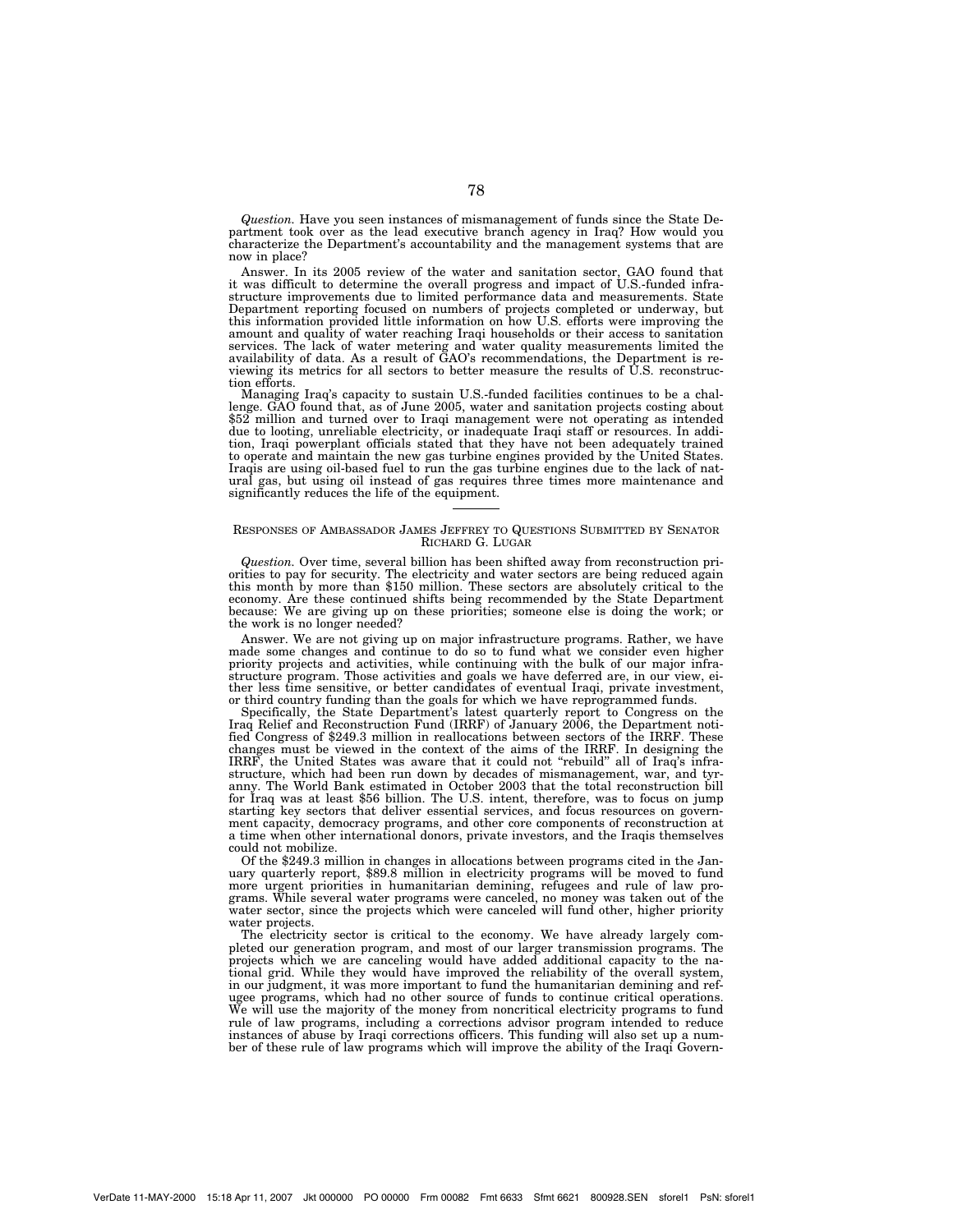*Question.* Have you seen instances of mismanagement of funds since the State Department took over as the lead executive branch agency in Iraq? How would you characterize the Department's accountability and the management systems that are now in place?

Answer. In its 2005 review of the water and sanitation sector, GAO found that it was difficult to determine the overall progress and impact of U.S.-funded infrastructure improvements due to limited performance data and measurements. State Department reporting focused on numbers of projects completed or underway, but this information provided little information on how U.S. efforts were improving the amount and quality of water reaching Iraqi households or their access to sanitation services. The lack of water metering and water quality measurements limited the availability of data. As a result of GAO's recommendations, the Department is reviewing its metrics for all sectors to better measure the results of U.S. reconstruction efforts.

Managing Iraq's capacity to sustain U.S.-funded facilities continues to be a challenge. GAO found that, as of June 2005, water and sanitation projects costing about<br>\$52 million and turned over to Iraqi management were not operating as intended<br>due to looting, unreliable electricity, or inadequate Iraqi to operate and maintain the new gas turbine engines provided by the United States. Iraqis are using oil-based fuel to run the gas turbine engines due to the lack of natural gas, but using oil instead of gas requires three times more maintenance and significantly reduces the life of the equipment.

#### RESPONSES OF AMBASSADOR JAMES JEFFREY TO QUESTIONS SUBMITTED BY SENATOR RICHARD G. LUGAR

*Question.* Over time, several billion has been shifted away from reconstruction priorities to pay for security. The electricity and water sectors are being reduced again this month by more than \$150 million. These sectors are absolutely critical to the economy. Are these continued shifts being recommended by the State Department because: We are giving up on these priorities; someone else is doing the work; or the work is no longer needed?

Answer. We are not giving up on major infrastructure programs. Rather, we have made some changes and continue to do so to fund what we consider even higher priority projects and activities, while continuing with the bulk of our major infrastructure program. Those activities and goals we have deferred are, in our view, ei-ther less time sensitive, or better candidates of eventual Iraqi, private investment, or third country funding than the goals for which we have reprogrammed funds.

Specifically, the State Department's latest quarterly report to Congress on the Iraq Relief and Reconstruction Fund (IRRF) of January 2006, the Department notified Congress of \$249.3 million in reallocations between sectors of the IRRF. These changes must be viewed in the context of the aims of the IRRF. In designing the IRRF, the United States was aware that it could not ''rebuild'' all of Iraq's infrastructure, which had been run down by decades of mismanagement, war, and tyranny. The World Bank estimated in October 2003 that the total reconstruction bill for Iraq was at least \$56 billion. The U.S. intent, therefore, was to focus on jump starting key sectors that deliver essential services, and focus resources on government capacity, democracy programs, and other core components of reconstruction at a time when other international donors, private investors, and the Iraqis themselves could not mobilize.

Of the \$249.3 million in changes in allocations between programs cited in the January quarterly report, \$89.8 million in electricity programs will be moved to fund more urgent priorities in humanitarian demining, refugees and rule of law programs. While several water programs were canceled, no money was taken out of the water sector, since the projects which were canceled will fund other, higher priority water projects.

The electricity sector is critical to the economy. We have already largely completed our generation program, and most of our larger transmission programs. The projects which we are canceling would have added additional capacity to the na-tional grid. While they would have improved the reliability of the overall system, in our judgment, it was more important to fund the humanitarian demining and refugee programs, which had no other source of funds to continue critical operations. We will use the majority of the money from noncritical electricity programs to fund rule of law programs, including a corrections advisor program intended to reduce instances of abuse by Iraqi corrections officers. This funding will also set up a num-ber of these rule of law programs which will improve the ability of the Iraqi Govern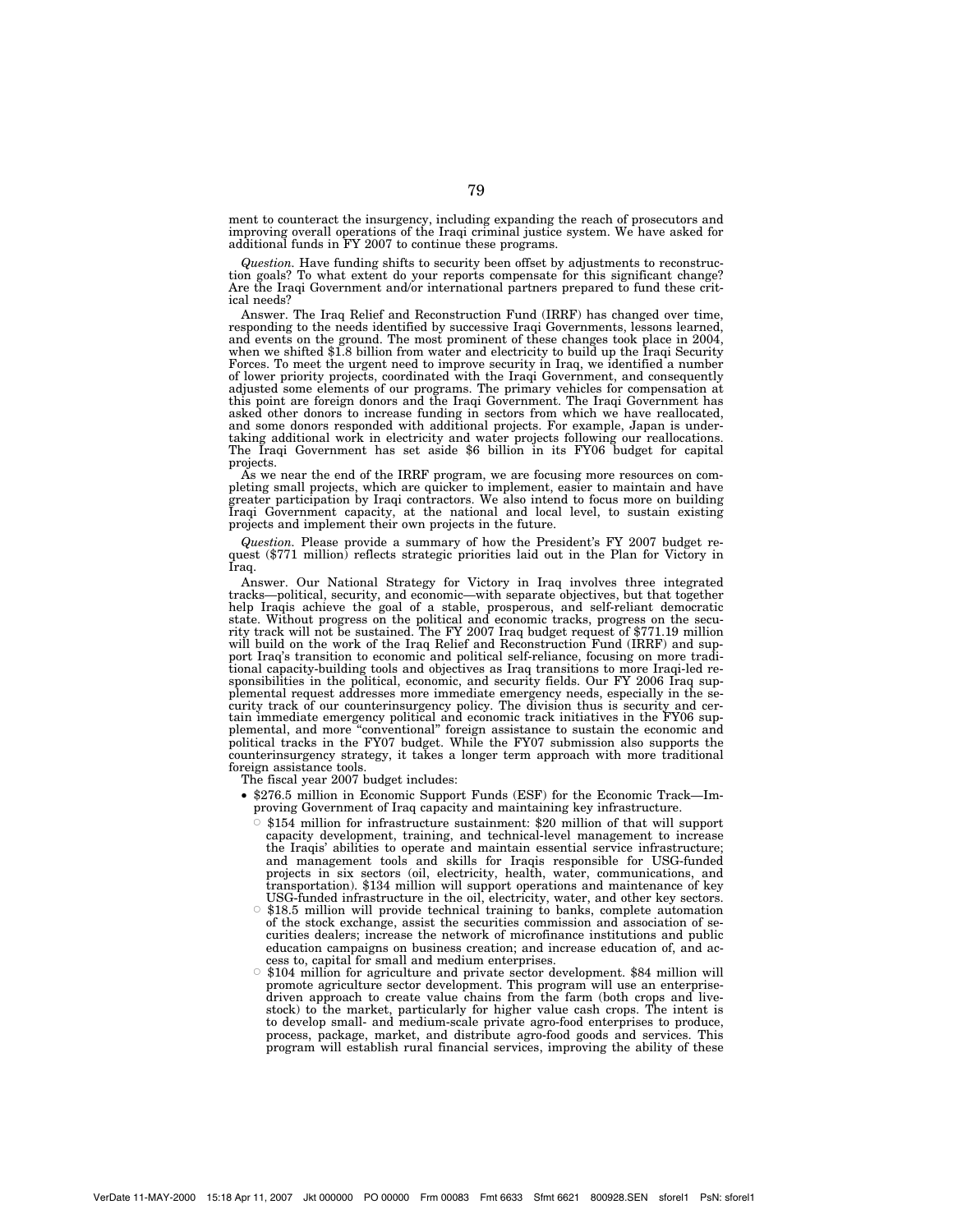ment to counteract the insurgency, including expanding the reach of prosecutors and improving overall operations of the Iraqi criminal justice system. We have asked for additional funds in FY 2007 to continue these programs.

*Question.* Have funding shifts to security been offset by adjustments to reconstruction goals? To what extent do your reports compensate for this significant change? Are the Iraqi Government and/or international partners prepared to fund these critical needs?

Answer. The Iraq Relief and Reconstruction Fund (IRRF) has changed over time, responding to the needs identified by successive Iraqi Governments, lessons learned, and events on the ground. The most prominent of these changes took place in 2004, when we shifted \$1.8 billion from water and electricity to build up the Iraqi Security Forces. To meet the urgent need to improve security in Iraq, we identified a number of lower priority projects, coordinated with the Iraqi Government, and consequently adjusted some elements of our programs. The primary vehicles for compensation at this point are foreign donors and the Iraqi Government. The Iraqi Government has asked other donors to increase funding in sectors from which we have reallocated, and some donors responded with additional projects. For example, Japan is undertaking additional work in electricity and water projects following our reallocations. The Iraqi Government has set aside \$6 billion in its FY06 budget for capital projects.

As we near the end of the IRRF program, we are focusing more resources on completing small projects, which are quicker to implement, easier to maintain and have greater participation by Iraqi contractors. We also intend to focus more on building Iraqi Government capacity, at the national and local level, to sustain existing projects and implement their own projects in the future.

*Question.* Please provide a summary of how the President's FY 2007 budget request (\$771 million) reflects strategic priorities laid out in the Plan for Victory in Iraq.

Answer. Our National Strategy for Victory in Iraq involves three integrated tracks—political, security, and economic—with separate objectives, but that together help Iraqis achieve the goal of a stable, prosperous, and self-reliant democratic state. Without progress on the political and economic tracks, progress on the secu-rity track will not be sustained. The FY 2007 Iraq budget request of \$771.19 million will build on the work of the Iraq Relief and Reconstruction Fund (IRRF) and support Iraq's transition to economic and political self-reliance, focusing on more traditional capacity-building tools and objectives as Iraq transitions to more Iraqi-led responsibilities in the political, economic, and security fields. Our FY 2006 Iraq supplemental request addresses more immediate emergency needs, especially in the security track of our counterinsurgency policy. The division thus is security and certain immediate emergency political and economic track initiatives in the FY06 sup-plemental, and more ''conventional'' foreign assistance to sustain the economic and political tracks in the FY07 budget. While the FY07 submission also supports the counterinsurgency strategy, it takes a longer term approach with more traditional foreign assistance tools.

The fiscal year 2007 budget includes:

- \$276.5 million in Economic Support Funds (ESF) for the Economic Track—Improving Government of Iraq capacity and maintaining key infrastructure.
	- Æ \$154 million for infrastructure sustainment: \$20 million of that will support capacity development, training, and technical-level management to increase the Iraqis' abilities to operate and maintain essential service infrastructure; and management tools and skills for Iraqis responsible for USG-funded projects in six sectors (oil, electricity, health, water, communications, and transportation). \$134 million will support operations and maintenance of key USG-funded infrastructure in the oil, electricity, water, and other key sectors.
	- $\circ$  \$18.5 million will provide technical training to banks, complete automation of the stock exchange, assist the securities commission and association of securities dealers; increase the network of microfinance institutions and public education campaigns on business creation; and increase education of, and access to, capital for small and medium enterprises.
	- $\circ$  \$104 million for agriculture and private sector development. \$84 million will promote agriculture sector development. This program will use an enterprisedriven approach to create value chains from the farm (both crops and livestock) to the market, particularly for higher value cash crops. The intent is to develop small- and medium-scale private agro-food enterprises to produce, process, package, market, and distribute agro-food goods and services. This program will establish rural financial services, improving the ability of these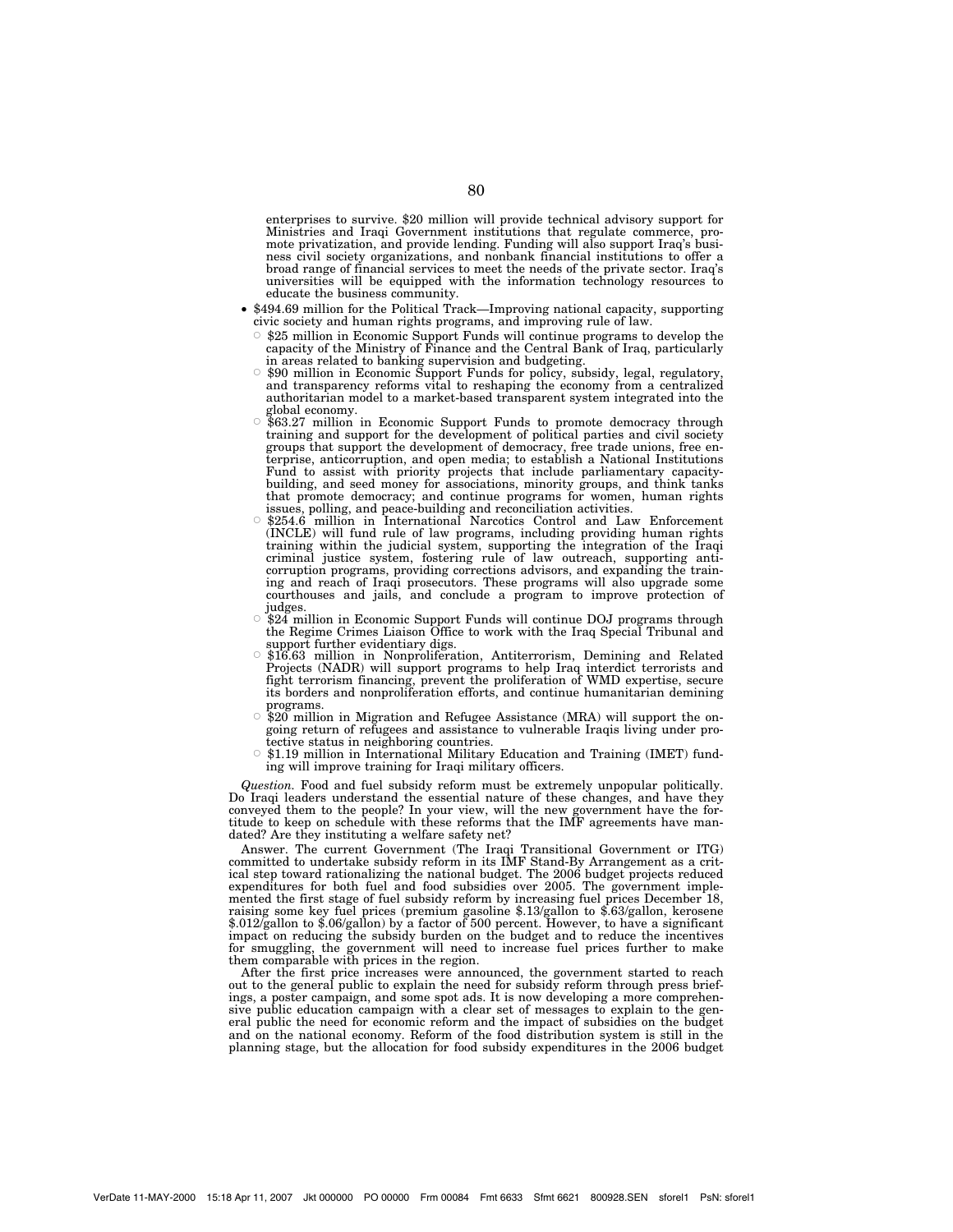enterprises to survive. \$20 million will provide technical advisory support for Ministries and Iraqi Government institutions that regulate commerce, promote privatization, and provide lending. Funding will also support Iraq's business civil society organizations, and nonbank financial institutions to offer a broad range of financial services to meet the needs of the private sector. Iraq's universities will be equipped with the information technology resources to educate the business community.

- \$494.69 million for the Political Track—Improving national capacity, supporting civic society and human rights programs, and improving rule of law.
	- $\circ$  \$25 million in Economic Support Funds will continue programs to develop the capacity of the Ministry of Finance and the Central Bank of Iraq, particularly in areas related to banking supervision and budgeting.
	- \$90 million in Economic Support Funds for policy, subsidy, legal, regulatory, and transparency reforms vital to reshaping the economy from a centralized authoritarian model to a market-based transparent system integrated into the global economy.<br>  $\frac{1}{663.27}$  million in Economic Support Funds to promote democracy through
	- training and support for the development of political parties and civil society groups that support the development of democracy, free trade unions, free enterprise, anticorruption, and open media; to establish a National Institutions Fund to assist with priority projects that include parliamentary capacity-building, and seed money for associations, minority groups, and think tanks that promote democracy; and continue programs for women, human rights
	- issues, polling, and peace-building and reconciliation activities.<br>
	© \$254.6 million in International Narcotics Control and Law Enforcement (INCLE) will fund rule of law programs, including providing human rights training within the judicial system, supporting the integration of the Iraqi criminal justice system, fostering rule of law outreach, supporting anticorruption programs, providing corrections advisors, and expanding the training and reach of Iraqi prosecutors. These programs will also upgrade some courthouses and jails, and conclude a program to improve protection of
	- judges.<br>© \$24 million in Economic Support Funds will continue DOJ programs through the Regime Crimes Liaison Office to work with the Iraq Special Tribunal and
	- support further evidentiary digs.<br>© \$16.63 million in Nonproliferation, Antiterrorism, Demining and Related Projects (NADR) will support programs to help Iraq interdict terrorists and fight terrorism financing, prevent the proliferation of WMD expertise, secure its borders and nonproliferation efforts, and continue humanitarian demining programs.<br>
	© \$20 million in Migration and Refugee Assistance (MRA) will support the on-
	- going return of refugees and assistance to vulnerable Iraqis living under protective status in neighboring countries.
	- \$1.19 million in International Military Education and Training (IMET) funding will improve training for Iraqi military officers.

*Question.* Food and fuel subsidy reform must be extremely unpopular politically. Do Iraqi leaders understand the essential nature of these changes, and have they<br>conveyed them to the people? In your view, will the new government have the for-<br>titude to keep on schedule with these reforms that the IMF a dated? Are they instituting a welfare safety net?

Answer. The current Government (The Iraqi Transitional Government or ITG) committed to undertake subsidy reform in its IMF Stand-By Arrangement as a crit-ical step toward rationalizing the national budget. The 2006 budget projects reduced expenditures for both fuel and food subsidies over 2005. The government imple-mented the first stage of fuel subsidy reform by increasing fuel prices December 18, raising some key fuel prices (premium gasoline \$.13/gallon to \$.63/gallon, kerosene \$.012/gallon to \$.06/gallon) by a factor of 500 percent. However, to have a significant impact on reducing the subsidy burden on the budget and to reduce the incentives for smuggling, the government will need to increase fuel prices further to make them comparable with prices in the region.

After the first price increases were announced, the government started to reach out to the general public to explain the need for subsidy reform through press briefings, a poster campaign, and some spot ads. It is now developing a more comprehensive public education campaign with a clear set of messages to explain to the general public the need for economic reform and the impact of subsidies on the budget and on the national economy. Reform of the food distribution system is still in the planning stage, but the allocation for food subsidy expenditures in the 2006 budget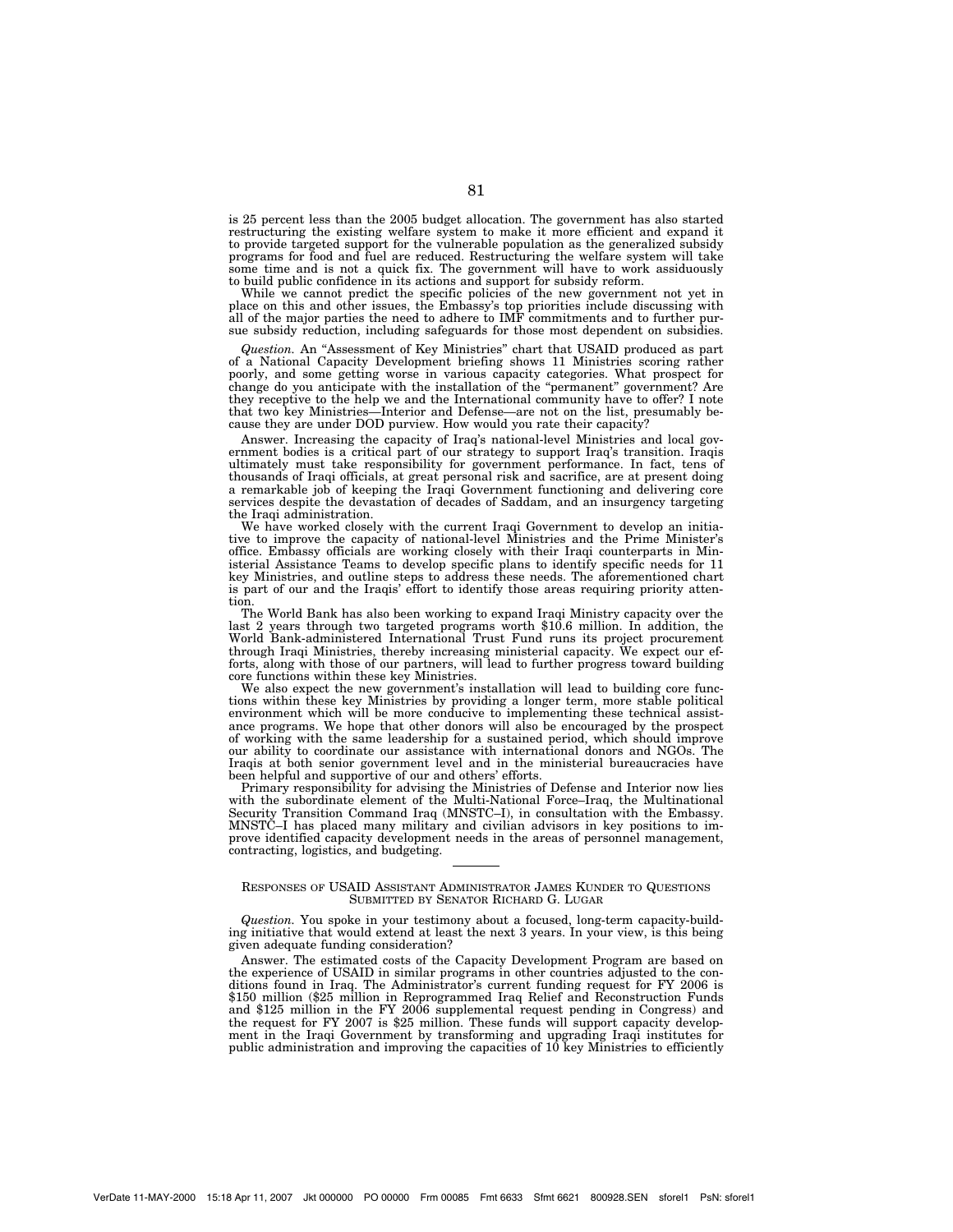is 25 percent less than the 2005 budget allocation. The government has also started restructuring the existing welfare system to make it more efficient and expand it to provide targeted support for the vulnerable population as the generalized subsidy programs for food and fuel are reduced. Restructuring the welfare system will take some time and is not a quick fix. The government will have to work assiduously to build public confidence in its actions and support for subsidy reform.

While we cannot predict the specific policies of the new government not yet in place on this and other issues, the Embassy's top priorities include discussing with all of the major parties the need to adhere to IMF commitments and to further pursue subsidy reduction, including safeguards for those most dependent on subsidies.

*Question.* An ''Assessment of Key Ministries'' chart that USAID produced as part of a National Capacity Development briefing shows 11 Ministries scoring rather poorly, and some getting worse in various capacity categories. What prospect for change do you anticipate with the installation of the ''permanent'' government? Are they receptive to the help we and the International community have to offer? I note that two key Ministries—Interior and Defense—are not on the list, presumably because they are under DOD purview. How would you rate their capacity?

Answer. Increasing the capacity of Iraq's national-level Ministries and local government bodies is a critical part of our strategy to support Iraq's transition. Iraqis ultimately must take responsibility for government performance. In fact, tens of thousands of Iraqi officials, at great personal risk and sacrifice, are at present doing a remarkable job of keeping the Iraqi Government functioning and delivering core services despite the devastation of decades of Saddam, and an insurgency targeting the Iraqi administration.

We have worked closely with the current Iraqi Government to develop an initiative to improve the capacity of national-level Ministries and the Prime Minister's office. Embassy officials are working closely with their Iraqi counterparts in Ministerial Assistance Teams to develop specific plans to identify specific needs for 11 key Ministries, and outline steps to address these needs. The aforementioned chart is part of our and the Iraqis' effort to identify those areas requiring priority attention.

The World Bank has also been working to expand Iraqi Ministry capacity over the last 2 years through two targeted programs worth \$10.6 million. In addition, the World Bank-administered International Trust Fund runs its project procurement through Iraqi Ministries, thereby increasing ministerial capacity. We expect our efforts, along with those of our partners, will lead to further progress toward building core functions within these key Ministries.

We also expect the new government's installation will lead to building core functions within these key Ministries by providing a longer term, more stable political environment which will be more conducive to implementing these technical assistance programs. We hope that other donors will also be encouraged by the prospect of working with the same leadership for a sustained period, which should improve our ability to coordinate our assistance with international donors and NGOs. The Iraqis at both senior government level and in the ministerial bureaucracies have been helpful and supportive of our and others' efforts.

Primary responsibility for advising the Ministries of Defense and Interior now lies with the subordinate element of the Multi-National Force–Iraq, the Multinational Security Transition Command Iraq (MNSTC–I), in consultation with the Embassy. MNSTC–I has placed many military and civilian advisors in key positions to improve identified capacity development needs in the areas of personnel management, contracting, logistics, and budgeting.

### RESPONSES OF USAID ASSISTANT ADMINISTRATOR JAMES KUNDER TO QUESTIONS SUBMITTED BY SENATOR RICHARD G. LUGAR

*Question.* You spoke in your testimony about a focused, long-term capacity-building initiative that would extend at least the next 3 years. In your view, is this being given adequate funding consideration?

Answer. The estimated costs of the Capacity Development Program are based on the experience of USAID in similar programs in other countries adjusted to the conditions found in Iraq. The Administrator's current funding request for FY 2006 is \$150 million (\$25 million in Reprogrammed Iraq Relief and Reconstruction Funds and \$125 million in the FY 2006 supplemental request pending in Congress) and the request for FY 2007 is \$25 million. These funds will support capacity development in the Iraqi Government by transforming and upgrading Iraqi institutes for public administration and improving the capacities of 10 key Ministries to efficiently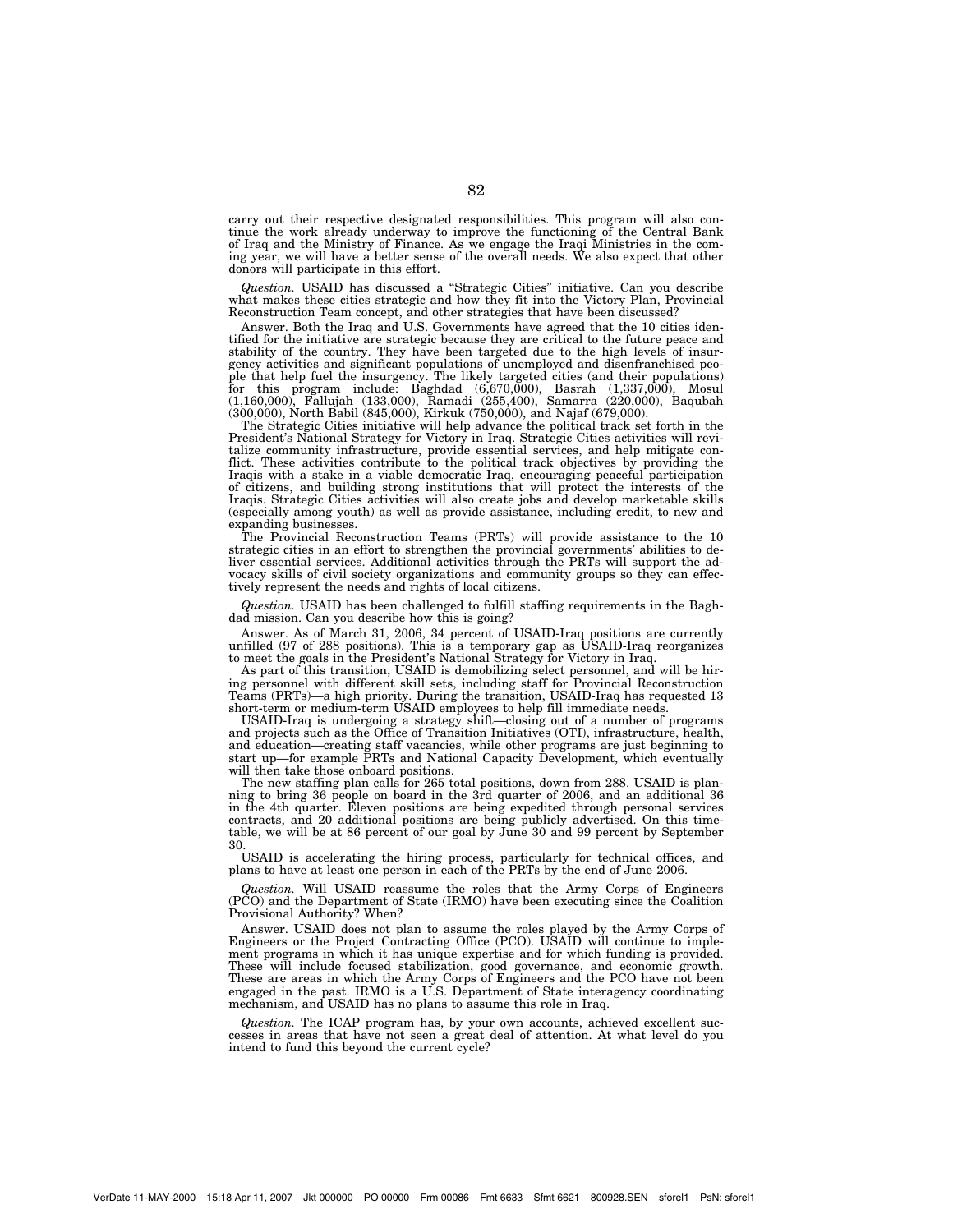carry out their respective designated responsibilities. This program will also continue the work already underway to improve the functioning of the Central Bank of Iraq and the Ministry of Finance. As we engage the Iraqi Ministries in the coming year, we will have a better sense of the overall needs. We also expect that other donors will participate in this effort.

*Question.* USAID has discussed a "Strategic Cities" initiative. Can you describe what makes these cities strategic and how they fit into the Victory Plan, Provincial Reconstruction Team concept, and other strategies that have been discussed?

Answer. Both the Iraq and U.S. Governments have agreed that the 10 cities identified for the initiative are strategic because they are critical to the future peace and stability of the country. They have been targeted due to the high levels of insurgency activities and significant populations of unemployed and disenfranchised peo-ple that help fuel the insurgency. The likely targeted cities (and their populations) for this program include: Baghdad (6,670,000), Basrah (1,337,000), Mosul (1,160,000), Fallujah (133,000), Ramadi (255,400), Samarra (220,000), Baqubah (300,000), North Babil (845,000), Kirkuk (750,000), and Najaf (679,000).

The Strategic Cities initiative will help advance the political track set forth in the President's National Strategy for Victory in Iraq. Strategic Cities activities will revitalize community infrastructure, provide essential services, and help mitigate con-flict. These activities contribute to the political track objectives by providing the Iraqis with a stake in a viable democratic Iraq, encouraging peaceful participation of citizens, and building strong institutions that will protect the interests of the Iraqis. Strategic Cities activities will also create jobs and develop marketable skills (especially among youth) as well as provide assistance, including credit, to new and expanding businesses.

The Provincial Reconstruction Teams (PRTs) will provide assistance to the 10 strategic cities in an effort to strengthen the provincial governments' abilities to deliver essential services. Additional activities through the PRTs will support the advocacy skills of civil society organizations and community groups so they can effectively represent the needs and rights of local citizens.

*Question.* USAID has been challenged to fulfill staffing requirements in the Baghdad mission. Can you describe how this is going?

Answer. As of March 31, 2006, 34 percent of USAID-Iraq positions are currently unfilled (97 of 288 positions). This is a temporary gap as USAID-Iraq reorganizes to meet the goals in the President's National Strategy for Victory in Iraq.

As part of this transition, USAID is demobilizing select personnel, and will be hiring personnel with different skill sets, including staff for Provincial Reconstruction Teams (PRTs)—a high priority. During the transition, USAID-Iraq has requested 13 short-term or medium-term USAID employees to help fill immediate needs.

USAID-Iraq is undergoing a strategy shift—closing out of a number of programs and projects such as the Office of Transition Initiatives (OTI), infrastructure, health, and education—creating staff vacancies, while other programs are just beginning to start up—for example PRTs and National Capacity Development, which eventually will then take those onboard positions.

The new staffing plan calls for 265 total positions, down from 288. USAID is planning to bring 36 people on board in the 3rd quarter of 2006, and an additional 36 in the 4th quarter. Eleven positions are being expedited through personal services contracts, and 20 additional positions are being publicly advertised. On this timetable, we will be at 86 percent of our goal by June 30 and 99 percent by September 30.

USAID is accelerating the hiring process, particularly for technical offices, and plans to have at least one person in each of the PRTs by the end of June 2006.

*Question.* Will USAID reassume the roles that the Army Corps of Engineers (PCO) and the Department of State (IRMO) have been executing since the Coalition Provisional Authority? When?

Answer. USAID does not plan to assume the roles played by the Army Corps of Engineers or the Project Contracting Office (PCO). USAID will continue to implement programs in which it has unique expertise and for which funding is provided. These will include focused stabilization, good governance, and economic growth. These are areas in which the Army Corps of Engineers and the PCO have not been engaged in the past. IRMO is a U.S. Department of State interagency coordinating mechanism, and USAID has no plans to assume this role in Iraq.

*Question.* The ICAP program has, by your own accounts, achieved excellent successes in areas that have not seen a great deal of attention. At what level do you intend to fund this beyond the current cycle?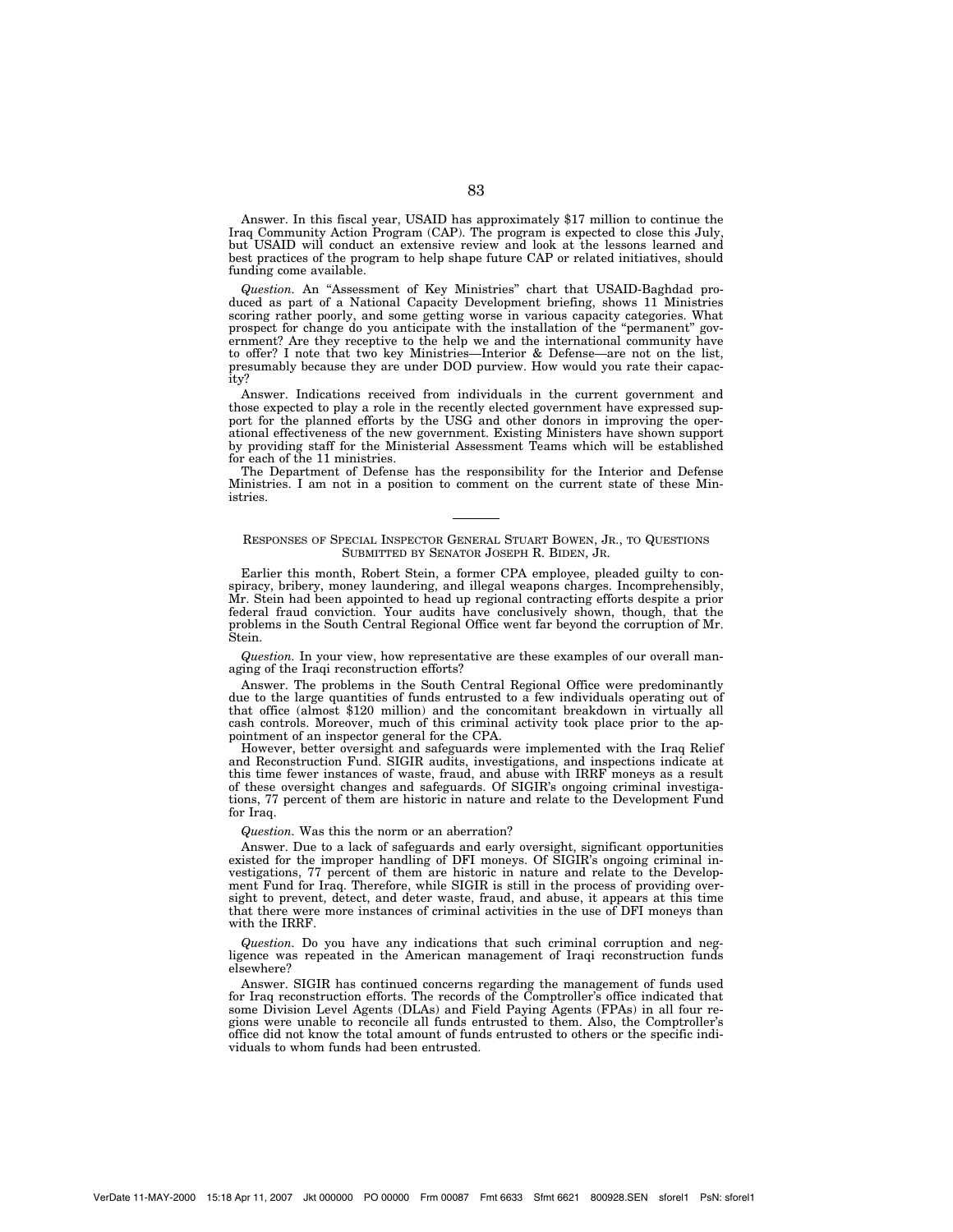Answer. In this fiscal year, USAID has approximately \$17 million to continue the Iraq Community Action Program (CAP). The program is expected to close this July, but USAID will conduct an extensive review and look at the lessons learned and best practices of the program to help shape future CAP or related initiatives, should funding come available.

*Question.* An ''Assessment of Key Ministries'' chart that USAID-Baghdad produced as part of a National Capacity Development briefing, shows 11 Ministries scoring rather poorly, and some getting worse in various capacity categories. What prospect for change do you anticipate with the installation of the ''permanent'' government? Are they receptive to the help we and the international community have to offer? I note that two key Ministries—Interior & Defense—are not on the list, presumably because they are under DOD purview. How would you rate their capacity?

Answer. Indications received from individuals in the current government and those expected to play a role in the recently elected government have expressed support for the planned efforts by the USG and other donors in improving the operational effectiveness of the new government. Existing Ministers have shown support by providing staff for the Ministerial Assessment Teams which will be established for each of the 11 ministries.

The Department of Defense has the responsibility for the Interior and Defense Ministries. I am not in a position to comment on the current state of these Ministries.

### RESPONSES OF SPECIAL INSPECTOR GENERAL STUART BOWEN, JR., TO QUESTIONS SUBMITTED BY SENATOR JOSEPH R. BIDEN, JR.

Earlier this month, Robert Stein, a former CPA employee, pleaded guilty to conspiracy, bribery, money laundering, and illegal weapons charges. Incomprehensibly, Mr. Stein had been appointed to head up regional contracting efforts despite a prior federal fraud conviction. Your audits have conclusively shown, though, that the problems in the South Central Regional Office went far beyond the corruption of Mr. Stein.

*Question.* In your view, how representative are these examples of our overall managing of the Iraqi reconstruction efforts?

Answer. The problems in the South Central Regional Office were predominantly due to the large quantities of funds entrusted to a few individuals operating out of that office (almost \$120 million) and the concomitant breakdown in virtually all cash controls. Moreover, much of this criminal activity took place prior to the appointment of an inspector general for the CPA.

However, better oversight and safeguards were implemented with the Iraq Relief and Reconstruction Fund. SIGIR audits, investigations, and inspections indicate at this time fewer instances of waste, fraud, and abuse with IRRF moneys as a result of these oversight changes and safeguards. Of SIGIR's ongoing criminal investigations, 77 percent of them are historic in nature and relate to the Development Fund for Iraq.

#### *Question.* Was this the norm or an aberration?

Answer. Due to a lack of safeguards and early oversight, significant opportunities existed for the improper handling of DFI moneys. Of SIGIR's ongoing criminal investigations, 77 percent of them are historic in nature and relate to the Development Fund for Iraq. Therefore, while SIGIR is still in the process of providing oversight to prevent, detect, and deter waste, fraud, and abuse, it appears at this time that there were more instances of criminal activities in the use of DFI moneys than with the IRRF.

*Question.* Do you have any indications that such criminal corruption and negligence was repeated in the American management of Iraqi reconstruction funds elsewhere?

Answer. SIGIR has continued concerns regarding the management of funds used for Iraq reconstruction efforts. The records of the Comptroller's office indicated that some Division Level Agents (DLAs) and Field Paying Agents (FPAs) in all four regions were unable to reconcile all funds entrusted to them. Also, the Comptroller's office did not know the total amount of funds entrusted to others or the specific individuals to whom funds had been entrusted.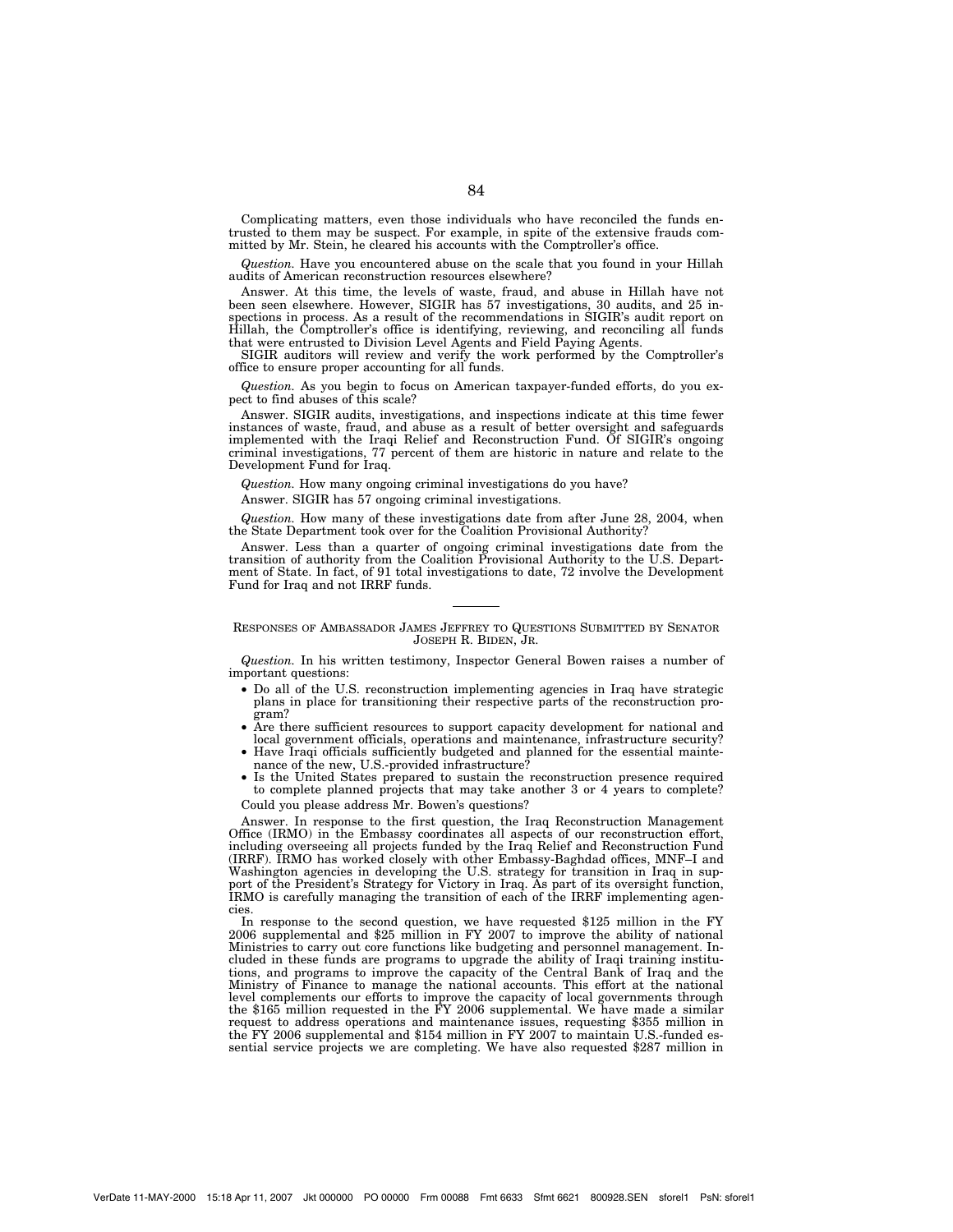Complicating matters, even those individuals who have reconciled the funds entrusted to them may be suspect. For example, in spite of the extensive frauds committed by Mr. Stein, he cleared his accounts with the Comptroller's office.

*Question.* Have you encountered abuse on the scale that you found in your Hillah audits of American reconstruction resources elsewhere?

Answer. At this time, the levels of waste, fraud, and abuse in Hillah have not been seen elsewhere. However, SIGIR has 57 investigations, 30 audits, and 25 inspections in process. As a result of the recommendations in SIGIR's audit report on Hillah, the Comptroller's office is identifying, reviewing, and reconciling all funds that were entrusted to Division Level Agents and Field Paying Agents.

SIGIR auditors will review and verify the work performed by the Comptroller's office to ensure proper accounting for all funds.

*Question.* As you begin to focus on American taxpayer-funded efforts, do you expect to find abuses of this scale?

Answer. SIGIR audits, investigations, and inspections indicate at this time fewer instances of waste, fraud, and abuse as a result of better oversight and safeguards implemented with the Iraqi Relief and Reconstruction Fund. Of SIGIR's ongoing criminal investigations, 77 percent of them are historic in nature and relate to the Development Fund for Iraq.

*Question.* How many ongoing criminal investigations do you have?

Answer. SIGIR has 57 ongoing criminal investigations.

*Question.* How many of these investigations date from after June 28, 2004, when the State Department took over for the Coalition Provisional Authority?

Answer. Less than a quarter of ongoing criminal investigations date from the transition of authority from the Coalition Provisional Authority to the U.S. Department of State. In fact, of 91 total investigations to date, 72 involve the Development Fund for Iraq and not IRRF funds.

RESPONSES OF AMBASSADOR JAMES JEFFREY TO QUESTIONS SUBMITTED BY SENATOR JOSEPH R. BIDEN, JR.

*Question.* In his written testimony, Inspector General Bowen raises a number of important questions:

- Do all of the U.S. reconstruction implementing agencies in Iraq have strategic plans in place for transitioning their respective parts of the reconstruction program?
- Are there sufficient resources to support capacity development for national and local government officials, operations and maintenance, infrastructure security?
- Have Iraqi officials sufficiently budgeted and planned for the essential maintenance of the new, U.S.-provided infrastructure?
- Is the United States prepared to sustain the reconstruction presence required to complete planned projects that may take another 3 or 4 years to complete? Could you please address Mr. Bowen's questions?

Answer. In response to the first question, the Iraq Reconstruction Management Office (IRMO) in the Embassy coordinates all aspects of our reconstruction effort, including overseeing all projects funded by the Iraq Relief and Reconstruction Fund (IRRF). IRMO has worked closely with other Embassy-Baghdad offices, MNF–I and Washington agencies in developing the U.S. strategy for transition in Iraq in support of the President's Strategy for Victory in Iraq. As part of its oversight function, IRMO is carefully managing the transition of each of the IRRF implementing agencies.

In response to the second question, we have requested \$125 million in the FY 2006 supplemental and \$25 million in FY 2007 to improve the ability of national Ministries to carry out core functions like budgeting and personnel management. Included in these funds are programs to upgrade the ability of Iraqi training institutions, and programs to improve the capacity of the Central Bank of Iraq and the Ministry of Finance to manage the national accounts. This effort at the national level complements our efforts to improve the capacity of local governments through the \$165 million requested in the FY 2006 supplemental. We have made a similar request to address operations and maintenance issues, requesting \$355 million in the FY 2006 supplemental and \$154 million in FY 2007 to maintain U.S.-funded es-sential service projects we are completing. We have also requested \$287 million in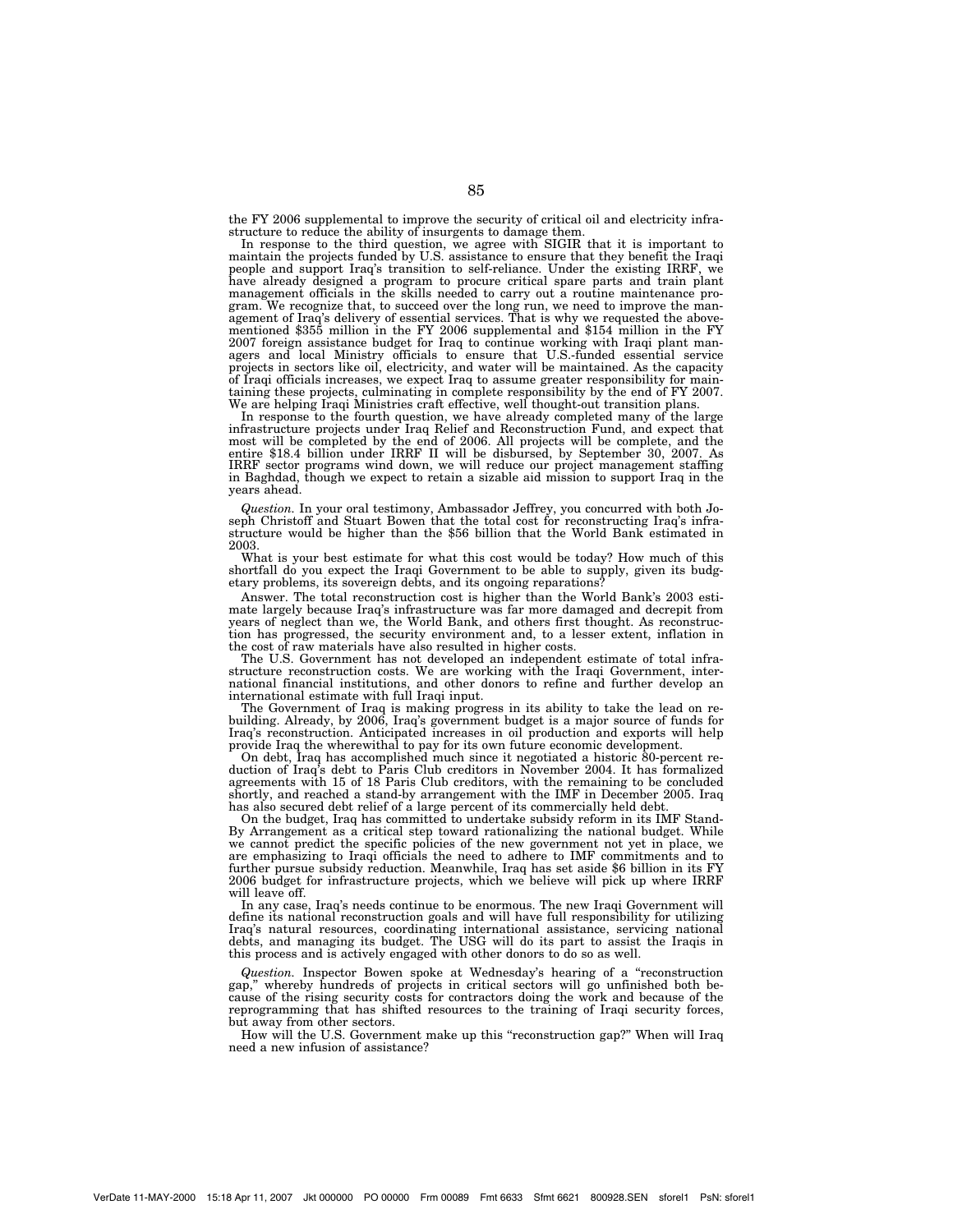the FY 2006 supplemental to improve the security of critical oil and electricity infrastructure to reduce the ability of insurgents to damage them.

In response to the third question, we agree with SIGIR that it is important to maintain the projects funded by U.S. assistance to ensure that they benefit the Iraqi people and support Iraq's transition to self-reliance. Under the existing IRRF, we have already designed a program to procure critical spare parts and train plant management officials in the skills needed to carry out a routine maintenance program. We recognize that, to succeed over the long run, we need to improve the man-agement of Iraq's delivery of essential services. That is why we requested the abovementioned \$355 million in the FY 2006 supplemental and \$154 million in the FY 2007 foreign assistance budget for Iraq to continue working with Iraqi plant managers and local Ministry officials to ensure that U.S.-funded essential service projects in sectors like oil, electricity, and water will be maintained. As the capacity of Iraqi officials increases, we expect Iraq to assume greater responsibility for maintaining these projects, culminating in complete responsibility by the end of FY 2007. We are helping Iraqi Ministries craft effective, well thought-out transition plans.

In response to the fourth question, we have already completed many of the large infrastructure projects under Iraq Relief and Reconstruction Fund, and expect that most will be completed by the end of 2006. All projects will be complete, and the entire \$18.4 billion under IRRF II will be disbursed, by September 30, 2007. As IRRF sector programs wind down, we will reduce our project management staffing in Baghdad, though we expect to retain a sizable aid mission to support Iraq in the years ahead.

*Question.* In your oral testimony, Ambassador Jeffrey, you concurred with both Joseph Christoff and Stuart Bowen that the total cost for reconstructing Iraq's infrastructure would be higher than the \$56 billion that the World Bank estimated in 2003.

What is your best estimate for what this cost would be today? How much of this shortfall do you expect the Iraqi Government to be able to supply, given its budgetary problems, its sovereign debts, and its ongoing reparations?

Answer. The total reconstruction cost is higher than the World Bank's 2003 estimate largely because Iraq's infrastructure was far more damaged and decrepit from years of neglect than we, the World Bank, and others first thought. As reconstruction has progressed, the security environment and, to a lesser extent, inflation in the cost of raw materials have also resulted in higher costs.

The U.S. Government has not developed an independent estimate of total infra-structure reconstruction costs. We are working with the Iraqi Government, international financial institutions, and other donors to refine and further develop an international estimate with full Iraqi input.

The Government of Iraq is making progress in its ability to take the lead on re-building. Already, by 2006, Iraq's government budget is a major source of funds for Iraq's reconstruction. Anticipated increases in oil production and exports will help provide Iraq the wherewithal to pay for its own future economic development.

On debt, Iraq has accomplished much since it negotiated a historic 80-percent reduction of Iraq's debt to Paris Club creditors in November 2004. It has formalized agreements with 15 of 18 Paris Club creditors, with the remaining to be concluded shortly, and reached a stand-by arrangement with the IMF in December 2005. Iraq has also secured debt relief of a large percent of its commercially held debt.

On the budget, Iraq has committed to undertake subsidy reform in its IMF Stand-By Arrangement as a critical step toward rationalizing the national budget. While we cannot predict the specific policies of the new government not yet in place, we are emphasizing to Iraqi officials the need to adhere to IMF commitments and to further pursue subsidy reduction. Meanwhile, Iraq has set aside \$6 billion in its FY 2006 budget for infrastructure projects, which we believe will pick up where IRRF will leave off.

In any case, Iraq's needs continue to be enormous. The new Iraqi Government will define its national reconstruction goals and will have full responsibility for utilizing Iraq's natural resources, coordinating international assistance, servicing national debts, and managing its budget. The USG will do its part to assist the Iraqis in this process and is actively engaged with other donors to do so as well.

*Question.* Inspector Bowen spoke at Wednesday's hearing of a ''reconstruction gap,'' whereby hundreds of projects in critical sectors will go unfinished both because of the rising security costs for contractors doing the work and because of the reprogramming that has shifted resources to the training of Iraqi security forces, but away from other sectors.

How will the U.S. Government make up this "reconstruction gap?" When will Iraq need a new infusion of assistance?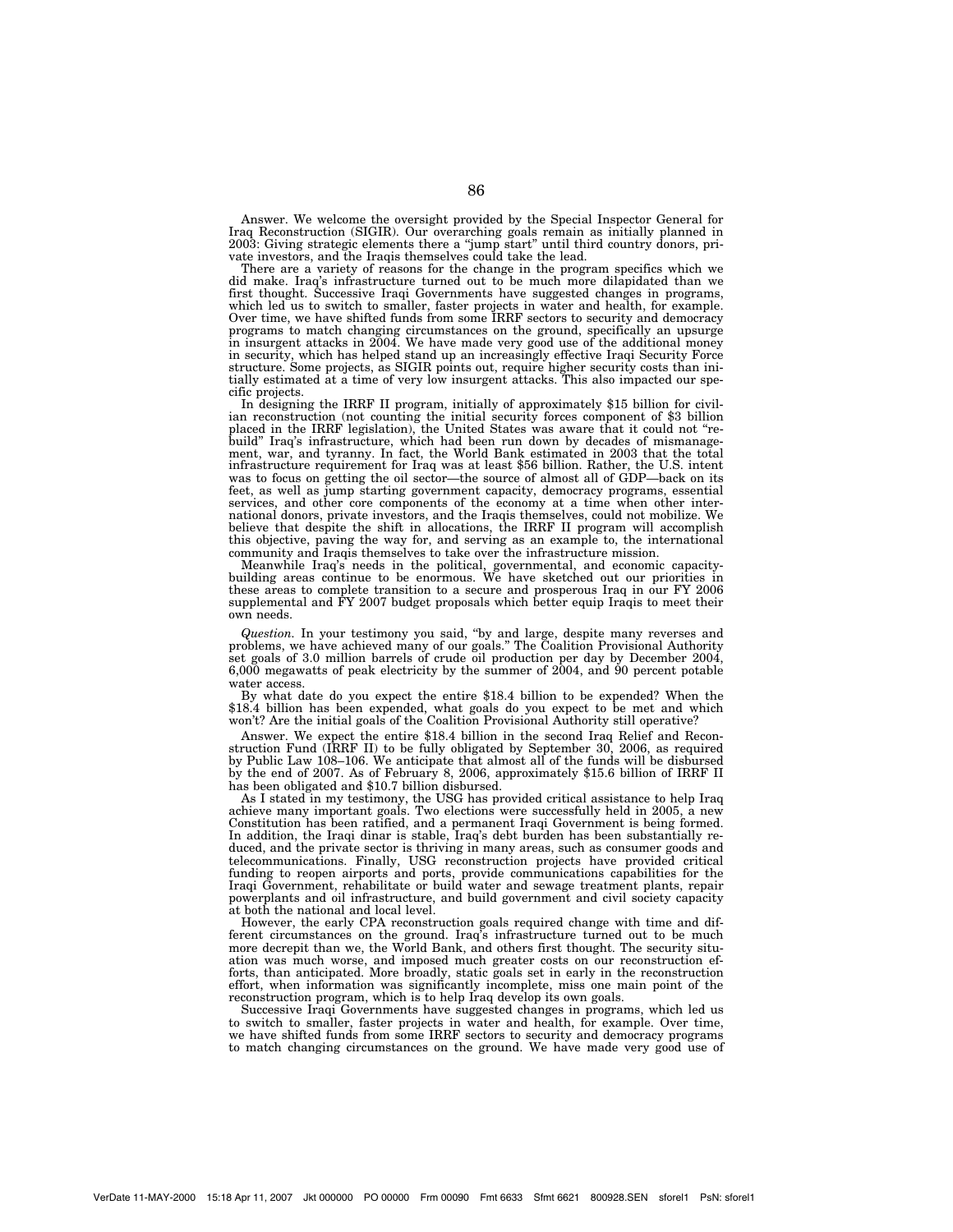Answer. We welcome the oversight provided by the Special Inspector General for Iraq Reconstruction (SIGIR). Our overarching goals remain as initially planned in 2003: Giving strategic elements there a ''jump start'' until third country donors, private investors, and the Iraqis themselves could take the lead.

There are a variety of reasons for the change in the program specifics which we did make. Iraq's infrastructure turned out to be much more dilapidated than we first thought. Successive Iraqi Governments have suggested changes in programs, which led us to switch to smaller, faster projects in water and health, for example. Over time, we have shifted funds from some IRRF sectors to security and democracy programs to match changing circumstances on the ground, specifically an upsurge in insurgent attacks in 2004. We have made very good use of the additional money in security, which has helped stand up an increasingly effective Iraqi Security Force structure. Some projects, as SIGIR points out, require higher security costs than initially estimated at a time of very low insurgent attacks. This also impacted our spe-

cific projects.<br>In designing the IRRF II program, initially of approximately \$15 billion for civil-<br>ian reconstruction (not counting the initial security forces component of \$3 billion<br>placed in the IRRF legislation), the build'' Iraq's infrastructure, which had been run down by decades of mismanage-ment, war, and tyranny. In fact, the World Bank estimated in 2003 that the total infrastructure requirement for Iraq was at least \$56 billion. Rather, the U.S. intent was to focus on getting the oil sector—the source of almost all of GDP—back on its feet, as well as jump starting government capacity, democracy programs, essential services, and other core components of the economy at a time when other international donors, private investors, and the Iraqis themselves, could not mobilize. We believe that despite the shift in allocations, the IRRF II program will accomplish this objective, paving the way for, and serving as an example to, the international community and Iraqis themselves to take over the infrastructure mission.

Meanwhile Iraq's needs in the political, governmental, and economic capacitybuilding areas continue to be enormous. We have sketched out our priorities in these areas to complete transition to a secure and prosperous Iraq in our FY 2006 supplemental and FY 2007 budget proposals which better equip Iraqis to meet their own needs.

*Question.* In your testimony you said, ''by and large, despite many reverses and problems, we have achieved many of our goals.'' The Coalition Provisional Authority set goals of 3.0 million barrels of crude oil production per day by December 2004, 6,000 megawatts of peak electricity by the summer of 2004, and 90 percent potable water access

By what date do you expect the entire \$18.4 billion to be expended? When the \$18.4 billion has been expended, what goals do you expect to be met and which won't? Are the initial goals of the Coalition Provisional Authority still operative?

Answer. We expect the entire \$18.4 billion in the second Iraq Relief and Reconstruction Fund (IRRF II) to be fully obligated by September 30, 2006, as required by Public Law 108–106. We anticipate that almost all of the funds will be disbursed by the end of 2007. As of February 8, 2006, approximately \$15.6 billion of IRRF II has been obligated and \$10.7 billion disbursed.

As I stated in my testimony, the USG has provided critical assistance to help Iraq achieve many important goals. Two elections were successfully held in 2005, a new Constitution has been ratified, and a permanent Iraqi Government is being formed. In addition, the Iraqi dinar is stable, Iraq's debt burden has been substantially reduced, and the private sector is thriving in many areas, such as consumer goods and telecommunications. Finally, USG reconstruction projects have provided critical funding to reopen airports and ports, provide communications capabilities for the Iraqi Government, rehabilitate or build water and sewage treatment plants, repair powerplants and oil infrastructure, and build government and civil society capacity at both the national and local level.

However, the early CPA reconstruction goals required change with time and different circumstances on the ground. Iraq's infrastructure turned out to be much more decrepit than we, the World Bank, and others first thought. The security situation was much worse, and imposed much greater costs on our reconstruction efforts, than anticipated. More broadly, static goals set in early in the reconstruction effort, when information was significantly incomplete, miss one main point of the reconstruction program, which is to help Iraq develop its own goals.

Successive Iraqi Governments have suggested changes in programs, which led us to switch to smaller, faster projects in water and health, for example. Over time, we have shifted funds from some IRRF sectors to security and democracy programs to match changing circumstances on the ground. We have made very good use of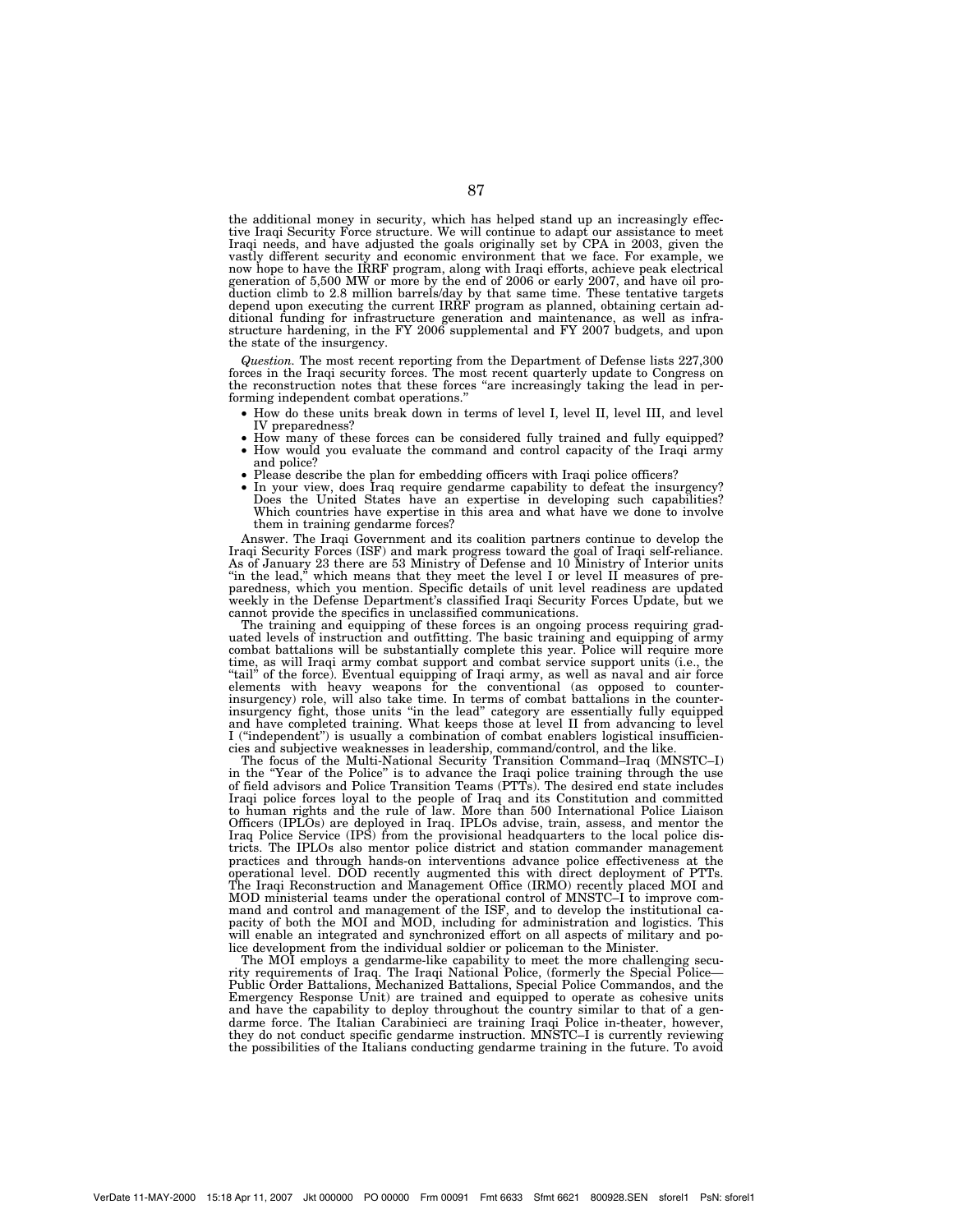the additional money in security, which has helped stand up an increasingly effective Iraqi Security Force structure. We will continue to adapt our assistance to meet Iraqi needs, and have adjusted the goals originally set by CPA in 2003, given the vastly different security and economic environment that we face. For example, we now hope to have the IRRF program, along with Iraqi efforts, achieve peak electrical generation of 5,500 MW or more by the end of 2006 or early 2007, and have oil pro-duction climb to 2.8 million barrels/day by that same time. These tentative targets depend upon executing the current IRRF program as planned, obtaining certain additional funding for infrastructure generation and maintenance, as well as infrastructure hardening, in the FY 2006 supplemental and FY 2007 budgets, and upon the state of the insurgency.

*Question.* The most recent reporting from the Department of Defense lists 227,300 forces in the Iraqi security forces. The most recent quarterly update to Congress on the reconstruction notes that these forces ''are increasingly taking the lead in performing independent combat operations.''

- How do these units break down in terms of level I, level II, level III, and level IV preparedness?
- How many of these forces can be considered fully trained and fully equipped? How would you evaluate the command and control capacity of the Iraqi army
- 
- exteen and police?<br>• Please describe the plan for embedding officers with Iraqi police officers?<br>• In your view, does Iraq require gendarme capability to defeat the insurgency? Does the United States have an expertise in developing such capabilities? Which countries have expertise in this area and what have we done to involve them in training gendarme forces?

Answer. The Iraqi Government and its coalition partners continue to develop the Iraqi Security Forces (ISF) and mark progress toward the goal of Iraqi self-reliance. As of January 23 there are 53 Ministry of Defense and 10 Ministry of Interior units ''in the lead,'' which means that they meet the level I or level II measures of pre-paredness, which you mention. Specific details of unit level readiness are updated weekly in the Defense Department's classified Iraqi Security Forces Update, but we cannot provide the specifics in unclassified communications.

The training and equipping of these forces is an ongoing process requiring graduated levels of instruction and outfitting. The basic training and equipping of army combat battalions will be substantially complete this year ''tail'' of the force). Eventual equipping of Iraqi army, as well as naval and air force elements with heavy weapons for the conventional (as opposed to counterinsurgency) role, will also take time. In terms of combat battalions in the counter-<br>insurgency fight, those units "in the lead" category are essentially fully equipped<br>and have completed training. What keeps those at leve I (''independent'') is usually a combination of combat enablers logistical insufficiencies and subjective weaknesses in leadership, command/control, and the like.

The focus of the Multi-National Security Transition Command–Iraq (MNSTC–I) in the ''Year of the Police'' is to advance the Iraqi police training through the use of field advisors and Police Transition Teams (PTTs). The desired end state includes Iraqi police forces loyal to the people of Iraq and its Constitution and committed to human rights and the rule of law. More than 500 International Police Liaison Officers (IPLOs) are deployed in Iraq. IPLOs advise, train, assess, and mentor the Iraq Police Service (IPS) from the provisional headquarters to the local police districts. The IPLOs also mentor police district and station commander management practices and through hands-on interventions advance police effectiveness at the operational level. DOD recently augmented this with direct deployment of PTTs. The Iraqi Reconstruction and Management Office (IRMO) recently placed MOI and MOD ministerial teams under the operational control of MNSTC–I to improve command and control and management of the ISF, and to develop the institutional capacity of both the MOI and MOD, including for administration and logistics. This will enable an integrated and synchronized effort on all aspects of military and police development from the individual soldier or policeman to the Minister.

The MOI employs a gendarme-like capability to meet the more challenging security requirements of Iraq. The Iraqi National Police, (formerly the Special Police— Public Order Battalions, Mechanized Battalions, Special Police Commandos, and the Emergency Response Unit) are trained and equipped to operate as cohesive units and have the capability to deploy throughout the country similar to that of a gendarme force. The Italian Carabinieci are training Iraqi Police in-theater, however, they do not conduct specific gendarme instruction. MNSTC–I is currently reviewing the possibilities of the Italians conducting gendarme training in the future. To avoid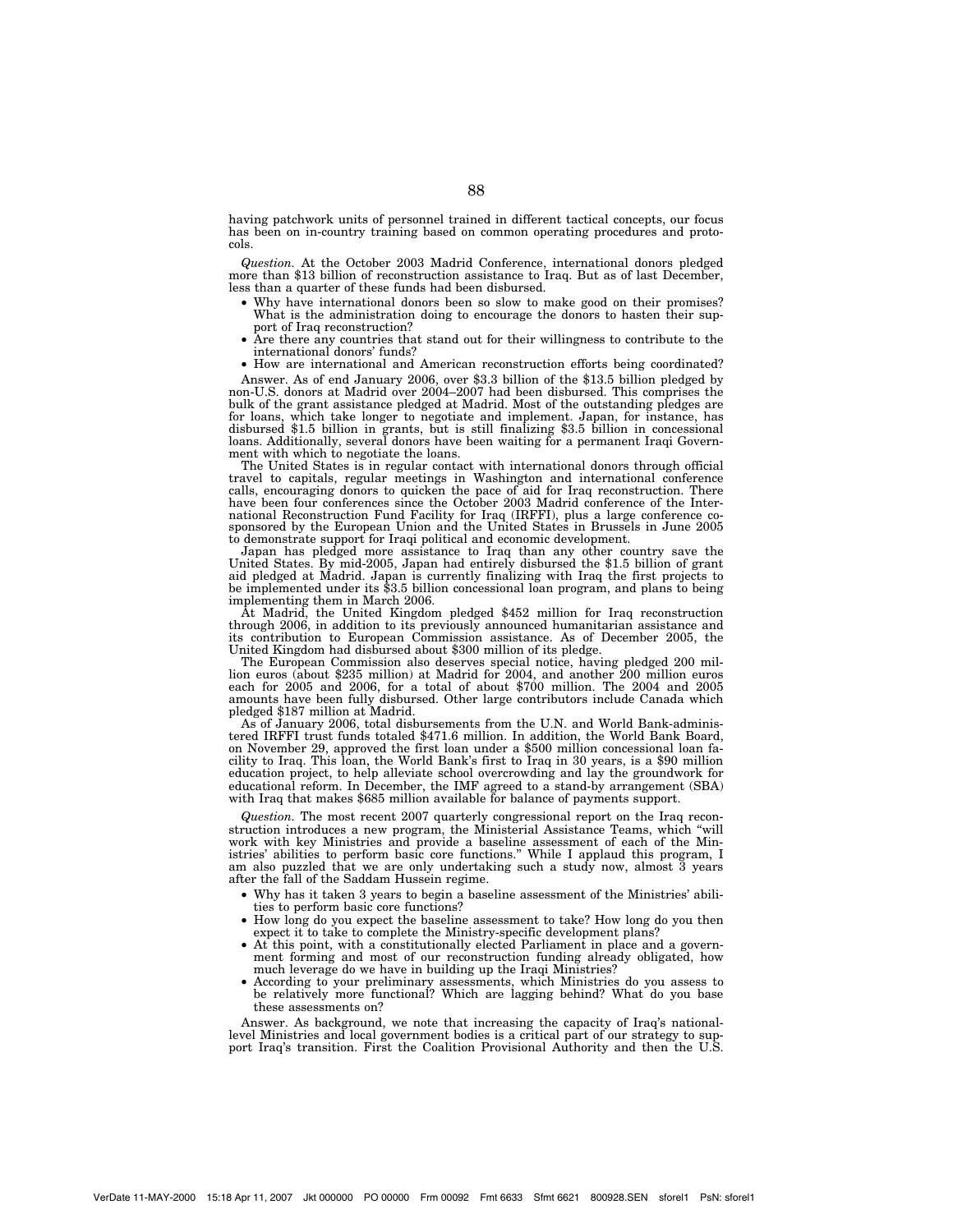having patchwork units of personnel trained in different tactical concepts, our focus has been on in-country training based on common operating procedures and protocols.

*Question.* At the October 2003 Madrid Conference, international donors pledged more than \$13 billion of reconstruction assistance to Iraq. But as of last December, less than a quarter of these funds had been disbursed.

- Why have international donors been so slow to make good on their promises? What is the administration doing to encourage the donors to hasten their support of Iraq reconstruction?
- Are there any countries that stand out for their willingness to contribute to the international donors' funds?
- How are international and American reconstruction efforts being coordinated?

Answer. As of end January 2006, over \$3.3 billion of the \$13.5 billion pledged by non-U.S. donors at Madrid over 2004–2007 had been disbursed. This comprises the bulk of the grant assistance pledged at Madrid. Most of the outstanding pledges are for loans, which take longer to negotiate and implement. Japan, for instance, has<br>disbursed \$1.5 billion in grants, but is still finalizing \$3.5 billion in concessional<br>loans. Additionally, several donors have been waiting ment with which to negotiate the loans.

The United States is in regular contact with international donors through official<br>travel to capitals, regular meetings in Washington and international conference<br>calls, encouraging donors to quicken the pace of aid for Ir to demonstrate support for Iraqi political and economic development.

Japan has pledged more assistance to Iraq than any other country save the United States. By mid-2005, Japan had entirely disbursed the \$1.5 billion of grant aid pledged at Madrid. Japan is currently finalizing with Iraq the first projects to be implemented under its \$3.5 billion concessional loan program, and plans to being

implementing them in March 2006.<br>At Madrid, the United Kingdom pledged \$452 million for Iraq reconstruction<br>At Madrid, the United Kingdom pledged \$452 million for Iraq reconstruction through 2006, in addition to its previously announced humanitarian assistance and its contribution to European Commission assistance. As of December 2005, the United Kingdom had disbursed about \$300 million of its pledge.<br>The European Commission also deserves special notice, having pledged 200 mil-

The European Commission also deserves special notice, having pledged 200 million euros (about \$235 million) at Madrid for 2004, and another 200 million euros<br>each for 2005 and 2006, for a total of about \$700 million. The 2 amounts have been fully disbursed. Other large contributors include Canada which pledged \$187 million at Madrid.

As of January 2006, total disbursements from the U.N. and World Bank-administered IRFFI trust funds totaled \$471.6 million. In addition, the World Bank Board, on November 29, approved the first loan under a \$500 million concessional loan facility to Iraq. This loan, the World Bank's first to Iraq in 30 years, is a \$90 million education project, to help alleviate school overcrowding and lay the groundwork for educational reform. In December, the IMF agreed to a stand-by arrangement (SBA) with Iraq that makes \$685 million available for balance of payments support.

*Question.* The most recent 2007 quarterly congressional report on the Iraq reconstruction introduces a new program, the Ministerial Assistance Teams, which ''will work with key Ministries and provide a baseline assessment of each of the Ministries' abilities to perform basic core functions.'' While I applaud this program, I am also puzzled that we are only undertaking such a study now, almost 3 years after the fall of the Saddam Hussein regime.

- Why has it taken 3 years to begin a baseline assessment of the Ministries' abilities to perform basic core functions?
- How long do you expect the baseline assessment to take? How long do you then expect it to take to complete the Ministry-specific development plans?
- At this point, with a constitutionally elected Parliament in place and a government forming and most of our reconstruction funding already obligated, how much leverage do we have in building up the Iraqi Ministries?
- According to your preliminary assessments, which Ministries do you assess to be relatively more functional? Which are lagging behind? What do you base these assessments on?

Answer. As background, we note that increasing the capacity of Iraq's nationallevel Ministries and local government bodies is a critical part of our strategy to sup-port Iraq's transition. First the Coalition Provisional Authority and then the U.S.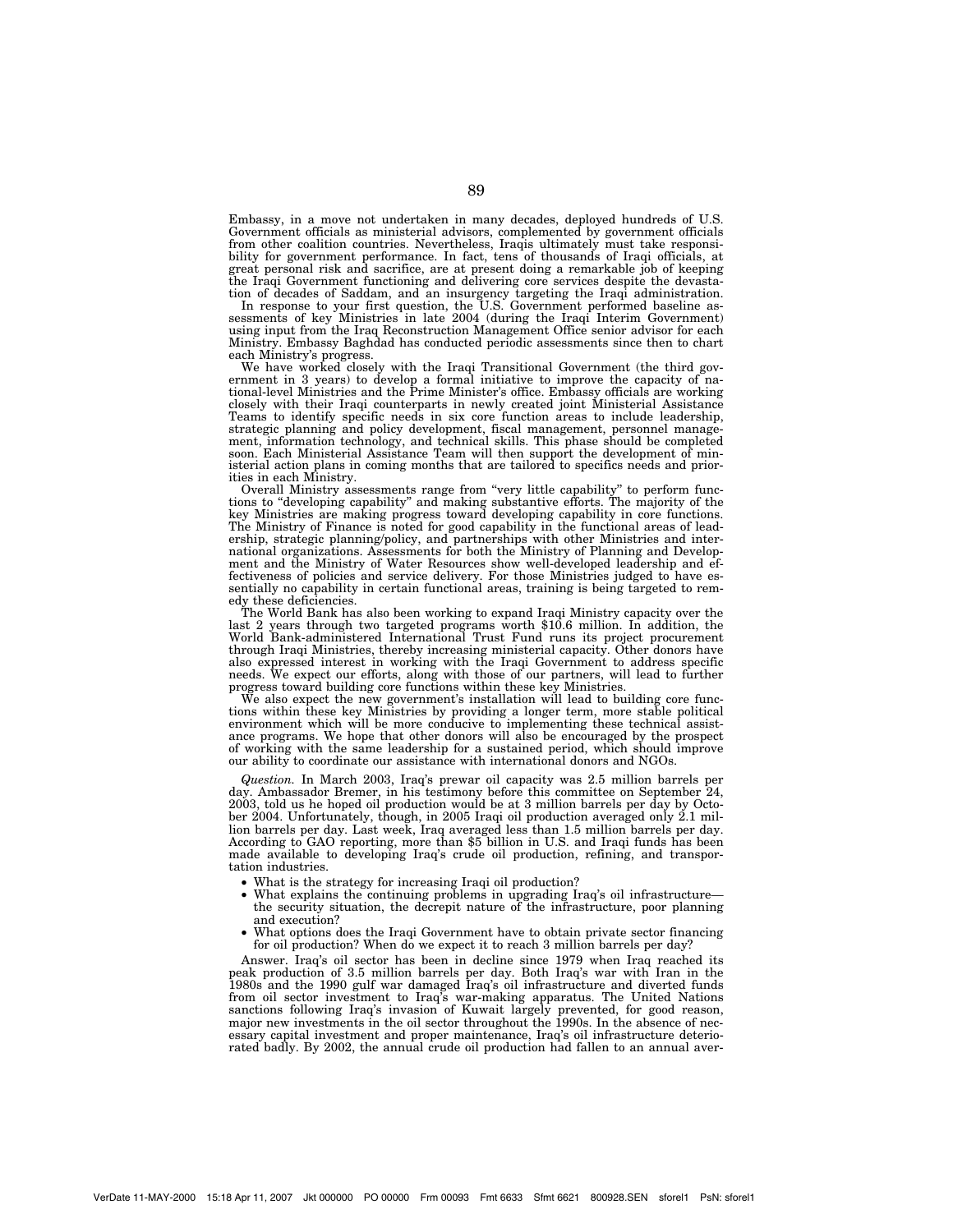Embassy, in a move not undertaken in many decades, deployed hundreds of U.S. Government officials as ministerial advisors, complemented by government officials from other coalition countries. Nevertheless, Iraqis ultimately must take responsibility for government performance. In fact, tens of thousands of Iraqi officials, at great personal risk and sacrifice, are at present doing a remarkable job of keeping the Iraqi Government functioning and delivering core services despite the devasta-

tion of decades of Saddam, and an insurgency targeting the Iraqi administration.<br>In response to your first question, the U.S. Government performed baseline as-<br>sessments of key Ministries in late 2004 (during the Iraqi Int using input from the Iraq Reconstruction Management Office senior advisor for each Ministry. Embassy Baghdad has conducted periodic assessments since then to chart each Ministry's progress.

We have worked closely with the Iraqi Transitional Government (the third government in 3 years) to develop a formal initiative to improve the capacity of na-tional-level Ministries and the Prime Minister's office. Embassy officials are working closely with their Iraqi counterparts in newly created joint Ministerial Assistance Teams to identify specific needs in six core function areas to include leadership, strategic planning and policy development, fiscal management, personnel manage-ment, information technology, and technical skills. This phase should be completed soon. Each Ministerial Assistance Team will then support the development of ministerial action plans in coming months that are tailored to specifics needs and priorities in each Ministry.

Overall Ministry assessments range from ''very little capability'' to perform functions to "developing capability" and making substantive efforts. The majority of the<br>key Ministries are making progress toward developing capability in core functions.<br>The Ministry of Finance is noted for good capability i national organizations. Assessments for both the Ministry of Planning and Development and the Ministry of Water Resources show well-developed leadership and effectiveness of policies and service delivery. For those Ministries judged to have essentially no capability in certain functional areas, trainin

edy these deficiencies.<br>The World Bank has also been working to expand Iraqi Ministry capacity over the The World Bank has also been working to expand Iraqi Ministry capacity over the last 2 years through two targeted programs worth \$10.6 million. In addition, the World Bank-administered International Trust Fund runs its pro through Iraqi Ministries, thereby increasing ministerial capacity. Other donors have also expressed interest in working with the Iraqi Government to address specific needs. We expect our efforts, along with those of our partners, will lead to further progress toward building core functions within these key Ministries.

We also expect the new government's installation will lead to building core func-tions within these key Ministries by providing a longer term, more stable political environment which will be more conducive to implementing these technical assistance programs. We hope that other donors will also be encouraged by the prospect of working with the same leadership for a sustained period, which should improve our ability to coordinate our assistance with international donors and NGOs.

*Question.* In March 2003, Iraq's prewar oil capacity was 2.5 million barrels per day. Ambassador Bremer, in his testimony before this committee on September 24,  $2003$ , told us he hoped oil production would be at 3 million barrels per day by October 2004. Unfortunately, though, in 2005 Iraqi oil production averaged only 2.1 million barrels per day. Last week, Iraq averaged less than 1.5 million barrels per day. According to GAO reporting, more than \$5 billion in U.S. and Iraqi funds has been made available to developing Iraq's crude oil production, refining, and transportation industries.

- What is the strategy for increasing Iraqi oil production?
- What explains the continuing problems in upgrading Iraq's oil infrastructure— the security situation, the decrepit nature of the infrastructure, poor planning and execution?
- What options does the Iraqi Government have to obtain private sector financing for oil production? When do we expect it to reach 3 million barrels per day?

Answer. Iraq's oil sector has been in decline since 1979 when Iraq reached its peak production of 3.5 million barrels per day. Both Iraq's war with Iran in the 1980s and the 1990 gulf war damaged Iraq's oil infrastructure and diverted funds from oil sector investment to Iraq's war-making apparatus. The United Nations sanctions following Iraq's invasion of Kuwait largely prevented, for good reason, major new investments in the oil sector throughout the 1990s. In the absence of necessary capital investment and proper maintenance, Iraq's oil infrastructure deterio-rated badly. By 2002, the annual crude oil production had fallen to an annual aver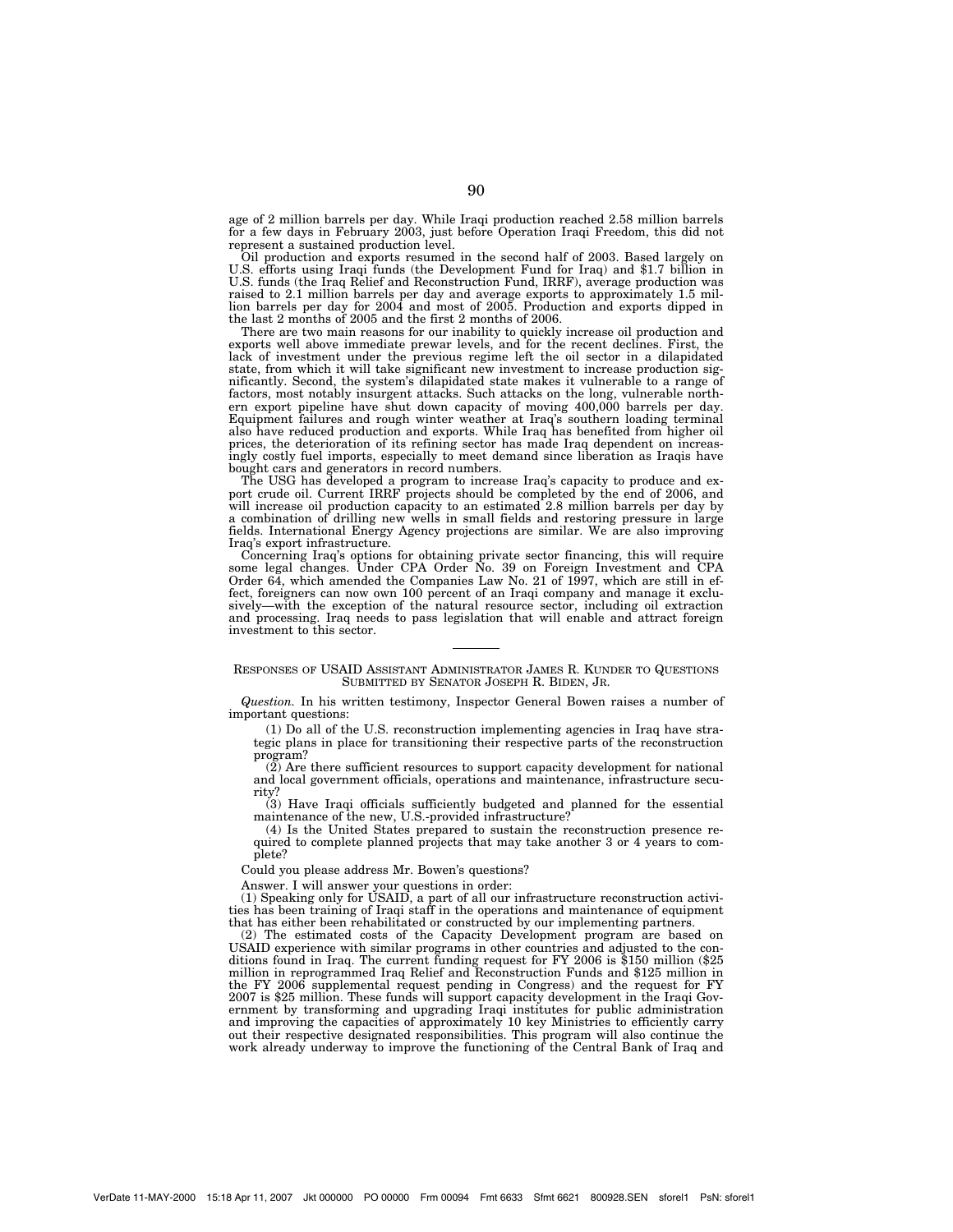age of 2 million barrels per day. While Iraqi production reached 2.58 million barrels for a few days in February 2003, just before Operation Iraqi Freedom, this did not represent a sustained production level.

Oil production and exports resumed in the second half of 2003. Based largely on U.S. efforts using Iraqi funds (the Development Fund for Iraq) and \$1.7 billion in U.S. funds (the Iraq Relief and Reconstruction Fund, IRRF), average production was raised to 2.1 million barrels per day and average exports to approximately 1.5 million barrels per day for 2004 and most of 2005. Production and exports dipped in the last 2 months of 2005 and the first 2 months of 2006.

There are two main reasons for our inability to quickly increase oil production and exports well above immediate prewar levels, and for the recent declines. First, the lack of investment under the previous regime left the oil sector in a dilapidated state, from which it will take significant new investment to increase production significantly. Second, the system's dilapidated state makes it vulnerable to a range of factors, most notably insurgent attacks. Such attacks on the long, vulnerable northern export pipeline have shut down capacity of moving 400,000 barrels per day. Equipment failures and rough winter weather at Iraq's southern loading terminal also have reduced production and exports. While Iraq has benefited from higher oil prices, the deterioration of its refining sector has made Iraq dependent on increasingly costly fuel imports, especially to meet demand since liberation as Iraqis have bought cars and generators in record numbers.

The USG has developed a program to increase Iraq's capacity to produce and export crude oil. Current IRRF projects should be completed by the end of 2006, and will increase oil production capacity to an estimated 2.8 million barrels per day by a combination of drilling new wells in small fields and restoring pressure in large fields. International Energy Agency projections are similar. We are also improving Iraq's export infrastructure.

Concerning Iraq's options for obtaining private sector financing, this will require some legal changes. Under CPA Order No. 39 on Foreign Investment and CPA Order 64, which amended the Companies Law No. 21 of 1997, which are still in effect, foreigners can now own 100 percent of an Iraqi company and manage it exclusively—with the exception of the natural resource sector, including oil extraction and processing. Iraq needs to pass legislation that will enable and attract foreign investment to this sector.

## RESPONSES OF USAID ASSISTANT ADMINISTRATOR JAMES R. KUNDER TO QUESTIONS SUBMITTED BY SENATOR JOSEPH R. BIDEN, JR.

*Question.* In his written testimony, Inspector General Bowen raises a number of important questions:

(1) Do all of the U.S. reconstruction implementing agencies in Iraq have strategic plans in place for transitioning their respective parts of the reconstruction program?

(2) Are there sufficient resources to support capacity development for national and local government officials, operations and maintenance, infrastructure security?

(3) Have Iraqi officials sufficiently budgeted and planned for the essential maintenance of the new, U.S.-provided infrastructure?

(4) Is the United States prepared to sustain the reconstruction presence required to complete planned projects that may take another 3 or 4 years to complete?

Could you please address Mr. Bowen's questions?

Answer. I will answer your questions in order:

(1) Speaking only for USAID, a part of all our infrastructure reconstruction activities has been training of Iraqi staff in the operations and maintenance of equipment that has either been rehabilitated or constructed by our implementing partners.

(2) The estimated costs of the Capacity Development program are based on USAID experience with similar programs in other countries and adjusted to the conditions found in Iraq. The current funding request for FY 2006 is \$150 million (\$25 million in reprogrammed Iraq Relief and Reconstruction Funds and \$125 million in the FY 2006 supplemental request pending in Congress) and the request for FY 2007 is \$25 million. These funds will support capacity development in the Iraqi Government by transforming and upgrading Iraqi institutes for public administration and improving the capacities of approximately 10 key Ministries to efficiently carry out their respective designated responsibilities. This program will also continue the work already underway to improve the functioning of the Central Bank of Iraq and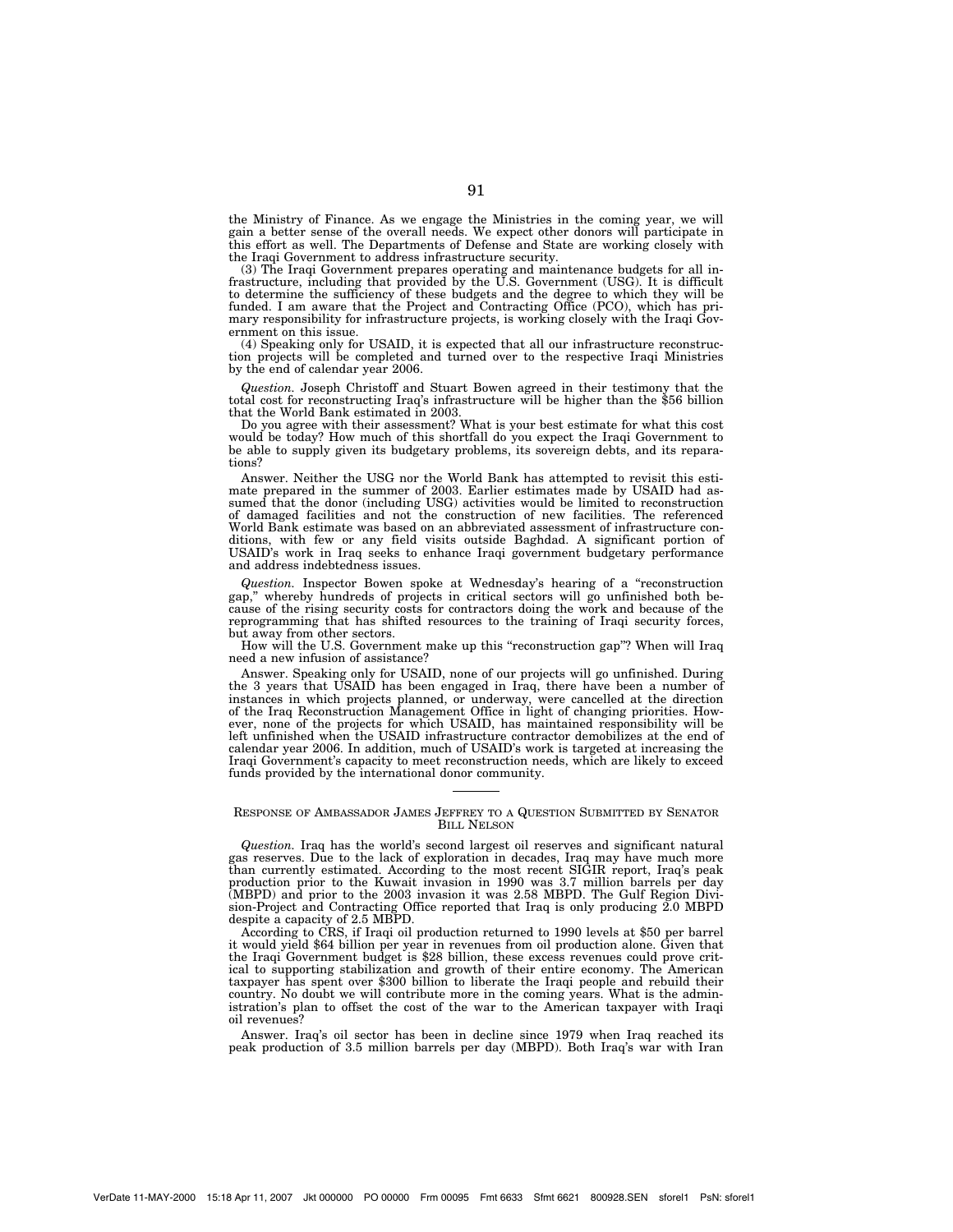the Ministry of Finance. As we engage the Ministries in the coming year, we will gain a better sense of the overall needs. We expect other donors will participate in this effort as well. The Departments of Defense and State are working closely with the Iraqi Government to address infrastructure security.

(3) The Iraqi Government prepares operating and maintenance budgets for all infrastructure, including that provided by the U.S. Government (USG). It is difficult to determine the sufficiency of these budgets and the degree to which they will be funded. I am aware that the Project and Contracting Office (PCO), which has primary responsibility for infrastructure projects, is working closely with the Iraqi Government on this issue.

(4) Speaking only for USAID, it is expected that all our infrastructure reconstruction projects will be completed and turned over to the respective Iraqi Ministries by the end of calendar year 2006.

*Question.* Joseph Christoff and Stuart Bowen agreed in their testimony that the total cost for reconstructing Iraq's infrastructure will be higher than the \$56 billion that the World Bank estimated in 2003.

Do you agree with their assessment? What is your best estimate for what this cost would be today? How much of this shortfall do you expect the Iraqi Government to be able to supply given its budgetary problems, its sovereign debts, and its reparations?

Answer. Neither the USG nor the World Bank has attempted to revisit this estimate prepared in the summer of 2003. Earlier estimates made by USAID had assumed that the donor (including USG) activities would be limited to reconstruction of damaged facilities and not the construction of new facilities. The referenced World Bank estimate was based on an abbreviated assessment of infrastructure conditions, with few or any field visits outside Baghdad. A significant portion of USAID's work in Iraq seeks to enhance Iraqi government budgetary performance and address indebtedness issues.

*Question.* Inspector Bowen spoke at Wednesday's hearing of a ''reconstruction gap,'' whereby hundreds of projects in critical sectors will go unfinished both because of the rising security costs for contractors doing the work and because of the reprogramming that has shifted resources to the training of Iraqi security forces, but away from other sectors.

How will the U.S. Government make up this ''reconstruction gap''? When will Iraq need a new infusion of assistance?

Answer. Speaking only for USAID, none of our projects will go unfinished. During the 3 years that USAID has been engaged in Iraq, there have been a number of instances in which projects planned, or underway, were cancelled at the direction of the Iraq Reconstruction Management Office in light of changing priorities. However, none of the projects for which USAID, has maintained responsibility will be left unfinished when the USAID infrastructure contractor demobilizes at the end of calendar year 2006. In addition, much of USAID's work is targeted at increasing the Iraqi Government's capacity to meet reconstruction needs, which are likely to exceed funds provided by the international donor community.

#### RESPONSE OF AMBASSADOR JAMES JEFFREY TO A QUESTION SUBMITTED BY SENATOR BILL NELSON

*Question.* Iraq has the world's second largest oil reserves and significant natural gas reserves. Due to the lack of exploration in decades, Iraq may have much more than currently estimated. According to the most recent SIGIR report, Iraq's peak production prior to the Kuwait invasion in 1990 was 3.7 million barrels per day (MBPD) and prior to the 2003 invasion it was 2.58 MBPD. The Gulf Region Division-Project and Contracting Office reported that Iraq is only producing 2.0 MBPD despite a capacity of 2.5 MBPD.

According to CRS, if Iraqi oil production returned to 1990 levels at \$50 per barrel it would yield \$64 billion per year in revenues from oil production alone. Given that the Iraqi Government budget is \$28 billion, these excess revenues could prove critical to supporting stabilization and growth of their entire economy. The American taxpayer has spent over \$300 billion to liberate the Iraqi people and rebuild their country. No doubt we will contribute more in the coming years. What is the administration's plan to offset the cost of the war to the American taxpayer with Iraqi oil revenues?

Answer. Iraq's oil sector has been in decline since 1979 when Iraq reached its peak production of 3.5 million barrels per day (MBPD). Both Iraq's war with Iran